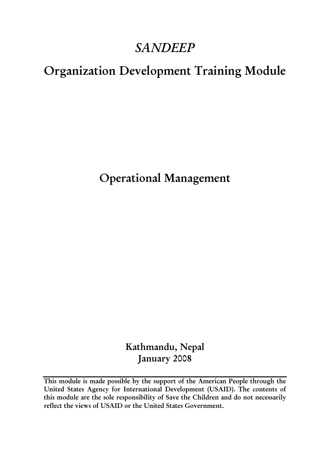# *SANDEEP*

# Organization Development Training Module

Operational Management

Kathmandu, Nepal January 2008

This module is made possible by the support of the American People through the United States Agency for International Development (USAID). The contents of this module are the sole responsibility of Save the Children and do not necessarily reflect the views of USAID or the United States Government.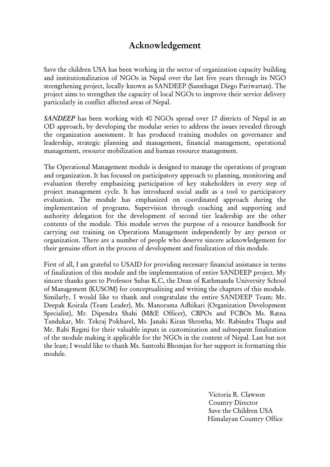# Acknowledgement

Save the children USA has been working in the sector of organization capacity building and institutionalization of NGOs in Nepal over the last five years through its NGO strengthening project, locally known as SANDEEP (Sansthagat Diego Pariwartan). The project aims to strengthen the capacity of local NGOs to improve their service delivery particularly in conflict affected areas of Nepal.

*SANDEEP* has been working with 40 NGOs spread over 17 districts of Nepal in an OD approach, by developing the modular series to address the issues revealed through the organization assessment. It has produced training modules on governance and leadership, strategic planning and management, financial management, operational management, resource mobilization and human resource management.

The Operational Management module is designed to manage the operations of program and organization. It has focused on participatory approach to planning, monitoring and evaluation thereby emphasizing participation of key stakeholders in every step of project management cycle. It has introduced social audit as a tool to participatory evaluation. The module has emphasized on coordinated approach during the implementation of programs. Supervision through coaching and supporting and authority delegation for the development of second tier leadership are the other contents of the module. This module serves the purpose of a resource handbook for carrying out training on Operations Management independently by any person or organization. There are a number of people who deserve sincere acknowledgement for their genuine effort in the process of development and finalization of this module.

First of all, I am grateful to USAID for providing necessary financial assistance in terms of finalization of this module and the implementation of entire SANDEEP project. My sincere thanks goes to Professor Subas K.C, the Dean of Kathmandu University School of Management (KUSOM) for conceptualizing and writing the chapters of this module. Similarly, I would like to thank and congratulate the entire SANDEEP Team; Mr. Deepak Koirala (Team Leader), Ms. Manorama Adhikari (Organization Development Specialist), Mr. Dipendra Shahi (M&E Officer), CBPOs and FCBOs Ms. Ratna Tandukar, Mr. Tekraj Pokharel, Ms. Janaki Kiran Shrestha, Mr. Rabindra Thapa and Mr. Rabi Regmi for their valuable inputs in customization and subsequent finalization of the module making it applicable for the NGOs in the context of Nepal. Last but not the least; I would like to thank Ms. Santoshi Bhomjan for her support in formatting this module.

> Victoria R. Clawson Country Director Save the Children USA Himalayan Country Office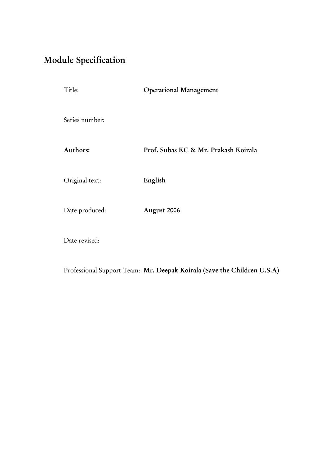# <span id="page-2-0"></span>Module Specification

| Title:         | <b>Operational Management</b>        |
|----------------|--------------------------------------|
| Series number: |                                      |
| Authors:       | Prof. Subas KC & Mr. Prakash Koirala |
| Original text: | English                              |
| Date produced: | August 2006                          |
| Date revised:  |                                      |

Professional Support Team: Mr. Deepak Koirala (Save the Children U.S.A)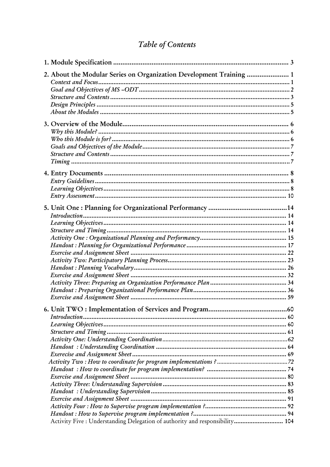# Table of Contents

| 2. About the Modular Series on Organization Development Training  1          |  |
|------------------------------------------------------------------------------|--|
|                                                                              |  |
|                                                                              |  |
|                                                                              |  |
|                                                                              |  |
|                                                                              |  |
|                                                                              |  |
|                                                                              |  |
|                                                                              |  |
|                                                                              |  |
|                                                                              |  |
|                                                                              |  |
|                                                                              |  |
|                                                                              |  |
|                                                                              |  |
|                                                                              |  |
|                                                                              |  |
|                                                                              |  |
|                                                                              |  |
|                                                                              |  |
|                                                                              |  |
|                                                                              |  |
|                                                                              |  |
|                                                                              |  |
|                                                                              |  |
|                                                                              |  |
|                                                                              |  |
|                                                                              |  |
|                                                                              |  |
|                                                                              |  |
|                                                                              |  |
| Introduction                                                                 |  |
|                                                                              |  |
|                                                                              |  |
|                                                                              |  |
|                                                                              |  |
|                                                                              |  |
|                                                                              |  |
|                                                                              |  |
|                                                                              |  |
|                                                                              |  |
|                                                                              |  |
|                                                                              |  |
|                                                                              |  |
|                                                                              |  |
| Activity Five : Understanding Delegation of authority and responsibility 104 |  |
|                                                                              |  |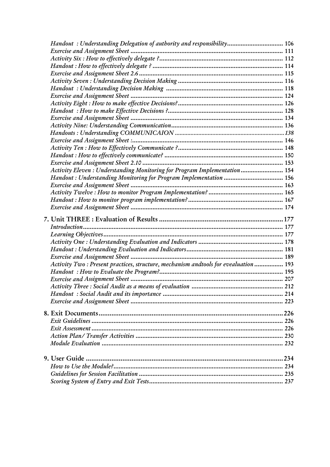| Handout: Understanding Delegation of authority and responsibility 106               |  |
|-------------------------------------------------------------------------------------|--|
|                                                                                     |  |
|                                                                                     |  |
|                                                                                     |  |
|                                                                                     |  |
|                                                                                     |  |
|                                                                                     |  |
|                                                                                     |  |
|                                                                                     |  |
|                                                                                     |  |
|                                                                                     |  |
|                                                                                     |  |
|                                                                                     |  |
|                                                                                     |  |
|                                                                                     |  |
|                                                                                     |  |
|                                                                                     |  |
| Activity Eleven : Understanding Monitoring for Program Implementation  154          |  |
| Handout: Understanding Monitoring for Program Implementation  156                   |  |
|                                                                                     |  |
|                                                                                     |  |
|                                                                                     |  |
|                                                                                     |  |
|                                                                                     |  |
|                                                                                     |  |
|                                                                                     |  |
|                                                                                     |  |
|                                                                                     |  |
|                                                                                     |  |
|                                                                                     |  |
|                                                                                     |  |
| Activity Two: Present practices, structure, mechanism andtools for evealuation  193 |  |
|                                                                                     |  |
|                                                                                     |  |
|                                                                                     |  |
|                                                                                     |  |
|                                                                                     |  |
|                                                                                     |  |
|                                                                                     |  |
|                                                                                     |  |
|                                                                                     |  |
|                                                                                     |  |
|                                                                                     |  |
|                                                                                     |  |
|                                                                                     |  |
|                                                                                     |  |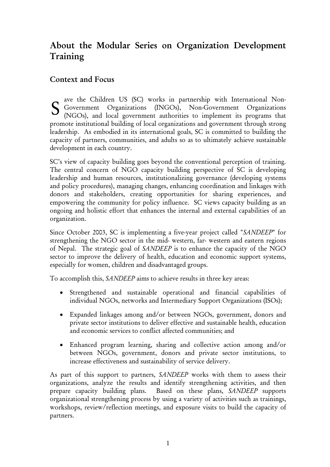# <span id="page-5-0"></span>About the Modular Series on Organization Development Training

#### Context and Focus

ave the Children US (SC) works in partnership with International Non-Government Organizations (INGOs), Non-Government Organizations (NGOs), and local government authorities to implement its programs that promote institutional building of local organizations and government through strong leadership. As embodied in its international goals, SC is committed to building the capacity of partners, communities, and adults so as to ultimately achieve sustainable development in each country. S

SC's view of capacity building goes beyond the conventional perception of training. The central concern of NGO capacity building perspective of SC is developing leadership and human resources, institutionalizing governance (developing systems and policy procedures), managing changes, enhancing coordination and linkages with donors and stakeholders, creating opportunities for sharing experiences, and empowering the community for policy influence. SC views capacity building as an ongoing and holistic effort that enhances the internal and external capabilities of an organization.

Since October 2003, SC is implementing a five-year project called "*SANDEEP*" for strengthening the NGO sector in the mid- western, far- western and eastern regions of Nepal. The strategic goal of *SANDEEP* is to enhance the capacity of the NGO sector to improve the delivery of health, education and economic support systems, especially for women, children and disadvantaged groups.

To accomplish this, *SANDEEP* aims to achieve results in three key areas:

- Strengthened and sustainable operational and financial capabilities of individual NGOs, networks and Intermediary Support Organizations (ISOs);
- Expanded linkages among and/or between NGOs, government, donors and private sector institutions to deliver effective and sustainable health, education and economic services to conflict affected communities; and
- Enhanced program learning, sharing and collective action among and/or between NGOs, government, donors and private sector institutions, to increase effectiveness and sustainability of service delivery.

As part of this support to partners, *SANDEEP* works with them to assess their organizations, analyze the results and identify strengthening activities, and then prepare capacity building plans. Based on these plans, *SANDEEP* supports organizational strengthening process by using a variety of activities such as trainings, workshops, review/reflection meetings, and exposure visits to build the capacity of partners.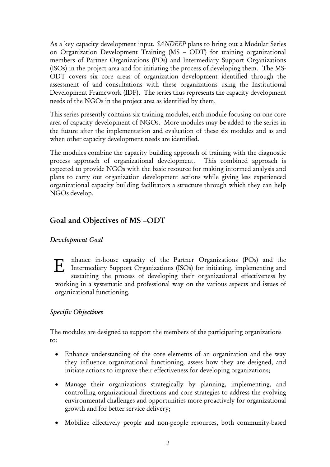<span id="page-6-0"></span>As a key capacity development input, *SANDEEP* plans to bring out a Modular Series on Organization Development Training (MS – ODT) for training organizational members of Partner Organizations (POs) and Intermediary Support Organizations (ISOs) in the project area and for initiating the process of developing them. The MS-ODT covers six core areas of organization development identified through the assessment of and consultations with these organizations using the Institutional Development Framework (IDF). The series thus represents the capacity development needs of the NGOs in the project area as identified by them.

This series presently contains six training modules, each module focusing on one core area of capacity development of NGOs. More modules may be added to the series in the future after the implementation and evaluation of these six modules and as and when other capacity development needs are identified.

The modules combine the capacity building approach of training with the diagnostic process approach of organizational development. This combined approach is expected to provide NGOs with the basic resource for making informed analysis and plans to carry out organization development actions while giving less experienced organizational capacity building facilitators a structure through which they can help NGOs develop.

# Goal and Objectives of MS –ODT

#### *Development Goal*

nhance in-house capacity of the Partner Organizations (POs) and the Intermediary Support Organizations (ISOs) for initiating, implementing and the Intermediary Support Organizations (ISOs) for initiating, implementing and metricing the process of developing their executivismal effectivenes sustaining the process of developing their organizational effectiveness by working in a systematic and professional way on the various aspects and issues of organizational functioning.

#### *Specific Objectives*

The modules are designed to support the members of the participating organizations to:

- Enhance understanding of the core elements of an organization and the way they influence organizational functioning, assess how they are designed, and initiate actions to improve their effectiveness for developing organizations;
- Manage their organizations strategically by planning, implementing, and controlling organizational directions and core strategies to address the evolving environmental challenges and opportunities more proactively for organizational growth and for better service delivery;
- Mobilize effectively people and non-people resources, both community-based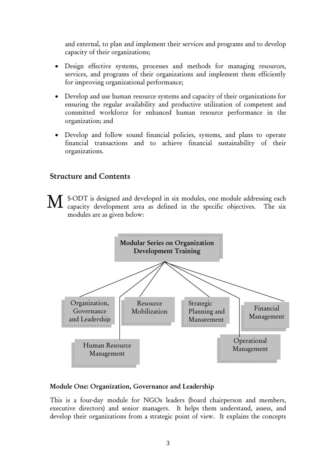<span id="page-7-0"></span>and external, to plan and implement their services and programs and to develop capacity of their organizations;

- Design effective systems, processes and methods for managing resources, services, and programs of their organizations and implement them efficiently for improving organizational performance;
- Develop and use human resource systems and capacity of their organizations for ensuring the regular availability and productive utilization of competent and committed workforce for enhanced human resource performance in the organization; and
- Develop and follow sound financial policies, systems, and plans to operate financial transactions and to achieve financial sustainability of their organizations.

### Structure and Contents

S-ODT is designed and developed in six modules, one module addressing each capacity development area as defined in the specific objectives. The six modules are as given below: M



#### Module One: Organization, Governance and Leadership

This is a four-day module for NGOs leaders (board chairperson and members, executive directors) and senior managers. It helps them understand, assess, and develop their organizations from a strategic point of view. It explains the concepts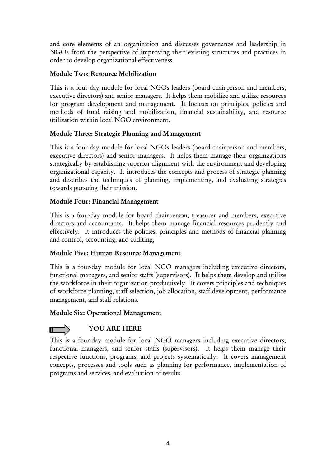and core elements of an organization and discusses governance and leadership in NGOs from the perspective of improving their existing structures and practices in order to develop organizational effectiveness.

#### Module Two: Resource Mobilization

This is a four-day module for local NGOs leaders (board chairperson and members, executive directors) and senior managers. It helps them mobilize and utilize resources for program development and management. It focuses on principles, policies and methods of fund raising and mobilization, financial sustainability, and resource utilization within local NGO environment.

#### Module Three: Strategic Planning and Management

This is a four-day module for local NGOs leaders (board chairperson and members, executive directors) and senior managers. It helps them manage their organizations strategically by establishing superior alignment with the environment and developing organizational capacity. It introduces the concepts and process of strategic planning and describes the techniques of planning, implementing, and evaluating strategies towards pursuing their mission.

#### Module Four: Financial Management

This is a four-day module for board chairperson, treasurer and members, executive directors and accountants. It helps them manage financial resources prudently and effectively. It introduces the policies, principles and methods of financial planning and control, accounting, and auditing,

#### Module Five: Human Resource Management

This is a four-day module for local NGO managers including executive directors, functional managers, and senior staffs (supervisors). It helps them develop and utilize the workforce in their organization productively. It covers principles and techniques of workforce planning, staff selection, job allocation, staff development, performance management, and staff relations.

#### Module Six: Operational Management

### YOU ARE HERE

This is a four-day module for local NGO managers including executive directors, functional managers, and senior staffs (supervisors). It helps them manage their respective functions, programs, and projects systematically. It covers management concepts, processes and tools such as planning for performance, implementation of programs and services, and evaluation of results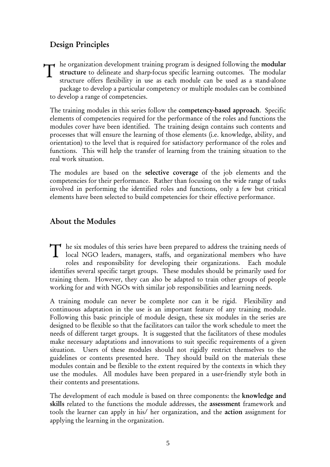# <span id="page-9-0"></span>Design Principles

he organization development training program is designed following the modular structure to delineate and sharp-focus specific learning outcomes. The modular structure offers flexibility in use as each module can be used as a stand-alone package to develop a particular competency or multiple modules can be combined to develop a range of competencies.  $\mathbf T$ 

The training modules in this series follow the competency-based approach. Specific elements of competencies required for the performance of the roles and functions the modules cover have been identified. The training design contains such contents and processes that will ensure the learning of those elements (i.e. knowledge, ability, and orientation) to the level that is required for satisfactory performance of the roles and functions. This will help the transfer of learning from the training situation to the real work situation.

The modules are based on the selective coverage of the job elements and the competencies for their performance. Rather than focusing on the wide range of tasks involved in performing the identified roles and functions, only a few but critical elements have been selected to build competencies for their effective performance.

### About the Modules

he six modules of this series have been prepared to address the training needs of The six modules of this series have been prepared to address the training needs of local NGO leaders, managers, staffs, and organizational members who have roles and responsibility for developing their organizations. Each module identifies several specific target groups. These modules should be primarily used for training them. However, they can also be adapted to train other groups of people working for and with NGOs with similar job responsibilities and learning needs.

A training module can never be complete nor can it be rigid. Flexibility and continuous adaptation in the use is an important feature of any training module. Following this basic principle of module design, these six modules in the series are designed to be flexible so that the facilitators can tailor the work schedule to meet the needs of different target groups. It is suggested that the facilitators of these modules make necessary adaptations and innovations to suit specific requirements of a given situation. Users of these modules should not rigidly restrict themselves to the guidelines or contents presented here. They should build on the materials these modules contain and be flexible to the extent required by the contexts in which they use the modules. All modules have been prepared in a user-friendly style both in their contents and presentations.

The development of each module is based on three components: the knowledge and skills related to the functions the module addresses, the assessment framework and tools the learner can apply in his/ her organization, and the action assignment for applying the learning in the organization.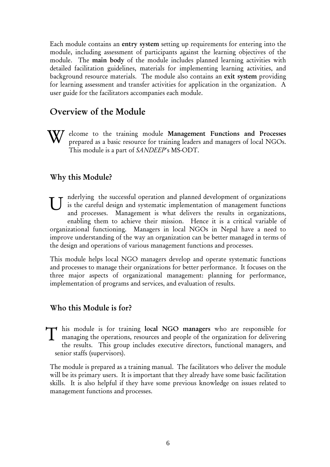<span id="page-10-0"></span>Each module contains an entry system setting up requirements for entering into the module, including assessment of participants against the learning objectives of the module. The main body of the module includes planned learning activities with detailed facilitation guidelines, materials for implementing learning activities, and background resource materials. The module also contains an exit system providing for learning assessment and transfer activities for application in the organization. A user guide for the facilitators accompanies each module.

# Overview of the Module

elcome to the training module Management Functions and Processes prepared as a basic resource for training leaders and managers of local NGOs. This module is a part of *SANDEEP*'s MS-ODT. W

#### Why this Module?

nderlying the successful operation and planned development of organizations is the careful design and systematic implementation of management functions and processes. Management is what delivers the results in organizations, enabling them to achieve their mission. Hence it is a critical variable of organizational functioning. Managers in local NGOs in Nepal have a need to improve understanding of the way an organization can be better managed in terms of the design and operations of various management functions and processes. U

This module helps local NGO managers develop and operate systematic functions and processes to manage their organizations for better performance. It focuses on the three major aspects of organizational management: planning for performance, implementation of programs and services, and evaluation of results.

#### Who this Module is for?

his module is for training local NGO managers who are responsible for T his module is for training local NGO managers who are responsible for managing the operations, resources and people of the organization for delivering the results. This group includes executive directors, functional managers, and senior staffs (supervisors).

The module is prepared as a training manual. The facilitators who deliver the module will be its primary users. It is important that they already have some basic facilitation skills. It is also helpful if they have some previous knowledge on issues related to management functions and processes.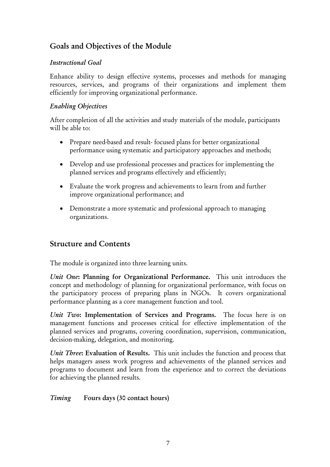# <span id="page-11-0"></span>Goals and Objectives of the Module

#### *Instructional Goal*

Enhance ability to design effective systems, processes and methods for managing resources, services, and programs of their organizations and implement them efficiently for improving organizational performance.

#### *Enabling Objectives*

After completion of all the activities and study materials of the module, participants will be able to:

- Prepare need-based and result- focused plans for better organizational performance using systematic and participatory approaches and methods;
- Develop and use professional processes and practices for implementing the planned services and programs effectively and efficiently;
- Evaluate the work progress and achievements to learn from and further improve organizational performance; and
- Demonstrate a more systematic and professional approach to managing organizations.

### Structure and Contents

The module is organized into three learning units.

*Unit One*: Planning for Organizational Performance. This unit introduces the concept and methodology of planning for organizational performance, with focus on the participatory process of preparing plans in NGOs. It covers organizational performance planning as a core management function and tool.

*Unit Two*: Implementation of Services and Programs. The focus here is on management functions and processes critical for effective implementation of the planned services and programs, covering coordination, supervision, communication, decision-making, delegation, and monitoring.

*Unit Three*: Evaluation of Results. This unit includes the function and process that helps managers assess work progress and achievements of the planned services and programs to document and learn from the experience and to correct the deviations for achieving the planned results.

*Timing* Fours days (30 contact hours)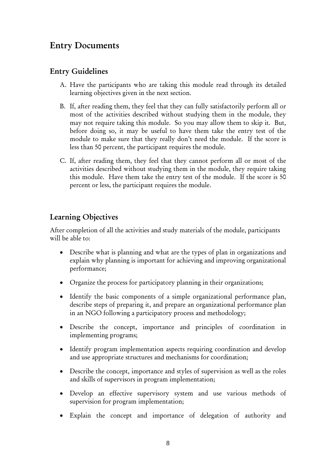# <span id="page-12-0"></span>Entry Documents

### Entry Guidelines

- A. Have the participants who are taking this module read through its detailed learning objectives given in the next section.
- B. If, after reading them, they feel that they can fully satisfactorily perform all or most of the activities described without studying them in the module, they may not require taking this module. So you may allow them to skip it. But, before doing so, it may be useful to have them take the entry test of the module to make sure that they really don't need the module. If the score is less than 50 percent, the participant requires the module.
- C. If, after reading them, they feel that they cannot perform all or most of the activities described without studying them in the module, they require taking this module. Have them take the entry test of the module. If the score is 50 percent or less, the participant requires the module.

# Learning Objectives

After completion of all the activities and study materials of the module, participants will be able to:

- Describe what is planning and what are the types of plan in organizations and explain why planning is important for achieving and improving organizational performance;
- Organize the process for participatory planning in their organizations;
- Identify the basic components of a simple organizational performance plan, describe steps of preparing it, and prepare an organizational performance plan in an NGO following a participatory process and methodology;
- Describe the concept, importance and principles of coordination in implementing programs;
- Identify program implementation aspects requiring coordination and develop and use appropriate structures and mechanisms for coordination;
- Describe the concept, importance and styles of supervision as well as the roles and skills of supervisors in program implementation;
- Develop an effective supervisory system and use various methods of supervision for program implementation;
- Explain the concept and importance of delegation of authority and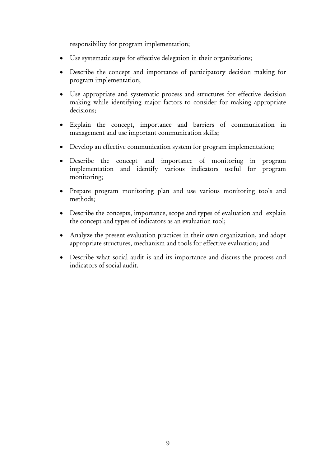responsibility for program implementation;

- Use systematic steps for effective delegation in their organizations;
- Describe the concept and importance of participatory decision making for program implementation;
- Use appropriate and systematic process and structures for effective decision making while identifying major factors to consider for making appropriate decisions;
- Explain the concept, importance and barriers of communication in management and use important communication skills;
- Develop an effective communication system for program implementation;
- Describe the concept and importance of monitoring in program implementation and identify various indicators useful for program monitoring;
- Prepare program monitoring plan and use various monitoring tools and methods;
- Describe the concepts, importance, scope and types of evaluation and explain the concept and types of indicators as an evaluation tool;
- Analyze the present evaluation practices in their own organization, and adopt appropriate structures, mechanism and tools for effective evaluation; and
- Describe what social audit is and its importance and discuss the process and indicators of social audit.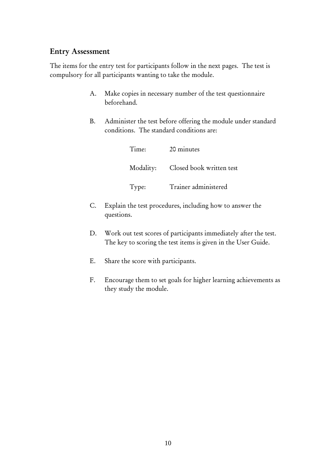#### <span id="page-14-0"></span>Entry Assessment

The items for the entry test for participants follow in the next pages. The test is compulsory for all participants wanting to take the module.

- A. Make copies in necessary number of the test questionnaire beforehand.
- B. Administer the test before offering the module under standard conditions. The standard conditions are:

| Time: | 20 minutes                         |
|-------|------------------------------------|
|       | Modality: Closed book written test |
| Type: | Trainer administered               |

- C. Explain the test procedures, including how to answer the questions.
- D. Work out test scores of participants immediately after the test. The key to scoring the test items is given in the User Guide.
- E. Share the score with participants.
- F. Encourage them to set goals for higher learning achievements as they study the module.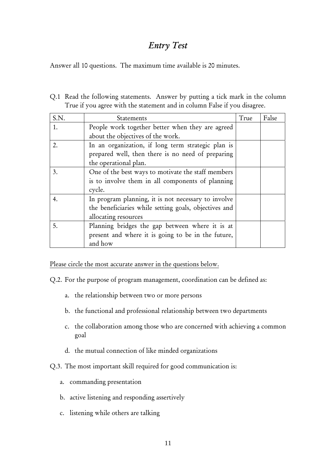# *Entry Test*

Answer all 10 questions. The maximum time available is 20 minutes.

Q.1 Read the following statements. Answer by putting a tick mark in the column True if you agree with the statement and in column False if you disagree.

| S.N. | Statements                                            | True | False |
|------|-------------------------------------------------------|------|-------|
| 1.   | People work together better when they are agreed      |      |       |
|      | about the objectives of the work.                     |      |       |
| 2.   | In an organization, if long term strategic plan is    |      |       |
|      | prepared well, then there is no need of preparing     |      |       |
|      | the operational plan.                                 |      |       |
| 3.   | One of the best ways to motivate the staff members    |      |       |
|      | is to involve them in all components of planning      |      |       |
|      | cycle.                                                |      |       |
| 4.   | In program planning, it is not necessary to involve   |      |       |
|      | the beneficiaries while setting goals, objectives and |      |       |
|      | allocating resources                                  |      |       |
| 5.   | Planning bridges the gap between where it is at       |      |       |
|      | present and where it is going to be in the future,    |      |       |
|      | and how                                               |      |       |

Please circle the most accurate answer in the questions below.

Q.2. For the purpose of program management, coordination can be defined as:

- a. the relationship between two or more persons
- b. the functional and professional relationship between two departments
- c. the collaboration among those who are concerned with achieving a common goal
- d. the mutual connection of like minded organizations
- Q.3. The most important skill required for good communication is:
	- a. commanding presentation
	- b. active listening and responding assertively
	- c. listening while others are talking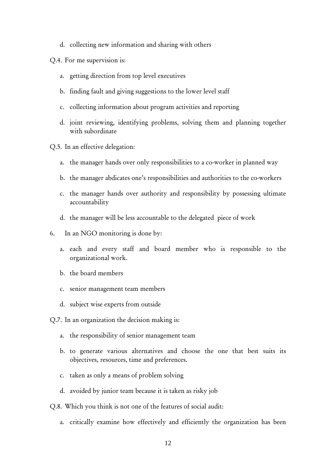d. collecting new information and sharing with others

Q.4. For me supervision is:

- a. getting direction from top level executives
- b. finding fault and giving suggestions to the lower level staff
- c. collecting information about program activities and reporting
- d. joint reviewing, identifying problems, solving them and planning together with subordinate
- Q.5. In an effective delegation:
	- a. the manager hands over only responsibilities to a co-worker in planned way
	- b. the manager abdicates one's responsibilities and authorities to the co-workers
	- c. the manager hands over authority and responsibility by possessing ultimate accountability
	- d. the manager will be less accountable to the delegated piece of work
- 6. In an NGO monitoring is done by:
	- a. each and every staff and board member who is responsible to the organizational work.
	- b. the board members
	- c. senior management team members
	- d. subject wise experts from outside
- Q.7. In an organization the decision making is:
	- a. the responsibility of senior management team
	- b. to generate various alternatives and choose the one that best suits its objectives, resources, time and preferences.
	- c. taken as only a means of problem solving
	- d. avoided by junior team because it is taken as risky job
- Q.8. Which you think is not one of the features of social audit:
	- a. critically examine how effectively and efficiently the organization has been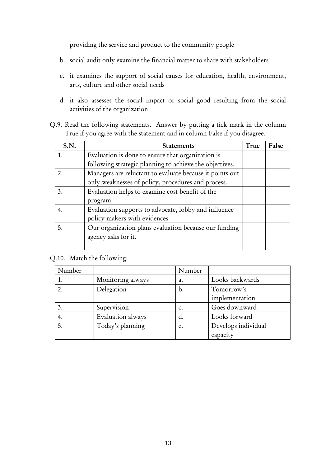providing the service and product to the community people

- b. social audit only examine the financial matter to share with stakeholders
- c. it examines the support of social causes for education, health, environment, arts, culture and other social needs
- d. it also assesses the social impact or social good resulting from the social activities of the organization
- Q.9. Read the following statements. Answer by putting a tick mark in the column True if you agree with the statement and in column False if you disagree.

| S.N. | <b>Statements</b>                                        | True | False |
|------|----------------------------------------------------------|------|-------|
| 1.   | Evaluation is done to ensure that organization is        |      |       |
|      | following strategic planning to achieve the objectives.  |      |       |
| 2.   | Managers are reluctant to evaluate because it points out |      |       |
|      | only weaknesses of policy, procedures and process.       |      |       |
| 3.   | Evaluation helps to examine cost benefit of the          |      |       |
|      | program.                                                 |      |       |
| 4.   | Evaluation supports to advocate, lobby and influence     |      |       |
|      | policy makers with evidences                             |      |       |
| 5.   | Our organization plans evaluation because our funding    |      |       |
|      | agency asks for it.                                      |      |       |
|      |                                                          |      |       |

Q.10. Match the following:

| Number |                   | Number         |                     |
|--------|-------------------|----------------|---------------------|
|        | Monitoring always | a.             | Looks backwards     |
|        | Delegation        | b.             | Tomorrow's          |
|        |                   |                | implementation      |
|        | Supervision       | $\mathbf{c}$ . | Goes downward       |
|        | Evaluation always | d.             | Looks forward       |
|        | Today's planning  | e.             | Develops individual |
|        |                   |                | capacity            |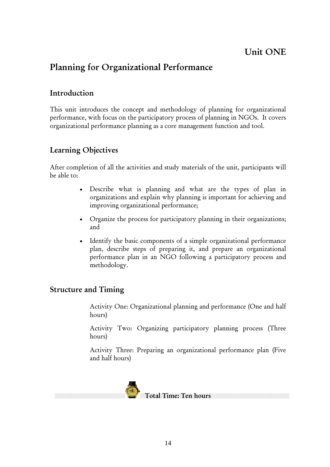# <span id="page-18-0"></span>Planning for Organizational Performance

# Introduction

This unit introduces the concept and methodology of planning for organizational performance, with focus on the participatory process of planning in NGOs. It covers organizational performance planning as a core management function and tool.

# Learning Objectives

After completion of all the activities and study materials of the unit, participants will be able to:

- Describe what is planning and what are the types of plan in organizations and explain why planning is important for achieving and improving organizational performance;
- Organize the process for participatory planning in their organizations; and
- Identify the basic components of a simple organizational performance plan, describe steps of preparing it, and prepare an organizational performance plan in an NGO following a participatory process and methodology.

### Structure and Timing

Activity One: Organizational planning and performance (One and half hours)

Activity Two: Organizing participatory planning process (Three hours)

Activity Three: Preparing an organizational performance plan (Five and half hours)

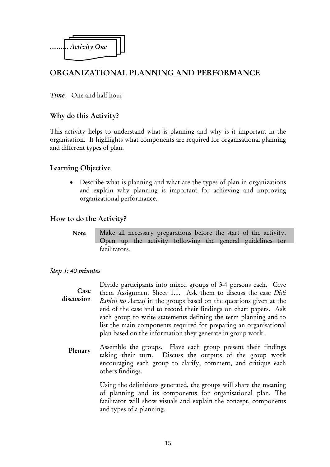<span id="page-19-0"></span>

# ORGANIZATIONAL PLANNING AND PERFORMANCE

*Time:* One and half hour

#### Why do this Activity?

This activity helps to understand what is planning and why is it important in the organisation. It highlights what components are required for organisational planning and different types of plan.

#### Learning Objective

• Describe what is planning and what are the types of plan in organizations and explain why planning is important for achieving and improving organizational performance.

#### How to do the Activity?

Make all necessary preparations before the start of the activity. Open up the activity following the general guidelines for facilitators. Note

#### *Step 1: 40 minutes*

Divide participants into mixed groups of 3-4 persons each. Give them Assignment Sheet 1.1. Ask them to discuss the case *Didi Bahini ko Aawaj* in the groups based on the questions given at the end of the case and to record their findings on chart papers. Ask each group to write statements defining the term planning and to list the main components required for preparing an organisational plan based on the information they generate in group work. Case discussion

Assemble the groups. Have each group present their findings taking their turn. Discuss the outputs of the group work encouraging each group to clarify, comment, and critique each others findings. Plenary

> Using the definitions generated, the groups will share the meaning of planning and its components for organisational plan. The facilitator will show visuals and explain the concept, components and types of a planning.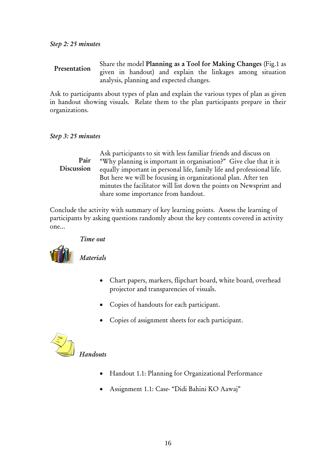Share the model Planning as a Tool for Making Changes (Fig.1 as given in handout) and explain the linkages among situation analysis, planning and expected changes. Presentation

Ask to participants about types of plan and explain the various types of plan as given in handout showing visuals. Relate them to the plan participants prepare in their organizations.

#### *Step 3: 25 minutes*

Ask participants to sit with less familiar friends and discuss on "Why planning is important in organisation?" Give clue that it is equally important in personal life, family life and professional life. But here we will be focusing in organizational plan. After ten minutes the facilitator will list down the points on Newsprint and share some importance from handout. Pair Discussion

Conclude the activity with summary of key learning points. Assess the learning of participants by asking questions randomly about the key contents covered in activity one...

#### *Time out*



*Materials* 

- Chart papers, markers, flipchart board, white board, overhead projector and transparencies of visuals.
- Copies of handouts for each participant.
- Copies of assignment sheets for each participant.



- Handout 1.1: Planning for Organizational Performance
- Assignment 1.1: Case- "Didi Bahini KO Aawaj"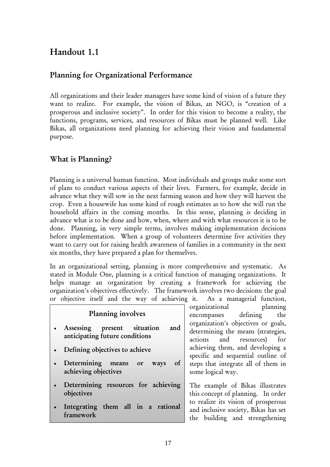# <span id="page-21-0"></span>Handout 1.1

# Planning for Organizational Performance

All organizations and their leader managers have some kind of vision of a future they want to realize. For example, the vision of Bikas, an NGO, is "creation of a prosperous and inclusive society". In order for this vision to become a reality, the functions, programs, services, and resources of Bikas must be planned well. Like Bikas, all organizations need planning for achieving their vision and fundamental purpose.

# What is Planning?

Planning is a universal human function. Most individuals and groups make some sort of plans to conduct various aspects of their lives. Farmers, for example, decide in advance what they will sow in the next farming season and how they will harvest the crop. Even a housewife has some kind of rough estimates as to how she will run the household affairs in the coming months. In this sense, planning is deciding in advance what is to be done and how, when, where and with what resources it is to be done. Planning, in very simple terms, involves making implementation decisions before implementation. When a group of volunteers determine five activities they want to carry out for raising health awareness of families in a community in the next six months, they have prepared a plan for themselves.

In an organizational setting, planning is more comprehensive and systematic. As stated in Module One, planning is a critical function of managing organizations. It helps manage an organization by creating a framework for achieving the organization's objectives effectively. The framework involves two decisions: the goal or objective itself and the way of achieving it. As a managerial function,

| Planning involves                                                      | organizational<br>planning<br>encompasses defining<br>the                                                     |
|------------------------------------------------------------------------|---------------------------------------------------------------------------------------------------------------|
| Assessing present situation<br>and<br>anticipating future conditions   | organization's objectives or goals,<br>determining the means (strategies,<br>actions and resources) for       |
| Defining objectives to achieve                                         | achieving them, and developing a<br>specific and sequential outline of                                        |
| Determining<br>$\sigma$<br>means<br>ways<br>or<br>achieving objectives | steps that integrate all of them in<br>some logical way.                                                      |
| Determining resources for achieving<br>objectives                      | The example of Bikas illustrates<br>this concept of planning. In order                                        |
| Integrating them all in a rational<br>framework                        | to realize its vision of prosperous<br>and inclusive society, Bikas has set<br>the building and strengthening |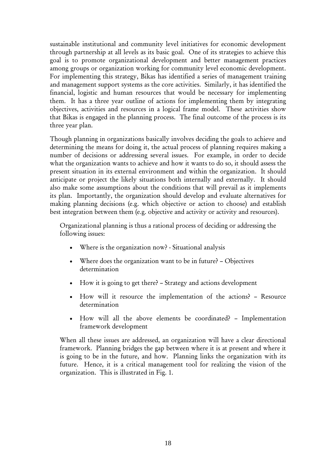sustainable institutional and community level initiatives for economic development through partnership at all levels as its basic goal. One of its strategies to achieve this goal is to promote organizational development and better management practices among groups or organization working for community level economic development. For implementing this strategy, Bikas has identified a series of management training and management support systems as the core activities. Similarly, it has identified the financial, logistic and human resources that would be necessary for implementing them. It has a three year outline of actions for implementing them by integrating objectives, activities and resources in a logical frame model. These activities show that Bikas is engaged in the planning process. The final outcome of the process is its three year plan.

Though planning in organizations basically involves deciding the goals to achieve and determining the means for doing it, the actual process of planning requires making a number of decisions or addressing several issues. For example, in order to decide what the organization wants to achieve and how it wants to do so, it should assess the present situation in its external environment and within the organization. It should anticipate or project the likely situations both internally and externally. It should also make some assumptions about the conditions that will prevail as it implements its plan. Importantly, the organization should develop and evaluate alternatives for making planning decisions (e.g. which objective or action to choose) and establish best integration between them (e.g. objective and activity or activity and resources).

Organizational planning is thus a rational process of deciding or addressing the following issues:

- Where is the organization now? Situational analysis
- Where does the organization want to be in future? Objectives determination
- How it is going to get there? Strategy and actions development
- How will it resource the implementation of the actions? Resource determination
- How will all the above elements be coordinated? Implementation framework development

When all these issues are addressed, an organization will have a clear directional framework. Planning bridges the gap between where it is at present and where it is going to be in the future, and how. Planning links the organization with its future. Hence, it is a critical management tool for realizing the vision of the organization. This is illustrated in Fig. 1.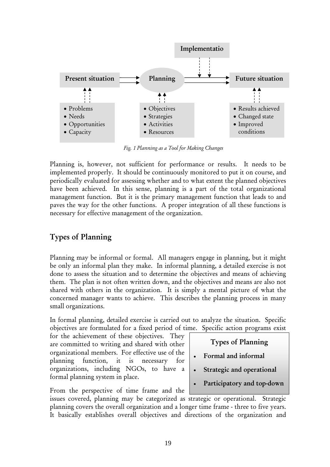

*Fig. 1 Planning as a Tool for Making Changes*

Planning is, however, not sufficient for performance or results. It needs to be implemented properly. It should be continuously monitored to put it on course, and periodically evaluated for assessing whether and to what extent the planned objectives have been achieved. In this sense, planning is a part of the total organizational management function. But it is the primary management function that leads to and paves the way for the other functions. A proper integration of all these functions is necessary for effective management of the organization.

### Types of Planning

Planning may be informal or formal. All managers engage in planning, but it might be only an informal plan they make. In informal planning, a detailed exercise is not done to assess the situation and to determine the objectives and means of achieving them. The plan is not often written down, and the objectives and means are also not shared with others in the organization. It is simply a mental picture of what the concerned manager wants to achieve. This describes the planning process in many small organizations.

In formal planning, detailed exercise is carried out to analyze the situation. Specific objectives are formulated for a fixed period of time. Specific action programs exist

for the achievement of these objectives. They are committed to writing and shared with other organizational members. For effective use of the planning function, it is necessary for organizations, including NGOs, to have a formal planning system in place.

From the perspective of time frame and the

Types of Planning

- Formal and informal
- Strategic and operational
- Participatory and top-down

issues covered, planning may be categorized as strategic or operational. Strategic planning covers the overall organization and a longer time frame - three to five years. It basically establishes overall objectives and directions of the organization and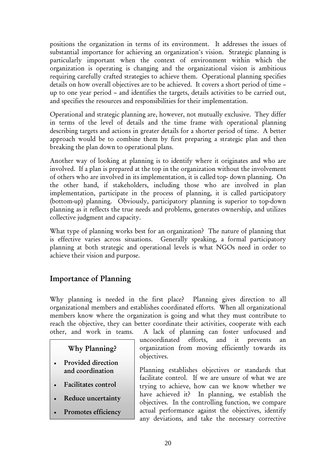positions the organization in terms of its environment. It addresses the issues of substantial importance for achieving an organization's vision. Strategic planning is particularly important when the context of environment within which the organization is operating is changing and the organizational vision is ambitious requiring carefully crafted strategies to achieve them. Operational planning specifies details on how overall objectives are to be achieved. It covers a short period of time – up to one year period – and identifies the targets, details activities to be carried out, and specifies the resources and responsibilities for their implementation.

Operational and strategic planning are, however, not mutually exclusive. They differ in terms of the level of details and the time frame with operational planning describing targets and actions in greater details for a shorter period of time. A better approach would be to combine them by first preparing a strategic plan and then breaking the plan down to operational plans.

Another way of looking at planning is to identify where it originates and who are involved. If a plan is prepared at the top in the organization without the involvement of others who are involved in its implementation, it is called top- down planning. On the other hand, if stakeholders, including those who are involved in plan implementation, participate in the process of planning, it is called participatory (bottom-up) planning. Obviously, participatory planning is superior to top-down planning as it reflects the true needs and problems, generates ownership, and utilizes collective judgment and capacity.

What type of planning works best for an organization? The nature of planning that is effective varies across situations. Generally speaking, a formal participatory planning at both strategic and operational levels is what NGOs need in order to achieve their vision and purpose.

# Importance of Planning

Why planning is needed in the first place? Planning gives direction to all organizational members and establishes coordinated efforts. When all organizational members know where the organization is going and what they must contribute to reach the objective, they can better coordinate their activities, cooperate with each other, and work in teams. A lack of planning can foster unfocused and

#### Why Planning?

- Provided direction and coordination
- Facilitates control
- Reduce uncertainty
- Promotes efficiency

uncoordinated efforts, and it prevents an organization from moving efficiently towards its objectives.

Planning establishes objectives or standards that facilitate control. If we are unsure of what we are trying to achieve, how can we know whether we have achieved it? In planning, we establish the objectives. In the controlling function, we compare actual performance against the objectives, identify any deviations, and take the necessary corrective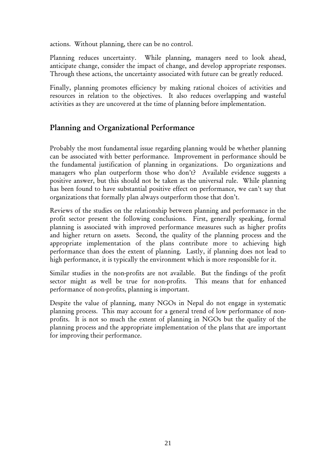actions. Without planning, there can be no control.

Planning reduces uncertainty. While planning, managers need to look ahead, anticipate change, consider the impact of change, and develop appropriate responses. Through these actions, the uncertainty associated with future can be greatly reduced.

Finally, planning promotes efficiency by making rational choices of activities and resources in relation to the objectives. It also reduces overlapping and wasteful activities as they are uncovered at the time of planning before implementation.

# Planning and Organizational Performance

Probably the most fundamental issue regarding planning would be whether planning can be associated with better performance. Improvement in performance should be the fundamental justification of planning in organizations. Do organizations and managers who plan outperform those who don't? Available evidence suggests a positive answer, but this should not be taken as the universal rule. While planning has been found to have substantial positive effect on performance, we can't say that organizations that formally plan always outperform those that don't.

Reviews of the studies on the relationship between planning and performance in the profit sector present the following conclusions. First, generally speaking, formal planning is associated with improved performance measures such as higher profits and higher return on assets. Second, the quality of the planning process and the appropriate implementation of the plans contribute more to achieving high performance than does the extent of planning. Lastly, if planning does not lead to high performance, it is typically the environment which is more responsible for it.

Similar studies in the non-profits are not available. But the findings of the profit sector might as well be true for non-profits. This means that for enhanced performance of non-profits, planning is important.

Despite the value of planning, many NGOs in Nepal do not engage in systematic planning process. This may account for a general trend of low performance of nonprofits. It is not so much the extent of planning in NGOs but the quality of the planning process and the appropriate implementation of the plans that are important for improving their performance.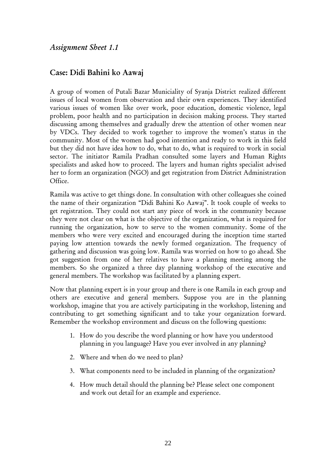## <span id="page-26-0"></span>Case: Didi Bahini ko Aawaj

A group of women of Putali Bazar Municiality of Syanja District realized different issues of local women from observation and their own experiences. They identified various issues of women like over work, poor education, domestic violence, legal problem, poor health and no participation in decision making process. They started discussing among themselves and gradually drew the attention of other women near by VDCs. They decided to work together to improve the women's status in the community. Most of the women had good intention and ready to work in this field but they did not have idea how to do, what to do, what is required to work in social sector. The initiator Ramila Pradhan consulted some layers and Human Rights specialists and asked how to proceed. The layers and human rights specialist advised her to form an organization (NGO) and get registration from District Administration Office.

Ramila was active to get things done. In consultation with other colleagues she coined the name of their organization "Didi Bahini Ko Aawaj". It took couple of weeks to get registration. They could not start any piece of work in the community because they were not clear on what is the objective of the organization, what is required for running the organization, how to serve to the women community. Some of the members who were very excited and encouraged during the inception time started paying low attention towards the newly formed organization. The frequency of gathering and discussion was going low. Ramila was worried on how to go ahead. She got suggestion from one of her relatives to have a planning meeting among the members. So she organized a three day planning workshop of the executive and general members. The workshop was facilitated by a planning expert.

Now that planning expert is in your group and there is one Ramila in each group and others are executive and general members. Suppose you are in the planning workshop, imagine that you are actively participating in the workshop, listening and contributing to get something significant and to take your organization forward. Remember the workshop environment and discuss on the following questions:

- 1. How do you describe the word planning or how have you understood planning in you language? Have you ever involved in any planning?
- 2. Where and when do we need to plan?
- 3. What components need to be included in planning of the organization?
- 4. How much detail should the planning be? Please select one component and work out detail for an example and experience.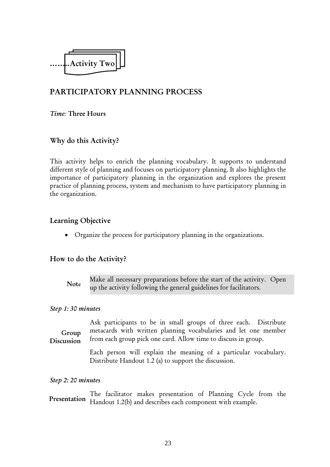<span id="page-27-0"></span>

# PARTICIPATORY PLANNING PROCESS

#### *Time:* Three Hours

#### Why do this Activity?

This activity helps to enrich the planning vocabulary. It supports to understand different style of planning and focuses on participatory planning. It also highlights the importance of participatory planning in the organization and explores the present practice of planning process, system and mechanism to have participatory planning in the organization.

#### Learning Objective

• Organize the process for participatory planning in the organizations.

#### How to do the Activity?

Make all necessary preparations before the start of the activity. Open up the activity following the general guidelines for facilitators. Note

#### *Step 1: 30 minutes*

Ask participants to be in small groups of three each. Distribute metacards with written planning vocabularies and let one member from each group pick one card. Allow time to discuss in group. Group Discussion

> Each person will explain the meaning of a particular vocabulary. Distribute Handout 1.2 (a) to support the discussion.

*Step 2: 20 minutes* 

The facilitator makes presentation of Planning Cycle from the Presentation Handout 1.2(b) and describes each component with example.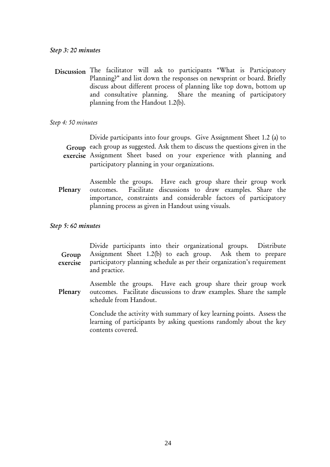#### *Step 3: 20 minutes*

Discussion The facilitator will ask to participants "What is Participatory Planning?" and list down the responses on newsprint or board. Briefly discuss about different process of planning like top down, bottom up and consultative planning. Share the meaning of participatory planning from the Handout 1.2(b).

#### *Step 4: 50 minutes*

Divide participants into four groups. Give Assignment Sheet 1.2 (a) to Group each group as suggested. Ask them to discuss the questions given in the exercise Assignment Sheet based on your experience with planning and participatory planning in your organizations.

Assemble the groups. Have each group share their group work outcomes. Facilitate discussions to draw examples. Share the importance, constraints and considerable factors of participatory planning process as given in Handout using visuals. Plenary

#### *Step 5: 60 minutes*

| Group<br>exercise | Divide participants into their organizational groups. Distribute<br>Assignment Sheet 1.2(b) to each group. Ask them to prepare<br>participatory planning schedule as per their organization's requirement<br>and practice. |
|-------------------|----------------------------------------------------------------------------------------------------------------------------------------------------------------------------------------------------------------------------|
| Plenary           | Assemble the groups. Have each group share their group work<br>outcomes. Facilitate discussions to draw examples. Share the sample<br>schedule from Handout.                                                               |
|                   | Conclude the activity with summary of key learning points. Assess the<br>learning of participants by asking questions randomly about the key<br>contents covered.                                                          |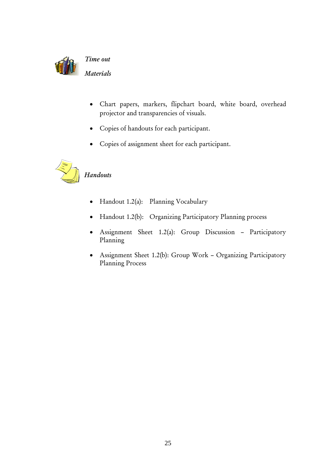

*Time out* 

*Materials* 

- Chart papers, markers, flipchart board, white board, overhead projector and transparencies of visuals.
- Copies of handouts for each participant.
- Copies of assignment sheet for each participant.



# *Handouts*

- Handout 1.2(a): Planning Vocabulary
- Handout 1.2(b): Organizing Participatory Planning process
- Assignment Sheet 1.2(a): Group Discussion Participatory Planning
- Assignment Sheet 1.2(b): Group Work Organizing Participatory Planning Process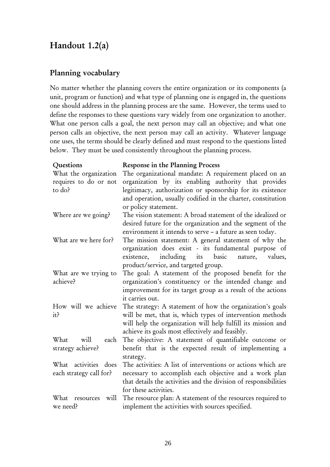# <span id="page-30-0"></span>Handout 1.2(a)

### Planning vocabulary

No matter whether the planning covers the entire organization or its components (a unit, program or function) and what type of planning one is engaged in, the questions one should address in the planning process are the same. However, the terms used to define the responses to these questions vary widely from one organization to another. What one person calls a goal, the next person may call an objective; and what one person calls an objective, the next person may call an activity. Whatever language one uses, the terms should be clearly defined and must respond to the questions listed below. They must be used consistently throughout the planning process.

| Questions                 | Response in the Planning Process                                 |  |
|---------------------------|------------------------------------------------------------------|--|
| What the organization     | The organizational mandate: A requirement placed on an           |  |
| requires to do or not     | organization by its enabling authority that provides             |  |
| to do?                    | legitimacy, authorization or sponsorship for its existence       |  |
|                           | and operation, usually codified in the charter, constitution     |  |
|                           | or policy statement.                                             |  |
| Where are we going?       | The vision statement: A broad statement of the idealized or      |  |
|                           | desired future for the organization and the segment of the       |  |
|                           | environment it intends to serve - a future as seen today.        |  |
| What are we here for?     | The mission statement: A general statement of why the            |  |
|                           | organization does exist - its fundamental purpose of             |  |
|                           | including its<br>basic<br>existence,<br>nature,<br>values,       |  |
|                           | product/service, and targeted group.                             |  |
| What are we trying to     | The goal: A statement of the proposed benefit for the            |  |
| achieve?                  | organization's constituency or the intended change and           |  |
|                           | improvement for its target group as a result of the actions      |  |
|                           | it carries out.                                                  |  |
| How will we achieve       | The strategy: A statement of how the organization's goals        |  |
| it?                       | will be met, that is, which types of intervention methods        |  |
|                           | will help the organization will help fulfill its mission and     |  |
|                           | achieve its goals most effectively and feasibly.                 |  |
| What<br>will<br>each      | The objective: A statement of quantifiable outcome or            |  |
| strategy achieve?         | benefit that is the expected result of implementing a            |  |
|                           | strategy.                                                        |  |
| What activities does      | The activities: A list of interventions or actions which are     |  |
| each strategy call for?   | necessary to accomplish each objective and a work plan           |  |
|                           | that details the activities and the division of responsibilities |  |
|                           | for these activities.                                            |  |
| will<br>What<br>resources | The resource plan: A statement of the resources required to      |  |
| we need?                  | implement the activities with sources specified.                 |  |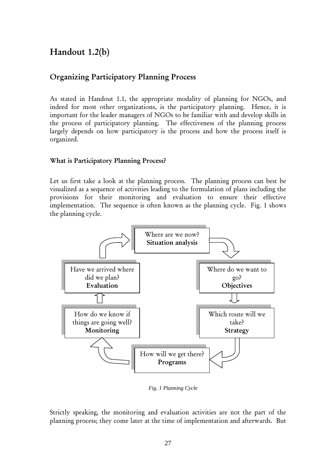# Handout 1.2(b)

### Organizing Participatory Planning Process

As stated in Handout 1.1, the appropriate modality of planning for NGOs, and indeed for most other organizations, is the participatory planning. Hence, it is important for the leader managers of NGOs to be familiar with and develop skills in the process of participatory planning. The effectiveness of the planning process largely depends on how participatory is the process and how the process itself is organized.

#### What is Participatory Planning Process?

Let us first take a look at the planning process. The planning process can best be visualized as a sequence of activities leading to the formulation of plans including the provisions for their monitoring and evaluation to ensure their effective implementation. The sequence is often known as the planning cycle. Fig. 1 shows the planning cycle.



*Fig. 1 Planning Cycle* 

Strictly speaking, the monitoring and evaluation activities are not the part of the planning process; they come later at the time of implementation and afterwards. But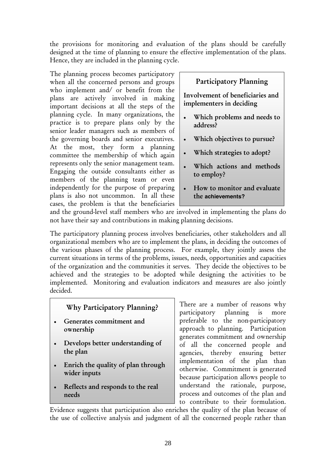the provisions for monitoring and evaluation of the plans should be carefully designed at the time of planning to ensure the effective implementation of the plans. Hence, they are included in the planning cycle.

The planning process becomes participatory when all the concerned persons and groups who implement and/ or benefit from the plans are actively involved in making important decisions at all the steps of the planning cycle. In many organizations, the practice is to prepare plans only by the senior leader managers such as members of the governing boards and senior executives. At the most, they form a planning committee the membership of which again represents only the senior management team. Engaging the outside consultants either as members of the planning team or even independently for the purpose of preparing plans is also not uncommon. In all these cases, the problem is that the beneficiaries

# Participatory Planning

Involvement of beneficiaries and implementers in deciding

- Which problems and needs to address?
- Which objectives to pursue?
- Which strategies to adopt?
- Which actions and methods to employ?
- How to monitor and evaluate the **achievements?**

and the ground-level staff members who are involved in implementing the plans do not have their say and contributions in making planning decisions.

The participatory planning process involves beneficiaries, other stakeholders and all organizational members who are to implement the plans, in deciding the outcomes of the various phases of the planning process. For example, they jointly assess the current situations in terms of the problems, issues, needs, opportunities and capacities of the organization and the communities it serves. They decide the objectives to be achieved and the strategies to be adopted while designing the activities to be implemented. Monitoring and evaluation indicators and measures are also jointly decided.

### Why Participatory Planning?

- Generates commitment and ownership
- Develops better understanding of the plan
- Enrich the quality of plan through wider inputs
- Reflects and responds to the real needs

There are a number of reasons why participatory planning is more preferable to the non-participatory approach to planning. Participation generates commitment and ownership of all the concerned people and agencies, thereby ensuring better implementation of the plan than otherwise. Commitment is generated because participation allows people to understand the rationale, purpose, process and outcomes of the plan and to contribute to their formulation.

Evidence suggests that participation also enriches the quality of the plan because of the use of collective analysis and judgment of all the concerned people rather than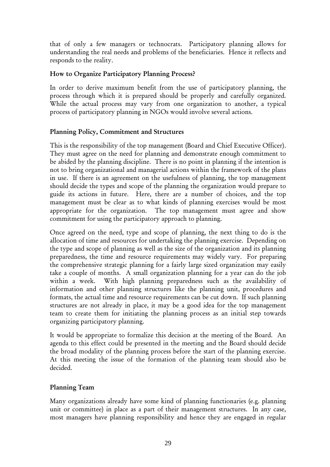that of only a few managers or technocrats. Participatory planning allows for understanding the real needs and problems of the beneficiaries. Hence it reflects and responds to the reality.

#### How to Organize Participatory Planning Process?

In order to derive maximum benefit from the use of participatory planning, the process through which it is prepared should be properly and carefully organized. While the actual process may vary from one organization to another, a typical process of participatory planning in NGOs would involve several actions.

#### Planning Policy, Commitment and Structures

This is the responsibility of the top management (Board and Chief Executive Officer). They must agree on the need for planning and demonstrate enough commitment to be abided by the planning discipline. There is no point in planning if the intention is not to bring organizational and managerial actions within the framework of the plans in use. If there is an agreement on the usefulness of planning, the top management should decide the types and scope of the planning the organization would prepare to guide its actions in future. Here, there are a number of choices, and the top management must be clear as to what kinds of planning exercises would be most appropriate for the organization. The top management must agree and show commitment for using the participatory approach to planning.

Once agreed on the need, type and scope of planning, the next thing to do is the allocation of time and resources for undertaking the planning exercise. Depending on the type and scope of planning as well as the size of the organization and its planning preparedness, the time and resource requirements may widely vary. For preparing the comprehensive strategic planning for a fairly large sized organization may easily take a couple of months. A small organization planning for a year can do the job within a week. With high planning preparedness such as the availability of information and other planning structures like the planning unit, procedures and formats, the actual time and resource requirements can be cut down. If such planning structures are not already in place, it may be a good idea for the top management team to create them for initiating the planning process as an initial step towards organizing participatory planning.

It would be appropriate to formalize this decision at the meeting of the Board. An agenda to this effect could be presented in the meeting and the Board should decide the broad modality of the planning process before the start of the planning exercise. At this meeting the issue of the formation of the planning team should also be decided.

#### Planning Team

Many organizations already have some kind of planning functionaries (e.g. planning unit or committee) in place as a part of their management structures. In any case, most managers have planning responsibility and hence they are engaged in regular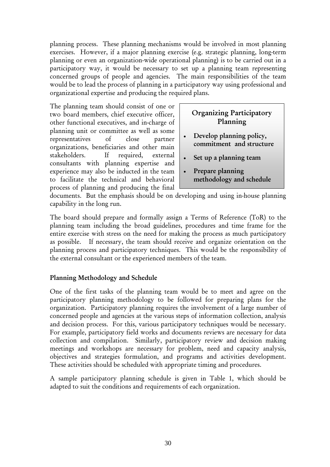planning process. These planning mechanisms would be involved in most planning exercises. However, if a major planning exercise (e.g. strategic planning, long-term planning or even an organization-wide operational planning) is to be carried out in a participatory way, it would be necessary to set up a planning team representing concerned groups of people and agencies. The main responsibilities of the team would be to lead the process of planning in a participatory way using professional and organizational expertise and producing the required plans.

The planning team should consist of one or two board members, chief executive officer, other functional executives, and in-charge of planning unit or committee as well as some representatives of close partner organizations, beneficiaries and other main stakeholders. If required, external consultants with planning expertise and experience may also be inducted in the team to facilitate the technical and behavioral process of planning and producing the final

# Organizing Participatory Planning

- Develop planning policy, commitment and structure
- Set up a planning team
- Prepare planning methodology and schedule

documents. But the emphasis should be on developing and using in-house planning capability in the long run.

The board should prepare and formally assign a Terms of Reference (ToR) to the planning team including the broad guidelines, procedures and time frame for the entire exercise with stress on the need for making the process as much participatory as possible. If necessary, the team should receive and organize orientation on the planning process and participatory techniques. This would be the responsibility of the external consultant or the experienced members of the team.

#### Planning Methodology and Schedule

One of the first tasks of the planning team would be to meet and agree on the participatory planning methodology to be followed for preparing plans for the organization. Participatory planning requires the involvement of a large number of concerned people and agencies at the various steps of information collection, analysis and decision process. For this, various participatory techniques would be necessary. For example, participatory field works and documents reviews are necessary for data collection and compilation. Similarly, participatory review and decision making meetings and workshops are necessary for problem, need and capacity analysis, objectives and strategies formulation, and programs and activities development. These activities should be scheduled with appropriate timing and procedures.

A sample participatory planning schedule is given in Table 1, which should be adapted to suit the conditions and requirements of each organization.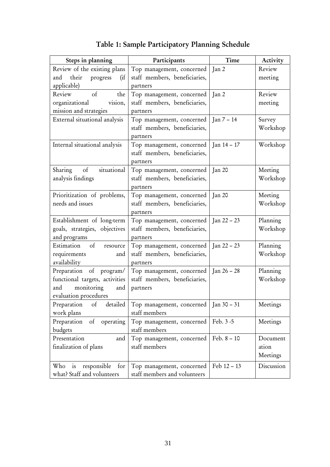| Steps in planning               | Participants                            | Time             | Activity   |  |
|---------------------------------|-----------------------------------------|------------------|------------|--|
| Review of the existing plans    | Top management, concerned               | Jan <sub>2</sub> | Review     |  |
| their<br>and<br>progress<br>(ii | staff members, beneficiaries,           |                  | meeting    |  |
| applicable)                     | partners                                |                  |            |  |
| of<br>the<br>Review             | Top management, concerned               | Jan <sub>2</sub> | Review     |  |
| organizational<br>vision,       | staff members, beneficiaries,           |                  | meeting    |  |
| mission and strategies          | partners                                |                  |            |  |
| External situational analysis   | Top management, concerned               | $Jan 7 - 14$     | Survey     |  |
|                                 | staff members, beneficiaries,           |                  | Workshop   |  |
|                                 | partners                                |                  |            |  |
| Internal situational analysis   | Top management, concerned               | Jan 14 – 17      | Workshop   |  |
|                                 | staff members, beneficiaries,           |                  |            |  |
|                                 | partners                                |                  |            |  |
| situational<br>Sharing of       | Top management, concerned               | Jan 20           | Meeting    |  |
| analysis findings               | staff members, beneficiaries,           |                  | Workshop   |  |
|                                 | partners                                |                  |            |  |
| Prioritization of problems,     | Top management, concerned               | Jan 20           | Meeting    |  |
| needs and issues                | staff members, beneficiaries,           |                  | Workshop   |  |
|                                 | partners                                |                  |            |  |
| Establishment of long-term      | Top management, concerned               | $Jan 22 - 23$    | Planning   |  |
| goals, strategies, objectives   | staff members, beneficiaries,           |                  | Workshop   |  |
| and programs                    | partners                                |                  |            |  |
| Estimation<br>of<br>resource    | Top management, concerned   Jan 22 – 23 |                  | Planning   |  |
| requirements<br>and             | staff members, beneficiaries,           |                  | Workshop   |  |
| availability                    | partners                                |                  |            |  |
| Preparation of program/         | Top management, concerned               | Jan $26 - 28$    | Planning   |  |
| functional targets, activities  | staff members, beneficiaries,           |                  | Workshop   |  |
| monitoring<br>and<br>and        | partners                                |                  |            |  |
| evaluation procedures           |                                         |                  |            |  |
| Preparation of<br>detailed      | Top management, concerned   Jan 30 - 31 |                  | Meetings   |  |
| work plans                      | staff members                           |                  |            |  |
| Preparation<br>of<br>operating  | Top management, concerned               | Feb. 3 -5        | Meetings   |  |
| budgets                         | staff members                           |                  |            |  |
| Presentation<br>and             | Top management, concerned               | Feb. $8 - 10$    | Document   |  |
| finalization of plans           | staff members                           |                  | ation      |  |
|                                 |                                         |                  | Meetings   |  |
| Who<br>is<br>responsible<br>for | Top management, concerned               | Feb 12 - 13      | Discussion |  |
| what? Staff and volunteers      | staff members and volunteers            |                  |            |  |

# Table 1: Sample Participatory Planning Schedule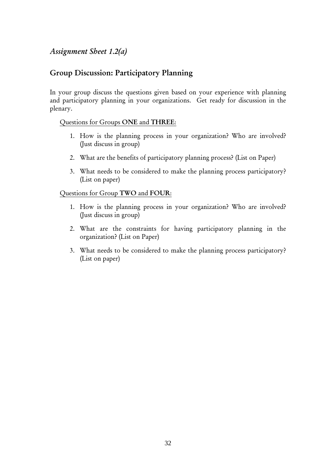## *Assignment Sheet 1.2(a)*

## Group Discussion: Participatory Planning

In your group discuss the questions given based on your experience with planning and participatory planning in your organizations. Get ready for discussion in the plenary.

#### Questions for Groups ONE and THREE:

- 1. How is the planning process in your organization? Who are involved? (Just discuss in group)
- 2. What are the benefits of participatory planning process? (List on Paper)
- 3. What needs to be considered to make the planning process participatory? (List on paper)

#### Questions for Group TWO and FOUR:

- 1. How is the planning process in your organization? Who are involved? (Just discuss in group)
- 2. What are the constraints for having participatory planning in the organization? (List on Paper)
- 3. What needs to be considered to make the planning process participatory? (List on paper)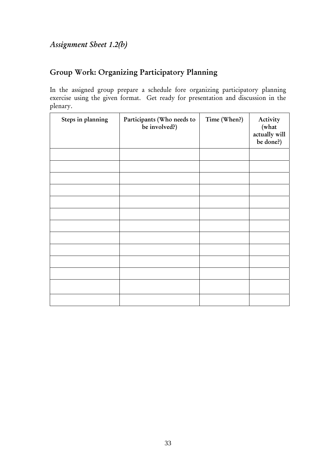# Group Work: Organizing Participatory Planning

In the assigned group prepare a schedule fore organizing participatory planning exercise using the given format. Get ready for presentation and discussion in the plenary.

| Steps in planning | Participants (Who needs to<br>be involved?) | Time (When?) | Activity<br>(what<br>actually will<br>be done?) |
|-------------------|---------------------------------------------|--------------|-------------------------------------------------|
|                   |                                             |              |                                                 |
|                   |                                             |              |                                                 |
|                   |                                             |              |                                                 |
|                   |                                             |              |                                                 |
|                   |                                             |              |                                                 |
|                   |                                             |              |                                                 |
|                   |                                             |              |                                                 |
|                   |                                             |              |                                                 |
|                   |                                             |              |                                                 |
|                   |                                             |              |                                                 |
|                   |                                             |              |                                                 |
|                   |                                             |              |                                                 |
|                   |                                             |              |                                                 |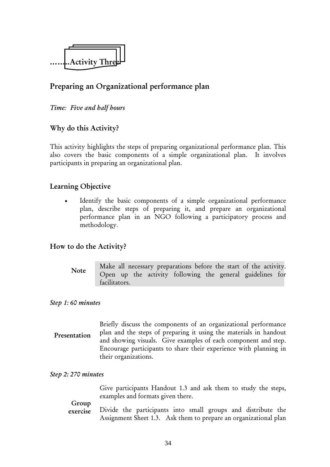

## Preparing an Organizational performance plan

#### *Time: Five and half hours*

## Why do this Activity?

This activity highlights the steps of preparing organizational performance plan. This also covers the basic components of a simple organizational plan. It involves participants in preparing an organizational plan.

## Learning Objective

Identify the basic components of a simple organizational performance plan, describe steps of preparing it, and prepare an organizational performance plan in an NGO following a participatory process and methodology.

#### How to do the Activity?

Make all necessary preparations before the start of the activity. Open up the activity following the general guidelines for facilitators. Note

#### *Step 1: 60 minutes*

Briefly discuss the components of an organizational performance plan and the steps of preparing it using the materials in handout and showing visuals. Give examples of each component and step. Encourage participants to share their experience with planning in their organizations. Presentation

#### *Step 2: 270 minutes*

Give participants Handout 1.3 and ask them to study the steps, examples and formats given there.

### Group

Divide the participants into small groups and distribute the Assignment Sheet 1.3. Ask them to prepare an organizational plan exercise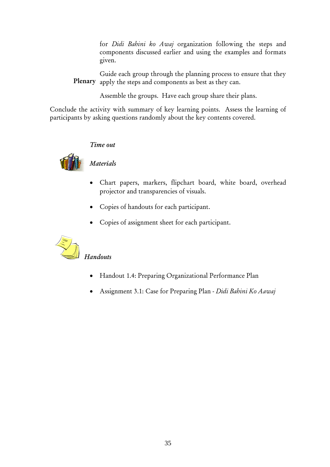for *Didi Bahini ko Awaj* organization following the steps and components discussed earlier and using the examples and formats given.

Guide each group through the planning process to ensure that they apply the steps and components as best as they can. Plenary

Assemble the groups. Have each group share their plans.

Conclude the activity with summary of key learning points. Assess the learning of participants by asking questions randomly about the key contents covered.

#### *Time out*



#### *Materials*

- Chart papers, markers, flipchart board, white board, overhead projector and transparencies of visuals.
- Copies of handouts for each participant.
- Copies of assignment sheet for each participant.



## *Handouts*

- Handout 1.4: Preparing Organizational Performance Plan
- Assignment 3.1: Case for Preparing Plan *Didi Bahini Ko Aawaj*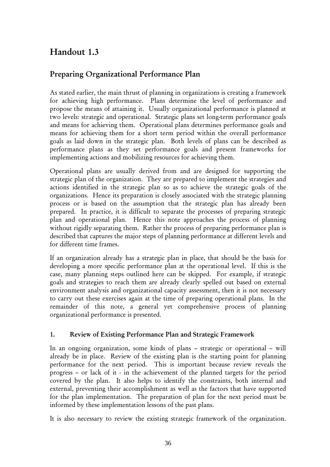## Handout 1.3

## Preparing Organizational Performance Plan

As stated earlier, the main thrust of planning in organizations is creating a framework for achieving high performance. Plans determine the level of performance and propose the means of attaining it. Usually organizational performance is planned at two levels: strategic and operational. Strategic plans set long-term performance goals and means for achieving them. Operational plans determines performance goals and means for achieving them for a short term period within the overall performance goals as laid down in the strategic plan. Both levels of plans can be described as performance plans as they set performance goals and present frameworks for implementing actions and mobilizing resources for achieving them.

Operational plans are usually derived from and are designed for supporting the strategic plan of the organization. They are prepared to implement the strategies and actions identified in the strategic plan so as to achieve the strategic goals of the organizations. Hence its preparation is closely associated with the strategic planning process or is based on the assumption that the strategic plan has already been prepared. In practice, it is difficult to separate the processes of preparing strategic plan and operational plan. Hence this note approaches the process of planning without rigidly separating them. Rather the process of preparing performance plan is described that captures the major steps of planning performance at different levels and for different time frames.

If an organization already has a strategic plan in place, that should be the basis for developing a more specific performance plan at the operational level. If this is the case, many planning steps outlined here can be skipped. For example, if strategic goals and strategies to reach them are already clearly spelled out based on external environment analysis and organizational capacity assessment, then it is not necessary to carry out these exercises again at the time of preparing operational plans. In the remainder of this note, a general yet comprehensive process of planning organizational performance is presented.

#### 1. Review of Existing Performance Plan and Strategic Framework

In an ongoing organization, some kinds of plans – strategic or operational – will already be in place. Review of the existing plan is the starting point for planning performance for the next period. This is important because review reveals the progress – or lack of it - in the achievement of the planned targets for the period covered by the plan. It also helps to identify the constraints, both internal and external, preventing their accomplishment as well as the factors that have supported for the plan implementation. The preparation of plan for the next period must be informed by these implementation lessons of the past plans.

It is also necessary to review the existing strategic framework of the organization.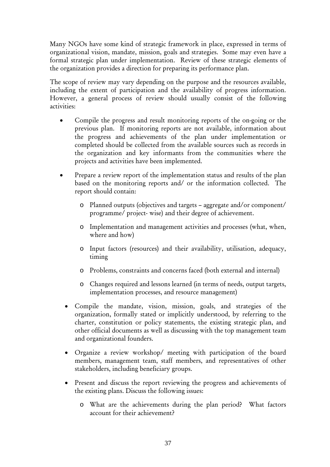Many NGOs have some kind of strategic framework in place, expressed in terms of organizational vision, mandate, mission, goals and strategies. Some may even have a formal strategic plan under implementation. Review of these strategic elements of the organization provides a direction for preparing its performance plan.

The scope of review may vary depending on the purpose and the resources available, including the extent of participation and the availability of progress information. However, a general process of review should usually consist of the following activities:

- Compile the progress and result monitoring reports of the on-going or the previous plan. If monitoring reports are not available, information about the progress and achievements of the plan under implementation or completed should be collected from the available sources such as records in the organization and key informants from the communities where the projects and activities have been implemented.
- Prepare a review report of the implementation status and results of the plan based on the monitoring reports and/ or the information collected. The report should contain:
	- o Planned outputs (objectives and targets aggregate and/or component/ programme/ project- wise) and their degree of achievement.
	- o Implementation and management activities and processes (what, when, where and how)
	- o Input factors (resources) and their availability, utilisation, adequacy, timing
	- o Problems, constraints and concerns faced (both external and internal)
	- o Changes required and lessons learned (in terms of needs, output targets, implementation processes, and resource management)
	- Compile the mandate, vision, mission, goals, and strategies of the organization, formally stated or implicitly understood, by referring to the charter, constitution or policy statements, the existing strategic plan, and other official documents as well as discussing with the top management team and organizational founders.
	- Organize a review workshop/ meeting with participation of the board members, management team, staff members, and representatives of other stakeholders, including beneficiary groups.
	- Present and discuss the report reviewing the progress and achievements of the existing plans. Discuss the following issues:
		- o What are the achievements during the plan period? What factors account for their achievement?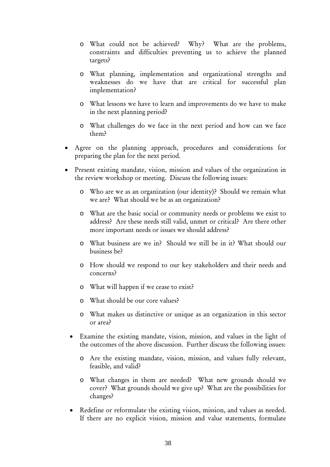- o What could not be achieved? Why? What are the problems, constraints and difficulties preventing us to achieve the planned targets?
- o What planning, implementation and organizational strengths and weaknesses do we have that are critical for successful plan implementation?
- o What lessons we have to learn and improvements do we have to make in the next planning period?
- o What challenges do we face in the next period and how can we face them?
- Agree on the planning approach, procedures and considerations for preparing the plan for the next period.
- Present existing mandate, vision, mission and values of the organization in the review workshop or meeting. Discuss the following issues:
	- o Who are we as an organization (our identity)? Should we remain what we are? What should we be as an organization?
	- o What are the basic social or community needs or problems we exist to address? Are these needs still valid, unmet or critical? Are there other more important needs or issues we should address?
	- o What business are we in? Should we still be in it? What should our business be?
	- o How should we respond to our key stakeholders and their needs and concerns?
	- o What will happen if we cease to exist?
	- o What should be our core values?
	- o What makes us distinctive or unique as an organization in this sector or area?
	- Examine the existing mandate, vision, mission, and values in the light of the outcomes of the above discussion. Further discuss the following issues:
		- o Are the existing mandate, vision, mission, and values fully relevant, feasible, and valid?
		- o What changes in them are needed? What new grounds should we cover? What grounds should we give up? What are the possibilities for changes?
	- Redefine or reformulate the existing vision, mission, and values as needed. If there are no explicit vision, mission and value statements, formulate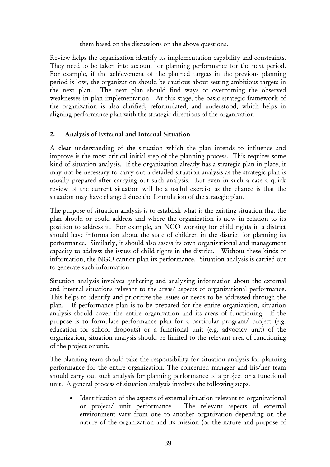#### them based on the discussions on the above questions.

Review helps the organization identify its implementation capability and constraints. They need to be taken into account for planning performance for the next period. For example, if the achievement of the planned targets in the previous planning period is low, the organization should be cautious about setting ambitious targets in the next plan. The next plan should find ways of overcoming the observed weaknesses in plan implementation. At this stage, the basic strategic framework of the organization is also clarified, reformulated, and understood, which helps in aligning performance plan with the strategic directions of the organization.

#### 2. Analysis of External and Internal Situation

A clear understanding of the situation which the plan intends to influence and improve is the most critical initial step of the planning process. This requires some kind of situation analysis. If the organization already has a strategic plan in place, it may not be necessary to carry out a detailed situation analysis as the strategic plan is usually prepared after carrying out such analysis. But even in such a case a quick review of the current situation will be a useful exercise as the chance is that the situation may have changed since the formulation of the strategic plan.

The purpose of situation analysis is to establish what is the existing situation that the plan should or could address and where the organization is now in relation to its position to address it. For example, an NGO working for child rights in a district should have information about the state of children in the district for planning its performance. Similarly, it should also assess its own organizational and management capacity to address the issues of child rights in the district. Without these kinds of information, the NGO cannot plan its performance. Situation analysis is carried out to generate such information.

Situation analysis involves gathering and analyzing information about the external and internal situations relevant to the areas/ aspects of organizational performance. This helps to identify and prioritize the issues or needs to be addressed through the plan. If performance plan is to be prepared for the entire organization, situation analysis should cover the entire organization and its areas of functioning. If the purpose is to formulate performance plan for a particular program/ project (e.g. education for school dropouts) or a functional unit (e.g. advocacy unit) of the organization, situation analysis should be limited to the relevant area of functioning of the project or unit.

The planning team should take the responsibility for situation analysis for planning performance for the entire organization. The concerned manager and his/her team should carry out such analysis for planning performance of a project or a functional unit. A general process of situation analysis involves the following steps.

• Identification of the aspects of external situation relevant to organizational or project/ unit performance. The relevant aspects of external environment vary from one to another organization depending on the nature of the organization and its mission (or the nature and purpose of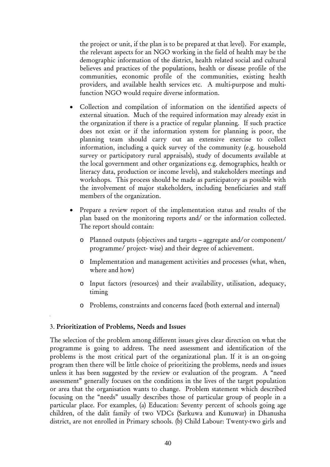the project or unit, if the plan is to be prepared at that level). For example, the relevant aspects for an NGO working in the field of health may be the demographic information of the district, health related social and cultural believes and practices of the populations, health or disease profile of the communities, economic profile of the communities, existing health providers, and available health services etc. A multi-purpose and multifunction NGO would require diverse information.

- Collection and compilation of information on the identified aspects of external situation. Much of the required information may already exist in the organization if there is a practice of regular planning. If such practice does not exist or if the information system for planning is poor, the planning team should carry out an extensive exercise to collect information, including a quick survey of the community (e.g. household survey or participatory rural appraisals), study of documents available at the local government and other organizations e.g. demographics, health or literacy data, production or income levels), and stakeholders meetings and workshops. This process should be made as participatory as possible with the involvement of major stakeholders, including beneficiaries and staff members of the organization.
- Prepare a review report of the implementation status and results of the plan based on the monitoring reports and/ or the information collected. The report should contain:
	- o Planned outputs (objectives and targets aggregate and/or component/ programme/ project- wise) and their degree of achievement.
	- o Implementation and management activities and processes (what, when, where and how)
	- o Input factors (resources) and their availability, utilisation, adequacy, timing
	- o Problems, constraints and concerns faced (both external and internal)

#### 3. Prioritization of Problems, Needs and Issues

The selection of the problem among different issues gives clear direction on what the programme is going to address. The need assessment and identification of the problems is the most critical part of the organizational plan. If it is an on-going program then there will be little choice of prioritizing the problems, needs and issues unless it has been suggested by the review or evaluation of the program. A "need assessment" generally focuses on the conditions in the lives of the target population or area that the organisation wants to change. Problem statement which described focusing on the "needs" usually describes those of particular group of people in a particular place. For examples, (a) Education: Seventy percent of schools going age children, of the dalit family of two VDCs (Sarkuwa and Kunuwar) in Dhanusha district, are not enrolled in Primary schools. (b) Child Labour: Twenty-two girls and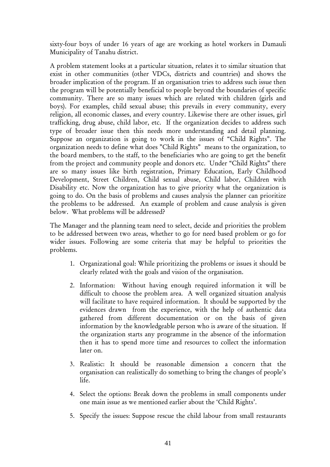sixty-four boys of under 16 years of age are working as hotel workers in Damauli Municipality of Tanahu district.

A problem statement looks at a particular situation, relates it to similar situation that exist in other communities (other VDCs, districts and countries) and shows the broader implication of the program. If an organisation tries to address such issue then the program will be potentially beneficial to people beyond the boundaries of specific community. There are so many issues which are related with children (girls and boys). For examples, child sexual abuse; this prevails in every community, every religion, all economic classes, and every country. Likewise there are other issues, girl trafficking, drug abuse, child labor, etc. If the organization decides to address such type of broader issue then this needs more understanding and detail planning. Suppose an organization is going to work in the issues of "Child Rights". The organization needs to define what does "Child Rights" means to the organization, to the board members, to the staff, to the beneficiaries who are going to get the benefit from the project and community people and donors etc. Under "Child Rights" there are so many issues like birth registration, Primary Education, Early Childhood Development, Street Children, Child sexual abuse, Child labor, Children with Disability etc. Now the organization has to give priority what the organization is going to do. On the basis of problems and causes analysis the planner can prioritize the problems to be addressed. An example of problem and cause analysis is given below. What problems will be addressed?

The Manager and the planning team need to select, decide and priorities the problem to be addressed between two areas, whether to go for need based problem or go for wider issues. Following are some criteria that may be helpful to priorities the problems.

- 1. Organizational goal: While prioritizing the problems or issues it should be clearly related with the goals and vision of the organisation.
- 2. Information: Without having enough required information it will be difficult to choose the problem area. A well organized situation analysis will facilitate to have required information. It should be supported by the evidences drawn from the experience, with the help of authentic data gathered from different documentation or on the basis of given information by the knowledgeable person who is aware of the situation. If the organization starts any programme in the absence of the information then it has to spend more time and resources to collect the information later on.
- 3. Realistic: It should be reasonable dimension a concern that the organisation can realistically do something to bring the changes of people's life.
- 4. Select the options: Break down the problems in small components under one main issue as we mentioned earlier about the 'Child Rights'.
- 5. Specify the issues: Suppose rescue the child labour from small restaurants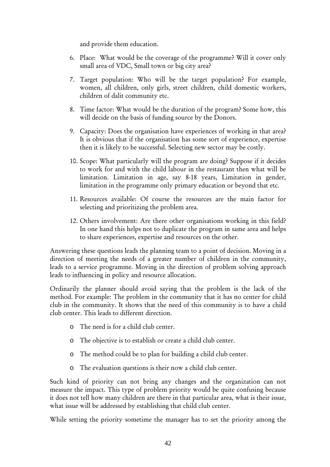and provide them education.

- 6. Place: What would be the coverage of the programme? Will it cover only small area of VDC, Small town or big city area?
- 7. Target population: Who will be the target population? For example, women, all children, only girls, street children, child domestic workers, children of dalit community etc.
- 8. Time factor: What would be the duration of the program? Some how, this will decide on the basis of funding source by the Donors.
- 9. Capacity: Does the organisation have experiences of working in that area? It is obvious that if the organisation has some sort of experience, expertise then it is likely to be successful. Selecting new sector may be costly.
- 10. Scope: What particularly will the program are doing? Suppose if it decides to work for and with the child labour in the restaurant then what will be limitation. Limitation in age, say 8-18 years, Limitation in gender, limitation in the programme only primary education or beyond that etc.
- 11. Resources available: Of course the resources are the main factor for selecting and prioritizing the problem area.
- 12. Others involvement: Are there other organisations working in this field? In one hand this helps not to duplicate the program in same area and helps to share experiences, expertise and resources on the other.

Answering these questions leads the planning team to a point of decision. Moving in a direction of meeting the needs of a greater number of children in the community, leads to a service programme. Moving in the direction of problem solving approach leads to influencing in policy and resource allocation.

Ordinarily the planner should avoid saying that the problem is the lack of the method. For example: The problem in the community that it has no center for child club in the community. It shows that the need of this community is to have a child club center. This leads to different direction.

- o The need is for a child club center.
- o The objective is to establish or create a child club center.
- o The method could be to plan for building a child club center.
- o The evaluation questions is their now a child club center.

Such kind of priority can not bring any changes and the organization can not measure the impact. This type of problem priority would be quite confusing because it does not tell how many children are there in that particular area, what is their issue, what issue will be addressed by establishing that child club center.

While setting the priority sometime the manager has to set the priority among the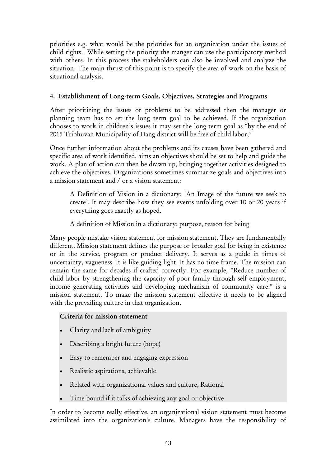priorities e.g. what would be the priorities for an organization under the issues of child rights. While setting the priority the manger can use the participatory method with others. In this process the stakeholders can also be involved and analyze the situation. The main thrust of this point is to specify the area of work on the basis of situational analysis.

#### 4. Establishment of Long-term Goals, Objectives, Strategies and Programs

After prioritizing the issues or problems to be addressed then the manager or planning team has to set the long term goal to be achieved. If the organization chooses to work in children's issues it may set the long term goal as "by the end of 2015 Tribhuvan Municipality of Dang district will be free of child labor,"

Once further information about the problems and its causes have been gathered and specific area of work identified, aims an objectives should be set to help and guide the work. A plan of action can then be drawn up, bringing together activities designed to achieve the objectives. Organizations sometimes summarize goals and objectives into a [mission statement](http://en.wikipedia.org/wiki/Mission_statement) and / or a vision statement:

A Definition of Vision in a dictionary: 'An Image of the future we seek to create'. It may describe how they see events unfolding over 10 or 20 years if everything goes exactly as hoped.

A definition of Mission in a dictionary: purpose, reason for being

Many people mistake vision statement for mission statement. They are fundamentally different. Mission statement defines the purpose or broader goal for being in existence or in the service, program or product delivery. It serves as a guide in times of uncertainty, vagueness. It is like guiding light. It has no time frame. The mission can remain the same for decades if crafted correctly. For example, "Reduce number of child labor by strengthening the capacity of poor family through self employment, income generating activities and developing mechanism of community care." is a mission statement. To make the mission statement effective it needs to be aligned with the prevailing culture in that organization.

#### Criteria for mission statement

- Clarity and lack of ambiguity
- Describing a bright future (hope)
- Easy to remember and engaging expression
- Realistic aspirations, achievable
- Related with organizational values and culture, Rational
- Time bound if it talks of achieving any goal or objective

In order to become really effective, an organizational vision statement must become assimilated into the organization's culture. Managers have the responsibility of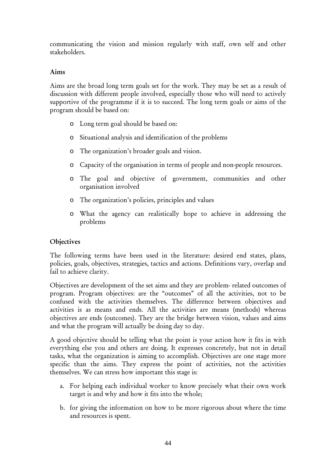communicating the vision and mission regularly with staff, own self and other stakeholders.

#### Aims

Aims are the broad long term goals set for the work. They may be set as a result of discussion with different people involved, especially those who will need to actively supportive of the programme if it is to succeed. The long term goals or aims of the program should be based on:

- o Long term goal should be based on:
- o Situational analysis and identification of the problems
- o The organization's broader goals and vision.
- o Capacity of the organisation in terms of people and non-people resources.
- o The goal and objective of government, communities and other organisation involved
- o The organization's policies, principles and values
- o What the agency can realistically hope to achieve in addressing the problems

#### **Objectives**

The following terms have been used in the literature: desired end states, plans, policies, goals, objectives, strategies, tactics and actions. Definitions vary, overlap and fail to achieve clarity.

Objectives are development of the set aims and they are problem- related outcomes of program. Program objectives: are the "outcomes" of all the activities, not to be confused with the activities themselves. The difference between objectives and activities is as means and ends. All the activities are means (methods) whereas objectives are ends (outcomes). They are the bridge between vision, values and aims and what the program will actually be doing day to day.

A good objective should be telling what the point is your action how it fits in with everything else you and others are doing. It expresses concretely, but not in detail tasks, what the organization is aiming to accomplish. Objectives are one stage more specific than the aims. They express the point of activities, not the activities themselves. We can stress how important this stage is:

- a. For helping each individual worker to know precisely what their own work target is and why and how it fits into the whole;
- b. for giving the information on how to be more rigorous about where the time and resources is spent.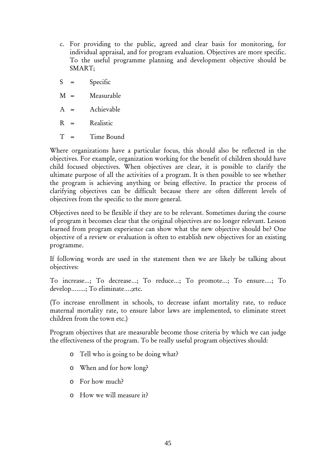- c. For providing to the public, agreed and clear basis for monitoring, for individual appraisal, and for program evaluation. Objectives are more specific. To the useful programme planning and development objective should be SMART;
- S = Specific
- M = Measurable
- A = Achievable
- $R =$  Realistic
- T = Time Bound

Where organizations have a particular focus, this should also be reflected in the objectives. For example, organization working for the benefit of children should have child focused objectives. When objectives are clear, it is possible to clarify the ultimate purpose of all the activities of a program. It is then possible to see whether the program is achieving anything or being effective. In practice the process of clarifying objectives can be difficult because there are often different levels of objectives from the specific to the more general.

Objectives need to be flexible if they are to be relevant. Sometimes during the course of program it becomes clear that the original objectives are no longer relevant. Lesson learned from program experience can show what the new objective should be? One objective of a review or evaluation is often to establish new objectives for an existing programme.

If following words are used in the statement then we are likely be talking about objectives:

To increase…; To decrease…; To reduce…; To promote…; To ensure….; To develop……..; To eliminate….;etc.

(To increase enrollment in schools, to decrease infant mortality rate, to reduce maternal mortality rate, to ensure labor laws are implemented, to eliminate street children from the town etc.)

Program objectives that are measurable become those criteria by which we can judge the effectiveness of the program. To be really useful program objectives should:

- o Tell who is going to be doing what?
- o When and for how long?
- o For how much?
- o How we will measure it?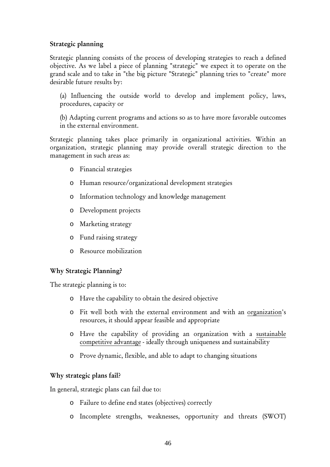#### Strategic planning

Strategic planning consists of the process of developing strategies to reach a defined objective. As we label a piece of planning "strategic" we expect it to operate on the grand scale and to take in "the big picture "Strategic" planning tries to "create" more desirable future results by:

(a) Influencing the outside world to develop and implement policy, laws, procedures, capacity or

(b) Adapting current programs and actions so as to have more favorable outcomes in the external environment.

Strategic planning takes place primarily in organizational activities. Within an organization, strategic planning may provide overall strategic direction to the management in such areas as:

- o Financial strategies
- o Human resource/organizational development strategies
- o Information technology and knowledge management
- o Development projects
- o Marketing strategy
- o Fund raising strategy
- o Resource mobilization

#### Why Strategic Planning?

The strategic planning is to:

- o Have the capability to obtain the desired objective
- o Fit well both with the external environment and with an [organization](http://en.wikipedia.org/wiki/Organization)'s resources, it should appear feasible and appropriate
- o Have the capability of providing an organization with a [sustainable](http://en.wikipedia.org/wiki/Sustainable_competitive_advantage)  [competitive advantage](http://en.wikipedia.org/wiki/Sustainable_competitive_advantage) - ideally through uniqueness and sustainability
- o Prove dynamic, flexible, and able to adapt to changing situations

#### Why strategic plans fail?

In general, strategic plans can fail due to:

- o Failure to define end states (objectives) correctly
- o Incomplete strengths, weaknesses, opportunity and threats (SWOT)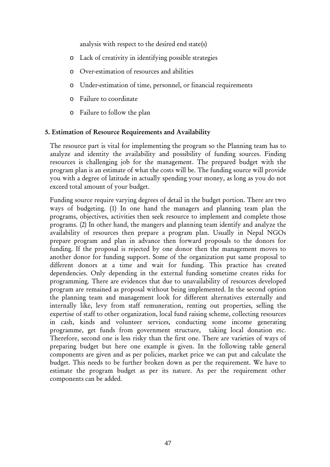analysis with respect to the desired end state(s)

- o Lack of creativity in identifying possible strategies
- o Over-estimation of resources and abilities
- o Under-estimation of time, personnel, or financial requirements
- o Failure to coordinate
- o Failure to follow the plan

#### 5. Estimation of Resource Requirements and Availability

The resource part is vital for implementing the program so the Planning team has to analyze and identity the availability and possibility of funding sources. Finding resources is challenging job for the management. The prepared budget with the program plan is an estimate of what the costs will be. The funding source will provide you with a degree of latitude in actually spending your money, as long as you do not exceed total amount of your budget.

Funding source require varying degrees of detail in the budget portion. There are two ways of budgeting. (1) In one hand the managers and planning team plan the programs, objectives, activities then seek resource to implement and complete those programs. (2) In other hand, the mangers and planning team identify and analyze the availability of resources then prepare a program plan. Usually in Nepal NGOs prepare program and plan in advance then forward proposals to the donors for funding. If the proposal is rejected by one donor then the management moves to another donor for funding support. Some of the organization put same proposal to different donors at a time and wait for funding. This practice has created dependencies. Only depending in the external funding sometime creates risks for programming. There are evidences that due to unavailability of resources developed program are remained as proposal without being implemented. In the second option the planning team and management look for different alternatives externally and internally like, levy from staff remuneration, renting out properties, selling the expertise of staff to other organization, local fund raising scheme, collecting resources in cash, kinds and volunteer services, conducting some income generating programme, get funds from government structure, taking local donation etc. Therefore, second one is less risky than the first one. There are varieties of ways of preparing budget but here one example is given. In the following table general components are given and as per policies, market price we can put and calculate the budget. This needs to be further broken down as per the requirement. We have to estimate the program budget as per its nature. As per the requirement other components can be added.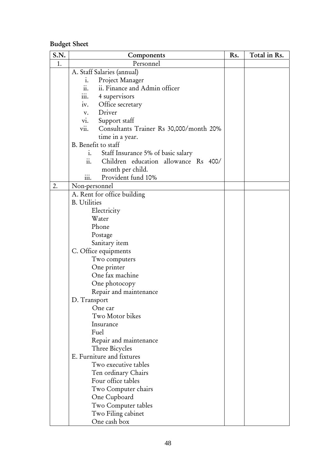## Budget Sheet

| S.N. | Components                                      | Rs. | Total in Rs. |
|------|-------------------------------------------------|-----|--------------|
| 1.   | Personnel                                       |     |              |
|      | A. Staff Salaries (annual)                      |     |              |
|      | Project Manager<br>$\mathbf{i}$ .               |     |              |
|      | ii. Finance and Admin officer<br>11.            |     |              |
|      | .<br>4 supervisors<br>111.                      |     |              |
|      | Office secretary<br>iv.                         |     |              |
|      | Driver<br>v.                                    |     |              |
|      | Support staff<br>V1.                            |     |              |
|      | vii.<br>Consultants Trainer Rs 30,000/month 20% |     |              |
|      | time in a year.                                 |     |              |
|      | B. Benefit to staff                             |     |              |
|      | Staff Insurance 5% of basic salary<br>1.        |     |              |
|      | Children education allowance Rs 400/<br>11.     |     |              |
|      | month per child.                                |     |              |
|      | Provident fund 10%<br>iii.                      |     |              |
| 2.   | Non-personnel                                   |     |              |
|      | A. Rent for office building                     |     |              |
|      | <b>B.</b> Utilities                             |     |              |
|      | Electricity                                     |     |              |
|      | Water                                           |     |              |
|      | Phone                                           |     |              |
|      | Postage                                         |     |              |
|      | Sanitary item                                   |     |              |
|      | C. Office equipments                            |     |              |
|      | Two computers                                   |     |              |
|      | One printer                                     |     |              |
|      | One fax machine                                 |     |              |
|      | One photocopy                                   |     |              |
|      | Repair and maintenance                          |     |              |
|      | D. Transport                                    |     |              |
|      | One car                                         |     |              |
|      | Two Motor bikes                                 |     |              |
|      | Insurance                                       |     |              |
|      | Fuel                                            |     |              |
|      | Repair and maintenance                          |     |              |
|      | Three Bicycles                                  |     |              |
|      | E. Furniture and fixtures                       |     |              |
|      | Two executive tables                            |     |              |
|      | Ten ordinary Chairs                             |     |              |
|      | Four office tables                              |     |              |
|      | Two Computer chairs                             |     |              |
|      | One Cupboard                                    |     |              |
|      | Two Computer tables                             |     |              |
|      | Two Filing cabinet                              |     |              |
|      | One cash box                                    |     |              |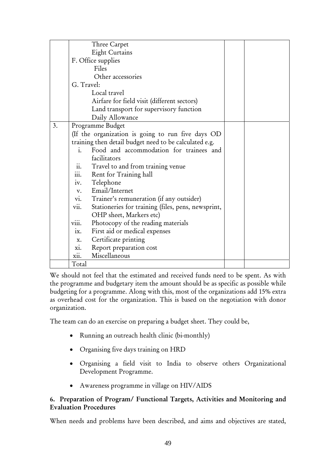|    |                | Three Carpet                                           |  |
|----|----------------|--------------------------------------------------------|--|
|    |                | Eight Curtains                                         |  |
|    |                | F. Office supplies                                     |  |
|    |                | Files                                                  |  |
|    |                | Other accessories                                      |  |
|    | G. Travel:     |                                                        |  |
|    |                | Local travel                                           |  |
|    |                | Airfare for field visit (different sectors)            |  |
|    |                | Land transport for supervisory function                |  |
|    |                | Daily Allowance                                        |  |
| 3. |                | Programme Budget                                       |  |
|    |                | (If the organization is going to run five days OD      |  |
|    |                | training then detail budget need to be calculated e.g. |  |
|    | $\mathbf{i}$ . | Food and accommodation for trainees and                |  |
|    |                | facilitators                                           |  |
|    | ii.            | Travel to and from training venue                      |  |
|    | $\dddot{m}$ .  | Rent for Training hall                                 |  |
|    |                | iv. Telephone                                          |  |
|    | V.             | Email/Internet                                         |  |
|    |                | vi. Trainer's remuneration (if any outsider)           |  |
|    | vii.           | Stationeries for training (files, pens, newsprint,     |  |
|    |                | OHP sheet, Markers etc)                                |  |
|    | viii.          | Photocopy of the reading materials                     |  |
|    | ix.            | First aid or medical expenses                          |  |
|    | X.             | Certificate printing                                   |  |
|    | X1.            | Report preparation cost                                |  |
|    | xii.           | Miscellaneous                                          |  |
|    | Total          |                                                        |  |

We should not feel that the estimated and received funds need to be spent. As with the programme and budgetary item the amount should be as specific as possible while budgeting for a programme. Along with this, most of the organizations add 15% extra as overhead cost for the organization. This is based on the negotiation with donor organization.

The team can do an exercise on preparing a budget sheet. They could be,

- Running an outreach health clinic (bi-monthly)
- Organising five days training on HRD
- Organising a field visit to India to observe others Organizational Development Programme.
- Awareness programme in village on HIV/AIDS

#### 6. Preparation of Program/ Functional Targets, Activities and Monitoring and Evaluation Procedures

When needs and problems have been described, and aims and objectives are stated,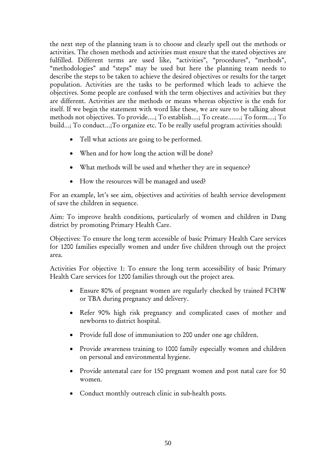the next step of the planning team is to choose and clearly spell out the methods or activities. The chosen methods and activities must ensure that the stated objectives are fulfilled. Different terms are used like, "activities", "procedures", "methods", "methodologies" and "steps" may be used but here the planning team needs to describe the steps to be taken to achieve the desired objectives or results for the target population. Activities are the tasks to be performed which leads to achieve the objectives. Some people are confused with the term objectives and activities but they are different. Activities are the methods or means whereas objective is the ends for itself. If we begin the statement with word like these, we are sure to be talking about methods not objectives. To provide….; To establish….; To create…….; To form….; To build…; To conduct…;To organize etc. To be really useful program activities should:

- Tell what actions are going to be performed.
- When and for how long the action will be done?
- What methods will be used and whether they are in sequence?
- How the resources will be managed and used?

For an example, let's see aim, objectives and activities of health service development of save the children in sequence.

Aim: To improve health conditions, particularly of women and children in Dang district by promoting Primary Health Care.

Objectives: To ensure the long term accessible of basic Primary Health Care services for 1200 families especially women and under five children through out the project area.

Activities For objective 1: To ensure the long term accessibility of basic Primary Health Care services for 1200 families through out the project area.

- Ensure 80% of pregnant women are regularly checked by trained FCHW or TBA during pregnancy and delivery.
- Refer 90% high risk pregnancy and complicated cases of mother and newborns to district hospital.
- Provide full dose of immunisation to 200 under one age children.
- Provide awareness training to 1000 family especially women and children on personal and environmental hygiene.
- Provide antenatal care for 150 pregnant women and post natal care for 50 women.
- Conduct monthly outreach clinic in sub-health posts.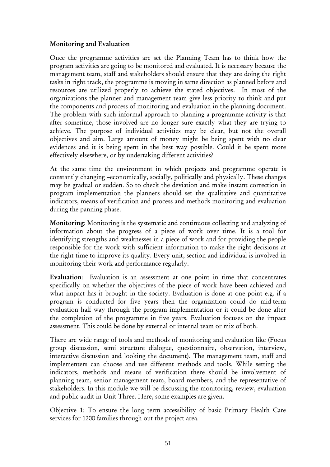#### Monitoring and Evaluation

Once the programme activities are set the Planning Team has to think how the program activities are going to be monitored and evaluated. It is necessary because the management team, staff and stakeholders should ensure that they are doing the right tasks in right track, the programme is moving in same direction as planned before and resources are utilized properly to achieve the stated objectives. In most of the organizations the planner and management team give less priority to think and put the components and process of monitoring and evaluation in the planning document. The problem with such informal approach to planning a programme activity is that after sometime, those involved are no longer sure exactly what they are trying to achieve. The purpose of individual activities may be clear, but not the overall objectives and aim. Large amount of money might be being spent with no clear evidences and it is being spent in the best way possible. Could it be spent more effectively elsewhere, or by undertaking different activities?

At the same time the environment in which projects and programme operate is constantly changing –economically, socially, politically and physically. These changes may be gradual or sudden. So to check the deviation and make instant correction in program implementation the planners should set the qualitative and quantitative indicators, means of verification and process and methods monitoring and evaluation during the panning phase.

Monitoring: Monitoring is the systematic and continuous collecting and analyzing of information about the progress of a piece of work over time. It is a tool for identifying strengths and weaknesses in a piece of work and for providing the people responsible for the work with sufficient information to make the right decisions at the right time to improve its quality. Every unit, section and individual is involved in monitoring their work and performance regularly.

Evaluation: Evaluation is an assessment at one point in time that concentrates specifically on whether the objectives of the piece of work have been achieved and what impact has it brought in the society. Evaluation is done at one point e.g. if a program is conducted for five years then the organization could do mid-term evaluation half way through the program implementation or it could be done after the completion of the programme in five years. Evaluation focuses on the impact assessment. This could be done by external or internal team or mix of both.

There are wide range of tools and methods of monitoring and evaluation like (Focus group discussion, semi structure dialogue, questionnaire, observation, interview, interactive discussion and looking the document). The management team, staff and implementers can choose and use different methods and tools. While setting the indicators, methods and means of verification there should be involvement of planning team, senior management team, board members, and the representative of stakeholders. In this module we will be discussing the monitoring, review, evaluation and public audit in Unit Three. Here, some examples are given.

Objective 1: To ensure the long term accessibility of basic Primary Health Care services for 1200 families through out the project area.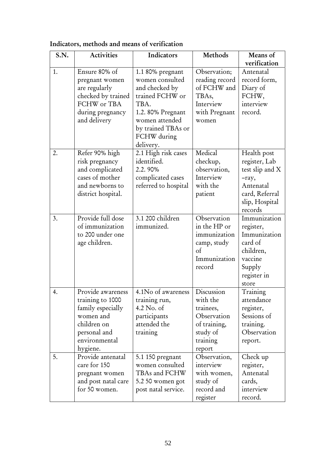| S.N. | <b>Activities</b>                                                                                                                   | Indicators                                                                                                                                                                | Methods                                                                                              | Means of                                                                                                             |
|------|-------------------------------------------------------------------------------------------------------------------------------------|---------------------------------------------------------------------------------------------------------------------------------------------------------------------------|------------------------------------------------------------------------------------------------------|----------------------------------------------------------------------------------------------------------------------|
|      |                                                                                                                                     |                                                                                                                                                                           |                                                                                                      | verification                                                                                                         |
| 1.   | Ensure 80% of<br>pregnant women<br>are regularly<br>checked by trained<br>FCHW or TBA<br>during pregnancy<br>and delivery           | 1.1 80% pregnant<br>women consulted<br>and checked by<br>trained FCHW or<br>TBA.<br>1.2. 80% Pregnant<br>women attended<br>by trained TBAs or<br>FCHW during<br>delivery. | Observation;<br>reading record<br>of FCHW and<br>TBAs,<br>Interview<br>with Pregnant<br>women        | Antenatal<br>record form,<br>Diary of<br>FCHW,<br>interview<br>record.                                               |
| 2.   | Refer 90% high<br>risk pregnancy<br>and complicated<br>cases of mother<br>and newborns to<br>district hospital.                     | 2.1 High risk cases<br>identified.<br>2.2.90%<br>complicated cases<br>referred to hospital                                                                                | Medical<br>checkup,<br>observation,<br>Interview<br>with the<br>patient                              | Health post<br>register, Lab<br>test slip and X<br>-ray,<br>Antenatal<br>card, Referral<br>slip, Hospital<br>records |
| 3.   | Provide full dose<br>of immunization<br>to 200 under one<br>age children.                                                           | 3.1 200 children<br>immunized.                                                                                                                                            | Observation<br>in the HP or<br>immunization<br>camp, study<br>$\sigma$<br>Immunization<br>record     | Immunization<br>register,<br>Immunization<br>card of<br>children,<br>vaccine<br>Supply<br>register in<br>store       |
| 4.   | Provide awareness<br>training to 1000<br>family especially<br>women and<br>children on<br>personal and<br>environmental<br>hygiene. | 4.1No of awareness<br>training run,<br>4.2 No. of<br>participants<br>attended the<br>training                                                                             | Discussion<br>with the<br>trainees,<br>Observation<br>of training,<br>study of<br>training<br>report | Training<br>attendance<br>register,<br>Sessions of<br>training.<br>Observation<br>report.                            |
| 5.   | Provide antenatal<br>care for 150<br>pregnant women<br>and post natal care<br>for 50 women.                                         | 5.1 150 pregnant<br>women consulted<br>TBAs and FCHW<br>5.2 50 women got<br>post natal service.                                                                           | Observation,<br>interview<br>with women,<br>study of<br>record and<br>register                       | Check up<br>register,<br>Antenatal<br>cards,<br>interview<br>record.                                                 |

## Indicators, methods and means of verification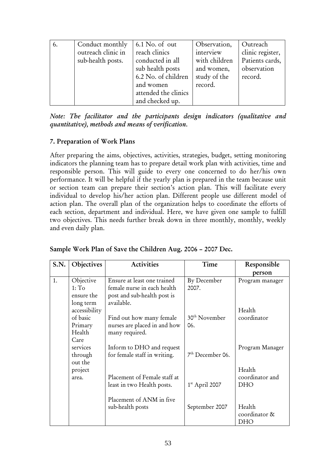| 6. | Conduct monthly<br>outreach clinic in<br>sub-health posts. | $6.1$ No. of out<br>reach clinics<br>conducted in all<br>sub health posts<br>6.2 No. of children<br>and women | Observation,<br>interview<br>with children<br>and women,<br>study of the<br>record. | Outreach<br>clinic register,<br>Patients cards,<br>observation<br>record. |
|----|------------------------------------------------------------|---------------------------------------------------------------------------------------------------------------|-------------------------------------------------------------------------------------|---------------------------------------------------------------------------|
|    |                                                            | attended the clinics                                                                                          |                                                                                     |                                                                           |
|    |                                                            | and checked up.                                                                                               |                                                                                     |                                                                           |

*Note: The facilitator and the participants design indicators (qualitative and quantitative), methods and means of verification.* 

#### 7. Preparation of Work Plans

After preparing the aims, objectives, activities, strategies, budget, setting monitoring indicators the planning team has to prepare detail work plan with activities, time and responsible person. This will guide to every one concerned to do her/his own performance. It will be helpful if the yearly plan is prepared in the team because unit or section team can prepare their section's action plan. This will facilitate every individual to develop his/her action plan. Different people use different model of action plan. The overall plan of the organization helps to coordinate the efforts of each section, department and individual. Here, we have given one sample to fulfill two objectives. This needs further break down in three monthly, monthly, weekly and even daily plan.

| S.N. | Objectives        | <b>Activities</b>            | Time                         | Responsible     |
|------|-------------------|------------------------------|------------------------------|-----------------|
|      |                   |                              |                              | person          |
| 1.   | Objective         | Ensure at least one trained  | By December                  | Program manager |
|      | 1: T <sub>O</sub> | female nurse in each health  | 2007.                        |                 |
|      | ensure the        | post and sub-health post is  |                              |                 |
|      | long term         | available.                   |                              |                 |
|      | accessibility     |                              |                              | Health          |
|      | of basic          | Find out how many female     | 30 <sup>th</sup> November    | coordinator     |
|      | Primary           | nurses are placed in and how | 06.                          |                 |
|      | Health            | many required.               |                              |                 |
|      | Care              |                              |                              |                 |
|      | services          | Inform to DHO and request    |                              | Program Manager |
|      | through           | for female staff in writing. | 7 <sup>th</sup> December 06. |                 |
|      | out the           |                              |                              |                 |
|      | project           |                              |                              | Health          |
|      | area.             | Placement of Female staff at |                              | coordinator and |
|      |                   | least in two Health posts.   | $1st$ April 2007             | <b>DHO</b>      |
|      |                   |                              |                              |                 |
|      |                   | Placement of ANM in five     |                              |                 |
|      |                   | sub-health posts             | September 2007               | Health          |
|      |                   |                              |                              | coordinator &   |
|      |                   |                              |                              | <b>DHO</b>      |

| Sample Work Plan of Save the Children Aug. 2006 - 2007 Dec. |  |  |  |
|-------------------------------------------------------------|--|--|--|
|                                                             |  |  |  |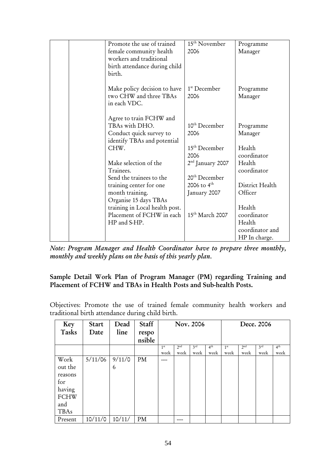|  | Promote the use of trained     | $15th$ November             | Programme       |
|--|--------------------------------|-----------------------------|-----------------|
|  | female community health        | 2006                        | Manager         |
|  | workers and traditional        |                             |                 |
|  | birth attendance during child  |                             |                 |
|  | birth.                         |                             |                 |
|  |                                |                             |                 |
|  | Make policy decision to have   | 1 <sup>st</sup> December    | Programme       |
|  | two CHW and three TBAs         | 2006                        | Manager         |
|  | in each VDC.                   |                             |                 |
|  | Agree to train FCHW and        |                             |                 |
|  | TBAs with DHO.                 | $10th$ December             | Programme       |
|  | Conduct quick survey to        | 2006                        | Manager         |
|  | identify TBAs and potential    |                             |                 |
|  | CHW.                           | $15th$ December             | Health          |
|  |                                | 2006                        | coordinator     |
|  | Make selection of the          | $2nd$ January 2007          | Health          |
|  | Trainees.                      |                             | coordinator     |
|  | Send the trainees to the       | 20 <sup>th</sup> December   |                 |
|  | training center for one        | 2006 to $4^{\text{th}}$     | District Health |
|  | month training.                | January 2007                | Officer         |
|  | Organise 15 days TBAs          |                             |                 |
|  | training in Local health post. |                             | Health          |
|  | Placement of FCHW in each      | 15 <sup>th</sup> March 2007 | coordinator     |
|  | HP and S-HP.                   |                             | Health          |
|  |                                |                             | coordinator and |
|  |                                |                             | HP In charge.   |

*Note: Program Manager and Health Coordinator have to prepare three monthly, monthly and weekly plans on the basis of this yearly plan.* 

### Sample Detail Work Plan of Program Manager (PM) regarding Training and Placement of FCHW and TBAs in Health Posts and Sub-health Posts.

Objectives: Promote the use of trained female community health workers and traditional birth attendance during child birth.

| Key         | <b>Start</b> | Dead   | Staff  | Nov. 2006       |                 |                 | Dece. 2006      |                 |                 |                 |                 |
|-------------|--------------|--------|--------|-----------------|-----------------|-----------------|-----------------|-----------------|-----------------|-----------------|-----------------|
| Tasks       | Date         | line   | respo  |                 |                 |                 |                 |                 |                 |                 |                 |
|             |              |        | nsible |                 |                 |                 |                 |                 |                 |                 |                 |
|             |              |        |        | 1 <sup>st</sup> | 2 <sup>nd</sup> | 3 <sup>rd</sup> | 4 <sup>th</sup> | 1 <sup>st</sup> | 2 <sup>nd</sup> | 3 <sup>rd</sup> | $4^{\text{th}}$ |
|             |              |        |        | week            | week            | week            | week            | week            | week            | week            | week            |
| Work        | 5/11/06      | 9/11/0 | PM     | ----            |                 |                 |                 |                 |                 |                 |                 |
| out the     |              | 6      |        |                 |                 |                 |                 |                 |                 |                 |                 |
| reasons     |              |        |        |                 |                 |                 |                 |                 |                 |                 |                 |
| for         |              |        |        |                 |                 |                 |                 |                 |                 |                 |                 |
| having      |              |        |        |                 |                 |                 |                 |                 |                 |                 |                 |
| <b>FCHW</b> |              |        |        |                 |                 |                 |                 |                 |                 |                 |                 |
| and         |              |        |        |                 |                 |                 |                 |                 |                 |                 |                 |
| <b>TBAs</b> |              |        |        |                 |                 |                 |                 |                 |                 |                 |                 |
| Present     | 10/11/0      | 10/11/ | PM     |                 |                 |                 |                 |                 |                 |                 |                 |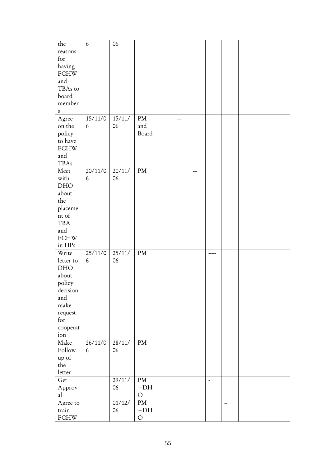| the          | $\boldsymbol{6}$ | 06     |               |     |                |    |  |  |
|--------------|------------------|--------|---------------|-----|----------------|----|--|--|
| reasons      |                  |        |               |     |                |    |  |  |
| for          |                  |        |               |     |                |    |  |  |
| having       |                  |        |               |     |                |    |  |  |
| <b>FCHW</b>  |                  |        |               |     |                |    |  |  |
| and          |                  |        |               |     |                |    |  |  |
| TBAs to      |                  |        |               |     |                |    |  |  |
| board        |                  |        |               |     |                |    |  |  |
| member       |                  |        |               |     |                |    |  |  |
| ${\bf S}$    |                  |        |               |     |                |    |  |  |
| Agree        | 15/11/0          | 15/11/ | PM            | --- |                |    |  |  |
| on the       | 6                | 06     | and           |     |                |    |  |  |
| policy       |                  |        | Board         |     |                |    |  |  |
| to have      |                  |        |               |     |                |    |  |  |
| <b>FCHW</b>  |                  |        |               |     |                |    |  |  |
| and          |                  |        |               |     |                |    |  |  |
| <b>TBAs</b>  |                  |        |               |     |                |    |  |  |
| Meet         | 20/11/0          | 20/11/ | $\mathrm{PM}$ |     |                |    |  |  |
| with         | 6                | 06     |               |     |                |    |  |  |
| DHO          |                  |        |               |     |                |    |  |  |
| about        |                  |        |               |     |                |    |  |  |
| the          |                  |        |               |     |                |    |  |  |
| placeme      |                  |        |               |     |                |    |  |  |
| nt of        |                  |        |               |     |                |    |  |  |
| $_{\rm TBA}$ |                  |        |               |     |                |    |  |  |
| and          |                  |        |               |     |                |    |  |  |
| <b>FCHW</b>  |                  |        |               |     |                |    |  |  |
| in $HPs$     |                  |        |               |     |                |    |  |  |
| Write        | 25/11/0          | 25/11/ | PM            |     |                |    |  |  |
| letter to    | 6                | 06     |               |     |                |    |  |  |
| DHO          |                  |        |               |     |                |    |  |  |
| about        |                  |        |               |     |                |    |  |  |
| policy       |                  |        |               |     |                |    |  |  |
| decision     |                  |        |               |     |                |    |  |  |
| and          |                  |        |               |     |                |    |  |  |
| make         |                  |        |               |     |                |    |  |  |
| request      |                  |        |               |     |                |    |  |  |
| for          |                  |        |               |     |                |    |  |  |
| cooperat     |                  |        |               |     |                |    |  |  |
| ion          |                  |        |               |     |                |    |  |  |
| Make         | 26/11/0          | 28/11/ | PM            |     |                |    |  |  |
| Follow       | 6                | 06     |               |     |                |    |  |  |
| up of        |                  |        |               |     |                |    |  |  |
| the          |                  |        |               |     |                |    |  |  |
| letter       |                  |        |               |     |                |    |  |  |
| Get          |                  | 29/11/ | PM            |     | $\blacksquare$ |    |  |  |
| Approv       |                  | 06     | $+DH$         |     |                |    |  |  |
| al           |                  |        | $\circ$       |     |                |    |  |  |
| Agree to     |                  | 01/12/ | $\mathrm{PM}$ |     |                | -- |  |  |
| train        |                  | 06     | $+DH$         |     |                |    |  |  |
| <b>FCHW</b>  |                  |        | $\bigcirc$    |     |                |    |  |  |
|              |                  |        |               |     |                |    |  |  |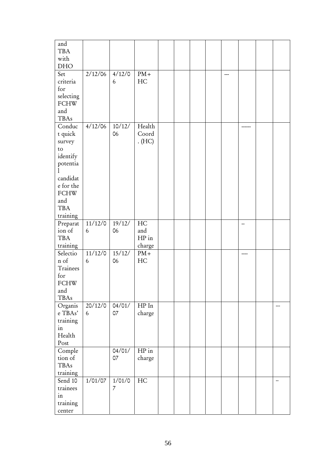| and<br><b>TBA</b><br>with<br>DHO                                                                                                          |              |                          |                                |  |  |    |    |
|-------------------------------------------------------------------------------------------------------------------------------------------|--------------|--------------------------|--------------------------------|--|--|----|----|
| Set<br>criteria<br>for<br>selecting<br><b>FCHW</b><br>and<br>TBAs                                                                         | 2/12/06      | 4/12/0<br>6              | $PM+$<br>HC                    |  |  |    |    |
| Conduc<br>t quick<br>survey<br>$\rm{to}$<br>identify<br>potentia<br>candidat<br>e for the<br><b>FCHW</b><br>and<br><b>TBA</b><br>training | 4/12/06      | 10/12/<br>06             | Health<br>Coord<br>. (HC)      |  |  |    |    |
| Preparat<br>ion of<br><b>TBA</b><br>training                                                                                              | 11/12/0<br>6 | 19/12/<br>06             | HC<br>and<br>$HP$ in<br>charge |  |  | -- |    |
| Selectio<br>n of<br>Trainees<br>for<br><b>FCHW</b><br>and<br><b>TBAs</b>                                                                  | 11/12/0<br>6 | 15/12/<br>06             | $PM+$<br>HC                    |  |  |    |    |
| Organis<br>e TBAs'<br>training<br>in<br>Health<br>Post                                                                                    | 20/12/0<br>6 | 04/01/<br>07             | ${\rm HP}$<br>In<br>charge     |  |  |    |    |
| Comple<br>tion of<br><b>TBAs</b><br>training                                                                                              |              | 04/01/<br>07             | $HP$ in<br>charge              |  |  |    |    |
| Send 10<br>trainees<br>in<br>training<br>center                                                                                           | 1/01/07      | 1/01/0<br>$\overline{7}$ | HC                             |  |  |    | -- |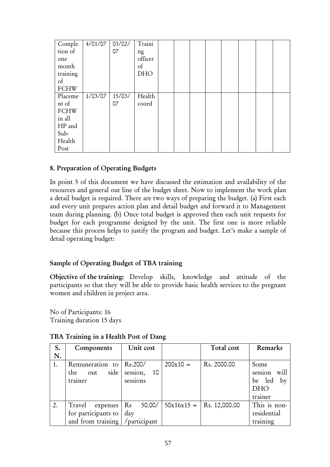| Comple        | 4/01/07 | 03/02/ | Traini     |  |  |  |  |
|---------------|---------|--------|------------|--|--|--|--|
| tion of       |         | 07     | ng         |  |  |  |  |
| one           |         |        | officer    |  |  |  |  |
| month         |         |        | of         |  |  |  |  |
| training      |         |        | <b>DHO</b> |  |  |  |  |
| $\mathrm{of}$ |         |        |            |  |  |  |  |
| <b>FCHW</b>   |         |        |            |  |  |  |  |
| Placeme       | 1/03/07 | 15/03/ | Health     |  |  |  |  |
| nt of         |         | 07     | coord      |  |  |  |  |
| <b>FCHW</b>   |         |        |            |  |  |  |  |
| in all        |         |        |            |  |  |  |  |
| HP and        |         |        |            |  |  |  |  |
| Sub-          |         |        |            |  |  |  |  |
| Health        |         |        |            |  |  |  |  |
| Post          |         |        |            |  |  |  |  |

#### 8. Preparation of Operating Budgets

In point 5 of this document we have discussed the estimation and availability of the resources and general out line of the budget sheet. Now to implement the work plan a detail budget is required. There are two ways of preparing the budget. (a) First each and every unit prepares action plan and detail budget and forward it to Management team during planning. (b) Once total budget is approved then each unit requests for budget for each programme designed by the unit. The first one is more reliable because this process helps to justify the program and budget. Let's make a sample of detail operating budget:

#### Sample of Operating Budget of TBA training

Objective of the training: Develop skills, knowledge and attitude of the participants so that they will be able to provide basic health services to the pregnant women and children in project area.

No of Participants: 16 Training duration 15 days

| S. | Components                      | Unit cost          |              | Total cost    | Remarks         |
|----|---------------------------------|--------------------|--------------|---------------|-----------------|
| N. |                                 |                    |              |               |                 |
| 1. | Remuneration to                 | Rs.200/            | $200x10 =$   | Rs. 2000.00   | Some            |
|    | side<br>the<br>out              | 10<br>session,     |              |               | will<br>session |
|    | trainer                         | sessions           |              |               | be led<br>by    |
|    |                                 |                    |              |               | <b>DHO</b>      |
|    |                                 |                    |              |               | trainer         |
| 2. | Travel<br>expenses              | $\rm Rs$<br>50.00/ | $50x16x15 =$ | Rs. 12,000.00 | This is non-    |
|    | for participants to             | day                |              |               | residential     |
|    | and from training / participant |                    |              |               | training        |

#### TBA Training in a Health Post of Dang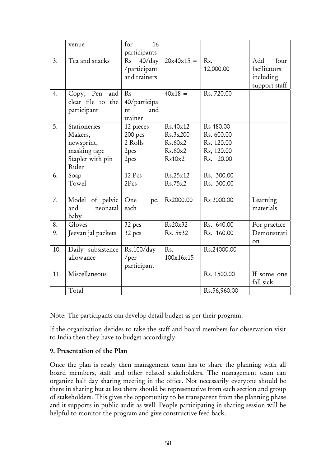|     | venue                                                                              | for<br>16<br>participants                       |                                                      |                                                                              |                                                           |
|-----|------------------------------------------------------------------------------------|-------------------------------------------------|------------------------------------------------------|------------------------------------------------------------------------------|-----------------------------------------------------------|
| 3.  | Tea and snacks                                                                     | 40/day<br>Rs<br>/participant<br>and trainers    | $20x40x15 =$                                         | R <sub>s</sub> .<br>12,000.00                                                | Add<br>four<br>facilitators<br>including<br>support staff |
| 4.  | Copy, Pen<br>and<br>clear file to the<br>participant                               | Rs<br>40/participa<br>and<br>nt<br>trainer      | $40x18 =$                                            | Rs. 720.00                                                                   |                                                           |
| 5.  | Stationeries<br>Makers,<br>newsprint,<br>masking tape<br>Stapler with pin<br>Ruler | 12 pieces<br>200 pcs<br>2 Rolls<br>2pcs<br>2pcs | Rs.40x12<br>Rs.3x200<br>Rs.60x2<br>Rs.60x2<br>Rs10x2 | R <sub>s</sub> 480.00<br>Rs. 600.00<br>Rs. 120.00<br>Rs, 120.00<br>Rs. 20.00 |                                                           |
| 6.  | Soap<br>Towel                                                                      | 12 Pcs<br>2Pcs                                  | Rs.25x12<br>Rs.75x2                                  | Rs. 300.00<br>Rs. 300.00                                                     |                                                           |
| 7.  | Model of pelvic<br>and<br>neonatal<br>baby                                         | One<br>pc.<br>each                              | Rs2000.00                                            | Rs 2000.00                                                                   | Learning<br>materials                                     |
| 8.  | Gloves                                                                             | 32 pcs                                          | Rs20x32                                              | Rs. 640.00                                                                   | For practice                                              |
| 9.  | Jeevan jal packets                                                                 | 32 pcs                                          | Rs. 5x32                                             | Rs. 160.00                                                                   | Demonstrati<br>on                                         |
| 10. | Daily subsistence<br>allowance                                                     | Rs.100/day<br>$/$ per<br>participant            | Rs.<br>100x16x15                                     | Rs.24000.00                                                                  |                                                           |
| 11. | Miscellaneous                                                                      |                                                 |                                                      | Rs. 1500.00                                                                  | If some one<br>fall sick                                  |
|     | Total                                                                              |                                                 |                                                      | Rs.56,960.00                                                                 |                                                           |

Note: The participants can develop detail budget as per their program.

If the organization decides to take the staff and board members for observation visit to India then they have to budget accordingly.

#### 9. Presentation of the Plan

Once the plan is ready then management team has to share the planning with all board members, staff and other related stakeholders. The management team can organize half day sharing meeting in the office. Not necessarily everyone should be there in sharing but at lest there should be representative from each section and group of stakeholders. This gives the opportunity to be transparent from the planning phase and it supports in public audit as well. People participating in sharing session will be helpful to monitor the program and give constructive feed back.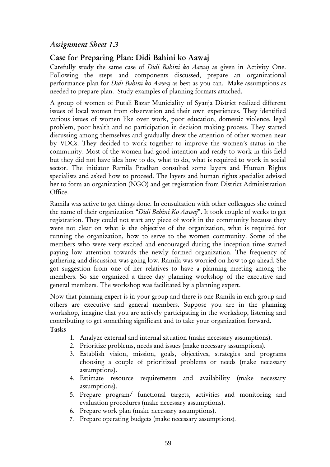## *Assignment Sheet 1.3*

## Case for Preparing Plan: Didi Bahini ko Aawaj

Carefully study the same case of *Didi Bahini ko Aawaj* as given in Activity One. Following the steps and components discussed, prepare an organizational performance plan for *Didi Bahini ko Aawaj* as best as you can. Make assumptions as needed to prepare plan. Study examples of planning formats attached.

A group of women of Putali Bazar Municiality of Syanja District realized different issues of local women from observation and their own experiences. They identified various issues of women like over work, poor education, domestic violence, legal problem, poor health and no participation in decision making process. They started discussing among themselves and gradually drew the attention of other women near by VDCs. They decided to work together to improve the women's status in the community. Most of the women had good intention and ready to work in this field but they did not have idea how to do, what to do, what is required to work in social sector. The initiator Ramila Pradhan consulted some layers and Human Rights specialists and asked how to proceed. The layers and human rights specialist advised her to form an organization (NGO) and get registration from District Administration Office.

Ramila was active to get things done. In consultation with other colleagues she coined the name of their organization "*Didi Bahini Ko Aawaj*". It took couple of weeks to get registration. They could not start any piece of work in the community because they were not clear on what is the objective of the organization, what is required for running the organization, how to serve to the women community. Some of the members who were very excited and encouraged during the inception time started paying low attention towards the newly formed organization. The frequency of gathering and discussion was going low. Ramila was worried on how to go ahead. She got suggestion from one of her relatives to have a planning meeting among the members. So she organized a three day planning workshop of the executive and general members. The workshop was facilitated by a planning expert.

Now that planning expert is in your group and there is one Ramila in each group and others are executive and general members. Suppose you are in the planning workshop, imagine that you are actively participating in the workshop, listening and contributing to get something significant and to take your organization forward.

Tasks

- 1. Analyze external and internal situation (make necessary assumptions).
- 2. Prioritize problems, needs and issues (make necessary assumptions).
- 3. Establish vision, mission, goals, objectives, strategies and programs choosing a couple of prioritized problems or needs (make necessary assumptions).
- 4. Estimate resource requirements and availability (make necessary assumptions).
- 5. Prepare program/ functional targets, activities and monitoring and evaluation procedures (make necessary assumptions).
- 6. Prepare work plan (make necessary assumptions).
- 7. Prepare operating budgets (make necessary assumptions).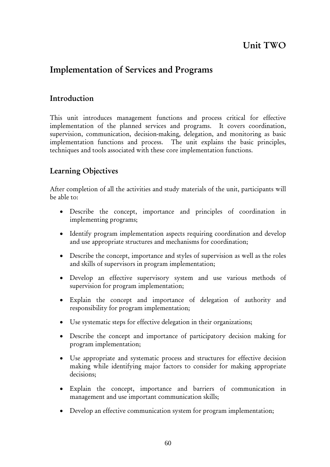## Unit TWO

## Implementation of Services and Programs

## Introduction

This unit introduces management functions and process critical for effective implementation of the planned services and programs. It covers coordination, supervision, communication, decision-making, delegation, and monitoring as basic implementation functions and process. The unit explains the basic principles, techniques and tools associated with these core implementation functions.

## Learning Objectives

After completion of all the activities and study materials of the unit, participants will be able to:

- Describe the concept, importance and principles of coordination in implementing programs;
- Identify program implementation aspects requiring coordination and develop and use appropriate structures and mechanisms for coordination;
- Describe the concept, importance and styles of supervision as well as the roles and skills of supervisors in program implementation;
- Develop an effective supervisory system and use various methods of supervision for program implementation;
- Explain the concept and importance of delegation of authority and responsibility for program implementation;
- Use systematic steps for effective delegation in their organizations;
- Describe the concept and importance of participatory decision making for program implementation;
- Use appropriate and systematic process and structures for effective decision making while identifying major factors to consider for making appropriate decisions;
- Explain the concept, importance and barriers of communication in management and use important communication skills;
- Develop an effective communication system for program implementation;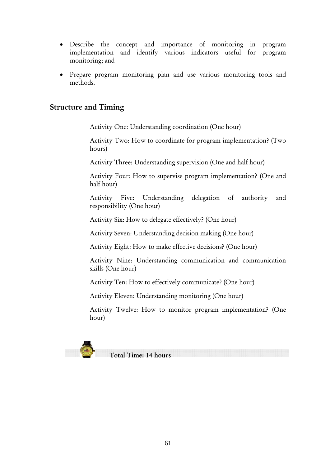- Describe the concept and importance of monitoring in program implementation and identify various indicators useful for program monitoring; and
- Prepare program monitoring plan and use various monitoring tools and methods.

## Structure and Timing

Activity One: Understanding coordination (One hour)

Activity Two: How to coordinate for program implementation? (Two hours)

Activity Three: Understanding supervision (One and half hour)

Activity Four: How to supervise program implementation? (One and half hour)

Activity Five: Understanding delegation of authority and responsibility (One hour)

Activity Six: How to delegate effectively? (One hour)

Activity Seven: Understanding decision making (One hour)

Activity Eight: How to make effective decisions? (One hour)

Activity Nine: Understanding communication and communication skills (One hour)

Activity Ten: How to effectively communicate? (One hour)

Activity Eleven: Understanding monitoring (One hour)

Activity Twelve: How to monitor program implementation? (One hour)

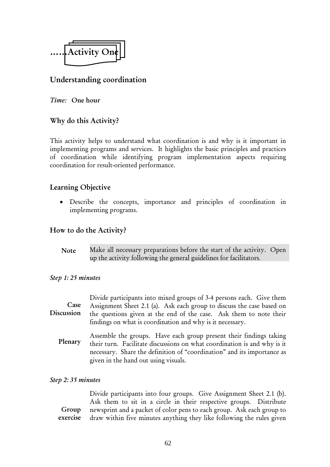

## Understanding coordination

#### *Time:* One hour

#### Why do this Activity?

This activity helps to understand what coordination is and why is it important in implementing programs and services. It highlights the basic principles and practices of coordination while identifying program implementation aspects requiring coordination for result-oriented performance.

#### Learning Objective

• Describe the concepts, importance and principles of coordination in implementing programs.

#### How to do the Activity?

Make all necessary preparations before the start of the activity. Open up the activity following the general guidelines for facilitators. Note

#### *Step 1: 25 minutes*

| Case<br><b>Discussion</b> | Divide participants into mixed groups of 3-4 persons each. Give them<br>Assignment Sheet 2.1 (a). Ask each group to discuss the case based on<br>the questions given at the end of the case. Ask them to note their<br>findings on what is coordination and why is it necessary. |
|---------------------------|----------------------------------------------------------------------------------------------------------------------------------------------------------------------------------------------------------------------------------------------------------------------------------|
| Plenary                   | Assemble the groups. Have each group present their findings taking<br>their turn. Facilitate discussions on what coordination is and why is it                                                                                                                                   |

given in the hand out using visuals.

# *Step 2: 35 minutes*

Divide participants into four groups. Give Assignment Sheet 2.1 (b). Ask them to sit in a circle in their respective groups. Distribute newsprint and a packet of color pens to each group. Ask each group to draw within five minutes anything they like following the rules given Group exercise

necessary. Share the definition of "coordination" and its importance as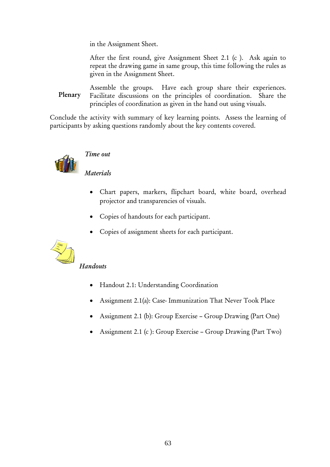in the Assignment Sheet.

After the first round, give Assignment Sheet 2.1 (c ). Ask again to repeat the drawing game in same group, this time following the rules as given in the Assignment Sheet.

Assemble the groups. Have each group share their experiences. Facilitate discussions on the principles of coordination. Share the principles of coordination as given in the hand out using visuals. Plenary

Conclude the activity with summary of key learning points. Assess the learning of participants by asking questions randomly about the key contents covered.



### *Time out*

*Materials*

- Chart papers, markers, flipchart board, white board, overhead projector and transparencies of visuals.
- Copies of handouts for each participant.
- Copies of assignment sheets for each participant.



#### *Handouts*

- Handout 2.1: Understanding Coordination
- Assignment 2.1(a): Case- Immunization That Never Took Place
- Assignment 2.1 (b): Group Exercise Group Drawing (Part One)
- Assignment 2.1 (c): Group Exercise Group Drawing (Part Two)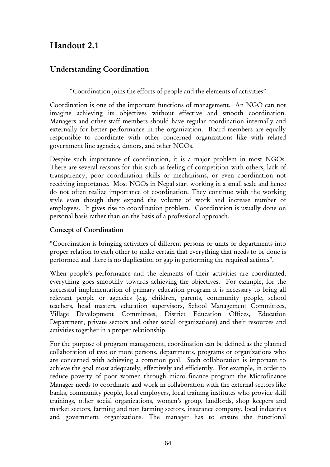## Handout 2.1

## Understanding Coordination

"Coordination joins the efforts of people and the elements of activities"

Coordination is one of the important functions of management. An NGO can not imagine achieving its objectives without effective and smooth coordination. Managers and other staff members should have regular coordination internally and externally for better performance in the organization. Board members are equally responsible to coordinate with other concerned organizations like with related government line agencies, donors, and other NGOs.

Despite such importance of coordination, it is a major problem in most NGOs. There are several reasons for this such as feeling of competition with others, lack of transparency, poor coordination skills or mechanisms, or even coordination not receiving importance. Most NGOs in Nepal start working in a small scale and hence do not often realize importance of coordination. They continue with the working style even though they expand the volume of work and increase number of employees. It gives rise to coordination problem. Coordination is usually done on personal basis rather than on the basis of a professional approach.

#### Concept of Coordination

"Coordination is bringing activities of different persons or units or departments into proper relation to each other to make certain that everything that needs to be done is performed and there is no duplication or gap in performing the required actions".

When people's performance and the elements of their activities are coordinated, everything goes smoothly towards achieving the objectives. For example, for the successful implementation of primary education program it is necessary to bring all relevant people or agencies (e.g. children, parents, community people, school teachers, head masters, education supervisors, School Management Committees, Village Development Committees, District Education Offices, Education Department, private sectors and other social organizations) and their resources and activities together in a proper relationship.

For the purpose of program management, coordination can be defined as the planned collaboration of two or more persons, departments, programs or organizations who are concerned with achieving a common goal. Such collaboration is important to achieve the goal most adequately, effectively and efficiently. For example, in order to reduce poverty of poor women through micro finance program the Microfinance Manager needs to coordinate and work in collaboration with the external sectors like banks, community people, local employers, local training institutes who provide skill trainings, other social organizations, women's group, landlords, shop keepers and market sectors, farming and non farming sectors, insurance company, local industries and government organizations. The manager has to ensure the functional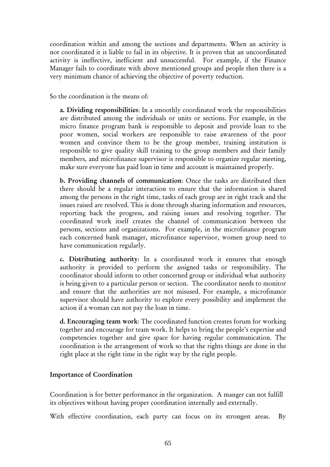coordination within and among the sections and departments. When an activity is not coordinated it is liable to fail in its objective. It is proven that an uncoordinated activity is ineffective, inefficient and unsuccessful. For example, if the Finance Manager fails to coordinate with above mentioned groups and people then there is a very minimum chance of achieving the objective of poverty reduction.

So the coordination is the means of:

a. Dividing responsibilities: In a smoothly coordinated work the responsibilities are distributed among the individuals or units or sections. For example, in the micro finance program bank is responsible to deposit and provide loan to the poor women, social workers are responsible to raise awareness of the poor women and convince them to be the group member, training institution is responsible to give quality skill training to the group members and their family members, and microfinance supervisor is responsible to organize regular meeting, make sure everyone has paid loan in time and account is maintained properly.

b. Providing channels of communication: Once the tasks are distributed then there should be a regular interaction to ensure that the information is shared among the persons in the right time, tasks of each group are in right track and the issues raised are resolved. This is done through sharing information and resources, reporting back the progress, and raising issues and resolving together. The coordinated work itself creates the channel of communication between the persons, sections and organizations. For example, in the microfinance program each concerned bank manager, microfinance supervisor, women group need to have communication regularly.

c. Distributing authority: In a coordinated work it ensures that enough authority is provided to perform the assigned tasks or responsibility. The coordinator should inform to other concerned group or individual what authority is being given to a particular person or section. The coordinator needs to monitor and ensure that the authorities are not misused. For example, a microfinance supervisor should have authority to explore every possibility and implement the action if a woman can not pay the loan in time.

d. Encouraging team work: The coordinated function creates forum for working together and encourage for team work. It helps to bring the people's expertise and competencies together and give space for having regular communication. The coordination is the arrangement of work so that the rights things are done in the right place at the right time in the right way by the right people.

#### Importance of Coordination

Coordination is for better performance in the organization. A manger can not fulfill its objectives without having proper coordination internally and externally.

With effective coordination, each party can focus on its strongest areas. By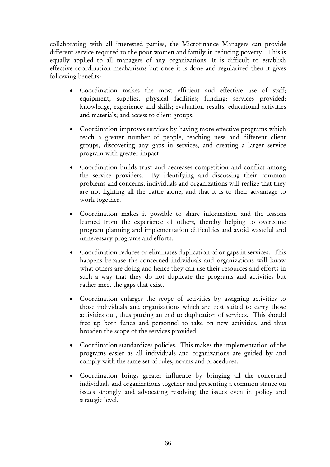collaborating with all interested parties, the Microfinance Managers can provide different service required to the poor women and family in reducing poverty. This is equally applied to all managers of any organizations. It is difficult to establish effective coordination mechanisms but once it is done and regularized then it gives following benefits:

- Coordination makes the most efficient and effective use of staff; equipment, supplies, physical facilities; funding; services provided; knowledge, experience and skills; evaluation results; educational activities and materials; and access to client groups.
- Coordination improves services by having more effective programs which reach a greater number of people, reaching new and different client groups, discovering any gaps in services, and creating a larger service program with greater impact.
- Coordination builds trust and decreases competition and conflict among the service providers. By identifying and discussing their common problems and concerns, individuals and organizations will realize that they are not fighting all the battle alone, and that it is to their advantage to work together.
- Coordination makes it possible to share information and the lessons learned from the experience of others, thereby helping to overcome program planning and implementation difficulties and avoid wasteful and unnecessary programs and efforts.
- Coordination reduces or eliminates duplication of or gaps in services. This happens because the concerned individuals and organizations will know what others are doing and hence they can use their resources and efforts in such a way that they do not duplicate the programs and activities but rather meet the gaps that exist.
- Coordination enlarges the scope of activities by assigning activities to those individuals and organizations which are best suited to carry those activities out, thus putting an end to duplication of services. This should free up both funds and personnel to take on new activities, and thus broaden the scope of the services provided.
- Coordination standardizes policies. This makes the implementation of the programs easier as all individuals and organizations are guided by and comply with the same set of rules, norms and procedures.
- Coordination brings greater influence by bringing all the concerned individuals and organizations together and presenting a common stance on issues strongly and advocating resolving the issues even in policy and strategic level.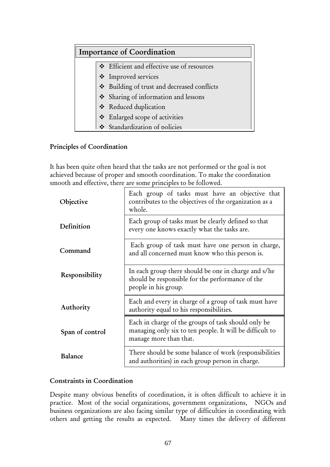| <b>Importance of Coordination</b> |                                             |  |  |
|-----------------------------------|---------------------------------------------|--|--|
|                                   | * Efficient and effective use of resources  |  |  |
|                                   | ❖ Improved services                         |  |  |
|                                   | Stephaling of trust and decreased conflicts |  |  |
|                                   | Sharing of information and lessons          |  |  |
|                                   | ❖ Reduced duplication                       |  |  |
|                                   | ❖ Enlarged scope of activities              |  |  |
|                                   | Standardization of policies                 |  |  |

### Principles of Coordination

It has been quite often heard that the tasks are not performed or the goal is not achieved because of proper and smooth coordination. To make the coordination smooth and effective, there are some principles to be followed.

| Objective       | Each group of tasks must have an objective that<br>contributes to the objectives of the organization as a<br>whole.                       |
|-----------------|-------------------------------------------------------------------------------------------------------------------------------------------|
| Definition      | Each group of tasks must be clearly defined so that<br>every one knows exactly what the tasks are.                                        |
| Command         | Each group of task must have one person in charge,<br>and all concerned must know who this person is.                                     |
| Responsibility  | In each group there should be one in charge and s/he<br>should be responsible for the performance of the<br>people in his group.          |
| Authority       | Each and every in charge of a group of task must have<br>authority equal to his responsibilities.                                         |
| Span of control | Each in charge of the groups of task should only be<br>managing only six to ten people. It will be difficult to<br>manage more than that. |
| Balance         | There should be some balance of work (responsibilities<br>and authorities) in each group person in charge.                                |

### Constraints in Coordination

Despite many obvious benefits of coordination, it is often difficult to achieve it in practice. Most of the social organizations, government organizations, NGOs and business organizations are also facing similar type of difficulties in coordinating with others and getting the results as expected. Many times the delivery of different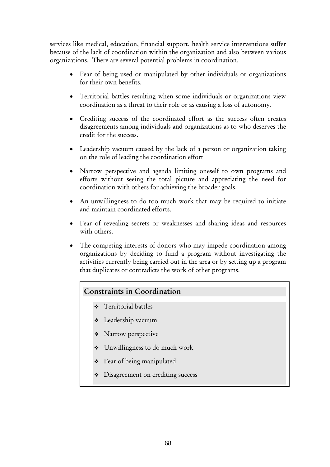services like medical, education, financial support, health service interventions suffer because of the lack of coordination within the organization and also between various organizations. There are several potential problems in coordination.

- Fear of being used or manipulated by other individuals or organizations for their own benefits.
- Territorial battles resulting when some individuals or organizations view coordination as a threat to their role or as causing a loss of autonomy.
- Crediting success of the coordinated effort as the success often creates disagreements among individuals and organizations as to who deserves the credit for the success.
- Leadership vacuum caused by the lack of a person or organization taking on the role of leading the coordination effort
- Narrow perspective and agenda limiting oneself to own programs and efforts without seeing the total picture and appreciating the need for coordination with others for achieving the broader goals.
- An unwillingness to do too much work that may be required to initiate and maintain coordinated efforts.
- Fear of revealing secrets or weaknesses and sharing ideas and resources with others.
- The competing interests of donors who may impede coordination among organizations by deciding to fund a program without investigating the activities currently being carried out in the area or by setting up a program that duplicates or contradicts the work of other programs.

#### Constraints in Coordination

- **❖** Territorial battles
- Leadership vacuum
- \* Narrow perspective
- Unwillingness to do much work
- Fear of being manipulated
- Disagreement on crediting success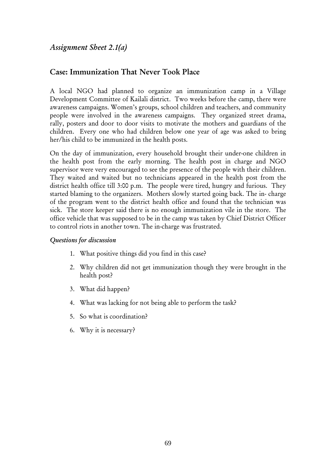# Case: Immunization That Never Took Place

A local NGO had planned to organize an immunization camp in a Village Development Committee of Kailali district. Two weeks before the camp, there were awareness campaigns. Women's groups, school children and teachers, and community people were involved in the awareness campaigns. They organized street drama, rally, posters and door to door visits to motivate the mothers and guardians of the children. Every one who had children below one year of age was asked to bring her/his child to be immunized in the health posts.

On the day of immunization, every household brought their under-one children in the health post from the early morning. The health post in charge and NGO supervisor were very encouraged to see the presence of the people with their children. They waited and waited but no technicians appeared in the health post from the district health office till 3:00 p.m. The people were tired, hungry and furious. They started blaming to the organizers. Mothers slowly started going back. The in- charge of the program went to the district health office and found that the technician was sick. The store keeper said there is no enough immunization vile in the store. The office vehicle that was supposed to be in the camp was taken by Chief District Officer to control riots in another town. The in-charge was frustrated.

#### *Questions for discussion*

- 1. What positive things did you find in this case?
- 2. Why children did not get immunization though they were brought in the health post?
- 3. What did happen?
- 4. What was lacking for not being able to perform the task?
- 5. So what is coordination?
- 6. Why it is necessary?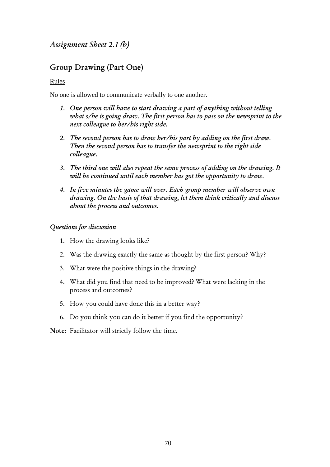*Assignment Sheet 2.1 (b)* 

# Group Drawing (Part One)

Rules

No one is allowed to communicate verbally to one another.

- *1. One person will have to start drawing a part of anything without telling what s/he is going draw. The first person has to pass on the newsprint to the next colleague to her/his right side.*
- *2. The second person has to draw her/his part by adding on the first draw. Then the second person has to transfer the newsprint to the right side colleague.*
- *3. The third one will also repeat the same process of adding on the drawing. It will be continued until each member has got the opportunity to draw.*
- *4. In five minutes the game will over. Each group member will observe own drawing. On the basis of that drawing, let them think critically and discuss about the process and outcomes.*

#### *Questions for discussion*

- 1. How the drawing looks like?
- 2. Was the drawing exactly the same as thought by the first person? Why?
- 3. What were the positive things in the drawing?
- 4. What did you find that need to be improved? What were lacking in the process and outcomes?
- 5. How you could have done this in a better way?
- 6. Do you think you can do it better if you find the opportunity?

Note: Facilitator will strictly follow the time.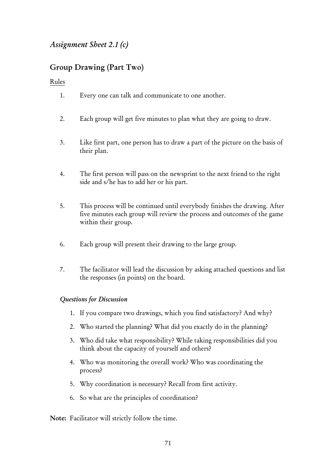# *Assignment Sheet 2.1 (c)*

# Group Drawing (Part Two)

Rules

- 1. Every one can talk and communicate to one another.
- 2. Each group will get five minutes to plan what they are going to draw.
- 3. Like first part, one person has to draw a part of the picture on the basis of their plan.
- 4. The first person will pass on the newsprint to the next friend to the right side and s/he has to add her or his part.
- 5. This process will be continued until everybody finishes the drawing. After five minutes each group will review the process and outcomes of the game within their group.
- 6. Each group will present their drawing to the large group.
- 7. The facilitator will lead the discussion by asking attached questions and list the responses (in points) on the board.

#### *Questions for Discussion*

- 1. If you compare two drawings, which you find satisfactory? And why?
- 2. Who started the planning? What did you exactly do in the planning?
- 3. Who did take what responsibility? While taking responsibilities did you think about the capacity of yourself and others?
- 4. Who was monitoring the overall work? Who was coordinating the process?
- 5. Why coordination is necessary? Recall from first activity.
- 6. So what are the principles of coordination?

Note: Facilitator will strictly follow the time.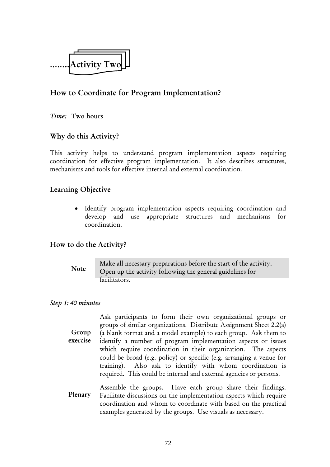

# How to Coordinate for Program Implementation?

*Time:* Two hours

#### Why do this Activity?

This activity helps to understand program implementation aspects requiring coordination for effective program implementation. It also describes structures, mechanisms and tools for effective internal and external coordination.

#### Learning Objective

• Identify program implementation aspects requiring coordination and develop and use appropriate structures and mechanisms for coordination.

#### How to do the Activity?

#### Note

Make all necessary preparations before the start of the activity. Open up the activity following the general guidelines for facilitators.

#### *Step 1: 40 minutes*

Group exercise

Ask participants to form their own organizational groups or groups of similar organizations. Distribute Assignment Sheet 2.2(a) (a blank format and a model example) to each group. Ask them to identify a number of program implementation aspects or issues which require coordination in their organization. The aspects could be broad (e.g. policy) or specific (e.g. arranging a venue for training). Also ask to identify with whom coordination is required. This could be internal and external agencies or persons.

Assemble the groups. Have each group share their findings. Facilitate discussions on the implementation aspects which require coordination and whom to coordinate with based on the practical examples generated by the groups. Use visuals as necessary. Plenary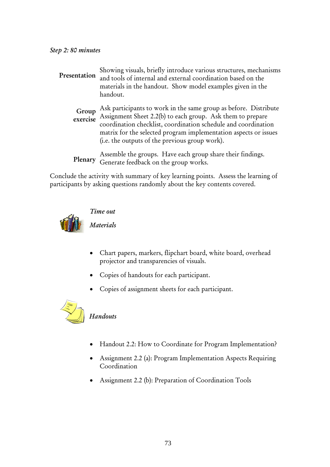| Presentation      | Showing visuals, briefly introduce various structures, mechanisms<br>and tools of internal and external coordination based on the<br>materials in the handout. Show model examples given in the<br>handout.                                                                                                            |
|-------------------|------------------------------------------------------------------------------------------------------------------------------------------------------------------------------------------------------------------------------------------------------------------------------------------------------------------------|
| Group<br>exercise | Ask participants to work in the same group as before. Distribute<br>Assignment Sheet 2.2(b) to each group. Ask them to prepare<br>coordination checklist, coordination schedule and coordination<br>matrix for the selected program implementation aspects or issues<br>(i.e. the outputs of the previous group work). |
| Plenary           | Assemble the groups. Have each group share their findings.<br>Generate feedback on the group works.                                                                                                                                                                                                                    |

Conclude the activity with summary of key learning points. Assess the learning of participants by asking questions randomly about the key contents covered.



#### *Time out*

*Materials* 

- Chart papers, markers, flipchart board, white board, overhead projector and transparencies of visuals.
- Copies of handouts for each participant.
- Copies of assignment sheets for each participant.



#### *Handouts*

- Handout 2.2: How to Coordinate for Program Implementation?
- Assignment 2.2 (a): Program Implementation Aspects Requiring Coordination
- Assignment 2.2 (b): Preparation of Coordination Tools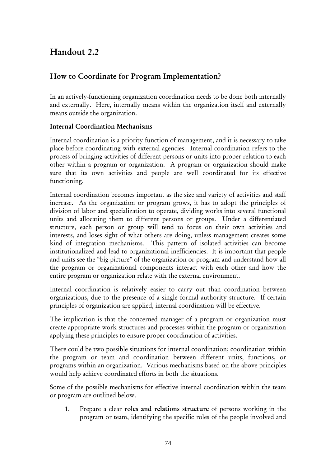# Handout 2.2

## How to Coordinate for Program Implementation?

In an actively-functioning organization coordination needs to be done both internally and externally. Here, internally means within the organization itself and externally means outside the organization.

#### Internal Coordination Mechanisms

Internal coordination is a priority function of management, and it is necessary to take place before coordinating with external agencies. Internal coordination refers to the process of bringing activities of different persons or units into proper relation to each other within a program or organization. A program or organization should make sure that its own activities and people are well coordinated for its effective functioning.

Internal coordination becomes important as the size and variety of activities and staff increase. As the organization or program grows, it has to adopt the principles of division of labor and specialization to operate, dividing works into several functional units and allocating them to different persons or groups. Under a differentiated structure, each person or group will tend to focus on their own activities and interests, and loses sight of what others are doing, unless management creates some kind of integration mechanisms. This pattern of isolated activities can become institutionalized and lead to organizational inefficiencies. It is important that people and units see the "big picture" of the organization or program and understand how all the program or organizational components interact with each other and how the entire program or organization relate with the external environment.

Internal coordination is relatively easier to carry out than coordination between organizations, due to the presence of a single formal authority structure. If certain principles of organization are applied, internal coordination will be effective.

The implication is that the concerned manager of a program or organization must create appropriate work structures and processes within the program or organization applying these principles to ensure proper coordination of activities.

There could be two possible situations for internal coordination; coordination within the program or team and coordination between different units, functions, or programs within an organization. Various mechanisms based on the above principles would help achieve coordinated efforts in both the situations.

Some of the possible mechanisms for effective internal coordination within the team or program are outlined below.

1. Prepare a clear roles and relations structure of persons working in the program or team, identifying the specific roles of the people involved and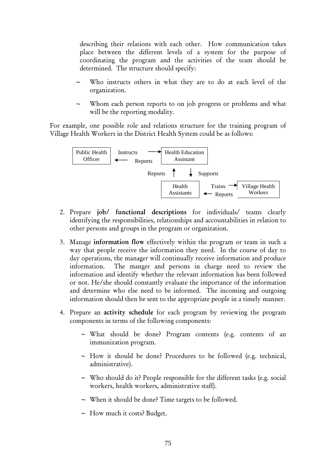describing their relations with each other. How communication takes place between the different levels of a system for the purpose of coordinating the program and the activities of the team should be determined. The structure should specify:

- Who instructs others in what they are to do at each level of the organization.
- Whom each person reports to on job progress or problems and what will be the reporting modality.

For example, one possible role and relations structure for the training program of Village Health Workers in the District Health System could be as follows:



- 2. Prepare job/ functional descriptions for individuals/ teams clearly identifying the responsibilities, relationships and accountabilities in relation to other persons and groups in the program or organization.
- 3. Manage information flow effectively within the program or team in such a way that people receive the information they need. In the course of day to day operations, the manager will continually receive information and produce information. The manger and persons in charge need to review the information and identify whether the relevant information has been followed or not. He/she should constantly evaluate the importance of the information and determine who else need to be informed. The incoming and outgoing information should then be sent to the appropriate people in a timely manner.
- 4. Prepare an activity schedule for each program by reviewing the program components in terms of the following components:
	- $\sim$  What should be done? Program contents (e.g. contents of an immunization program.
	- $\sim$  How it should be done? Procedures to be followed (e.g. technical, administrative).
	- $\sim$  Who should do it? People responsible for the different tasks (e.g. social workers, health workers, administrative staff).
	- $\sim$  When it should be done? Time targets to be followed.
	- $\sim$  How much it costs? Budget.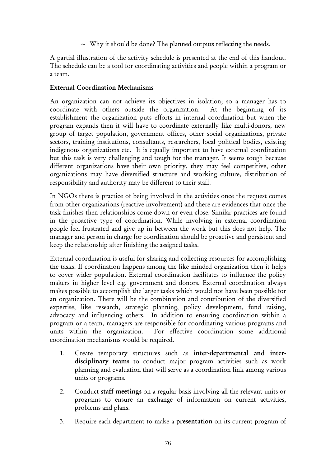$\sim$  Why it should be done? The planned outputs reflecting the needs.

A partial illustration of the activity schedule is presented at the end of this handout. The schedule can be a tool for coordinating activities and people within a program or a team.

#### External Coordination Mechanisms

An organization can not achieve its objectives in isolation; so a manager has to coordinate with others outside the organization. At the beginning of its establishment the organization puts efforts in internal coordination but when the program expands then it will have to coordinate externally like multi-donors, new group of target population, government offices, other social organizations, private sectors, training institutions, consultants, researchers, local political bodies, existing indigenous organizations etc. It is equally important to have external coordination but this task is very challenging and tough for the manager. It seems tough because different organizations have their own priority, they may feel competitive, other organizations may have diversified structure and working culture, distribution of responsibility and authority may be different to their staff.

In NGOs there is practice of being involved in the activities once the request comes from other organizations (reactive involvement) and there are evidences that once the task finishes then relationships come down or even close. Similar practices are found in the proactive type of coordination. While involving in external coordination people feel frustrated and give up in between the work but this does not help. The manager and person in charge for coordination should be proactive and persistent and keep the relationship after finishing the assigned tasks.

External coordination is useful for sharing and collecting resources for accomplishing the tasks. If coordination happens among the like minded organization then it helps to cover wider population. External coordination facilitates to influence the policy makers in higher level e.g. government and donors. External coordination always makes possible to accomplish the larger tasks which would not have been possible for an organization. There will be the combination and contribution of the diversified expertise, like research, strategic planning, policy development, fund raising, advocacy and influencing others. In addition to ensuring coordination within a program or a team, managers are responsible for coordinating various programs and units within the organization. For effective coordination some additional coordination mechanisms would be required.

- 1. Create temporary structures such as inter-departmental and interdisciplinary teams to conduct major program activities such as work planning and evaluation that will serve as a coordination link among various units or programs.
- 2. Conduct staff meetings on a regular basis involving all the relevant units or programs to ensure an exchange of information on current activities, problems and plans.
- 3. Require each department to make a presentation on its current program of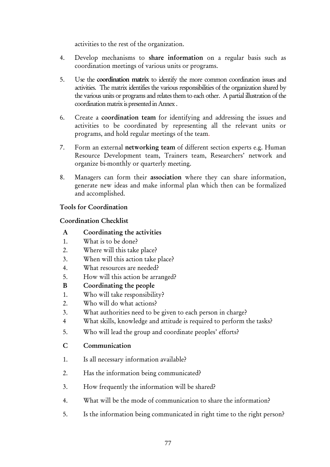activities to the rest of the organization.

- 4. Develop mechanisms to share information on a regular basis such as coordination meetings of various units or programs.
- 5. Use the coordination matrix to identify the more common coordination issues and activities. The matrix identifies the various responsibilities of the organization shared by the various units or programs and relates them to each other. A partial illustration of the coordination matrix is presented in Annex .
- 6. Create a coordination team for identifying and addressing the issues and activities to be coordinated by representing all the relevant units or programs, and hold regular meetings of the team.
- 7. Form an external networking team of different section experts e.g. Human Resource Development team, Trainers team, Researchers' network and organize bi-monthly or quarterly meeting.
- 8. Managers can form their association where they can share information, generate new ideas and make informal plan which then can be formalized and accomplished.

#### Tools for Coordination

#### Coordination Checklist

- A Coordinating the activities
- 1. What is to be done?
- 2. Where will this take place?
- 3. When will this action take place?
- 4. What resources are needed?
- 5. How will this action be arranged?
- B Coordinating the people
- 1. Who will take responsibility?
- 2. Who will do what actions?
- 3. What authorities need to be given to each person in charge?
- 4 What skills, knowledge and attitude is required to perform the tasks?
- 5. Who will lead the group and coordinate peoples' efforts?
- C Communication
- 1. Is all necessary information available?
- 2. Has the information being communicated?
- 3. How frequently the information will be shared?
- 4. What will be the mode of communication to share the information?
- 5. Is the information being communicated in right time to the right person?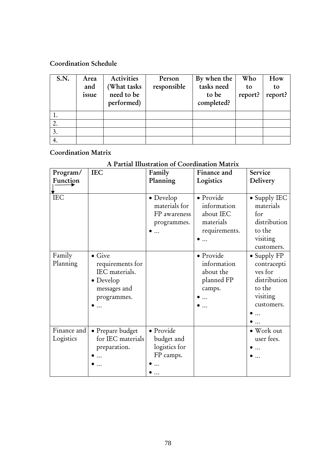#### Coordination Schedule

| S.N. | Area  | Activities  | Person      | By when the | Who     | How     |
|------|-------|-------------|-------------|-------------|---------|---------|
|      | and   | (What tasks | responsible | tasks need  | to      | to      |
|      | issue | need to be  |             | to be       | report? | report? |
|      |       | performed)  |             | completed?  |         |         |
|      |       |             |             |             |         |         |
| 2.   |       |             |             |             |         |         |
| 3.   |       |             |             |             |         |         |
| 4.   |       |             |             |             |         |         |

# Coordination Matrix

## A Partial Illustration of Coordination Matrix

| Program/<br>Function     | <b>IEC</b>                                                                                               | Family<br>Planning                                        | Finance and<br>Logistics                                            | Service<br>Delivery                                                                               |
|--------------------------|----------------------------------------------------------------------------------------------------------|-----------------------------------------------------------|---------------------------------------------------------------------|---------------------------------------------------------------------------------------------------|
| <b>IEC</b>               |                                                                                                          | • Develop<br>materials for<br>FP awareness<br>programmes. | · Provide<br>information<br>about IEC<br>materials<br>requirements. | $\bullet$ Supply IEC<br>materials<br>for<br>distribution<br>to the<br>visiting<br>customers.      |
| Family<br>Planning       | $\bullet$ Give<br>requirements for<br>IEC materials.<br>$\bullet$ Develop<br>messages and<br>programmes. |                                                           | • Provide<br>information<br>about the<br>planned FP<br>camps.       | $\bullet$ Supply FP<br>contracepti<br>ves for<br>distribution<br>to the<br>visiting<br>customers. |
| Finance and<br>Logistics | • Prepare budget<br>for IEC materials<br>preparation.                                                    | · Provide<br>budget and<br>logistics for<br>FP camps.     |                                                                     | • Work out<br>user fees.                                                                          |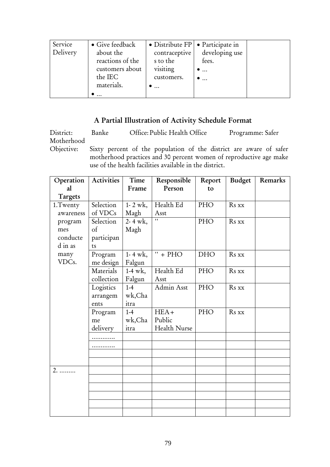| Service<br>Delivery | • Give feedback<br>about the<br>reactions of the<br>customers about<br>the IEC<br>materials. | $\bullet$ Distribute FP $\bullet$ Participate in<br>contraceptive<br>s to the<br>visiting<br>customers.<br>$\bullet$ | developing use<br>fees.<br>$\bullet$<br>$\bullet$ |  |
|---------------------|----------------------------------------------------------------------------------------------|----------------------------------------------------------------------------------------------------------------------|---------------------------------------------------|--|
|                     | $\cdots$                                                                                     |                                                                                                                      |                                                   |  |

# A Partial Illustration of Activity Schedule Format

| District:  | Banke                                                   | Office: Public Health Office | Programme: Safer                                                   |  |
|------------|---------------------------------------------------------|------------------------------|--------------------------------------------------------------------|--|
| Motherhood |                                                         |                              |                                                                    |  |
| Objective: |                                                         |                              | Sixty percent of the population of the district are aware of safer |  |
|            |                                                         |                              | motherhood practices and 30 percent women of reproductive age make |  |
|            | use of the health facilities available in the district. |                              |                                                                    |  |

| Operation | Activities | Time                | Responsible  | Report     | Budget | Remarks |
|-----------|------------|---------------------|--------------|------------|--------|---------|
| al        |            | Frame               | Person       | to         |        |         |
| Targets   |            |                     |              |            |        |         |
| 1.Twenty  | Selection  | $1 - 2$ wk,         | Health Ed    | PHO        | Rs xx  |         |
| awareness | of VDCs    | Magh                | Asst         |            |        |         |
| program   | Selection  | $2 - 4$ wk,         | $\mathbf{L}$ | PHO        | Rs xx  |         |
| mes       | $\circ$ f  | Magh                |              |            |        |         |
| conducte  | participan |                     |              |            |        |         |
| d in as   | ts         |                     |              |            |        |         |
| many      | Program    | $1 - 4 \text{ wk},$ | $" + PHO$    | <b>DHO</b> | Rs xx  |         |
| VDCs.     | me design  | Falgun              |              |            |        |         |
|           | Materials  | $1-4 \text{ wk}$ ,  | Health Ed    | PHO        | Rs xx  |         |
|           | collection | Falgun              | Asst         |            |        |         |
|           | Logistics  | $1-4$               | Admin Asst   | PHO        | Rs xx  |         |
|           | arrangem   | wk,Cha              |              |            |        |         |
|           | ents       | itra                |              |            |        |         |
|           | Program    | $1-4$               | $HEA+$       | PHO        | Rs xx  |         |
|           | me         | wk,Cha              | Public       |            |        |         |
|           | delivery   | itra                | Health Nurse |            |        |         |
|           |            |                     |              |            |        |         |
|           |            |                     |              |            |        |         |
|           |            |                     |              |            |        |         |
|           |            |                     |              |            |        |         |
| 2.        |            |                     |              |            |        |         |
|           |            |                     |              |            |        |         |
|           |            |                     |              |            |        |         |
|           |            |                     |              |            |        |         |
|           |            |                     |              |            |        |         |
|           |            |                     |              |            |        |         |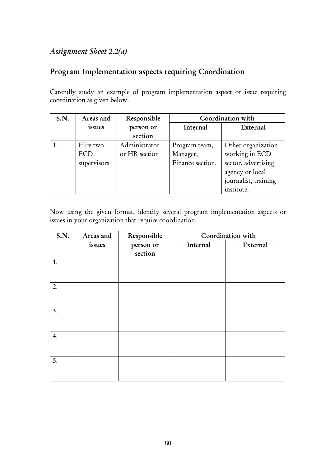# *Assignment Sheet 2.2(a)*

# Program Implementation aspects requiring Coordination

Carefully study an example of program implementation aspect or issue requiring coordination as given below.

| S.N. | Areas and   | Responsible   | Coordination with |                      |
|------|-------------|---------------|-------------------|----------------------|
|      | issues      | person or     | Internal          | External             |
|      |             | section       |                   |                      |
|      | Hire two    | Administrator | Program team,     | Other organization   |
|      | ECD         | or HR section | Manager,          | working in ECD       |
|      | supervisors |               | Finance section.  | sector, advertising  |
|      |             |               |                   | agency or local      |
|      |             |               |                   | journalist, training |
|      |             |               |                   | institute.           |

Now using the given format, identify several program implementation aspects or issues in your organization that require coordination.

| <b>S.N.</b> | Areas and | Responsible |          | Coordination with |
|-------------|-----------|-------------|----------|-------------------|
|             | issues    | person or   | Internal | External          |
|             |           | section     |          |                   |
| 1.          |           |             |          |                   |
|             |           |             |          |                   |
| 2.          |           |             |          |                   |
|             |           |             |          |                   |
|             |           |             |          |                   |
| 3.          |           |             |          |                   |
|             |           |             |          |                   |
|             |           |             |          |                   |
| 4.          |           |             |          |                   |
|             |           |             |          |                   |
| 5.          |           |             |          |                   |
|             |           |             |          |                   |
|             |           |             |          |                   |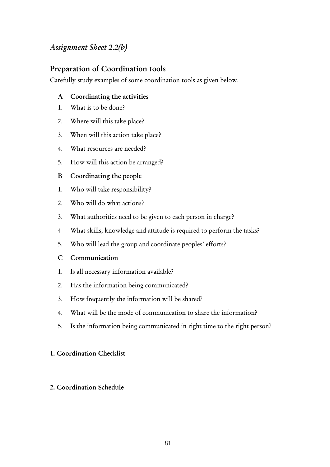# *Assignment Sheet 2.2(b)*

## Preparation of Coordination tools

Carefully study examples of some coordination tools as given below.

#### A Coordinating the activities

- 1. What is to be done?
- 2. Where will this take place?
- 3. When will this action take place?
- 4. What resources are needed?
- 5. How will this action be arranged?

## B Coordinating the people

- 1. Who will take responsibility?
- 2. Who will do what actions?
- 3. What authorities need to be given to each person in charge?
- 4 What skills, knowledge and attitude is required to perform the tasks?
- 5. Who will lead the group and coordinate peoples' efforts?
- C Communication
- 1. Is all necessary information available?
- 2. Has the information being communicated?
- 3. How frequently the information will be shared?
- 4. What will be the mode of communication to share the information?
- 5. Is the information being communicated in right time to the right person?

## 1. Coordination Checklist

## 2. Coordination Schedule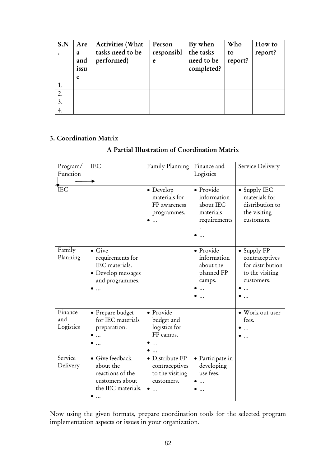| S.N | Are  | <b>Activities (What</b> | Person     | By when    | Who     | How to  |
|-----|------|-------------------------|------------|------------|---------|---------|
|     | a    | tasks need to be        | responsibl | the tasks  | to      | report? |
|     | and  | performed)              | e          | need to be | report? |         |
|     | issu |                         |            | completed? |         |         |
|     | e    |                         |            |            |         |         |
|     |      |                         |            |            |         |         |
| 2.  |      |                         |            |            |         |         |
| 3.  |      |                         |            |            |         |         |
| 4.  |      |                         |            |            |         |         |

#### 3. Coordination Matrix

#### A Partial Illustration of Coordination Matrix

| Program/<br>Function        | <b>IEC</b>                                                                                    | Family Planning                                                    | Finance and<br>Logistics                                           | Service Delivery                                                                   |
|-----------------------------|-----------------------------------------------------------------------------------------------|--------------------------------------------------------------------|--------------------------------------------------------------------|------------------------------------------------------------------------------------|
| <b>IEC</b>                  |                                                                                               | • Develop<br>materials for<br>FP awareness<br>programmes.          | • Provide<br>information<br>about IEC<br>materials<br>requirements | • Supply IEC<br>materials for<br>distribution to<br>the visiting<br>customers.     |
| Family<br>Planning          | $\bullet$ Give<br>requirements for<br>IEC materials.<br>• Develop messages<br>and programmes. |                                                                    | • Provide<br>information<br>about the<br>planned FP<br>camps.      | • Supply FP<br>contraceptives<br>for distribution<br>to the visiting<br>customers. |
| Finance<br>and<br>Logistics | · Prepare budget<br>for IEC materials<br>preparation.                                         | $\bullet$ Provide<br>budget and<br>logistics for<br>FP camps.      |                                                                    | · Work out user<br>fees.                                                           |
| Service<br>Delivery         | · Give feedback<br>about the<br>reactions of the<br>customers about<br>the IEC materials.     | · Distribute FP<br>contraceptives<br>to the visiting<br>customers. | · Participate in<br>developing<br>use fees.                        |                                                                                    |

Now using the given formats, prepare coordination tools for the selected program implementation aspects or issues in your organization.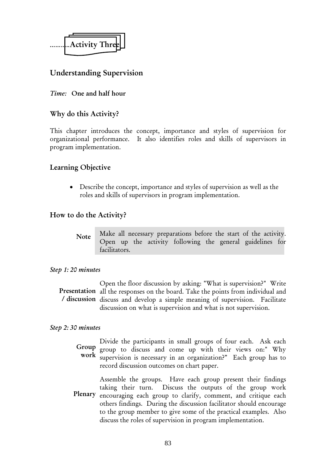

# Understanding Supervision

#### *Time:* One and half hour

#### Why do this Activity?

This chapter introduces the concept, importance and styles of supervision for organizational performance. It also identifies roles and skills of supervisors in program implementation.

#### Learning Objective

• Describe the concept, importance and styles of supervision as well as the roles and skills of supervisors in program implementation.

#### How to do the Activity?

Make all necessary preparations before the start of the activity. Open up the activity following the general guidelines for facilitators. Note

#### *Step 1: 20 minutes*

Open the floor discussion by asking: "What is supervision?" Write Presentation all the responses on the board. Take the points from individual and / discussion discuss and develop a simple meaning of supervision. Facilitate discussion on what is supervision and what is not supervision.

#### *Step 2: 30 minutes*

Divide the participants in small groups of four each. Ask each group to discuss and come up with their views on:" Why work supervision is necessary in an organization?" Each group has to record discussion outcomes on chart paper. Group

Assemble the groups. Have each group present their findings taking their turn. Discuss the outputs of the group work Plenary encouraging each group to clarify, comment, and critique each others findings. During the discussion facilitator should encourage to the group member to give some of the practical examples. Also

discuss the roles of supervision in program implementation.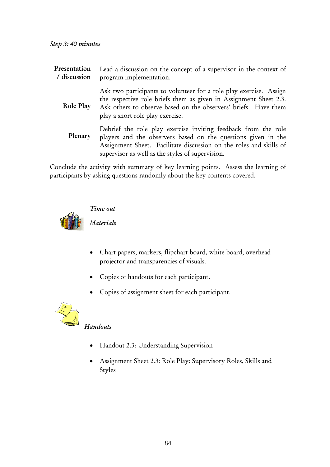| Presentation<br>/ discussion | Lead a discussion on the concept of a supervisor in the context of<br>program implementation.                                                                                                                                                             |
|------------------------------|-----------------------------------------------------------------------------------------------------------------------------------------------------------------------------------------------------------------------------------------------------------|
| Role Play                    | Ask two participants to volunteer for a role play exercise. Assign<br>the respective role briefs them as given in Assignment Sheet 2.3.<br>Ask others to observe based on the observers' briefs. Have them<br>play a short role play exercise.            |
| Plenary                      | Debrief the role play exercise inviting feedback from the role<br>players and the observers based on the questions given in the<br>Assignment Sheet. Facilitate discussion on the roles and skills of<br>supervisor as well as the styles of supervision. |
|                              |                                                                                                                                                                                                                                                           |

Conclude the activity with summary of key learning points. Assess the learning of participants by asking questions randomly about the key contents covered.



*Time out* 

*Materials* 

- Chart papers, markers, flipchart board, white board, overhead projector and transparencies of visuals.
- Copies of handouts for each participant.
- Copies of assignment sheet for each participant.



# *Handouts*

- Handout 2.3: Understanding Supervision
- Assignment Sheet 2.3: Role Play: Supervisory Roles, Skills and Styles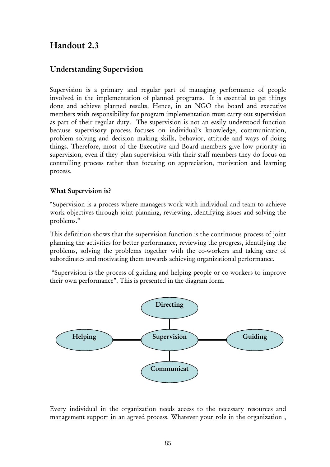# Handout 2.3

# Understanding Supervision

Supervision is a primary and regular part of managing performance of people involved in the implementation of planned programs. It is essential to get things done and achieve planned results. Hence, in an NGO the board and executive members with responsibility for program implementation must carry out supervision as part of their regular duty. The supervision is not an easily understood function because supervisory process focuses on individual's knowledge, communication, problem solving and decision making skills, behavior, attitude and ways of doing things. Therefore, most of the Executive and Board members give low priority in supervision, even if they plan supervision with their staff members they do focus on controlling process rather than focusing on appreciation, motivation and learning process.

#### What Supervision is?

"Supervision is a process where managers work with individual and team to achieve work objectives through joint planning, reviewing, identifying issues and solving the problems."

This definition shows that the supervision function is the continuous process of joint planning the activities for better performance, reviewing the progress, identifying the problems, solving the problems together with the co-workers and taking care of subordinates and motivating them towards achieving organizational performance.

 "Supervision is the process of guiding and helping people or co-workers to improve their own performance". This is presented in the diagram form.



Every individual in the organization needs access to the necessary resources and management support in an agreed process. Whatever your role in the organization ,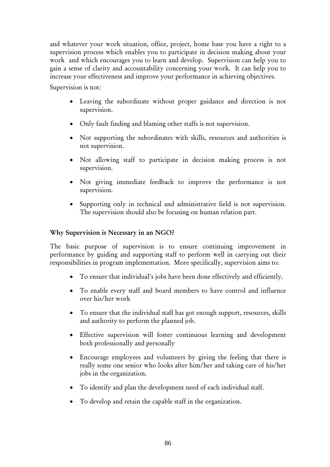and whatever your work situation, office, project, home base you have a right to a supervision process which enables you to participate in decision making about your work and which encourages you to learn and develop. Supervision can help you to gain a sense of clarity and accountability concerning your work. It can help you to increase your effectiveness and improve your performance in achieving objectives.

Supervision is not:

- Leaving the subordinate without proper guidance and direction is not supervision.
- Only fault finding and blaming other staffs is not supervision.
- Not supporting the subordinates with skills, resources and authorities is not supervision.
- Not allowing staff to participate in decision making process is not supervision.
- Not giving immediate feedback to improve the performance is not supervision.
- Supporting only in technical and administrative field is not supervision. The supervision should also be focusing on human relation part.

#### Why Supervision is Necessary in an NGO?

The basic purpose of supervision is to ensure continuing improvement in performance by guiding and supporting staff to perform well in carrying out their responsibilities in program implementation. More specifically, supervision aims to:

- To ensure that individual's jobs have been done effectively and efficiently.
- To enable every staff and board members to have control and influence over his/her work
- To ensure that the individual staff has got enough support, resources, skills and authority to perform the planned job.
- Effective supervision will foster continuous learning and development both professionally and personally
- Encourage employees and volunteers by giving the feeling that there is really some one senior who looks after him/her and taking care of his/her jobs in the organization.
- To identify and plan the development need of each individual staff.
- To develop and retain the capable staff in the organization.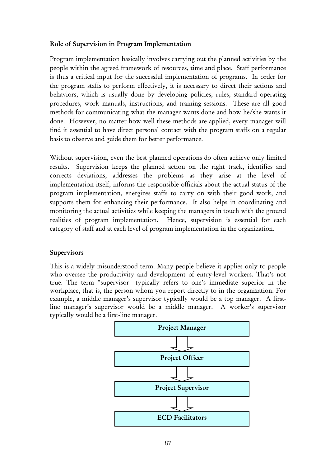#### Role of Supervision in Program Implementation

Program implementation basically involves carrying out the planned activities by the people within the agreed framework of resources, time and place. Staff performance is thus a critical input for the successful implementation of programs. In order for the program staffs to perform effectively, it is necessary to direct their actions and behaviors, which is usually done by developing policies, rules, standard operating procedures, work manuals, instructions, and training sessions. These are all good methods for communicating what the manager wants done and how he/she wants it done. However, no matter how well these methods are applied, every manager will find it essential to have direct personal contact with the program staffs on a regular basis to observe and guide them for better performance.

Without supervision, even the best planned operations do often achieve only limited results. Supervision keeps the planned action on the right track, identifies and corrects deviations, addresses the problems as they arise at the level of implementation itself, informs the responsible officials about the actual status of the program implementation, energizes staffs to carry on with their good work, and supports them for enhancing their performance. It also helps in coordinating and monitoring the actual activities while keeping the managers in touch with the ground realities of program implementation. Hence, supervision is essential for each category of staff and at each level of program implementation in the organization.

#### Supervisors

This is a widely misunderstood term. Many people believe it applies only to people who oversee the productivity and development of entry-level workers. That's not true. The term "supervisor" typically refers to one's immediate superior in the workplace, that is, the person whom you report directly to in the organization. For example, a middle manager's supervisor typically would be a top manager. A firstline manager's supervisor would be a middle manager. A worker's supervisor typically would be a first-line manager.

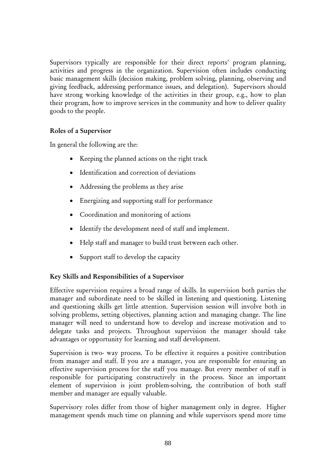Supervisors typically are responsible for their direct reports' program planning, activities and progress in the organization. Supervision often includes conducting basic management skills (decision making, problem solving, planning, observing and giving feedback, addressing performance issues, and delegation). Supervisors should have strong working knowledge of the activities in their group, e.g., how to plan their program, how to improve services in the community and how to deliver quality goods to the people.

#### Roles of a Supervisor

In general the following are the:

- Keeping the planned actions on the right track
- Identification and correction of deviations
- Addressing the problems as they arise
- Energizing and supporting staff for performance
- Coordination and monitoring of actions
- Identify the development need of staff and implement.
- Help staff and manager to build trust between each other.
- Support staff to develop the capacity

#### Key Skills and Responsibilities of a Supervisor

Effective supervision requires a broad range of skills. In supervision both parties the manager and subordinate need to be skilled in listening and questioning. Listening and questioning skills get little attention. Supervision session will involve both in solving problems, setting objectives, planning action and managing change. The line manager will need to understand how to develop and increase motivation and to delegate tasks and projects. Throughout supervision the manager should take advantages or opportunity for learning and staff development.

Supervision is two- way process. To be effective it requires a positive contribution from manager and staff. If you are a manager, you are responsible for ensuring an effective supervision process for the staff you manage. But every member of staff is responsible for participating constructively in the process. Since an important element of supervision is joint problem-solving, the contribution of both staff member and manager are equally valuable.

Supervisory roles differ from those of higher management only in degree. Higher management spends much time on planning and while supervisors spend more time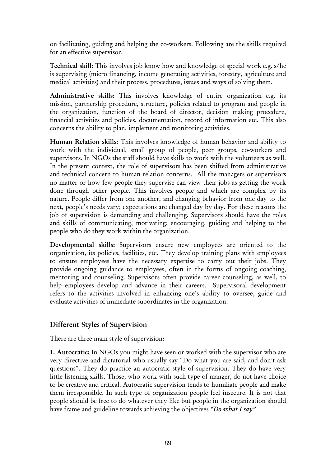on facilitating, guiding and helping the co-workers. Following are the skills required for an effective supervisor.

Technical skill: This involves job know how and knowledge of special work e.g. s/he is supervising (micro financing, income generating activities, forestry, agriculture and medical activities) and their process, procedures, issues and ways of solving them.

Administrative skills: This involves knowledge of entire organization e.g. its mission, partnership procedure, structure, policies related to program and people in the organization, function of the board of director, decision making procedure, financial activities and policies, documentation, record of information etc. This also concerns the ability to plan, implement and monitoring activities.

Human Relation skills: This involves knowledge of human behavior and ability to work with the individual, small group of people, peer groups, co-workers and supervisors. In NGOs the staff should have skills to work with the volunteers as well. In the present context, the role of supervisors has been shifted from administrative and technical concern to human relation concerns. All the managers or supervisors no matter or how few people they supervise can view their jobs as getting the work done through other people. This involves people and which are complex by its nature. People differ from one another, and changing behavior from one day to the next, people's needs vary; expectations are changed day by day. For these reasons the job of supervision is demanding and challenging. Supervisors should have the roles and skills of communicating, motivating; encouraging, guiding and helping to the people who do they work within the organization.

Developmental skills: Supervisors ensure new employees are oriented to the organization, its policies, facilities, etc. They develop training plans with employees to ensure employees have the necessary expertise to carry out their jobs. They provide ongoing guidance to employees, often in the forms of ongoing coaching, mentoring and counseling. Supervisors often provide career counseling, as well, to help employees develop and advance in their careers. Supervisoral development refers to the activities involved in enhancing one's ability to oversee, guide and evaluate activities of immediate subordinates in the organization.

#### Different Styles of Supervision

There are three main style of supervision:

1. Autocratic: In NGOs you might have seen or worked with the supervisor who are very directive and dictatorial who usually say "Do what you are said, and don't ask questions". They do practice an autocratic style of supervision. They do have very little listening skills. Those, who work with such type of manger, do not have choice to be creative and critical. Autocratic supervision tends to humiliate people and make them irresponsible. In such type of organization people feel insecure. It is not that people should be free to do whatever they like but people in the organization should have frame and guideline towards achieving the objectives *"Do what I say"*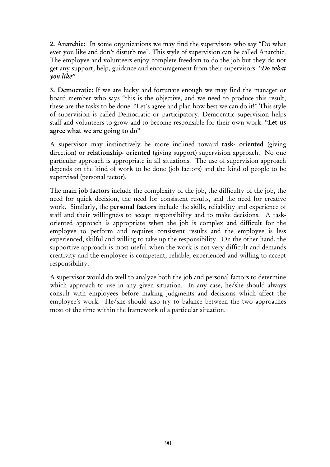2. Anarchic: In some organizations we may find the supervisors who say "Do what ever you like and don't disturb me". This style of supervision can be called Anarchic. The employee and volunteers enjoy complete freedom to do the job but they do not get any support, help, guidance and encouragement from their supervisors. *"Do what you like"* 

3. Democratic: If we are lucky and fortunate enough we may find the manager or board member who says "this is the objective, and we need to produce this result, these are the tasks to be done. "Let's agree and plan how best we can do it!" This style of supervision is called Democratic or participatory. Democratic supervision helps staff and volunteers to grow and to become responsible for their own work. "Let us agree what we are going to do"

A supervisor may instinctively be more inclined toward task- oriented (giving direction) or relationship- oriented (giving support) supervision approach. No one particular approach is appropriate in all situations. The use of supervision approach depends on the kind of work to be done (job factors) and the kind of people to be supervised (personal factor).

The main job factors include the complexity of the job, the difficulty of the job, the need for quick decision, the need for consistent results, and the need for creative work. Similarly, the personal factors include the skills, reliability and experience of staff and their willingness to accept responsibility and to make decisions. A taskoriented approach is appropriate when the job is complex and difficult for the employee to perform and requires consistent results and the employee is less experienced, skilful and willing to take up the responsibility. On the other hand, the supportive approach is most useful when the work is not very difficult and demands creativity and the employee is competent, reliable, experienced and willing to accept responsibility.

A supervisor would do well to analyze both the job and personal factors to determine which approach to use in any given situation. In any case, he/she should always consult with employees before making judgments and decisions which affect the employee's work. He/she should also try to balance between the two approaches most of the time within the framework of a particular situation.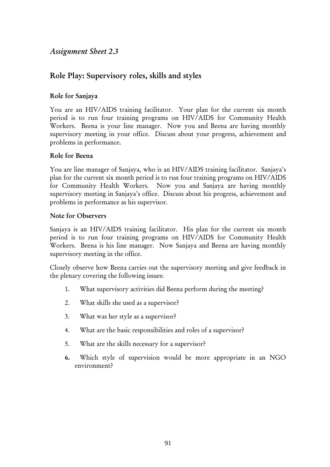### *Assignment Sheet 2.3*

# Role Play: Supervisory roles, skills and styles

#### Role for Sanjaya

You are an HIV/AIDS training facilitator. Your plan for the current six month period is to run four training programs on HIV/AIDS for Community Health Workers. Beena is your line manager. Now you and Beena are having monthly supervisory meeting in your office. Discuss about your progress, achievement and problems in performance.

#### Role for Beena

You are line manager of Sanjaya, who is an HIV/AIDS training facilitator. Sanjaya's plan for the current six month period is to run four training programs on HIV/AIDS for Community Health Workers. Now you and Sanjaya are having monthly supervisory meeting in Sanjaya's office. Discuss about his progress, achievement and problems in performance as his supervisor.

#### Note for Observers

Sanjaya is an HIV/AIDS training facilitator. His plan for the current six month period is to run four training programs on HIV/AIDS for Community Health Workers. Beena is his line manager. Now Sanjaya and Beena are having monthly supervisory meeting in the office.

Closely observe how Beena carries out the supervisory meeting and give feedback in the plenary covering the following issues:

- 1. What supervisory activities did Beena perform during the meeting?
- 2. What skills she used as a supervisor?
- 3. What was her style as a supervisor?
- 4. What are the basic responsibilities and roles of a supervisor?
- 5. What are the skills necessary for a supervisor?
- 6. Which style of supervision would be more appropriate in an NGO environment?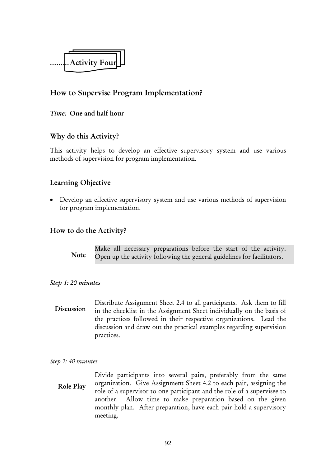

## How to Supervise Program Implementation?

#### *Time:* One and half hour

#### Why do this Activity?

This activity helps to develop an effective supervisory system and use various methods of supervision for program implementation.

#### Learning Objective

• Develop an effective supervisory system and use various methods of supervision for program implementation.

#### How to do the Activity?

Make all necessary preparations before the start of the activity. Open up the activity following the general guidelines for facilitators. Note

#### *Step 1: 20 minutes*

Distribute Assignment Sheet 2.4 to all participants. Ask them to fill in the checklist in the Assignment Sheet individually on the basis of the practices followed in their respective organizations. Lead the discussion and draw out the practical examples regarding supervision practices. Discussion

#### *Step 2: 40 minutes*

Divide participants into several pairs, preferably from the same organization. Give Assignment Sheet 4.2 to each pair, assigning the role of a supervisor to one participant and the role of a supervisee to another. Allow time to make preparation based on the given monthly plan. After preparation, have each pair hold a supervisory meeting. Role Play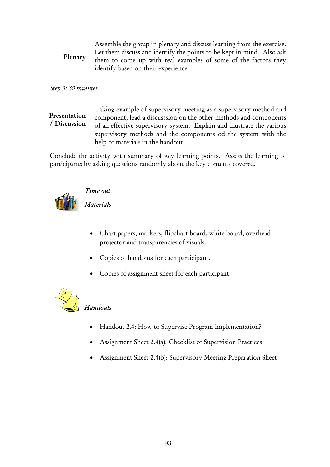Assemble the group in plenary and discuss learning from the exercise. Let them discuss and identify the points to be kept in mind. Also ask them to come up with real examples of some of the factors they identify based on their experience. Plenary

#### *Step 3: 30 minutes*

Taking example of supervisory meeting as a supervisory method and component, lead a discusssion on the other methods and components of an effective supervisory system. Explain and illustrate the various supervisory methods and the components od the system with the help of materials in the handout. Presentation / Discussion

Conclude the activity with summary of key learning points. Assess the learning of participants by asking questions randomly about the key contents covered.



#### *Time out*

*Materials* 

- Chart papers, markers, flipchart board, white board, overhead projector and transparencies of visuals.
- Copies of handouts for each participant.
- Copies of assignment sheet for each participant.

# *Handouts*

- Handout 2.4: How to Supervise Program Implementation?
- Assignment Sheet 2.4(a): Checklist of Supervision Practices
- Assignment Sheet 2.4(b): Supervisory Meeting Preparation Sheet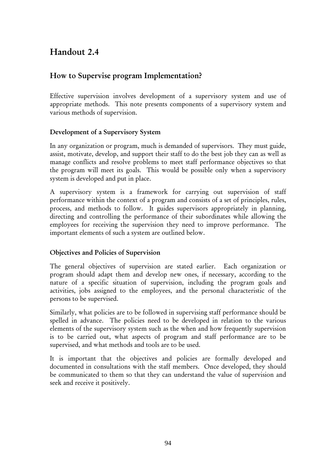# Handout 2.4

# How to Supervise program Implementation?

Effective supervision involves development of a supervisory system and use of appropriate methods. This note presents components of a supervisory system and various methods of supervision.

#### Development of a Supervisory System

In any organization or program, much is demanded of supervisors. They must guide, assist, motivate, develop, and support their staff to do the best job they can as well as manage conflicts and resolve problems to meet staff performance objectives so that the program will meet its goals. This would be possible only when a supervisory system is developed and put in place.

A supervisory system is a framework for carrying out supervision of staff performance within the context of a program and consists of a set of principles, rules, process, and methods to follow. It guides supervisors appropriately in planning, directing and controlling the performance of their subordinates while allowing the employees for receiving the supervision they need to improve performance. The important elements of such a system are outlined below.

#### Objectives and Policies of Supervision

The general objectives of supervision are stated earlier. Each organization or program should adapt them and develop new ones, if necessary, according to the nature of a specific situation of supervision, including the program goals and activities, jobs assigned to the employees, and the personal characteristic of the persons to be supervised.

Similarly, what policies are to be followed in supervising staff performance should be spelled in advance. The policies need to be developed in relation to the various elements of the supervisory system such as the when and how frequently supervision is to be carried out, what aspects of program and staff performance are to be supervised, and what methods and tools are to be used.

It is important that the objectives and policies are formally developed and documented in consultations with the staff members. Once developed, they should be communicated to them so that they can understand the value of supervision and seek and receive it positively.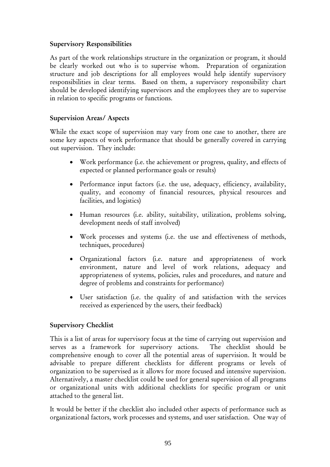#### Supervisory Responsibilities

As part of the work relationships structure in the organization or program, it should be clearly worked out who is to supervise whom. Preparation of organization structure and job descriptions for all employees would help identify supervisory responsibilities in clear terms. Based on them, a supervisory responsibility chart should be developed identifying supervisors and the employees they are to supervise in relation to specific programs or functions.

#### Supervision Areas/ Aspects

While the exact scope of supervision may vary from one case to another, there are some key aspects of work performance that should be generally covered in carrying out supervision. They include:

- Work performance (i.e. the achievement or progress, quality, and effects of expected or planned performance goals or results)
- Performance input factors (i.e. the use, adequacy, efficiency, availability, quality, and economy of financial resources, physical resources and facilities, and logistics)
- Human resources (i.e. ability, suitability, utilization, problems solving, development needs of staff involved)
- Work processes and systems (i.e. the use and effectiveness of methods, techniques, procedures)
- Organizational factors (i.e. nature and appropriateness of work environment, nature and level of work relations, adequacy and appropriateness of systems, policies, rules and procedures, and nature and degree of problems and constraints for performance)
- User satisfaction (i.e. the quality of and satisfaction with the services received as experienced by the users, their feedback)

#### Supervisory Checklist

This is a list of areas for supervisory focus at the time of carrying out supervision and serves as a framework for supervisory actions. The checklist should be comprehensive enough to cover all the potential areas of supervision. It would be advisable to prepare different checklists for different programs or levels of organization to be supervised as it allows for more focused and intensive supervision. Alternatively, a master checklist could be used for general supervision of all programs or organizational units with additional checklists for specific program or unit attached to the general list.

It would be better if the checklist also included other aspects of performance such as organizational factors, work processes and systems, and user satisfaction. One way of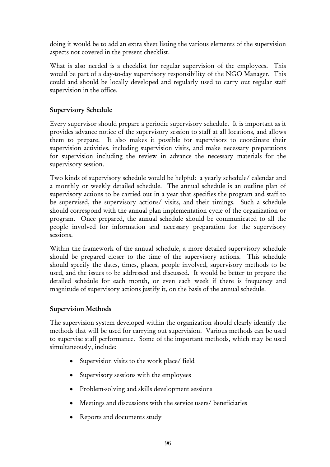doing it would be to add an extra sheet listing the various elements of the supervision aspects not covered in the present checklist.

What is also needed is a checklist for regular supervision of the employees. This would be part of a day-to-day supervisory responsibility of the NGO Manager. This could and should be locally developed and regularly used to carry out regular staff supervision in the office.

#### Supervisory Schedule

Every supervisor should prepare a periodic supervisory schedule. It is important as it provides advance notice of the supervisory session to staff at all locations, and allows them to prepare. It also makes it possible for supervisors to coordinate their supervision activities, including supervision visits, and make necessary preparations for supervision including the review in advance the necessary materials for the supervisory session.

Two kinds of supervisory schedule would be helpful: a yearly schedule/ calendar and a monthly or weekly detailed schedule. The annual schedule is an outline plan of supervisory actions to be carried out in a year that specifies the program and staff to be supervised, the supervisory actions/ visits, and their timings. Such a schedule should correspond with the annual plan implementation cycle of the organization or program. Once prepared, the annual schedule should be communicated to all the people involved for information and necessary preparation for the supervisory sessions.

Within the framework of the annual schedule, a more detailed supervisory schedule should be prepared closer to the time of the supervisory actions. This schedule should specify the dates, times, places, people involved, supervisory methods to be used, and the issues to be addressed and discussed. It would be better to prepare the detailed schedule for each month, or even each week if there is frequency and magnitude of supervisory actions justify it, on the basis of the annual schedule.

#### Supervision Methods

The supervision system developed within the organization should clearly identify the methods that will be used for carrying out supervision. Various methods can be used to supervise staff performance. Some of the important methods, which may be used simultaneously, include:

- Supervision visits to the work place/ field
- Supervisory sessions with the employees
- Problem-solving and skills development sessions
- Meetings and discussions with the service users/ beneficiaries
- Reports and documents study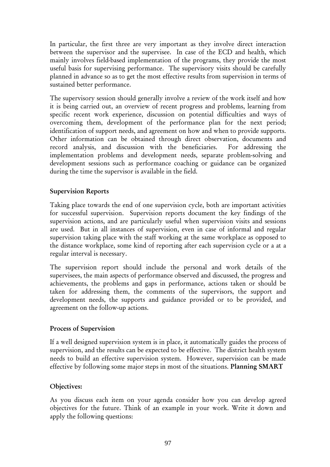In particular, the first three are very important as they involve direct interaction between the supervisor and the supervisee. In case of the ECD and health, which mainly involves field-based implementation of the programs, they provide the most useful basis for supervising performance. The supervisory visits should be carefully planned in advance so as to get the most effective results from supervision in terms of sustained better performance.

The supervisory session should generally involve a review of the work itself and how it is being carried out, an overview of recent progress and problems, learning from specific recent work experience, discussion on potential difficulties and ways of overcoming them, development of the performance plan for the next period; identification of support needs, and agreement on how and when to provide supports. Other information can be obtained through direct observation, documents and record analysis, and discussion with the beneficiaries. For addressing the implementation problems and development needs, separate problem-solving and development sessions such as performance coaching or guidance can be organized during the time the supervisor is available in the field.

#### Supervision Reports

Taking place towards the end of one supervision cycle, both are important activities for successful supervision. Supervision reports document the key findings of the supervision actions, and are particularly useful when supervision visits and sessions are used. But in all instances of supervision, even in case of informal and regular supervision taking place with the staff working at the same workplace as opposed to the distance workplace, some kind of reporting after each supervision cycle or a at a regular interval is necessary.

The supervision report should include the personal and work details of the supervisees, the main aspects of performance observed and discussed, the progress and achievements, the problems and gaps in performance, actions taken or should be taken for addressing them, the comments of the supervisors, the support and development needs, the supports and guidance provided or to be provided, and agreement on the follow-up actions.

#### Process of Supervision

If a well designed supervision system is in place, it automatically guides the process of supervision, and the results can be expected to be effective. The district health system needs to build an effective supervision system. However, supervision can be made effective by following some major steps in most of the situations. Planning SMART

#### Objectives:

As you discuss each item on your agenda consider how you can develop agreed objectives for the future. Think of an example in your work. Write it down and apply the following questions: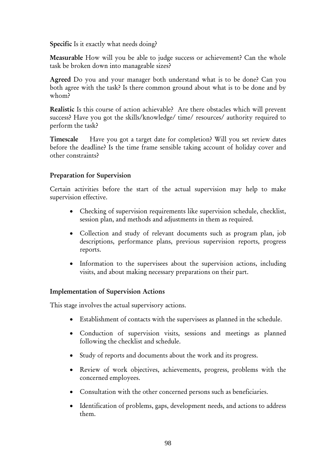Specific Is it exactly what needs doing?

Measurable How will you be able to judge success or achievement? Can the whole task be broken down into manageable sizes?

Agreed Do you and your manager both understand what is to be done? Can you both agree with the task? Is there common ground about what is to be done and by whom?

Realistic Is this course of action achievable? Are there obstacles which will prevent success? Have you got the skills/knowledge/ time/ resources/ authority required to perform the task?

Timescale Have you got a target date for completion? Will you set review dates before the deadline? Is the time frame sensible taking account of holiday cover and other constraints?

#### Preparation for Supervision

Certain activities before the start of the actual supervision may help to make supervision effective.

- Checking of supervision requirements like supervision schedule, checklist, session plan, and methods and adjustments in them as required.
- Collection and study of relevant documents such as program plan, job descriptions, performance plans, previous supervision reports, progress reports.
- Information to the supervisees about the supervision actions, including visits, and about making necessary preparations on their part.

#### Implementation of Supervision Actions

This stage involves the actual supervisory actions.

- Establishment of contacts with the supervisees as planned in the schedule.
- Conduction of supervision visits, sessions and meetings as planned following the checklist and schedule.
- Study of reports and documents about the work and its progress.
- Review of work objectives, achievements, progress, problems with the concerned employees.
- Consultation with the other concerned persons such as beneficiaries.
- Identification of problems, gaps, development needs, and actions to address them.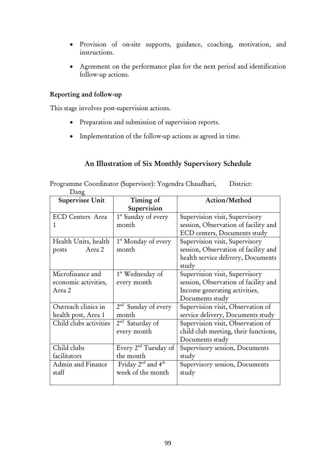- Provision of on-site supports, guidance, coaching, motivation, and instructions.
- Agreement on the performance plan for the next period and identification follow-up actions.

#### Reporting and follow-up

This stage involves post-supervision actions.

- Preparation and submission of supervision reports.
- Implementation of the follow-up actions as agreed in time.

#### An Illustration of Six Monthly Supervisory Schedule

| Dang                    |                                  |                                      |
|-------------------------|----------------------------------|--------------------------------------|
| Supervisee Unit         | Timing of                        | Action/Method                        |
|                         | Supervision                      |                                      |
| <b>ECD Centers Area</b> | 1 <sup>st</sup> Sunday of every  | Supervision visit, Supervisory       |
| 1                       | month                            | session, Observation of facility and |
|                         |                                  | ECD centers, Documents study         |
| Health Units, health    | 1 <sup>st</sup> Monday of every  | Supervision visit, Supervisory       |
| Area 2<br>posts         | month                            | session, Observation of facility and |
|                         |                                  | health service delivery, Documents   |
|                         |                                  | study                                |
| Microfinance and        | 1 <sup>st</sup> Wednesday of     | Supervision visit, Supervisory       |
| economic activities,    | every month                      | session, Observation of facility and |
| Area 2                  |                                  | Income generating activities,        |
|                         |                                  | Documents study                      |
| Outreach clinics in     | $2nd$ Sunday of every            | Supervision visit, Observation of    |
| health post, Area 1     | month                            | service delivery, Documents study    |
| Child clubs activities  | 2 <sup>nd</sup> Saturday of      | Supervision visit, Observation of    |
|                         | every month                      | child club meeting, their functions, |
|                         |                                  | Documents study                      |
| Child clubs             | Every 2 <sup>nd</sup> Tuesday of | Supervisory session, Documents       |
| facilitators            | the month                        | study                                |
| Admin and Finance       | Friday $2nd$ and $4th$           | Supervisory session, Documents       |
| staff                   | week of the month                | study                                |
|                         |                                  |                                      |

Programme Coordinator (Supervisor): Yogendra Chaudhari, District: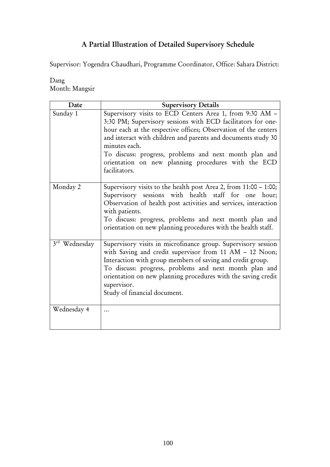# A Partial Illustration of Detailed Supervisory Schedule

Supervisor: Yogendra Chaudhari, Programme Coordinator, Office: Sahara District:

| Dang |                |
|------|----------------|
|      | Month: Mangsir |

| Date                         | <b>Supervisory Details</b>                                                                                                                                                                                                                                                                                                                                                                                      |
|------------------------------|-----------------------------------------------------------------------------------------------------------------------------------------------------------------------------------------------------------------------------------------------------------------------------------------------------------------------------------------------------------------------------------------------------------------|
| Sunday 1                     | Supervisory visits to ECD Centers Area 1, from 9:30 AM -<br>3:30 PM; Supervisory sessions with ECD facilitators for one-<br>hour each at the respective offices; Observation of the centers<br>and interact with children and parents and documents study 30<br>minutes each.<br>To discuss: progress, problems and next month plan and<br>orientation on new planning procedures with the ECD<br>facilitators. |
| Monday 2                     | Supervisory visits to the health post Area 2, from 11:00 - 1:00;<br>Supervisory sessions with health staff for one hour;<br>Observation of health post activities and services, interaction<br>with patients.<br>To discuss: progress, problems and next month plan and<br>orientation on new planning procedures with the health staff.                                                                        |
| $3^{\text{rd}}$<br>Wednesday | Supervisory visits in microfinance group. Supervisory session<br>with Saving and credit supervisor from 11 AM - 12 Noon;<br>Interaction with group members of saving and credit group.<br>To discuss: progress, problems and next month plan and<br>orientation on new planning procedures with the saving credit<br>supervisor.<br>Study of financial document.                                                |
| Wednesday 4                  |                                                                                                                                                                                                                                                                                                                                                                                                                 |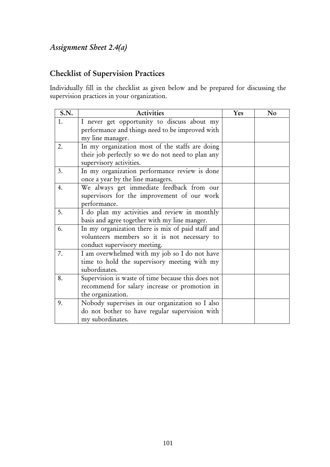# *Assignment Sheet 2.4(a)*

# Checklist of Supervision Practices

Individually fill in the checklist as given below and be prepared for discussing the supervision practices in your organization.

| <b>S.N.</b> | <b>Activities</b>                                                                                                                 | Yes | N <sub>o</sub> |
|-------------|-----------------------------------------------------------------------------------------------------------------------------------|-----|----------------|
| 1.          | I never get opportunity to discuss about my<br>performance and things need to be improved with<br>my line manager.                |     |                |
| 2.          | In my organization most of the staffs are doing<br>their job perfectly so we do not need to plan any<br>supervisory activities.   |     |                |
| 3.          | In my organization performance review is done<br>once a year by the line managers.                                                |     |                |
| 4.          | We always get immediate feedback from our<br>supervisors for the improvement of our work<br>performance.                          |     |                |
| 5.          | I do plan my activities and review in monthly<br>basis and agree together with my line manger.                                    |     |                |
| 6.          | In my organization there is mix of paid staff and<br>volunteers members so it is not necessary to<br>conduct supervisory meeting. |     |                |
| 7.          | I am overwhelmed with my job so I do not have<br>time to hold the supervisory meeting with my<br>subordinates.                    |     |                |
| 8.          | Supervision is waste of time because this does not<br>recommend for salary increase or promotion in<br>the organization.          |     |                |
| 9.          | Nobody supervises in our organization so I also<br>do not bother to have regular supervision with<br>my subordinates.             |     |                |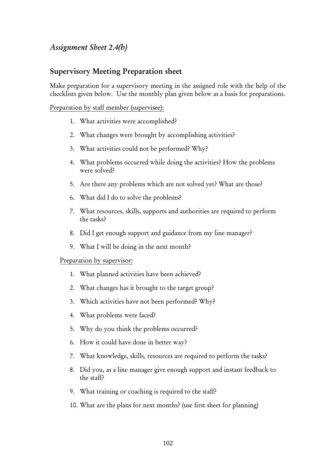#### *Assignment Sheet 2.4(b)*

#### Supervisory Meeting Preparation sheet

Make preparation for a supervisory meeting in the assigned role with the help of the checklists given below. Use the monthly plan given below as a basis for preparations.

Preparation by staff member (supervisee):

- 1. What activities were accomplished?
- 2. What changes were brought by accomplishing activities?
- 3. What activities could not be performed? Why?
- 4. What problems occurred while doing the activities? How the problems were solved?
- 5. Are there any problems which are not solved yet? What are those?
- 6. What did I do to solve the problems?
- 7. What resources, skills, supports and authorities are required to perform the tasks?
- 8. Did I get enough support and guidance from my line manager?
- 9. What I will be doing in the next month?

#### Preparation by supervisor:

- 1. What planned activities have been achieved?
- 2. What changes has it brought to the target group?
- 3. Which activities have not been performed? Why?
- 4. What problems were faced?
- 5. Why do you think the problems occurred?
- 6. How it could have done in better way?
- 7. What knowledge, skills, resources are required to perform the tasks?
- 8. Did you, as a line manager give enough support and instant feedback to the staff?
- 9. What training or coaching is required to the staff?
- 10. What are the plans for next months? (use first sheet for planning)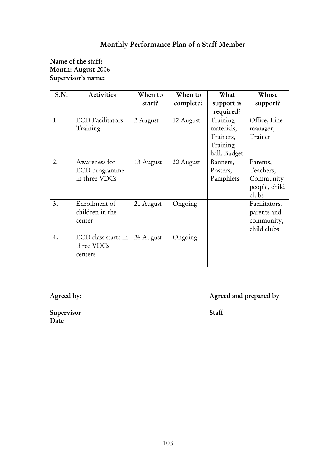# Monthly Performance Plan of a Staff Member

#### Name of the staff: Month: August 2006 Supervisor's name:

| S.N. | <b>Activities</b>       | When to   | When to   | What         | Whose         |
|------|-------------------------|-----------|-----------|--------------|---------------|
|      |                         | start?    | complete? | support is   | support?      |
|      |                         |           |           | required?    |               |
| 1.   | <b>ECD</b> Facilitators | 2 August  | 12 August | Training     | Office, Line  |
|      | Training                |           |           | materials,   | manager,      |
|      |                         |           |           | Trainers,    | Trainer       |
|      |                         |           |           | Training     |               |
|      |                         |           |           | hall. Budget |               |
| 2.   | Awareness for           | 13 August | 20 August | Banners,     | Parents,      |
|      | ECD programme           |           |           | Posters,     | Teachers,     |
|      | in three VDCs           |           |           | Pamphlets    | Community     |
|      |                         |           |           |              | people, child |
|      |                         |           |           |              | clubs         |
| 3.   | Enrollment of           | 21 August | Ongoing   |              | Facilitators, |
|      | children in the         |           |           |              | parents and   |
|      | center                  |           |           |              | community,    |
|      |                         |           |           |              | child clubs   |
| 4.   | ECD class starts in     | 26 August | Ongoing   |              |               |
|      | three VDCs              |           |           |              |               |
|      | centers                 |           |           |              |               |
|      |                         |           |           |              |               |

Agreed by: Agreed and prepared by Agreed and prepared by

Supervisor Staff Date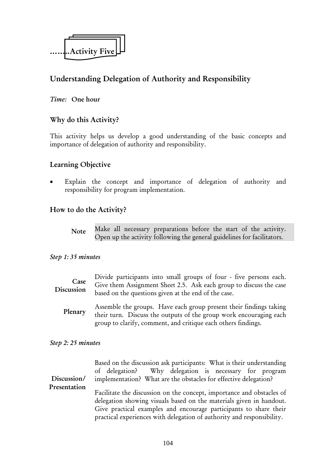

# Understanding Delegation of Authority and Responsibility

## *Time:* One hour

## Why do this Activity?

This activity helps us develop a good understanding of the basic concepts and importance of delegation of authority and responsibility.

## Learning Objective

Explain the concept and importance of delegation of authority and responsibility for program implementation.

## How to do the Activity?

Make all necessary preparations before the start of the activity. Open up the activity following the general guidelines for facilitators. Note

## *Step 1: 35 minutes*

Assemble the groups. Have each group present their findings taking their turn. Discuss the outputs of the group work encouraging each group to clarify, comment, and critique each others findings. Plenary

#### *Step 2: 25 minutes*

|              | Based on the discussion ask participants: What is their understanding<br>of delegation? Why delegation is necessary for program |  |  |  |  |
|--------------|---------------------------------------------------------------------------------------------------------------------------------|--|--|--|--|
| Discussion/  | implementation? What are the obstacles for effective delegation?                                                                |  |  |  |  |
| Presentation |                                                                                                                                 |  |  |  |  |
|              | Facilitate the discussion on the concept, importance and obstacles of                                                           |  |  |  |  |
|              | delegation showing visuals based on the materials given in handout.                                                             |  |  |  |  |
|              | Give practical examples and encourage participants to share their                                                               |  |  |  |  |
|              | practical experiences with delegation of authority and responsibility.                                                          |  |  |  |  |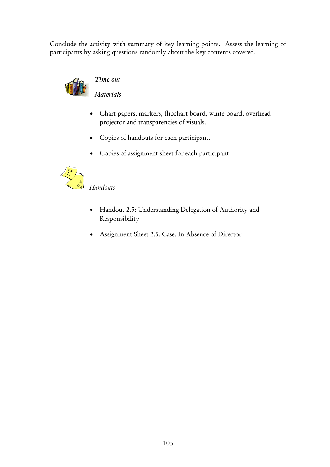Conclude the activity with summary of key learning points. Assess the learning of participants by asking questions randomly about the key contents covered.



## *Time out*

*Materials*

- Chart papers, markers, flipchart board, white board, overhead projector and transparencies of visuals.
- Copies of handouts for each participant.
- Copies of assignment sheet for each participant.



## *Handouts*

- Handout 2.5: Understanding Delegation of Authority and Responsibility
- Assignment Sheet 2.5: Case: In Absence of Director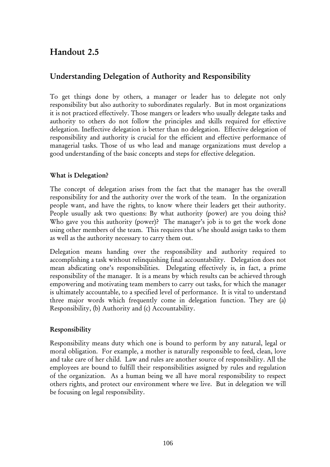# Handout 2.5

# Understanding Delegation of Authority and Responsibility

To get things done by others, a manager or leader has to delegate not only responsibility but also authority to subordinates regularly. But in most organizations it is not practiced effectively. Those mangers or leaders who usually delegate tasks and authority to others do not follow the principles and skills required for effective delegation. Ineffective delegation is better than no delegation. Effective delegation of responsibility and authority is crucial for the efficient and effective performance of managerial tasks. Those of us who lead and manage organizations must develop a good understanding of the basic concepts and steps for effective delegation.

## What is Delegation?

The concept of delegation arises from the fact that the manager has the overall responsibility for and the authority over the work of the team. In the organization people want, and have the rights, to know where their leaders get their authority. People usually ask two questions: By what authority (power) are you doing this? Who gave you this authority (power)? The manager's job is to get the work done using other members of the team. This requires that s/he should assign tasks to them as well as the authority necessary to carry them out.

Delegation means handing over the responsibility and authority required to accomplishing a task without relinquishing final accountability. Delegation does not mean abdicating one's responsibilities. Delegating effectively is, in fact, a prime responsibility of the manager. It is a means by which results can be achieved through empowering and motivating team members to carry out tasks, for which the manager is ultimately accountable, to a specified level of performance. It is vital to understand three major words which frequently come in delegation function. They are (a) Responsibility, (b) Authority and (c) Accountability.

## Responsibility

Responsibility means duty which one is bound to perform by any natural, legal or moral obligation. For example, a mother is naturally responsible to feed, clean, love and take care of her child. Law and rules are another source of responsibility. All the employees are bound to fulfill their responsibilities assigned by rules and regulation of the organization. As a human being we all have moral responsibility to respect others rights, and protect our environment where we live. But in delegation we will be focusing on legal responsibility.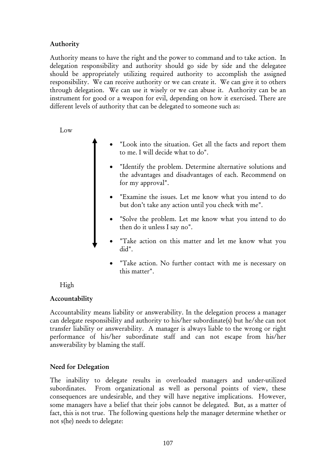## Authority

Authority means to have the right and the power to command and to take action. In delegation responsibility and authority should go side by side and the delegatee should be appropriately utilizing required authority to accomplish the assigned responsibility. We can receive authority or we can create it. We can give it to others through delegation. We can use it wisely or we can abuse it. Authority can be an instrument for good or a weapon for evil, depending on how it exercised. There are different levels of authority that can be delegated to someone such as:

Low

- "Look into the situation. Get all the facts and report them to me. I will decide what to do".
- "Identify the problem. Determine alternative solutions and the advantages and disadvantages of each. Recommend on for my approval".
- "Examine the issues. Let me know what you intend to do but don't take any action until you check with me".
- "Solve the problem. Let me know what you intend to do then do it unless I say no".
- "Take action on this matter and let me know what you did".
	- "Take action. No further contact with me is necessary on this matter".

High

## Accountability

Accountability means liability or answerability. In the delegation process a manager can delegate responsibility and authority to his/her subordinate(s) but he/she can not transfer liability or answerability. A manager is always liable to the wrong or right performance of his/her subordinate staff and can not escape from his/her answerability by blaming the staff.

## Need for Delegation

The inability to delegate results in overloaded managers and under-utilized subordinates. From organizational as well as personal points of view, these consequences are undesirable, and they will have negative implications. However, some managers have a belief that their jobs cannot be delegated. But, as a matter of fact, this is not true. The following questions help the manager determine whether or not s(he) needs to delegate: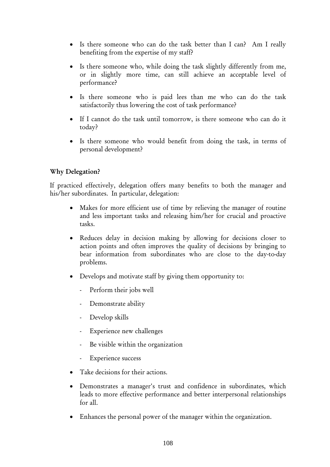- Is there someone who can do the task better than I can? Am I really benefiting from the expertise of my staff?
- Is there someone who, while doing the task slightly differently from me, or in slightly more time, can still achieve an acceptable level of performance?
- Is there someone who is paid lees than me who can do the task satisfactorily thus lowering the cost of task performance?
- If I cannot do the task until tomorrow, is there someone who can do it today?
- Is there someone who would benefit from doing the task, in terms of personal development?

## Why Delegation?

If practiced effectively, delegation offers many benefits to both the manager and his/her subordinates. In particular, delegation:

- Makes for more efficient use of time by relieving the manager of routine and less important tasks and releasing him/her for crucial and proactive tasks.
- Reduces delay in decision making by allowing for decisions closer to action points and often improves the quality of decisions by bringing to bear information from subordinates who are close to the day-to-day problems.
- Develops and motivate staff by giving them opportunity to:
	- Perform their jobs well
	- Demonstrate ability
	- Develop skills
	- Experience new challenges
	- Be visible within the organization
	- Experience success
- Take decisions for their actions.
- Demonstrates a manager's trust and confidence in subordinates, which leads to more effective performance and better interpersonal relationships for all.
- Enhances the personal power of the manager within the organization.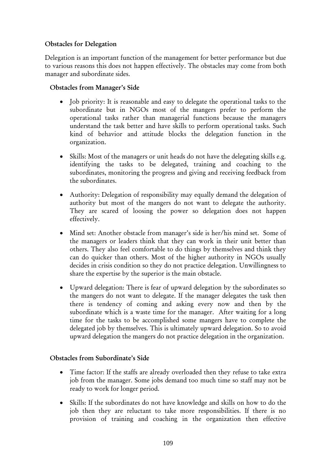## Obstacles for Delegation

Delegation is an important function of the management for better performance but due to various reasons this does not happen effectively. The obstacles may come from both manager and subordinate sides.

## Obstacles from Manager's Side

- Job priority: It is reasonable and easy to delegate the operational tasks to the subordinate but in NGOs most of the mangers prefer to perform the operational tasks rather than managerial functions because the managers understand the task better and have skills to perform operational tasks. Such kind of behavior and attitude blocks the delegation function in the organization.
- Skills: Most of the managers or unit heads do not have the delegating skills e.g. identifying the tasks to be delegated, training and coaching to the subordinates, monitoring the progress and giving and receiving feedback from the subordinates.
- Authority: Delegation of responsibility may equally demand the delegation of authority but most of the mangers do not want to delegate the authority. They are scared of loosing the power so delegation does not happen effectively.
- Mind set: Another obstacle from manager's side is her/his mind set. Some of the managers or leaders think that they can work in their unit better than others. They also feel comfortable to do things by themselves and think they can do quicker than others. Most of the higher authority in NGOs usually decides in crisis condition so they do not practice delegation. Unwillingness to share the expertise by the superior is the main obstacle.
- Upward delegation: There is fear of upward delegation by the subordinates so the mangers do not want to delegate. If the manager delegates the task then there is tendency of coming and asking every now and then by the subordinate which is a waste time for the manager. After waiting for a long time for the tasks to be accomplished some mangers have to complete the delegated job by themselves. This is ultimately upward delegation. So to avoid upward delegation the mangers do not practice delegation in the organization.

## Obstacles from Subordinate's Side

- Time factor: If the staffs are already overloaded then they refuse to take extra job from the manager. Some jobs demand too much time so staff may not be ready to work for longer period.
- Skills: If the subordinates do not have knowledge and skills on how to do the job then they are reluctant to take more responsibilities. If there is no provision of training and coaching in the organization then effective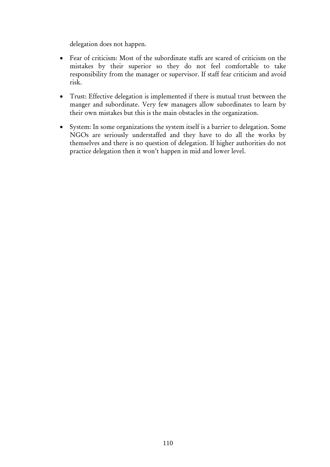delegation does not happen.

- Fear of criticism: Most of the subordinate staffs are scared of criticism on the mistakes by their superior so they do not feel comfortable to take responsibility from the manager or supervisor. If staff fear criticism and avoid risk.
- Trust: Effective delegation is implemented if there is mutual trust between the manger and subordinate. Very few managers allow subordinates to learn by their own mistakes but this is the main obstacles in the organization.
- System: In some organizations the system itself is a barrier to delegation. Some NGOs are seriously understaffed and they have to do all the works by themselves and there is no question of delegation. If higher authorities do not practice delegation then it won't happen in mid and lower level.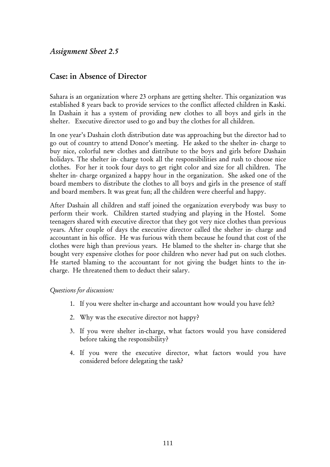## *Assignment Sheet 2.5*

## Case: in Absence of Director

Sahara is an organization where 23 orphans are getting shelter. This organization was established 8 years back to provide services to the conflict affected children in Kaski. In Dashain it has a system of providing new clothes to all boys and girls in the shelter. Executive director used to go and buy the clothes for all children.

In one year's Dashain cloth distribution date was approaching but the director had to go out of country to attend Donor's meeting. He asked to the shelter in- charge to buy nice, colorful new clothes and distribute to the boys and girls before Dashain holidays. The shelter in- charge took all the responsibilities and rush to choose nice clothes. For her it took four days to get right color and size for all children. The shelter in- charge organized a happy hour in the organization. She asked one of the board members to distribute the clothes to all boys and girls in the presence of staff and board members. It was great fun; all the children were cheerful and happy.

After Dashain all children and staff joined the organization everybody was busy to perform their work. Children started studying and playing in the Hostel. Some teenagers shared with executive director that they got very nice clothes than previous years. After couple of days the executive director called the shelter in- charge and accountant in his office. He was furious with them because he found that cost of the clothes were high than previous years. He blamed to the shelter in- charge that she bought very expensive clothes for poor children who never had put on such clothes. He started blaming to the accountant for not giving the budget hints to the incharge. He threatened them to deduct their salary.

#### *Questions for discussion:*

- 1. If you were shelter in-charge and accountant how would you have felt?
- 2. Why was the executive director not happy?
- 3. If you were shelter in-charge, what factors would you have considered before taking the responsibility?
- 4. If you were the executive director, what factors would you have considered before delegating the task?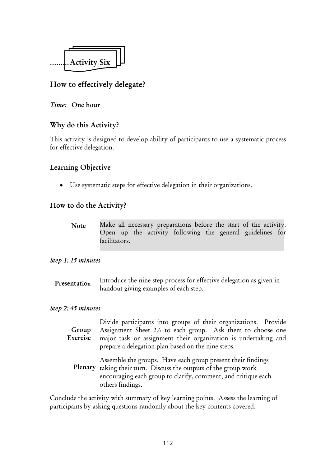

# How to effectively delegate?

#### *Time:* One hour

## Why do this Activity?

This activity is designed to develop ability of participants to use a systematic process for effective delegation.

## Learning Objective

• Use systematic steps for effective delegation in their organizations.

## How to do the Activity?

Make all necessary preparations before the start of the activity. Open up the activity following the general guidelines for facilitators. Note

#### *Step 1: 15 minutes*

Introduce the nine step process for effective delegation as given in handout giving examples of each step. Presentation

#### *Step 2: 45 minutes*

| Group<br>Exercise | Divide participants into groups of their organizations. Provide<br>Assignment Sheet 2.6 to each group. Ask them to choose one<br>major task or assignment their organization is undertaking and<br>prepare a delegation plan based on the nine steps. |  |  |  |  |
|-------------------|-------------------------------------------------------------------------------------------------------------------------------------------------------------------------------------------------------------------------------------------------------|--|--|--|--|
|                   | Assemble the groups. Have each group present their findings<br>Plenary taking their turn. Discuss the outputs of the group work<br>encouraging each group to clarify, comment, and critique each<br>others findings.                                  |  |  |  |  |

Conclude the activity with summary of key learning points. Assess the learning of participants by asking questions randomly about the key contents covered.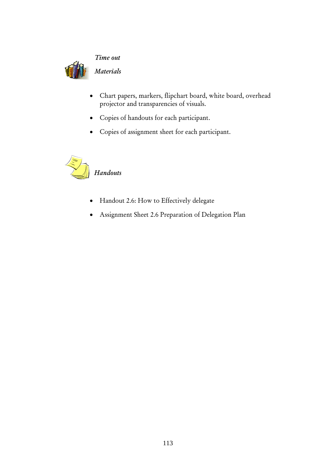

#### *Time out*

*Materials* 

- Chart papers, markers, flipchart board, white board, overhead projector and transparencies of visuals.
- Copies of handouts for each participant.
- Copies of assignment sheet for each participant.



- Handout 2.6: How to Effectively delegate
- Assignment Sheet 2.6 Preparation of Delegation Plan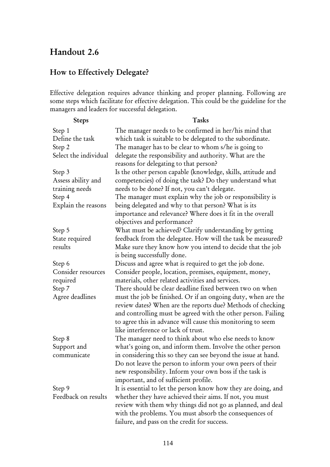# Handout 2.6

# How to Effectively Delegate?

Effective delegation requires advance thinking and proper planning. Following are some steps which facilitate for effective delegation. This could be the guideline for the managers and leaders for successful delegation.

| <b>Steps</b>          | Tasks                                                                                              |
|-----------------------|----------------------------------------------------------------------------------------------------|
| Step 1                | The manager needs to be confirmed in her/his mind that                                             |
| Define the task       | which task is suitable to be delegated to the subordinate.                                         |
| Step 2                | The manager has to be clear to whom s/he is going to                                               |
| Select the individual | delegate the responsibility and authority. What are the                                            |
|                       | reasons for delegating to that person?                                                             |
| Step 3                | Is the other person capable (knowledge, skills, attitude and                                       |
| Assess ability and    | competencies) of doing the task? Do they understand what                                           |
| training needs        | needs to be done? If not, you can't delegate.                                                      |
| Step 4                | The manager must explain why the job or responsibility is                                          |
| Explain the reasons   | being delegated and why to that person? What is its                                                |
|                       | importance and relevance? Where does it fit in the overall                                         |
|                       | objectives and performance?                                                                        |
| Step 5                | What must be achieved? Clarify understanding by getting                                            |
| State required        | feedback from the delegatee. How will the task be measured?                                        |
| results               | Make sure they know how you intend to decide that the job                                          |
|                       | is being successfully done.                                                                        |
| Step 6                | Discuss and agree what is required to get the job done.                                            |
| Consider resources    | Consider people, location, premises, equipment, money,                                             |
| required              | materials, other related activities and services.                                                  |
| Step 7                | There should be clear deadline fixed between two on when                                           |
| Agree deadlines       | must the job be finished. Or if an ongoing duty, when are the                                      |
|                       | review dates? When are the reports due? Methods of checking                                        |
|                       | and controlling must be agreed with the other person. Failing                                      |
|                       | to agree this in advance will cause this monitoring to seem<br>like interference or lack of trust. |
| Step 8                | The manager need to think about who else needs to know                                             |
| Support and           | what's going on, and inform them. Involve the other person                                         |
| communicate           | in considering this so they can see beyond the issue at hand.                                      |
|                       | Do not leave the person to inform your own peers of their                                          |
|                       | new responsibility. Inform your own boss if the task is                                            |
|                       | important, and of sufficient profile.                                                              |
| Step 9                | It is essential to let the person know how they are doing, and                                     |
| Feedback on results   | whether they have achieved their aims. If not, you must                                            |
|                       | review with them why things did not go as planned, and deal                                        |
|                       | with the problems. You must absorb the consequences of                                             |
|                       | failure, and pass on the credit for success.                                                       |
|                       |                                                                                                    |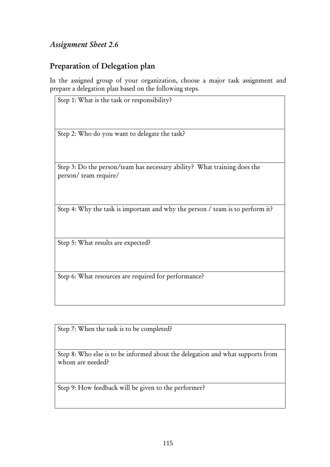# *Assignment Sheet 2.6*

## Preparation of Delegation plan

In the assigned group of your organization, choose a major task assignment and prepare a delegation plan based on the following steps.

Step 1: What is the task or responsibility? Step 2: Who do you want to delegate the task? Step 3: Do the person/team has necessary ability? What training does the person/ team require/ Step 4: Why the task is important and why the person / team is to perform it? Step 5: What results are expected?

Step 6: What resources are required for performance?

Step 7: When the task is to be completed?

Step 8: Who else is to be informed about the delegation and what supports from whom are needed?

Step 9: How feedback will be given to the performer?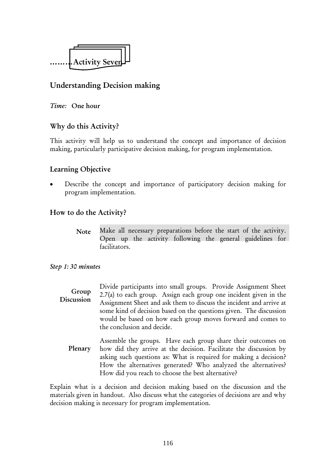

# Understanding Decision making

## *Time:* One hour

## Why do this Activity?

This activity will help us to understand the concept and importance of decision making, particularly participative decision making, for program implementation.

## Learning Objective

Describe the concept and importance of participatory decision making for program implementation.

## How to do the Activity?

Make all necessary preparations before the start of the activity. Open up the activity following the general guidelines for facilitators. Note

## *Step 1: 30 minutes*

- Divide participants into small groups. Provide Assignment Sheet 2.7(a) to each group. Assign each group one incident given in the Assignment Sheet and ask them to discuss the incident and arrive at some kind of decision based on the questions given. The discussion would be based on how each group moves forward and comes to the conclusion and decide. Group Discussion
	- Assemble the groups. Have each group share their outcomes on how did they arrive at the decision. Facilitate the discussion by asking such questions as: What is required for making a decision? How the alternatives generated? Who analyzed the alternatives? How did you reach to choose the best alternative? Plenary

Explain what is a decision and decision making based on the discussion and the materials given in handout. Also discuss what the categories of decisions are and why decision making is necessary for program implementation.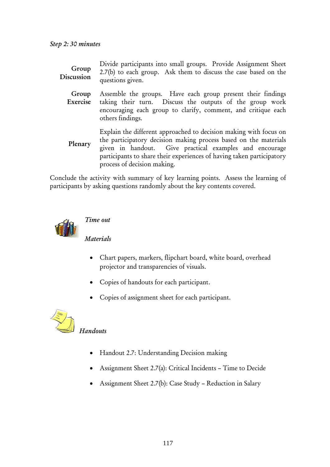| Group<br>Discussion | Divide participants into small groups. Provide Assignment Sheet<br>2.7(b) to each group. Ask them to discuss the case based on the<br>questions given.                                                                                                                                                   |  |  |  |
|---------------------|----------------------------------------------------------------------------------------------------------------------------------------------------------------------------------------------------------------------------------------------------------------------------------------------------------|--|--|--|
| Group<br>Exercise   | Assemble the groups. Have each group present their findings<br>taking their turn. Discuss the outputs of the group work<br>encouraging each group to clarify, comment, and critique each<br>others findings.                                                                                             |  |  |  |
| Plenary             | Explain the different approached to decision making with focus on<br>the participatory decision making process based on the materials<br>given in handout. Give practical examples and encourage<br>participants to share their experiences of having taken participatory<br>process of decision making. |  |  |  |

Conclude the activity with summary of key learning points. Assess the learning of participants by asking questions randomly about the key contents covered.



*Time out* 

## *Materials*

- Chart papers, markers, flipchart board, white board, overhead projector and transparencies of visuals.
- Copies of handouts for each participant.
- Copies of assignment sheet for each participant.



## *Handouts*

- Handout 2.7: Understanding Decision making
- Assignment Sheet 2.7(a): Critical Incidents Time to Decide
- Assignment Sheet 2.7(b): Case Study Reduction in Salary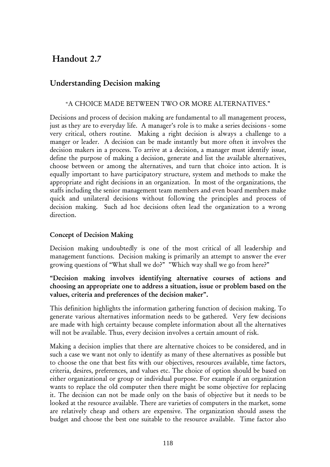# Handout 2.7

# Understanding Decision making

#### "A CHOICE MADE BETWEEN TWO OR MORE ALTERNATIVES."

Decisions and process of decision making are fundamental to all management process, just as they are to everyday life. A manager's role is to make a series decisions - some very critical, others routine. Making a right decision is always a challenge to a manger or leader. A decision can be made instantly but more often it involves the decision makers in a process. To arrive at a decision, a manager must identify issue, define the purpose of making a decision, generate and list the available alternatives, choose between or among the alternatives, and turn that choice into action. It is equally important to have participatory structure, system and methods to make the appropriate and right decisions in an organization. In most of the organizations, the staffs including the senior management team members and even board members make quick and unilateral decisions without following the principles and process of decision making. Such ad hoc decisions often lead the organization to a wrong direction.

#### Concept of Decision Making

Decision making undoubtedly is one of the most critical of all leadership and management functions. Decision making is primarily an attempt to answer the ever growing questions of "What shall we do?" "Which way shall we go from here?"

#### "Decision making involves identifying alternative courses of actions and choosing an appropriate one to address a situation, issue or problem based on the values, criteria and preferences of the decision maker".

This definition highlights the information gathering function of decision making. To generate various alternatives information needs to be gathered. Very few decisions are made with high certainty because complete information about all the alternatives will not be available. Thus, every decision involves a certain amount of risk.

Making a decision implies that there are alternative choices to be considered, and in such a case we want not only to identify as many of these alternatives as possible but to choose the one that best fits with our objectives, resources available, time factors, criteria, desires, preferences, and values etc. The choice of option should be based on either organizational or group or individual purpose. For example if an organization wants to replace the old computer then there might be some objective for replacing it. The decision can not be made only on the basis of objective but it needs to be looked at the resource available. There are varieties of computers in the market, some are relatively cheap and others are expensive. The organization should assess the budget and choose the best one suitable to the resource available. Time factor also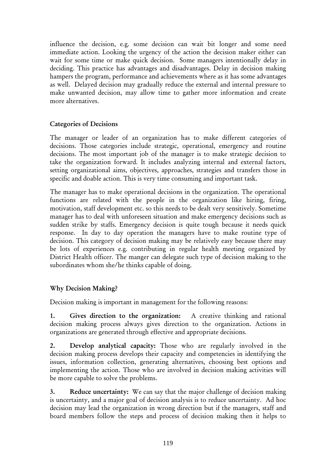influence the decision, e.g. some decision can wait bit longer and some need immediate action. Looking the urgency of the action the decision maker either can wait for some time or make quick decision. Some managers intentionally delay in deciding. This practice has advantages and disadvantages. Delay in decision making hampers the program, performance and achievements where as it has some advantages as well. Delayed decision may gradually reduce the external and internal pressure to make unwanted decision, may allow time to gather more information and create more alternatives.

## Categories of Decisions

The manager or leader of an organization has to make different categories of decisions. Those categories include strategic, operational, emergency and routine decisions. The most important job of the manager is to make strategic decision to take the organization forward. It includes analyzing internal and external factors, setting organizational aims, objectives, approaches, strategies and transfers those in specific and doable action. This is very time consuming and important task.

The manager has to make operational decisions in the organization. The operational functions are related with the people in the organization like hiring, firing, motivation, staff development etc. so this needs to be dealt very sensitively. Sometime manager has to deal with unforeseen situation and make emergency decisions such as sudden strike by staffs. Emergency decision is quite tough because it needs quick response. In day to day operation the managers have to make routine type of decision. This category of decision making may be relatively easy because there may be lots of experiences e.g. contributing in regular health meeting organized by District Health officer. The manger can delegate such type of decision making to the subordinates whom she/he thinks capable of doing.

## Why Decision Making?

Decision making is important in management for the following reasons:

1. Gives direction to the organization: A creative thinking and rational decision making process always gives direction to the organization. Actions in organizations are generated through effective and appropriate decisions.

2. Develop analytical capacity: Those who are regularly involved in the decision making process develops their capacity and competencies in identifying the issues, information collection, generating alternatives, choosing best options and implementing the action. Those who are involved in decision making activities will be more capable to solve the problems.

3. Reduce uncertainty: We can say that the major challenge of decision making is uncertainty, and a major goal of decision analysis is to reduce uncertainty. Ad hoc decision may lead the organization in wrong direction but if the managers, staff and board members follow the steps and process of decision making then it helps to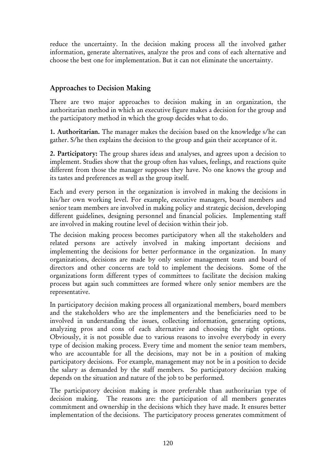reduce the uncertainty. In the decision making process all the involved gather information, generate alternatives, analyze the pros and cons of each alternative and choose the best one for implementation. But it can not eliminate the uncertainty.

## Approaches to Decision Making

There are two major approaches to decision making in an organization, the authoritarian method in which an executive figure makes a decision for the group and the participatory method in which the group decides what to do.

1. Authoritarian. The manager makes the decision based on the knowledge s/he can gather. S/he then explains the decision to the group and gain their acceptance of it.

2. Participatory: The group shares ideas and analyses, and agrees upon a decision to implement. Studies show that the group often has values, feelings, and reactions quite different from those the manager supposes they have. No one knows the group and its tastes and preferences as well as the group itself.

Each and every person in the organization is involved in making the decisions in his/her own working level. For example, executive managers, board members and senior team members are involved in making policy and strategic decision, developing different guidelines, designing personnel and financial policies. Implementing staff are involved in making routine level of decision within their job.

The decision making process becomes participatory when all the stakeholders and related persons are actively involved in making important decisions and implementing the decisions for better performance in the organization. In many organizations, decisions are made by only senior management team and board of directors and other concerns are told to implement the decisions. Some of the organizations form different types of committees to facilitate the decision making process but again such committees are formed where only senior members are the representative.

In participatory decision making process all organizational members, board members and the stakeholders who are the implementers and the beneficiaries need to be involved in understanding the issues, collecting information, generating options, analyzing pros and cons of each alternative and choosing the right options. Obviously, it is not possible due to various reasons to involve everybody in every type of decision making process. Every time and moment the senior team members, who are accountable for all the decisions, may not be in a position of making participatory decisions. For example, management may not be in a position to decide the salary as demanded by the staff members. So participatory decision making depends on the situation and nature of the job to be performed.

The participatory decision making is more preferable than authoritarian type of decision making. The reasons are: the participation of all members generates commitment and ownership in the decisions which they have made. It ensures better implementation of the decisions. The participatory process generates commitment of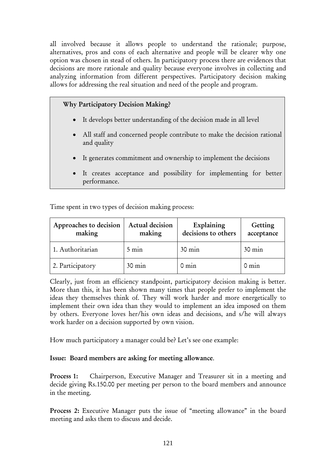all involved because it allows people to understand the rationale; purpose, alternatives, pros and cons of each alternative and people will be clearer why one option was chosen in stead of others. In participatory process there are evidences that decisions are more rationale and quality because everyone involves in collecting and analyzing information from different perspectives. Participatory decision making allows for addressing the real situation and need of the people and program.

#### Why Participatory Decision Making?

- It develops better understanding of the decision made in all level
- All staff and concerned people contribute to make the decision rational and quality
- It generates commitment and ownership to implement the decisions
- It creates acceptance and possibility for implementing for better performance.

Time spent in two types of decision making process:

| Approaches to decision<br>making | Actual decision<br>making | Explaining<br>decisions to others | Getting<br>acceptance |
|----------------------------------|---------------------------|-----------------------------------|-----------------------|
| 1. Authoritarian                 | $5 \text{ min}$           | $30 \text{ min}$                  | $30 \text{ min}$      |
| 2. Participatory                 | $30 \text{ min}$          | $0 \text{ min}$                   | $0 \text{ min}$       |

Clearly, just from an efficiency standpoint, participatory decision making is better. More than this, it has been shown many times that people prefer to implement the ideas they themselves think of. They will work harder and more energetically to implement their own idea than they would to implement an idea imposed on them by others. Everyone loves her/his own ideas and decisions, and s/he will always work harder on a decision supported by own vision.

How much participatory a manager could be? Let's see one example:

#### Issue: Board members are asking for meeting allowance.

Process 1: Chairperson, Executive Manager and Treasurer sit in a meeting and decide giving Rs.150.00 per meeting per person to the board members and announce in the meeting.

Process 2: Executive Manager puts the issue of "meeting allowance" in the board meeting and asks them to discuss and decide.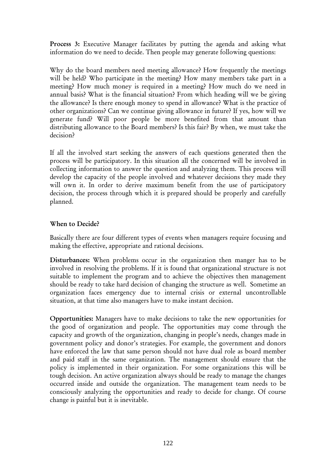Process 3: Executive Manager facilitates by putting the agenda and asking what information do we need to decide. Then people may generate following questions:

Why do the board members need meeting allowance? How frequently the meetings will be held? Who participate in the meeting? How many members take part in a meeting? How much money is required in a meeting? How much do we need in annual basis? What is the financial situation? From which heading will we be giving the allowance? Is there enough money to spend in allowance? What is the practice of other organizations? Can we continue giving allowance in future? If yes, how will we generate fund? Will poor people be more benefited from that amount than distributing allowance to the Board members? Is this fair? By when, we must take the decision?

If all the involved start seeking the answers of each questions generated then the process will be participatory. In this situation all the concerned will be involved in collecting information to answer the question and analyzing them. This process will develop the capacity of the people involved and whatever decisions they made they will own it. In order to derive maximum benefit from the use of participatory decision, the process through which it is prepared should be properly and carefully planned.

## When to Decide?

Basically there are four different types of events when managers require focusing and making the effective, appropriate and rational decisions.

Disturbances: When problems occur in the organization then manger has to be involved in resolving the problems. If it is found that organizational structure is not suitable to implement the program and to achieve the objectives then management should be ready to take hard decision of changing the structure as well. Sometime an organization faces emergency due to internal crisis or external uncontrollable situation, at that time also managers have to make instant decision.

Opportunities: Managers have to make decisions to take the new opportunities for the good of organization and people. The opportunities may come through the capacity and growth of the organization, changing in people's needs, changes made in government policy and donor's strategies. For example, the government and donors have enforced the law that same person should not have dual role as board member and paid staff in the same organization. The management should ensure that the policy is implemented in their organization. For some organizations this will be tough decision. An active organization always should be ready to manage the changes occurred inside and outside the organization. The management team needs to be consciously analyzing the opportunities and ready to decide for change. Of course change is painful but it is inevitable.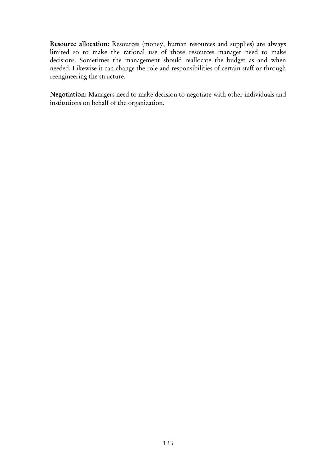Resource allocation: Resources (money, human resources and supplies) are always limited so to make the rational use of those resources manager need to make decisions. Sometimes the management should reallocate the budget as and when needed. Likewise it can change the role and responsibilities of certain staff or through reengineering the structure.

Negotiation: Managers need to make decision to negotiate with other individuals and institutions on behalf of the organization.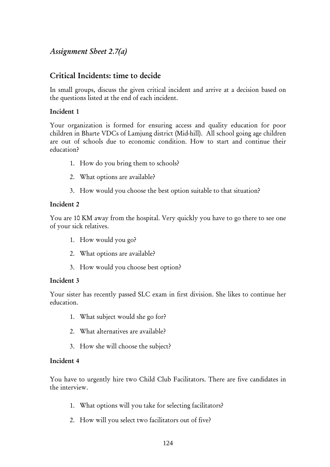## *Assignment Sheet 2.7(a)*

## Critical Incidents: time to decide

In small groups, discuss the given critical incident and arrive at a decision based on the questions listed at the end of each incident.

#### Incident 1

Your organization is formed for ensuring access and quality education for poor children in Bharte VDCs of Lamjung district (Mid-hill). All school going age children are out of schools due to economic condition. How to start and continue their education?

- 1. How do you bring them to schools?
- 2. What options are available?
- 3. How would you choose the best option suitable to that situation?

#### Incident 2

You are 10 KM away from the hospital. Very quickly you have to go there to see one of your sick relatives.

- 1. How would you go?
- 2. What options are available?
- 3. How would you choose best option?

#### Incident 3

Your sister has recently passed SLC exam in first division. She likes to continue her education.

- 1. What subject would she go for?
- 2. What alternatives are available?
- 3. How she will choose the subject?

#### Incident 4

You have to urgently hire two Child Club Facilitators. There are five candidates in the interview.

- 1. What options will you take for selecting facilitators?
- 2. How will you select two facilitators out of five?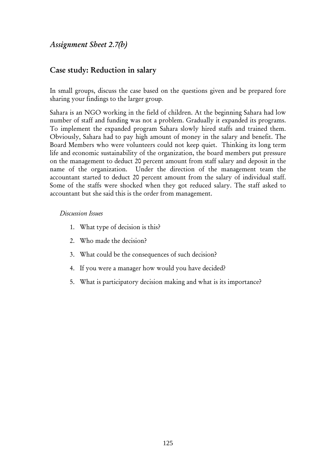*Assignment Sheet 2.7(b)* 

## Case study: Reduction in salary

In small groups, discuss the case based on the questions given and be prepared fore sharing your findings to the larger group.

Sahara is an NGO working in the field of children. At the beginning Sahara had low number of staff and funding was not a problem. Gradually it expanded its programs. To implement the expanded program Sahara slowly hired staffs and trained them. Obviously, Sahara had to pay high amount of money in the salary and benefit. The Board Members who were volunteers could not keep quiet. Thinking its long term life and economic sustainability of the organization, the board members put pressure on the management to deduct 20 percent amount from staff salary and deposit in the name of the organization. Under the direction of the management team the accountant started to deduct 20 percent amount from the salary of individual staff. Some of the staffs were shocked when they got reduced salary. The staff asked to accountant but she said this is the order from management.

#### *Discussion Issues*

- 1. What type of decision is this?
- 2. Who made the decision?
- 3. What could be the consequences of such decision?
- 4. If you were a manager how would you have decided?
- 5. What is participatory decision making and what is its importance?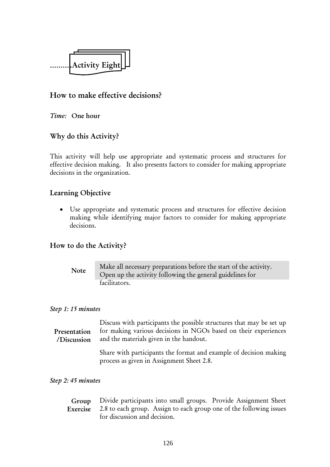

## How to make effective decisions?

*Time:* One hour

## Why do this Activity?

This activity will help use appropriate and systematic process and structures for effective decision making. It also presents factors to consider for making appropriate decisions in the organization.

## Learning Objective

• Use appropriate and systematic process and structures for effective decision making while identifying major factors to consider for making appropriate decisions.

## How to do the Activity?

Make all necessary preparations before the start of the activity. Open up the activity following the general guidelines for facilitators. Note

#### *Step 1: 15 minutes*

| Presentation<br>/Discussion | Discuss with participants the possible structures that may be set up<br>for making various decisions in NGOs based on their experiences<br>and the materials given in the handout. |  |  |  |
|-----------------------------|------------------------------------------------------------------------------------------------------------------------------------------------------------------------------------|--|--|--|
|                             | Share with participants the format and example of decision making<br>process as given in Assignment Sheet 2.8.                                                                     |  |  |  |

#### *Step 2: 45 minutes*

| Group Divide participants into small groups. Provide Assignment Sheet        |  |
|------------------------------------------------------------------------------|--|
| Exercise 2.8 to each group. Assign to each group one of the following issues |  |
| for discussion and decision.                                                 |  |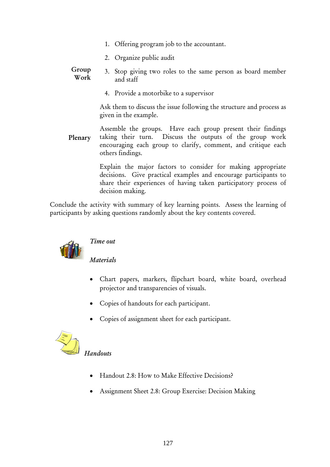- 1. Offering program job to the accountant.
- 2. Organize public audit
- 3. Stop giving two roles to the same person as board member and staff Group Work
	- 4. Provide a motorbike to a supervisor

Ask them to discuss the issue following the structure and process as given in the example.

Assemble the groups. Have each group present their findings taking their turn. Discuss the outputs of the group work encouraging each group to clarify, comment, and critique each others findings. Plenary

> Explain the major factors to consider for making appropriate decisions. Give practical examples and encourage participants to share their experiences of having taken participatory process of decision making.

Conclude the activity with summary of key learning points. Assess the learning of participants by asking questions randomly about the key contents covered.



## *Time out*

*Materials*

- Chart papers, markers, flipchart board, white board, overhead projector and transparencies of visuals.
- Copies of handouts for each participant.
- Copies of assignment sheet for each participant.



## *Handouts*

- Handout 2.8: How to Make Effective Decisions?
- Assignment Sheet 2.8: Group Exercise: Decision Making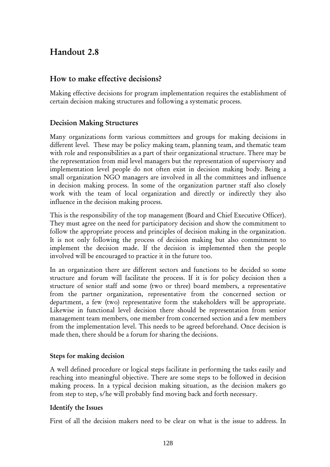# Handout 2.8

## How to make effective decisions?

Making effective decisions for program implementation requires the establishment of certain decision making structures and following a systematic process.

## Decision Making Structures

Many organizations form various committees and groups for making decisions in different level. These may be policy making team, planning team, and thematic team with role and responsibilities as a part of their organizational structure. There may be the representation from mid level managers but the representation of supervisory and implementation level people do not often exist in decision making body. Being a small organization NGO managers are involved in all the committees and influence in decision making process. In some of the organization partner staff also closely work with the team of local organization and directly or indirectly they also influence in the decision making process.

This is the responsibility of the top management (Board and Chief Executive Officer). They must agree on the need for participatory decision and show the commitment to follow the appropriate process and principles of decision making in the organization. It is not only following the process of decision making but also commitment to implement the decision made. If the decision is implemented then the people involved will be encouraged to practice it in the future too.

In an organization there are different sectors and functions to be decided so some structure and forum will facilitate the process. If it is for policy decision then a structure of senior staff and some (two or three) board members, a representative from the partner organization, representative from the concerned section or department, a few (two) representative form the stakeholders will be appropriate. Likewise in functional level decision there should be representation from senior management team members, one member from concerned section and a few members from the implementation level. This needs to be agreed beforehand. Once decision is made then, there should be a forum for sharing the decisions.

## Steps for making decision

A well defined procedure or logical steps facilitate in performing the tasks easily and reaching into meaningful objective. There are some steps to be followed in decision making process. In a typical decision making situation, as the decision makers go from step to step, s/he will probably find moving back and forth necessary.

## Identify the Issues

First of all the decision makers need to be clear on what is the issue to address. In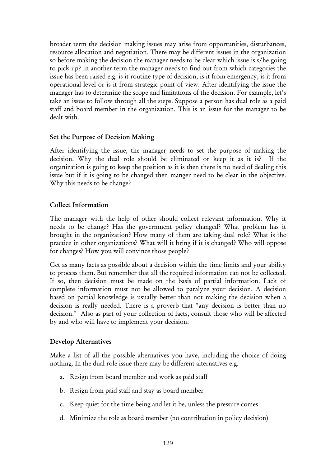broader term the decision making issues may arise from opportunities, disturbances, resource allocation and negotiation. There may be different issues in the organization so before making the decision the manager needs to be clear which issue is s/he going to pick up? In another term the manager needs to find out from which categories the issue has been raised e.g. is it routine type of decision, is it from emergency, is it from operational level or is it from strategic point of view. After identifying the issue the manager has to determine the scope and limitations of the decision. For example, let's take an issue to follow through all the steps. Suppose a person has dual role as a paid staff and board member in the organization. This is an issue for the manager to be dealt with.

#### Set the Purpose of Decision Making

After identifying the issue, the manager needs to set the purpose of making the decision. Why the dual role should be eliminated or keep it as it is? If the organization is going to keep the position as it is then there is no need of dealing this issue but if it is going to be changed then manger need to be clear in the objective. Why this needs to be change?

#### Collect Information

The manager with the help of other should collect relevant information. Why it needs to be change? Has the government policy changed? What problem has it brought in the organization? How many of them are taking dual role? What is the practice in other organizations? What will it bring if it is changed? Who will oppose for changes? How you will convince those people?

Get as many facts as possible about a decision within the time limits and your ability to process them. But remember that all the required information can not be collected. If so, then decision must be made on the basis of partial information. Lack of complete information must not be allowed to paralyze your decision. A decision based on partial knowledge is usually better than not making the decision when a decision is really needed. There is a proverb that "any decision is better than no decision." Also as part of your collection of facts, consult those who will be affected by and who will have to implement your decision.

## Develop Alternatives

Make a list of all the possible alternatives you have, including the choice of doing nothing. In the dual role issue there may be different alternatives e.g.

- a. Resign from board member and work as paid staff
- b. Resign from paid staff and stay as board member
- c. Keep quiet for the time being and let it be, unless the pressure comes
- d. Minimize the role as board member (no contribution in policy decision)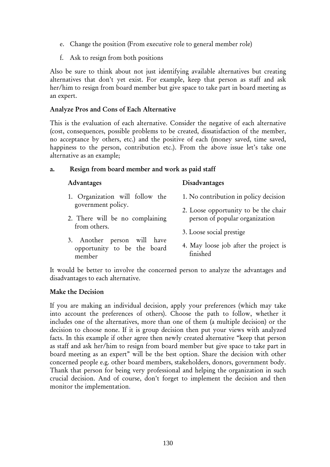- e. Change the position (From executive role to general member role)
- f. Ask to resign from both positions

Also be sure to think about not just identifying available alternatives but creating alternatives that don't yet exist. For example, keep that person as staff and ask her/him to resign from board member but give space to take part in board meeting as an expert.

#### Analyze Pros and Cons of Each Alternative

This is the evaluation of each alternative. Consider the negative of each alternative (cost, consequences, possible problems to be created, dissatisfaction of the member, no acceptance by others, etc.) and the positive of each (money saved, time saved, happiness to the person, contribution etc.). From the above issue let's take one alternative as an example;

#### a. Resign from board member and work as paid staff

#### Advantages Disadvantages

- 1. Organization will follow the government policy.
- 2. There will be no complaining from others.
- 3. Another person will have opportunity to be the board member
- 1. No contribution in policy decision
- 2. Loose opportunity to be the chair person of popular organization
- 3. Loose social prestige
- 4. May loose job after the project is finished

It would be better to involve the concerned person to analyze the advantages and disadvantages to each alternative.

#### Make the Decision

If you are making an individual decision, apply your preferences (which may take into account the preferences of others). Choose the path to follow, whether it includes one of the alternatives, more than one of them (a multiple decision) or the decision to choose none. If it is group decision then put your views with analyzed facts. In this example if other agree then newly created alternative "keep that person as staff and ask her/him to resign from board member but give space to take part in board meeting as an expert" will be the best option. Share the decision with other concerned people e.g. other board members, stakeholders, donors, government body. Thank that person for being very professional and helping the organization in such crucial decision. And of course, don't forget to implement the decision and then monitor the implementation.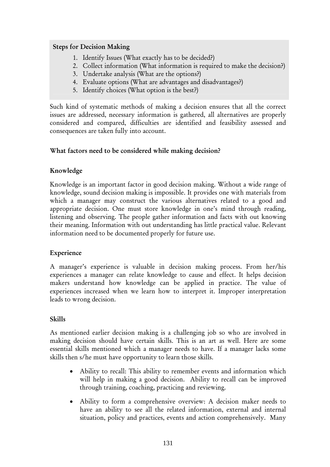## Steps for Decision Making

- 1. Identify Issues (What exactly has to be decided?)
- 2. Collect information (What information is required to make the decision?)
- 3. Undertake analysis (What are the options?)
- 4. Evaluate options (What are advantages and disadvantages?)
- 5. Identify choices (What option is the best?)

Such kind of systematic methods of making a decision ensures that all the correct issues are addressed, necessary information is gathered, all alternatives are properly considered and compared, difficulties are identified and feasibility assessed and consequences are taken fully into account.

## What factors need to be considered while making decision?

## Knowledge

Knowledge is an important factor in good decision making. Without a wide range of knowledge, sound decision making is impossible. It provides one with materials from which a manager may construct the various alternatives related to a good and appropriate decision. One must store knowledge in one's mind through reading, listening and observing. The people gather information and facts with out knowing their meaning. Information with out understanding has little practical value. Relevant information need to be documented properly for future use.

## Experience

A manager's experience is valuable in decision making process. From her/his experiences a manager can relate knowledge to cause and effect. It helps decision makers understand how knowledge can be applied in practice. The value of experiences increased when we learn how to interpret it. Improper interpretation leads to wrong decision.

## Skills

As mentioned earlier decision making is a challenging job so who are involved in making decision should have certain skills. This is an art as well. Here are some essential skills mentioned which a manager needs to have. If a manager lacks some skills then s/he must have opportunity to learn those skills.

- Ability to recall: This ability to remember events and information which will help in making a good decision. Ability to recall can be improved through training, coaching, practicing and reviewing.
- Ability to form a comprehensive overview: A decision maker needs to have an ability to see all the related information, external and internal situation, policy and practices, events and action comprehensively. Many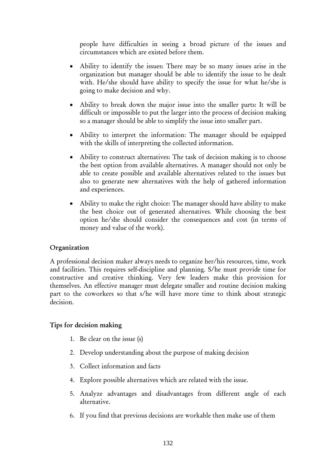people have difficulties in seeing a broad picture of the issues and circumstances which are existed before them.

- Ability to identify the issues: There may be so many issues arise in the organization but manager should be able to identify the issue to be dealt with. He/she should have ability to specify the issue for what he/she is going to make decision and why.
- Ability to break down the major issue into the smaller parts: It will be difficult or impossible to put the larger into the process of decision making so a manager should be able to simplify the issue into smaller part.
- Ability to interpret the information: The manager should be equipped with the skills of interpreting the collected information.
- Ability to construct alternatives: The task of decision making is to choose the best option from available alternatives. A manager should not only be able to create possible and available alternatives related to the issues but also to generate new alternatives with the help of gathered information and experiences.
- Ability to make the right choice: The manager should have ability to make the best choice out of generated alternatives. While choosing the best option he/she should consider the consequences and cost (in terms of money and value of the work).

## Organization

A professional decision maker always needs to organize her/his resources, time, work and facilities. This requires self-discipline and planning. S/he must provide time for constructive and creative thinking. Very few leaders make this provision for themselves. An effective manager must delegate smaller and routine decision making part to the coworkers so that s/he will have more time to think about strategic decision.

## Tips for decision making

- 1. Be clear on the issue (s)
- 2. Develop understanding about the purpose of making decision
- 3. Collect information and facts
- 4. Explore possible alternatives which are related with the issue.
- 5. Analyze advantages and disadvantages from different angle of each alternative.
- 6. If you find that previous decisions are workable then make use of them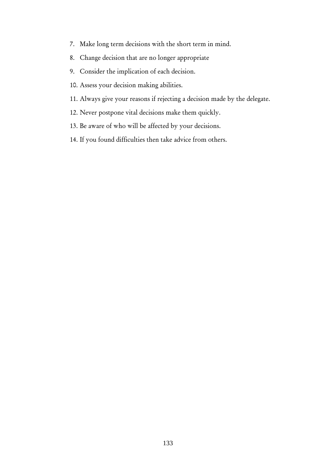- 7. Make long term decisions with the short term in mind.
- 8. Change decision that are no longer appropriate
- 9. Consider the implication of each decision.
- 10. Assess your decision making abilities.
- 11. Always give your reasons if rejecting a decision made by the delegate.
- 12. Never postpone vital decisions make them quickly.
- 13. Be aware of who will be affected by your decisions.
- 14. If you found difficulties then take advice from others.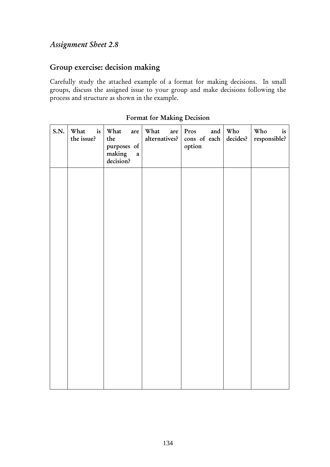## *Assignment Sheet 2.8*

# Group exercise: decision making

Carefully study the attached example of a format for making decisions. In small groups, discuss the assigned issue to your group and make decisions following the process and structure as shown in the example.

| S.N. | is<br>What<br>the issue? | What<br>are<br>the<br>purposes of<br>making<br>$\mathbf{a}$<br>decision? | What<br>are<br>alternatives? | Pros<br>and<br>cons of each<br>option | Who<br>decides? | Who<br>is<br>responsible? |
|------|--------------------------|--------------------------------------------------------------------------|------------------------------|---------------------------------------|-----------------|---------------------------|
|      |                          |                                                                          |                              |                                       |                 |                           |
|      |                          |                                                                          |                              |                                       |                 |                           |
|      |                          |                                                                          |                              |                                       |                 |                           |
|      |                          |                                                                          |                              |                                       |                 |                           |
|      |                          |                                                                          |                              |                                       |                 |                           |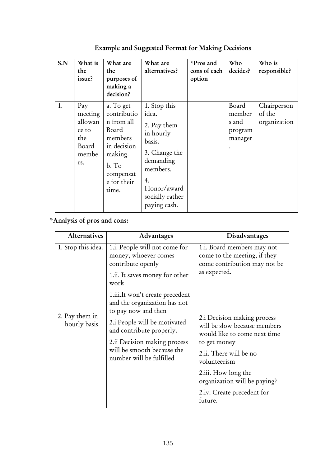| S.N | What is<br>the<br>issue?                                           | What are<br>the<br>purposes of<br>making a<br>decision?                                                                            | What are<br>alternatives?                                                                                                                                     | *Pros and<br>cons of each<br>option | Who<br>decides?                                | Who is<br>responsible?                |
|-----|--------------------------------------------------------------------|------------------------------------------------------------------------------------------------------------------------------------|---------------------------------------------------------------------------------------------------------------------------------------------------------------|-------------------------------------|------------------------------------------------|---------------------------------------|
| 1.  | Pay<br>meeting<br>allowan<br>ce to<br>the<br>Board<br>membe<br>rs. | a. To get<br>contributio<br>n from all<br>Board<br>members<br>in decision<br>making.<br>b. To<br>compensat<br>e for their<br>time. | 1. Stop this<br>idea.<br>2. Pay them<br>in hourly<br>basis.<br>3. Change the<br>demanding<br>members.<br>4.<br>Honor/award<br>socially rather<br>paying cash. |                                     | Board<br>member<br>s and<br>program<br>manager | Chairperson<br>of the<br>organization |

Example and Suggested Format for Making Decisions

# \*Analysis of pros and cons:

| <b>Alternatives</b>             | Advantages                                                                                                                                         | Disadvantages                                                                                                                                         |
|---------------------------------|----------------------------------------------------------------------------------------------------------------------------------------------------|-------------------------------------------------------------------------------------------------------------------------------------------------------|
| 1. Stop this idea.              | 1.i. People will not come for<br>money, whoever comes<br>contribute openly                                                                         | 1.i. Board members may not<br>come to the meeting, if they<br>come contribution may not be                                                            |
|                                 | 1.ii. It saves money for other<br>work                                                                                                             | as expected.                                                                                                                                          |
|                                 | 1.iii.It won't create precedent<br>and the organization has not<br>to pay now and then                                                             |                                                                                                                                                       |
| 2. Pay them in<br>hourly basis. | 2.i People will be motivated<br>and contribute properly.<br>2.ii Decision making process<br>will be smooth because the<br>number will be fulfilled | 2.i Decision making process<br>will be slow because members<br>would like to come next time<br>to get money<br>2.ii. There will be no<br>volunteerism |
|                                 |                                                                                                                                                    |                                                                                                                                                       |
|                                 |                                                                                                                                                    |                                                                                                                                                       |
|                                 |                                                                                                                                                    | 2.iii. How long the<br>organization will be paying?                                                                                                   |
|                                 |                                                                                                                                                    | 2.iv. Create precedent for<br>future.                                                                                                                 |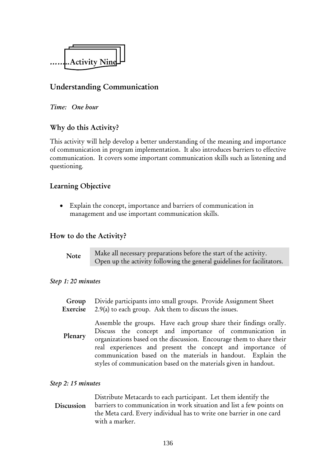

# Understanding Communication

#### *Time: One hour*

## Why do this Activity?

This activity will help develop a better understanding of the meaning and importance of communication in program implementation. It also introduces barriers to effective communication. It covers some important communication skills such as listening and questioning.

## Learning Objective

Explain the concept, importance and barriers of communication in management and use important communication skills.

## How to do the Activity?

| <b>Note</b> | Make all necessary preparations before the start of the activity.       |
|-------------|-------------------------------------------------------------------------|
|             | Open up the activity following the general guidelines for facilitators. |

#### *Step 1: 20 minutes*

Divide participants into small groups. Provide Assignment Sheet 2.9(a) to each group. Ask them to discuss the issues. Group Exercise

Assemble the groups. Have each group share their findings orally. Discuss the concept and importance of communication in organizations based on the discussion. Encourage them to share their real experiences and present the concept and importance of communication based on the materials in handout. Explain the styles of communication based on the materials given in handout. Plenary

#### *Step 2: 15 minutes*

Distribute Metacards to each participant. Let them identify the barriers to communication in work situation and list a few points on the Meta card. Every individual has to write one barrier in one card with a marker. **Discussion**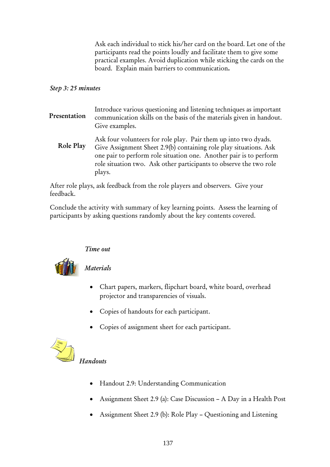Ask each individual to stick his/her card on the board. Let one of the participants read the points loudly and facilitate them to give some practical examples. Avoid duplication while sticking the cards on the board. Explain main barriers to communication.

## *Step 3: 25 minutes*

- Introduce various questioning and listening techniques as important communication skills on the basis of the materials given in handout. Give examples. Presentation
	- Ask four volunteers for role play. Pair them up into two dyads. Give Assignment Sheet 2.9(b) containing role play situations. Ask one pair to perform role situation one. Another pair is to perform role situation two. Ask other participants to observe the two role plays. Role Play

After role plays, ask feedback from the role players and observers. Give your feedback.

Conclude the activity with summary of key learning points. Assess the learning of participants by asking questions randomly about the key contents covered.

## *Time out*



## *Materials*

- Chart papers, markers, flipchart board, white board, overhead projector and transparencies of visuals.
- Copies of handouts for each participant.
- Copies of assignment sheet for each participant.



# *Handouts*

- Handout 2.9: Understanding Communication
- Assignment Sheet 2.9 (a): Case Discussion A Day in a Health Post
- Assignment Sheet 2.9 (b): Role Play Questioning and Listening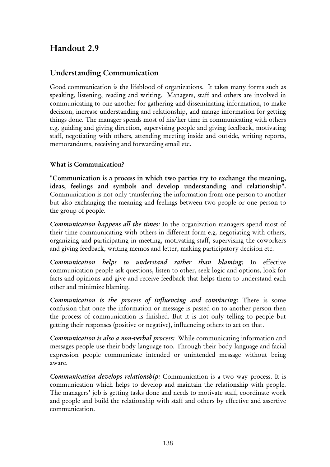# Handout 2.9

# Understanding Communication

Good communication is the lifeblood of organizations. It takes many forms such as speaking, listening, reading and writing. Managers, staff and others are involved in communicating to one another for gathering and disseminating information, to make decision, increase understanding and relationship, and mange information for getting things done. The manager spends most of his/her time in communicating with others e.g. guiding and giving direction, supervising people and giving feedback, motivating staff, negotiating with others, attending meeting inside and outside, writing reports, memorandums, receiving and forwarding email etc.

## What is Communication?

"Communication is a process in which two parties try to exchange the meaning, ideas, feelings and symbols and develop understanding and relationship". Communication is not only transferring the information from one person to another but also exchanging the meaning and feelings between two people or one person to the group of people.

*Communication happens all the times:* In the organization managers spend most of their time communicating with others in different form e.g. negotiating with others, organizing and participating in meeting, motivating staff, supervising the coworkers and giving feedback, writing memos and letter, making participatory decision etc.

*Communication helps to understand rather than blaming:* In effective communication people ask questions, listen to other, seek logic and options, look for facts and opinions and give and receive feedback that helps them to understand each other and minimize blaming.

*Communication is the process of influencing and convincing:* There is some confusion that once the information or message is passed on to another person then the process of communication is finished. But it is not only telling to people but getting their responses (positive or negative), influencing others to act on that.

*Communication is also a non-verbal process:* While communicating information and messages people use their body language too. Through their body language and facial expression people communicate intended or unintended message without being aware.

*Communication develops relationship:* Communication is a two way process. It is communication which helps to develop and maintain the relationship with people. The managers' job is getting tasks done and needs to motivate staff, coordinate work and people and build the relationship with staff and others by effective and assertive communication.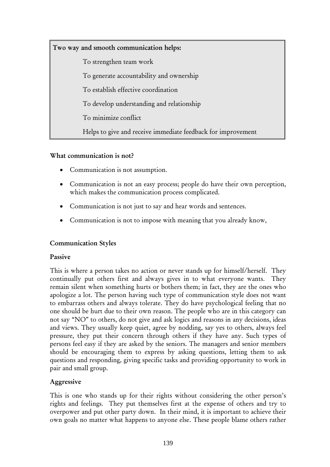Two way and smooth communication helps:

To strengthen team work

To generate accountability and ownership

To establish effective coordination

To develop understanding and relationship

To minimize conflict

Helps to give and receive immediate feedback for improvement

## What communication is not?

- Communication is not assumption.
- Communication is not an easy process; people do have their own perception, which makes the communication process complicated.
- Communication is not just to say and hear words and sentences.
- Communication is not to impose with meaning that you already know,

## Communication Styles

#### Passive

This is where a person takes no action or never stands up for himself/herself. They continually put others first and always gives in to what everyone wants. They remain silent when something hurts or bothers them; in fact, they are the ones who apologize a lot. The person having such type of communication style does not want to embarrass others and always tolerate. They do have psychological feeling that no one should be hurt due to their own reason. The people who are in this category can not say "NO" to others, do not give and ask logics and reasons in any decisions, ideas and views. They usually keep quiet, agree by nodding, say yes to others, always feel pressure, they put their concern through others if they have any. Such types of persons feel easy if they are asked by the seniors. The managers and senior members should be encouraging them to express by asking questions, letting them to ask questions and responding, giving specific tasks and providing opportunity to work in pair and small group.

## Aggressive

This is one who stands up for their rights without considering the other person's rights and feelings. They put themselves first at the expense of others and try to overpower and put other party down. In their mind, it is important to achieve their own goals no matter what happens to anyone else. These people blame others rather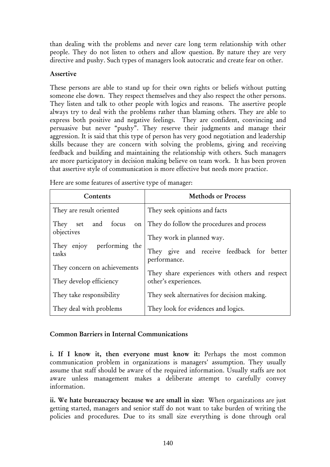than dealing with the problems and never care long term relationship with other people. They do not listen to others and allow question. By nature they are very directive and pushy. Such types of managers look autocratic and create fear on other.

#### Assertive

These persons are able to stand up for their own rights or beliefs without putting someone else down. They respect themselves and they also respect the other persons. They listen and talk to other people with logics and reasons. The assertive people always try to deal with the problems rather than blaming others. They are able to express both positive and negative feelings. They are confident, convincing and persuasive but never "pushy". They reserve their judgments and manage their aggression. It is said that this type of person has very good negotiation and leadership skills because they are concern with solving the problems, giving and receiving feedback and building and maintaining the relationship with others. Such managers are more participatory in decision making believe on team work. It has been proven that assertive style of communication is more effective but needs more practice.

| Contents                           | <b>Methods or Process</b>                                 |  |  |
|------------------------------------|-----------------------------------------------------------|--|--|
| They are result oriented           | They seek opinions and facts                              |  |  |
| and focus<br>They set<br>$\circ$ n | They do follow the procedures and process                 |  |  |
| objectives                         | They work in planned way.                                 |  |  |
| They enjoy performing the<br>tasks | They give and receive feedback for better<br>performance. |  |  |
| They concern on achievements       | They share experiences with others and respect            |  |  |
| They develop efficiency            | other's experiences.                                      |  |  |
| They take responsibility           | They seek alternatives for decision making.               |  |  |
| They deal with problems            | They look for evidences and logics.                       |  |  |

Here are some features of assertive type of manager:

#### Common Barriers in Internal Communications

i. If I know it, then everyone must know it: Perhaps the most common communication problem in organizations is managers' assumption. They usually assume that staff should be aware of the required information. Usually staffs are not aware unless management makes a deliberate attempt to carefully convey information.

ii. We hate bureaucracy because we are small in size: When organizations are just getting started, managers and senior staff do not want to take burden of writing the policies and procedures. Due to its small size everything is done through oral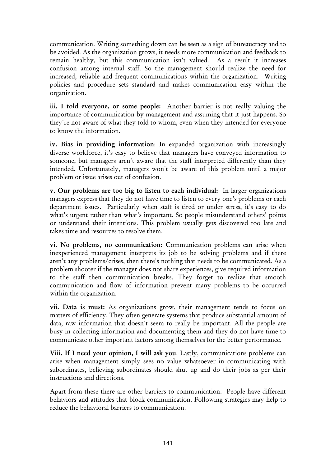communication. Writing something down can be seen as a sign of bureaucracy and to be avoided. As the organization grows, it needs more communication and feedback to remain healthy, but this communication isn't valued. As a result it increases confusion among internal staff. So the management should realize the need for increased, reliable and frequent communications within the organization. Writing policies and procedure sets standard and makes communication easy within the organization.

iii. I told everyone, or some people: Another barrier is not really valuing the importance of communication by management and assuming that it just happens. So they're not aware of what they told to whom, even when they intended for everyone to know the information.

iv. Bias in providing information: In expanded organization with increasingly diverse workforce, it's easy to believe that managers have conveyed information to someone, but managers aren't aware that the staff interpreted differently than they intended. Unfortunately, managers won't be aware of this problem until a major problem or issue arises out of confusion.

v. Our problems are too big to listen to each individual: In larger organizations managers express that they do not have time to listen to every one's problems or each department issues. Particularly when staff is tired or under stress, it's easy to do what's urgent rather than what's important. So people misunderstand others' points or understand their intentions. This problem usually gets discovered too late and takes time and resources to resolve them.

vi. No problems, no communication: Communication problems can arise when inexperienced management interprets its job to be solving problems and if there aren't any problems/crises, then there's nothing that needs to be communicated. As a problem shooter if the manager does not share experiences, give required information to the staff then communication breaks. They forget to realize that smooth communication and flow of information prevent many problems to be occurred within the organization.

vii. Data is must: As organizations grow, their management tends to focus on matters of efficiency. They often generate systems that produce substantial amount of data, raw information that doesn't seem to really be important. All the people are busy in collecting information and documenting them and they do not have time to communicate other important factors among themselves for the better performance.

Viii. If I need your opinion, I will ask you*.* Lastly, communications problems can arise when management simply sees no value whatsoever in communicating with subordinates, believing subordinates should shut up and do their jobs as per their instructions and directions.

Apart from these there are other barriers to communication. People have different behaviors and attitudes that block communication. Following strategies may help to reduce the behavioral barriers to communication.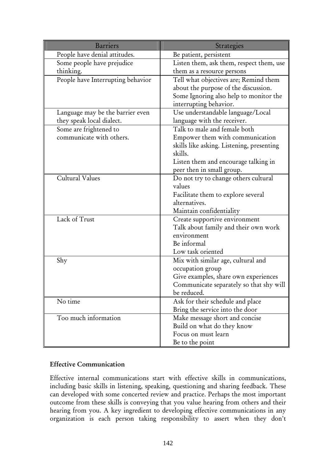| <b>Barriers</b>                   | Strategies                                |
|-----------------------------------|-------------------------------------------|
| People have denial attitudes.     | Be patient, persistent                    |
| Some people have prejudice        | Listen them, ask them, respect them, use  |
| thinking.                         | them as a resource persons                |
| People have Interrupting behavior | Tell what objectives are; Remind them     |
|                                   | about the purpose of the discussion.      |
|                                   | Some Ignoring also help to monitor the    |
|                                   | interrupting behavior.                    |
| Language may be the barrier even  | Use understandable language/Local         |
| they speak local dialect.         | language with the receiver.               |
| Some are frightened to            | Talk to male and female both              |
| communicate with others.          | Empower them with communication           |
|                                   | skills like asking. Listening, presenting |
|                                   | skills.                                   |
|                                   | Listen them and encourage talking in      |
|                                   | peer then in small group.                 |
| Cultural Values                   | Do not try to change others cultural      |
|                                   | values                                    |
|                                   | Facilitate them to explore several        |
|                                   | alternatives.                             |
|                                   | Maintain confidentiality                  |
| Lack of Trust                     | Create supportive environment             |
|                                   | Talk about family and their own work      |
|                                   | environment                               |
|                                   | Be informal                               |
|                                   | Low task oriented                         |
| Shy                               | Mix with similar age, cultural and        |
|                                   | occupation group                          |
|                                   | Give examples, share own experiences      |
|                                   | Communicate separately so that shy will   |
|                                   | be reduced.                               |
| No time                           | Ask for their schedule and place          |
|                                   | Bring the service into the door           |
| Too much information              | Make message short and concise            |
|                                   | Build on what do they know                |
|                                   | Focus on must learn                       |
|                                   | Be to the point                           |

#### Effective Communication

Effective internal communications start with effective skills in communications, including basic skills in listening, speaking, questioning and sharing feedback. These can developed with some concerted review and practice. Perhaps the most important outcome from these skills is conveying that you value hearing from others and their hearing from you. A key ingredient to developing effective communications in any organization is each person taking responsibility to assert when they don't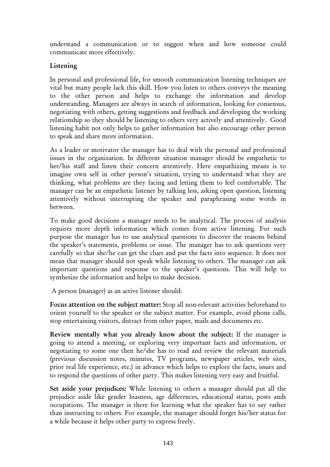understand a communication or to suggest when and how someone could communicate more effectively.

### Listening

In personal and professional life, for smooth communication listening techniques are vital but many people lack this skill. How you listen to others conveys the meaning to the other person and helps to exchange the information and develop understanding. Managers are always in search of information, looking for consensus, negotiating with others, getting suggestions and feedback and developing the working relationship so they should be listening to others very actively and attentively. Good listening habit not only helps to gather information but also encourage other person to speak and share more information.

As a leader or motivator the manager has to deal with the personal and professional issues in the organization. In different situation manager should be empathetic to her/his staff and listen their concern attentively. Here empathizing means is to imagine own self in other person's situation, trying to understand what they are thinking, what problems are they facing and letting them to feel comfortable. The manager can be an empathetic listener by talking less, asking open question, listening attentively without interrupting the speaker and paraphrasing some words in between.

To make good decisions a manager needs to be analytical. The process of analysis requires more depth information which comes from active listening. For such purpose the manager has to use analytical questions to discover the reasons behind the speaker's statements, problems or issue. The manager has to ask questions very carefully so that she/he can get the clues and put the facts into sequence. It does not mean that manager should not speak while listening to others. The manager can ask important questions and response to the speaker's questions. This will help to synthesize the information and helps to make decision.

A person (manager) as an active listener should:

Focus attention on the subject matter: Stop all non-relevant activities beforehand to orient yourself to the speaker or the subject matter. For example, avoid phone calls, stop entertaining visitors, distract from other paper, mails and documents etc.

Review mentally what you already know about the subject: If the manager is going to attend a meeting, or exploring very important facts and information, or negotiating to some one then he/she has to read and review the relevant materials (previous discussion notes, minutes, TV programs, newspaper articles, web sites, prior real life experience, etc.) in advance which helps to explore the facts, issues and to respond the questions of other party. This makes listening very easy and fruitful.

Set aside your prejudices: While listening to others a manager should put all the prejudice aside like gender biasness, age differences, educational status, posts ands occupations. The manager is there for learning what the speaker has to say rather than instructing to others. For example, the manager should forget his/her status for a while because it helps other party to express freely.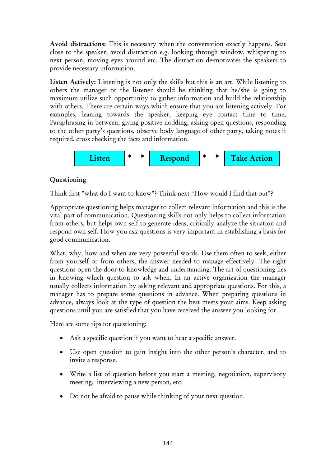Avoid distractions: This is necessary when the conversation exactly happens. Seat close to the speaker, avoid distraction e.g. looking through window, whispering to next person, moving eyes around etc. The distraction de-motivates the speakers to provide necessary information.

Listen Actively: Listening is not only the skills but this is an art. While listening to others the manager or the listener should be thinking that he/she is going to maximum utilize such opportunity to gather information and build the relationship with others. There are certain ways which ensure that you are listening actively. For examples, leaning towards the speaker, keeping eye contact time to time, Paraphrasing in between, giving positive nodding, asking open questions, responding to the other party's questions, observe body language of other party, taking notes if required, cross checking the facts and information.



### Questioning

Think first "what do I want to know"? Think next "How would I find that out"?

Appropriate questioning helps manager to collect relevant information and this is the vital part of communication. Questioning skills not only helps to collect information from others, but helps own self to generate ideas, critically analyze the situation and respond own self. How you ask questions is very important in establishing a basis for good communication.

What, why, how and when are very powerful words. Use them often to seek, either from yourself or from others, the answer needed to manage effectively. The right questions open the door to knowledge and understanding. The art of questioning lies in knowing which question to ask when. In an active organization the manager usually collects information by asking relevant and appropriate questions. For this, a manager has to prepare some questions in advance. When preparing questions in advance, always look at the type of question the best meets your aims. Keep asking questions until you are satisfied that you have received the answer you looking for.

Here are some tips for questioning:

- Ask a specific question if you want to hear a specific answer.
- Use open question to gain insight into the other person's character, and to invite a response.
- Write a list of question before you start a meeting, negotiation, supervisory meeting, interviewing a new person, etc.
- Do not be afraid to pause while thinking of your next question.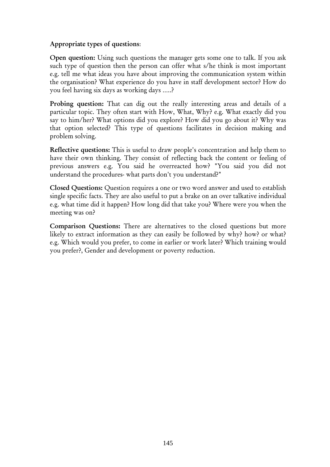#### Appropriate types of questions:

Open question: Using such questions the manager gets some one to talk. If you ask such type of question then the person can offer what s/he think is most important e.g. tell me what ideas you have about improving the communication system within the organisation? What experience do you have in staff development sector? How do you feel having six days as working days …..?

Probing question: That can dig out the really interesting areas and details of a particular topic. They often start with How, What, Why? e.g. What exactly did you say to him/her? What options did you explore? How did you go about it? Why was that option selected? This type of questions facilitates in decision making and problem solving.

Reflective questions: This is useful to draw people's concentration and help them to have their own thinking. They consist of reflecting back the content or feeling of previous answers e.g. You said he overreacted how? "You said you did not understand the procedures- what parts don't you understand?"

Closed Questions: Question requires a one or two word answer and used to establish single specific facts. They are also useful to put a brake on an over talkative individual e.g. what time did it happen? How long did that take you? Where were you when the meeting was on?

Comparison Questions: There are alternatives to the closed questions but more likely to extract information as they can easily be followed by why? how? or what? e.g. Which would you prefer, to come in earlier or work later? Which training would you prefer?, Gender and development or poverty reduction.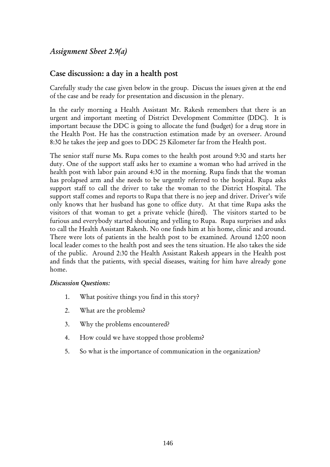## *Assignment Sheet 2.9(a)*

## Case discussion: a day in a health post

Carefully study the case given below in the group. Discuss the issues given at the end of the case and be ready for presentation and discussion in the plenary.

In the early morning a Health Assistant Mr. Rakesh remembers that there is an urgent and important meeting of District Development Committee (DDC). It is important because the DDC is going to allocate the fund (budget) for a drug store in the Health Post. He has the construction estimation made by an overseer. Around 8:30 he takes the jeep and goes to DDC 25 Kilometer far from the Health post.

The senior staff nurse Ms. Rupa comes to the health post around 9:30 and starts her duty. One of the support staff asks her to examine a woman who had arrived in the health post with labor pain around 4:30 in the morning. Rupa finds that the woman has prolapsed arm and she needs to be urgently referred to the hospital. Rupa asks support staff to call the driver to take the woman to the District Hospital. The support staff comes and reports to Rupa that there is no jeep and driver. Driver's wife only knows that her husband has gone to office duty. At that time Rupa asks the visitors of that woman to get a private vehicle (hired). The visitors started to be furious and everybody started shouting and yelling to Rupa. Rupa surprises and asks to call the Health Assistant Rakesh. No one finds him at his home, clinic and around. There were lots of patients in the health post to be examined. Around 12:00 noon local leader comes to the health post and sees the tens situation. He also takes the side of the public. Around 2:30 the Health Assistant Rakesh appears in the Health post and finds that the patients, with special diseases, waiting for him have already gone home.

#### *Discussion Questions:*

- 1. What positive things you find in this story?
- 2. What are the problems?
- 3. Why the problems encountered?
- 4. How could we have stopped those problems?
- 5. So what is the importance of communication in the organization?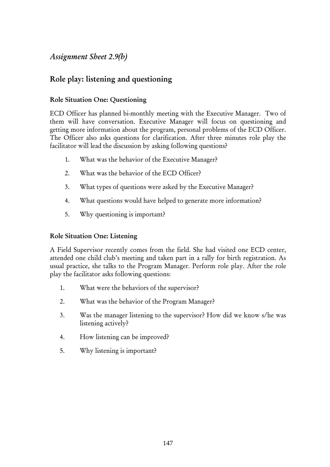## *Assignment Sheet 2.9(b)*

# Role play: listening and questioning

#### Role Situation One: Questioning

ECD Officer has planned bi-monthly meeting with the Executive Manager. Two of them will have conversation. Executive Manager will focus on questioning and getting more information about the program, personal problems of the ECD Officer. The Officer also asks questions for clarification. After three minutes role play the facilitator will lead the discussion by asking following questions?

- 1. What was the behavior of the Executive Manager?
- 2. What was the behavior of the ECD Officer?
- 3. What types of questions were asked by the Executive Manager?
- 4. What questions would have helped to generate more information?
- 5. Why questioning is important?

#### Role Situation One: Listening

A Field Supervisor recently comes from the field. She had visited one ECD center, attended one child club's meeting and taken part in a rally for birth registration. As usual practice, she talks to the Program Manager. Perform role play. After the role play the facilitator asks following questions:

- 1. What were the behaviors of the supervisor?
- 2. What was the behavior of the Program Manager?
- 3. Was the manager listening to the supervisor? How did we know s/he was listening actively?
- 4. How listening can be improved?
- 5. Why listening is important?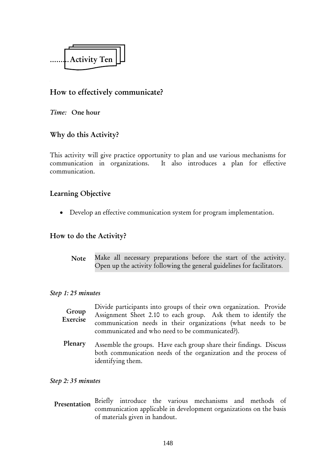

## How to effectively communicate?

*Time:* One hour

## Why do this Activity?

This activity will give practice opportunity to plan and use various mechanisms for communication in organizations. It also introduces a plan for effective communication.

## Learning Objective

• Develop an effective communication system for program implementation.

### How to do the Activity?

Make all necessary preparations before the start of the activity. Open up the activity following the general guidelines for facilitators. Note

#### *Step 1: 25 minutes*

| Group<br>Exercise | Divide participants into groups of their own organization. Provide<br>Assignment Sheet 2.10 to each group. Ask them to identify the<br>communication needs in their organizations (what needs to be<br>communicated and who need to be communicated?). |
|-------------------|--------------------------------------------------------------------------------------------------------------------------------------------------------------------------------------------------------------------------------------------------------|
| Plenary           | Assemble the groups. Have each group share their findings. Discuss<br>both communication needs of the organization and the process of<br>identifying them.                                                                                             |

#### *Step 2: 35 minutes*

Presentation Briefly introduce the various mechanisms and methods of communication applicable in development organizations on the basis of materials given in handout.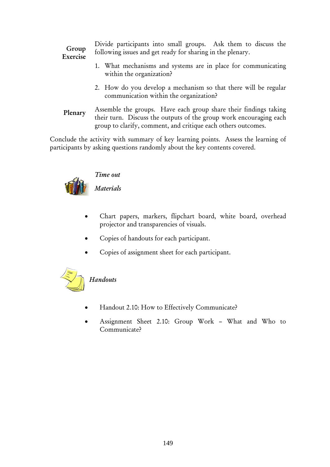Divide participants into small groups. Ask them to discuss the following issues and get ready for sharing in the plenary.

#### Group Exercise

- 1. What mechanisms and systems are in place for communicating within the organization?
- 2. How do you develop a mechanism so that there will be regular communication within the organization?
- Assemble the groups. Have each group share their findings taking their turn. Discuss the outputs of the group work encouraging each group to clarify, comment, and critique each others outcomes. Plenary

Conclude the activity with summary of key learning points. Assess the learning of participants by asking questions randomly about the key contents covered.



# *Time out*

*Materials* 

- Chart papers, markers, flipchart board, white board, overhead projector and transparencies of visuals.
- Copies of handouts for each participant.
- Copies of assignment sheet for each participant.



- Handout 2.10: How to Effectively Communicate?
- Assignment Sheet 2.10: Group Work What and Who to Communicate?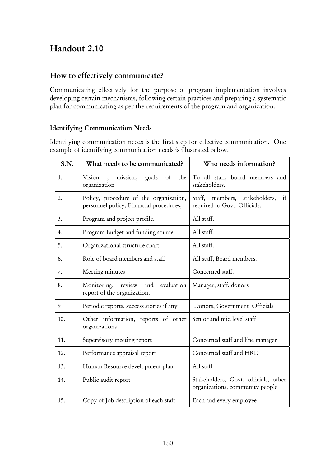# Handout 2.10

## How to effectively communicate?

Communicating effectively for the purpose of program implementation involves developing certain mechanisms, following certain practices and preparing a systematic plan for communicating as per the requirements of the program and organization.

### Identifying Communication Needs

Identifying communication needs is the first step for effective communication. One example of identifying communication needs is illustrated below.

| S.N. | What needs to be communicated?                                                    | Who needs information?                                                  |  |
|------|-----------------------------------------------------------------------------------|-------------------------------------------------------------------------|--|
| 1.   | Vision<br>mission,<br>goals<br>of<br>the<br>$\sim$<br>organization                | To all staff, board members and<br>stakeholders.                        |  |
| 2.   | Policy, procedure of the organization,<br>personnel policy, Financial procedures, | Staff, members, stakeholders,<br>if<br>required to Govt. Officials.     |  |
| 3.   | Program and project profile.                                                      | All staff.                                                              |  |
| 4.   | Program Budget and funding source.                                                | All staff.                                                              |  |
| 5.   | Organizational structure chart                                                    | All staff.                                                              |  |
| 6.   | Role of board members and staff                                                   | All staff, Board members.                                               |  |
| 7.   | Meeting minutes                                                                   | Concerned staff.                                                        |  |
| 8.   | Monitoring, review and<br>evaluation<br>report of the organization,               | Manager, staff, donors                                                  |  |
| 9    | Periodic reports, success stories if any                                          | Donors, Government Officials                                            |  |
| 10.  | Other information, reports of other<br>organizations                              | Senior and mid level staff                                              |  |
| 11.  | Supervisory meeting report                                                        | Concerned staff and line manager                                        |  |
| 12.  | Performance appraisal report                                                      | Concerned staff and HRD                                                 |  |
| 13.  | Human Resource development plan                                                   | All staff                                                               |  |
| 14.  | Public audit report                                                               | Stakeholders, Govt. officials, other<br>organizations, community people |  |
| 15.  | Copy of Job description of each staff                                             | Each and every employee                                                 |  |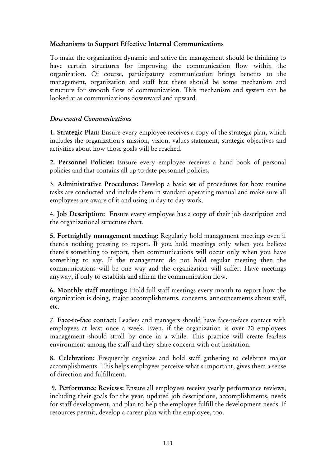#### Mechanisms to Support Effective Internal Communications

To make the organization dynamic and active the management should be thinking to have certain structures for improving the communication flow within the organization. Of course, participatory communication brings benefits to the management, organization and staff but there should be some mechanism and structure for smooth flow of communication. This mechanism and system can be looked at as communications downward and upward.

#### *Downward Communications*

1. Strategic Plan: Ensure every employee receives a copy of the strategic plan, which includes the organization's mission, vision, values statement, strategic objectives and activities about how those goals will be reached.

2. Personnel Policies: Ensure every employee receives a hand book of personal policies and that contains all up-to-date personnel policies.

3. Administrative Procedures: Develop a basic set of procedures for how routine tasks are conducted and include them in standard operating manual and make sure all employees are aware of it and using in day to day work.

4. Job Description: Ensure every employee has a copy of their job description and the organizational structure chart.

5. Fortnightly management meeting: Regularly hold management meetings even if there's nothing pressing to report. If you hold meetings only when you believe there's something to report, then communications will occur only when you have something to say. If the management do not hold regular meeting then the communications will be one way and the organization will suffer. Have meetings anyway, if only to establish and affirm the communication flow.

6. Monthly staff meetings: Hold full staff meetings every month to report how the organization is doing, major accomplishments, concerns, announcements about staff, etc.

7. Face-to-face contact: Leaders and managers should have face-to-face contact with employees at least once a week. Even, if the organization is over 20 employees management should stroll by once in a while. This practice will create fearless environment among the staff and they share concern with out hesitation.

8. Celebration: Frequently organize and hold staff gathering to celebrate major accomplishments. This helps employees perceive what's important, gives them a sense of direction and fulfillment.

9. Performance Reviews: Ensure all employees receive yearly performance reviews, including their goals for the year, updated job descriptions, accomplishments, needs for staff development, and plan to help the employee fulfill the development needs. If resources permit, develop a career plan with the employee, too.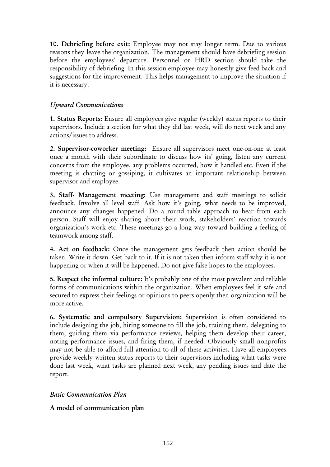10. Debriefing before exit: Employee may not stay longer term. Due to various reasons they leave the organization. The management should have debriefing session before the employees' departure. Personnel or HRD section should take the responsibility of debriefing. In this session employee may honestly give feed back and suggestions for the improvement. This helps management to improve the situation if it is necessary.

#### *Upward Communications*

1. Status Reports: Ensure all employees give regular (weekly) status reports to their supervisors. Include a section for what they did last week, will do next week and any actions/issues to address.

2. Supervisor-coworker meeting: Ensure all supervisors meet one-on-one at least once a month with their subordinate to discuss how its' going, listen any current concerns from the employee, any problems occurred, how it handled etc. Even if the meeting is chatting or gossiping, it cultivates an important relationship between supervisor and employee.

3. Staff- Management meeting: Use management and staff meetings to solicit feedback. Involve all level staff. Ask how it's going, what needs to be improved, announce any changes happened. Do a round table approach to hear from each person. Staff will enjoy sharing about their work, stakeholders' reaction towards organization's work etc. These meetings go a long way toward building a feeling of teamwork among staff.

4. Act on feedback: Once the management gets feedback then action should be taken. Write it down. Get back to it. If it is not taken then inform staff why it is not happening or when it will be happened. Do not give false hopes to the employees.

5. Respect the informal culture: It's probably one of the most prevalent and reliable forms of communications within the organization. When employees feel it safe and secured to express their feelings or opinions to peers openly then organization will be more active.

6. Systematic and compulsory Supervision: Supervision is often considered to include designing the job, hiring someone to fill the job, training them, delegating to them, guiding them via performance reviews, helping them develop their career, noting performance issues, and firing them, if needed. Obviously small nonprofits may not be able to afford full attention to all of these activities. Have all employees provide weekly written status reports to their supervisors including what tasks were done last week, what tasks are planned next week, any pending issues and date the report.

#### *Basic Communication Plan*

#### A model of communication plan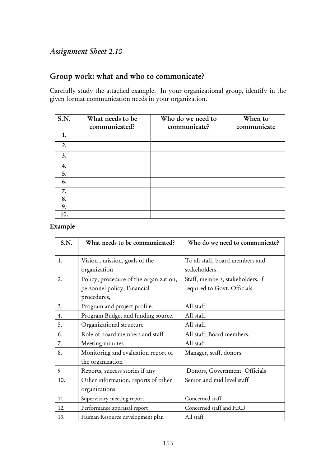# *Assignment Sheet 2.10*

# Group work: what and who to communicate?

Carefully study the attached example. In your organizational group, identify in the given format communication needs in your organization.

| S.N. | What needs to be | Who do we need to | When to     |
|------|------------------|-------------------|-------------|
|      | communicated?    | communicate?      | communicate |
| 1.   |                  |                   |             |
| 2.   |                  |                   |             |
| 3.   |                  |                   |             |
| 4.   |                  |                   |             |
| 5.   |                  |                   |             |
| 6.   |                  |                   |             |
| 7.   |                  |                   |             |
| 8.   |                  |                   |             |
| 9.   |                  |                   |             |
| 10.  |                  |                   |             |

#### Example

| S.N. | What needs to be communicated?         | Who do we need to communicate?   |
|------|----------------------------------------|----------------------------------|
| 1.   | Vision, mission, goals of the          | To all staff, board members and  |
|      | organization                           | stakeholders.                    |
| 2.   | Policy, procedure of the organization, | Staff, members, stakeholders, if |
|      | personnel policy, Financial            | required to Govt. Officials.     |
|      | procedures,                            |                                  |
| 3.   | Program and project profile.           | All staff.                       |
| 4.   | Program Budget and funding source.     | All staff.                       |
| 5.   | Organizational structure               | All staff.                       |
| 6.   | Role of board members and staff        | All staff, Board members.        |
| 7.   | Meeting minutes                        | All staff.                       |
| 8.   | Monitoring and evaluation report of    | Manager, staff, donors           |
|      | the organization                       |                                  |
| 9    | Reports, success stories if any        | Donors, Government Officials     |
| 10.  | Other information, reports of other    | Senior and mid level staff       |
|      | organizations                          |                                  |
| 11.  | Supervisory meeting report             | Concerned staff                  |
| 12.  | Performance appraisal report           | Concerned staff and HRD          |
| 13.  | Human Resource development plan        | All staff                        |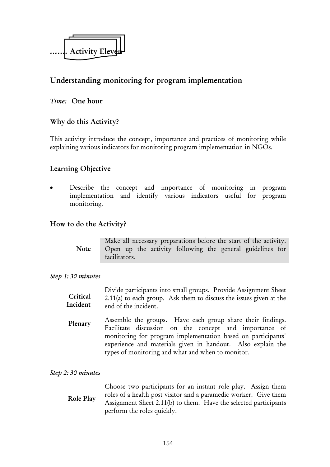

# Understanding monitoring for program implementation

#### *Time:* One hour

## Why do this Activity?

This activity introduce the concept, importance and practices of monitoring while explaining various indicators for monitoring program implementation in NGOs.

### Learning Objective

Describe the concept and importance of monitoring in program implementation and identify various indicators useful for program monitoring.

#### How to do the Activity?

|             |               |  |  | Make all necessary preparations before the start of the activity. |  |
|-------------|---------------|--|--|-------------------------------------------------------------------|--|
| <b>Note</b> | facilitators. |  |  | Open up the activity following the general guidelines for         |  |

#### *Step 1: 30 minutes*

|          | Divide participants into small groups. Provide Assignment Sheet      |
|----------|----------------------------------------------------------------------|
| Critical | $2.11(a)$ to each group. Ask them to discuss the issues given at the |
| Incident | end of the incident.                                                 |

Assemble the groups. Have each group share their findings. Facilitate discussion on the concept and importance of monitoring for program implementation based on participants' experience and materials given in handout. Also explain the types of monitoring and what and when to monitor. Plenary

#### *Step 2: 30 minutes*

Choose two participants for an instant role play. Assign them roles of a health post visitor and a paramedic worker. Give them Assignment Sheet 2.11(b) to them. Have the selected participants perform the roles quickly. Role Play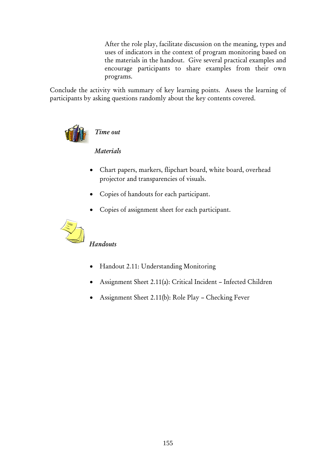After the role play, facilitate discussion on the meaning, types and uses of indicators in the context of program monitoring based on the materials in the handout. Give several practical examples and encourage participants to share examples from their own programs.

Conclude the activity with summary of key learning points. Assess the learning of participants by asking questions randomly about the key contents covered.



*Time out* 

## *Materials*

- Chart papers, markers, flipchart board, white board, overhead projector and transparencies of visuals.
- Copies of handouts for each participant.
- Copies of assignment sheet for each participant.



# *Handouts*

- Handout 2.11: Understanding Monitoring
- Assignment Sheet 2.11(a): Critical Incident Infected Children
- Assignment Sheet 2.11(b): Role Play Checking Fever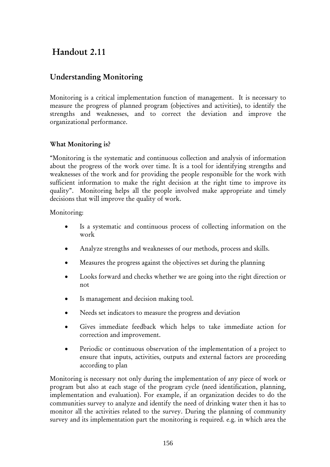# Handout 2.11

## Understanding Monitoring

Monitoring is a critical implementation function of management. It is necessary to measure the progress of planned program (objectives and activities), to identify the strengths and weaknesses, and to correct the deviation and improve the organizational performance.

#### What Monitoring is?

"Monitoring is the systematic and continuous collection and analysis of information about the progress of the work over time. It is a tool for identifying strengths and weaknesses of the work and for providing the people responsible for the work with sufficient information to make the right decision at the right time to improve its quality". Monitoring helps all the people involved make appropriate and timely decisions that will improve the quality of work.

Monitoring:

- Is a systematic and continuous process of collecting information on the work
- Analyze strengths and weaknesses of our methods, process and skills.
- Measures the progress against the objectives set during the planning
- Looks forward and checks whether we are going into the right direction or not
- Is management and decision making tool.
- Needs set indicators to measure the progress and deviation
- Gives immediate feedback which helps to take immediate action for correction and improvement.
- Periodic or continuous observation of the implementation of a project to ensure that inputs, activities, outputs and external factors are proceeding according to plan

Monitoring is necessary not only during the implementation of any piece of work or program but also at each stage of the program cycle (need identification, planning, implementation and evaluation). For example, if an organization decides to do the communities survey to analyze and identify the need of drinking water then it has to monitor all the activities related to the survey. During the planning of community survey and its implementation part the monitoring is required. e.g. in which area the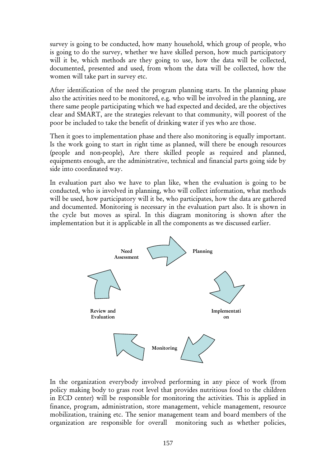survey is going to be conducted, how many household, which group of people, who is going to do the survey, whether we have skilled person, how much participatory will it be, which methods are they going to use, how the data will be collected, documented, presented and used, from whom the data will be collected, how the women will take part in survey etc.

After identification of the need the program planning starts. In the planning phase also the activities need to be monitored, e.g. who will be involved in the planning, are there same people participating which we had expected and decided, are the objectives clear and SMART, are the strategies relevant to that community, will poorest of the poor be included to take the benefit of drinking water if yes who are those.

Then it goes to implementation phase and there also monitoring is equally important. Is the work going to start in right time as planned, will there be enough resources (people and non-people), Are there skilled people as required and planned, equipments enough, are the administrative, technical and financial parts going side by side into coordinated way.

In evaluation part also we have to plan like, when the evaluation is going to be conducted, who is involved in planning, who will collect information, what methods will be used, how participatory will it be, who participates, how the data are gathered and documented. Monitoring is necessary in the evaluation part also. It is shown in the cycle but moves as spiral. In this diagram monitoring is shown after the implementation but it is applicable in all the components as we discussed earlier.



In the organization everybody involved performing in any piece of work (from policy making body to grass root level that provides nutritious food to the children in ECD center) will be responsible for monitoring the activities. This is applied in finance, program, administration, store management, vehicle management, resource mobilization, training etc. The senior management team and board members of the organization are responsible for overall monitoring such as whether policies,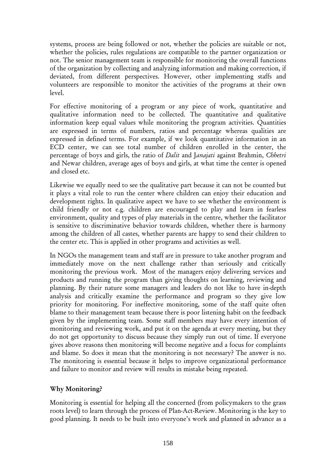systems, process are being followed or not, whether the policies are suitable or not, whether the policies, rules regulations are compatible to the partner organization or not. The senior management team is responsible for monitoring the overall functions of the organization by collecting and analyzing information and making correction, if deviated, from different perspectives. However, other implementing staffs and volunteers are responsible to monitor the activities of the programs at their own level.

For effective monitoring of a program or any piece of work, quantitative and qualitative information need to be collected. The quantitative and qualitative information keep equal values while monitoring the program activities. Quantities are expressed in terms of numbers, ratios and percentage whereas qualities are expressed in defined terms. For example, if we look quantitative information in an ECD center, we can see total number of children enrolled in the center, the percentage of boys and girls, the ratio of *Dalit* and J*anajati* against Brahmin, *Chhetri* and Newar children, average ages of boys and girls, at what time the center is opened and closed etc.

Likewise we equally need to see the qualitative part because it can not be counted but it plays a vital role to run the center where children can enjoy their education and development rights. In qualitative aspect we have to see whether the environment is child friendly or not e.g. children are encouraged to play and learn in fearless environment, quality and types of play materials in the centre, whether the facilitator is sensitive to discriminative behavior towards children, whether there is harmony among the children of all castes, whether parents are happy to send their children to the center etc. This is applied in other programs and activities as well.

In NGOs the management team and staff are in pressure to take another program and immediately move on the next challenge rather than seriously and critically monitoring the previous work. Most of the managers enjoy delivering services and products and running the program than giving thoughts on learning, reviewing and planning. By their nature some managers and leaders do not like to have in-depth analysis and critically examine the performance and program so they give low priority for monitoring. For ineffective monitoring, some of the staff quite often blame to their management team because there is poor listening habit on the feedback given by the implementing team. Some staff members may have every intention of monitoring and reviewing work, and put it on the agenda at every meeting, but they do not get opportunity to discuss because they simply run out of time. If everyone gives above reasons then monitoring will become negative and a focus for complaints and blame. So does it mean that the monitoring is not necessary? The answer is no. The monitoring is essential because it helps to improve organizational performance and failure to monitor and review will results in mistake being repeated.

#### Why Monitoring?

Monitoring is essential for helping all the concerned (from policymakers to the grass roots level) to learn through the process of Plan-Act-Review. Monitoring is the key to good planning. It needs to be built into everyone's work and planned in advance as a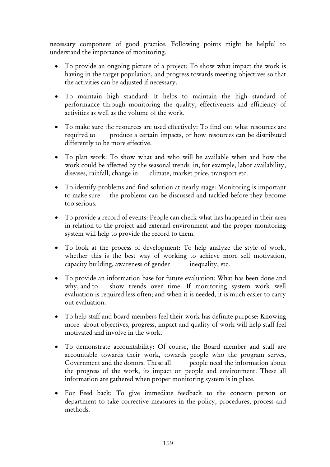necessary component of good practice. Following points might be helpful to understand the importance of monitoring.

- To provide an ongoing picture of a project: To show what impact the work is having in the target population, and progress towards meeting objectives so that the activities can be adjusted if necessary.
- To maintain high standard: It helps to maintain the high standard of performance through monitoring the quality, effectiveness and efficiency of activities as well as the volume of the work.
- To make sure the resources are used effectively: To find out what resources are required to produce a certain impacts, or how resources can be distributed differently to be more effective.
- To plan work: To show what and who will be available when and how the work could be affected by the seasonal trends in, for example, labor availability, diseases, rainfall, change in climate, market price, transport etc.
- To identify problems and find solution at nearly stage: Monitoring is important to make sure the problems can be discussed and tackled before they become too serious.
- To provide a record of events: People can check what has happened in their area in relation to the project and external environment and the proper monitoring system will help to provide the record to them.
- To look at the process of development: To help analyze the style of work, whether this is the best way of working to achieve more self motivation, capacity building, awareness of gender inequality, etc.
- To provide an information base for future evaluation: What has been done and why, and to show trends over time. If monitoring system work well evaluation is required less often; and when it is needed, it is much easier to carry out evaluation.
- To help staff and board members feel their work has definite purpose: Knowing more about objectives, progress, impact and quality of work will help staff feel motivated and involve in the work.
- To demonstrate accountability: Of course, the Board member and staff are accountable towards their work, towards people who the program serves, Government and the donors. These all people need the information about the progress of the work, its impact on people and environment. These all information are gathered when proper monitoring system is in place.
- For Feed back: To give immediate feedback to the concern person or department to take corrective measures in the policy, procedures, process and methods.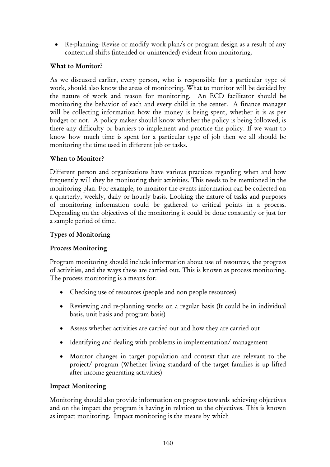• Re-planning: Revise or modify work plan/s or program design as a result of any contextual shifts (intended or unintended) evident from monitoring.

#### What to Monitor?

As we discussed earlier, every person, who is responsible for a particular type of work, should also know the areas of monitoring. What to monitor will be decided by the nature of work and reason for monitoring. An ECD facilitator should be monitoring the behavior of each and every child in the center. A finance manager will be collecting information how the money is being spent, whether it is as per budget or not. A policy maker should know whether the policy is being followed, is there any difficulty or barriers to implement and practice the policy. If we want to know how much time is spent for a particular type of job then we all should be monitoring the time used in different job or tasks.

### When to Monitor?

Different person and organizations have various practices regarding when and how frequently will they be monitoring their activities. This needs to be mentioned in the monitoring plan. For example, to monitor the events information can be collected on a quarterly, weekly, daily or hourly basis. Looking the nature of tasks and purposes of monitoring information could be gathered to critical points in a process. Depending on the objectives of the monitoring it could be done constantly or just for a sample period of time.

### Types of Monitoring

## Process Monitoring

Program monitoring should include information about use of resources, the progress of activities, and the ways these are carried out. This is known as process monitoring. The process monitoring is a means for:

- Checking use of resources (people and non people resources)
- Reviewing and re-planning works on a regular basis (It could be in individual basis, unit basis and program basis)
- Assess whether activities are carried out and how they are carried out
- Identifying and dealing with problems in implementation/ management
- Monitor changes in target population and context that are relevant to the project/ program (Whether living standard of the target families is up lifted after income generating activities)

#### Impact Monitoring

Monitoring should also provide information on progress towards achieving objectives and on the impact the program is having in relation to the objectives. This is known as impact monitoring. Impact monitoring is the means by which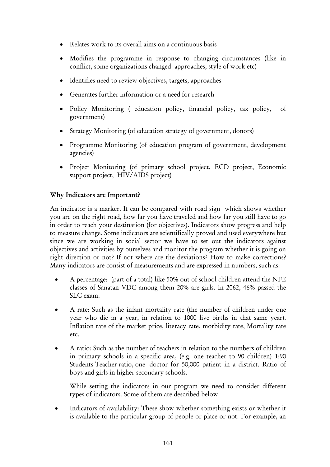- Relates work to its overall aims on a continuous basis
- Modifies the programme in response to changing circumstances (like in conflict, some organizations changed approaches, style of work etc)
- Identifies need to review objectives, targets, approaches
- Generates further information or a need for research
- Policy Monitoring (education policy, financial policy, tax policy, of government)
- Strategy Monitoring (of education strategy of government, donors)
- Programme Monitoring (of education program of government, development agencies)
- Project Monitoring (of primary school project, ECD project, Economic support project, HIV/AIDS project)

### Why Indicators are Important?

An indicator is a marker. It can be compared with road sign which shows whether you are on the right road, how far you have traveled and how far you still have to go in order to reach your destination (for objectives). Indicators show progress and help to measure change. Some indicators are scientifically proved and used everywhere but since we are working in social sector we have to set out the indicators against objectives and activities by ourselves and monitor the program whether it is going on right direction or not? If not where are the deviations? How to make corrections? Many indicators are consist of measurements and are expressed in numbers, such as:

- A percentage: (part of a total) like 50% out of school children attend the NFE classes of Sanatan VDC among them 20% are girls. In 2062, 46% passed the SLC exam.
- A rate: Such as the infant mortality rate (the number of children under one year who die in a year, in relation to 1000 live births in that same year). Inflation rate of the market price, literacy rate, morbidity rate, Mortality rate etc.
- A ratio: Such as the number of teachers in relation to the numbers of children in primary schools in a specific area, (e.g. one teacher to 90 children) 1:90 Students Teacher ratio, one doctor for 50,000 patient in a district. Ratio of boys and girls in higher secondary schools.

 While setting the indicators in our program we need to consider different types of indicators. Some of them are described below

Indicators of availability: These show whether something exists or whether it is available to the particular group of people or place or not. For example, an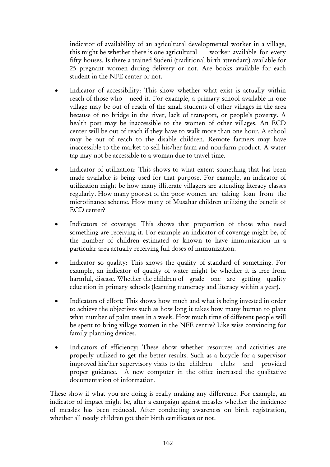indicator of availability of an agricultural developmental worker in a village, this might be whether there is one agricultural worker available for every fifty houses. Is there a trained Sudeni (traditional birth attendant) available for 25 pregnant women during delivery or not. Are books available for each student in the NFE center or not.

- Indicator of accessibility: This show whether what exist is actually within reach of those who need it. For example, a primary school available in one village may be out of reach of the small students of other villages in the area because of no bridge in the river, lack of transport, or people's poverty. A health post may be inaccessible to the women of other villages. An ECD center will be out of reach if they have to walk more than one hour. A school may be out of reach to the disable children. Remote farmers may have inaccessible to the market to sell his/her farm and non-farm product. A water tap may not be accessible to a woman due to travel time.
- Indicator of utilization: This shows to what extent something that has been made available is being used for that purpose. For example, an indicator of utilization might be how many illiterate villagers are attending literacy classes regularly. How many poorest of the poor women are taking loan from the microfinance scheme. How many of Musahar children utilizing the benefit of ECD center?
- Indicators of coverage: This shows that proportion of those who need something are receiving it. For example an indicator of coverage might be, of the number of children estimated or known to have immunization in a particular area actually receiving full doses of immunization.
- Indicator so quality: This shows the quality of standard of something. For example, an indicator of quality of water might be whether it is free from harmful, disease. Whether the children of grade one are getting quality education in primary schools (learning numeracy and literacy within a year).
- Indicators of effort: This shows how much and what is being invested in order to achieve the objectives such as how long it takes how many human to plant what number of palm trees in a week. How much time of different people will be spent to bring village women in the NFE centre? Like wise convincing for family planning devices.
- Indicators of efficiency: These show whether resources and activities are properly utilized to get the better results. Such as a bicycle for a supervisor improved his/her supervisory visits to the children clubs and provided proper guidance. A new computer in the office increased the qualitative documentation of information.

These show if what you are doing is really making any difference. For example, an indicator of impact might be, after a campaign against measles whether the incidence of measles has been reduced. After conducting awareness on birth registration, whether all needy children got their birth certificates or not.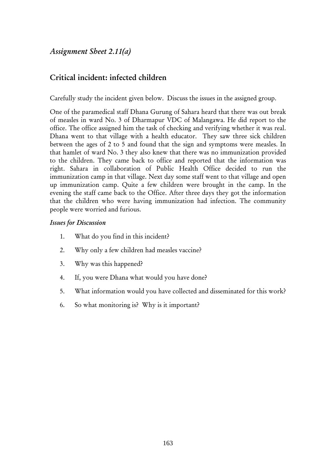*Assignment Sheet 2.11(a)* 

## Critical incident: infected children

Carefully study the incident given below. Discuss the issues in the assigned group.

One of the paramedical staff Dhana Gurung of Sahara heard that there was out break of measles in ward No. 3 of Dharmapur VDC of Malangawa. He did report to the office. The office assigned him the task of checking and verifying whether it was real. Dhana went to that village with a health educator. They saw three sick children between the ages of 2 to 5 and found that the sign and symptoms were measles. In that hamlet of ward No. 3 they also knew that there was no immunization provided to the children. They came back to office and reported that the information was right. Sahara in collaboration of Public Health Office decided to run the immunization camp in that village. Next day some staff went to that village and open up immunization camp. Quite a few children were brought in the camp. In the evening the staff came back to the Office. After three days they got the information that the children who were having immunization had infection. The community people were worried and furious.

#### *Issues for Discussion*

- 1. What do you find in this incident?
- 2. Why only a few children had measles vaccine?
- 3. Why was this happened?
- 4. If, you were Dhana what would you have done?
- 5. What information would you have collected and disseminated for this work?
- 6. So what monitoring is? Why is it important?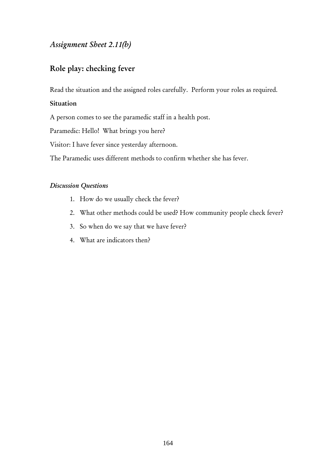## *Assignment Sheet 2.11(b)*

## Role play: checking fever

Read the situation and the assigned roles carefully. Perform your roles as required.

### Situation

A person comes to see the paramedic staff in a health post.

Paramedic: Hello! What brings you here?

Visitor: I have fever since yesterday afternoon.

The Paramedic uses different methods to confirm whether she has fever.

#### *Discussion Questions*

- 1. How do we usually check the fever?
- 2. What other methods could be used? How community people check fever?
- 3. So when do we say that we have fever?
- 4. What are indicators then?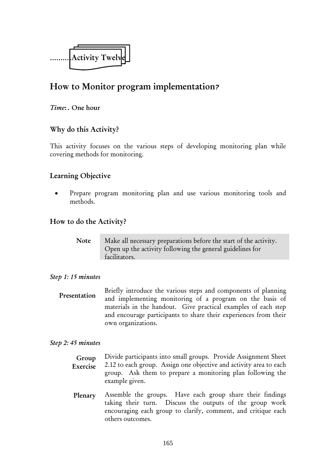

# How to Monitor program implementation*?*

#### *Time*: . One hour

## Why do this Activity?

This activity focuses on the various steps of developing monitoring plan while covering methods for monitoring.

## Learning Objective

• Prepare program monitoring plan and use various monitoring tools and methods.

#### How to do the Activity?

| Note | Make all necessary preparations before the start of the activity. |
|------|-------------------------------------------------------------------|
|      | Open up the activity following the general guidelines for         |
|      | facilitators.                                                     |

#### *Step 1: 15 minutes*

Briefly introduce the various steps and components of planning and implementing monitoring of a program on the basis of materials in the handout. Give practical examples of each step and encourage participants to share their experiences from their own organizations. Presentation

#### *Step 2: 45 minutes*

- Divide participants into small groups. Provide Assignment Sheet 2.12 to each group. Assign one objective and activity area to each group. Ask them to prepare a monitoring plan following the example given. Group Exercise
- Assemble the groups. Have each group share their findings taking their turn. Discuss the outputs of the group work encouraging each group to clarify, comment, and critique each others outcomes. Plenary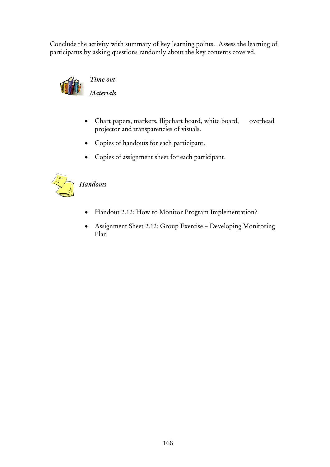Conclude the activity with summary of key learning points. Assess the learning of participants by asking questions randomly about the key contents covered.



# *Time out*

*Materials* 

- Chart papers, markers, flipchart board, white board, overhead projector and transparencies of visuals.
- Copies of handouts for each participant.
- Copies of assignment sheet for each participant.



# *Handouts*

- Handout 2.12: How to Monitor Program Implementation?
- Assignment Sheet 2.12: Group Exercise Developing Monitoring Plan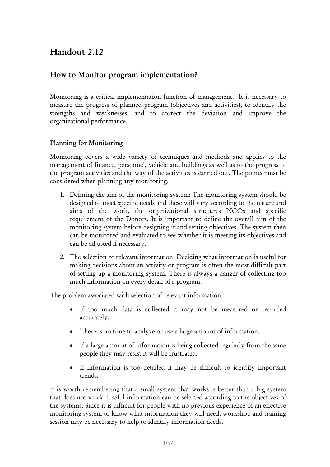# Handout 2.12

## How to Monitor program implementation?

Monitoring is a critical implementation function of management. It is necessary to measure the progress of planned program (objectives and activities), to identify the strengths and weaknesses, and to correct the deviation and improve the organizational performance.

### Planning for Monitoring

Monitoring covers a wide variety of techniques and methods and applies to the management of finance, personnel, vehicle and buildings as well as to the progress of the program activities and the way of the activities is carried out. The points must be considered when planning any monitoring:

- 1. Defining the aim of the monitoring system: The monitoring system should be designed to meet specific needs and these will vary according to the nature and aims of the work, the organizational structures NGOs and specific requirement of the Donors. It is important to define the overall aim of the monitoring system before designing it and setting objectives. The system then can be monitored and evaluated to see whether it is meeting its objectives and can be adjusted if necessary.
- 2. The selection of relevant information: Deciding what information is useful for making decisions about an activity or program is often the most difficult part of setting up a monitoring system. There is always a danger of collecting too much information on every detail of a program.

The problem associated with selection of relevant information:

- If too much data is collected it may not be measured or recorded accurately.
- There is no time to analyze or use a large amount of information.
- If a large amount of information is being collected regularly from the same people they may resist it will be frustrated.
- If information is too detailed it may be difficult to identify important trends.

It is worth remembering that a small system that works is better than a big system that does not work. Useful information can be selected according to the objectives of the systems. Since it is difficult for people with no previous experience of an effective monitoring system to know what information they will need, workshop and training session may be necessary to help to identify information needs.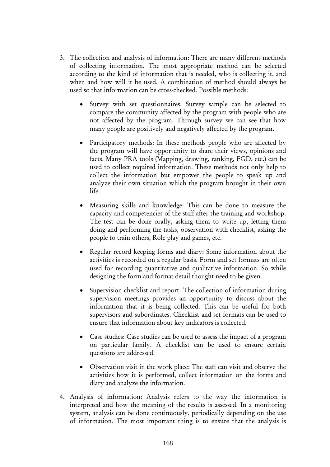- 3. The collection and analysis of information: There are many different methods of collecting information. The most appropriate method can be selected according to the kind of information that is needed, who is collecting it, and when and how will it be used. A combination of method should always be used so that information can be cross-checked. Possible methods:
	- Survey with set questionnaires: Survey sample can be selected to compare the community affected by the program with people who are not affected by the program. Through survey we can see that how many people are positively and negatively affected by the program.
	- Participatory methods: In these methods people who are affected by the program will have opportunity to share their views, opinions and facts. Many PRA tools (Mapping, drawing, ranking, FGD, etc.) can be used to collect required information. These methods not only help to collect the information but empower the people to speak up and analyze their own situation which the program brought in their own life.
	- Measuring skills and knowledge: This can be done to measure the capacity and competencies of the staff after the training and workshop. The test can be done orally, asking them to write up, letting them doing and performing the tasks, observation with checklist, asking the people to train others, Role play and games, etc.
	- Regular record keeping forms and diary: Some information about the activities is recorded on a regular basis. Form and set formats are often used for recording quantitative and qualitative information. So while designing the form and format detail thought need to be given.
	- Supervision checklist and report: The collection of information during supervision meetings provides an opportunity to discuss about the information that it is being collected. This can be useful for both supervisors and subordinates. Checklist and set formats can be used to ensure that information about key indicators is collected.
	- Case studies: Case studies can be used to assess the impact of a program on particular family. A checklist can be used to ensure certain questions are addressed.
	- Observation visit in the work place: The staff can visit and observe the activities how it is performed, collect information on the forms and diary and analyze the information.
- 4. Analysis of information: Analysis refers to the way the information is interpreted and how the meaning of the results is assessed. In a monitoring system, analysis can be done continuously, periodically depending on the use of information. The most important thing is to ensure that the analysis is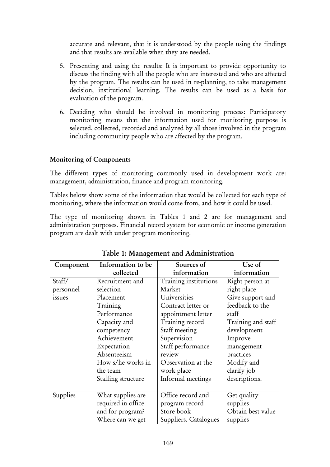accurate and relevant, that it is understood by the people using the findings and that results are available when they are needed.

- 5. Presenting and using the results: It is important to provide opportunity to discuss the finding with all the people who are interested and who are affected by the program. The results can be used in re-planning, to take management decision, institutional learning. The results can be used as a basis for evaluation of the program.
- 6. Deciding who should be involved in monitoring process: Participatory monitoring means that the information used for monitoring purpose is selected, collected, recorded and analyzed by all those involved in the program including community people who are affected by the program.

### Monitoring of Components

The different types of monitoring commonly used in development work are: management, administration, finance and program monitoring.

Tables below show some of the information that would be collected for each type of monitoring, where the information would come from, and how it could be used.

The type of monitoring shown in Tables 1 and 2 are for management and administration purposes. Financial record system for economic or income generation program are dealt with under program monitoring.

| Component | Information to be  | Sources of            | Use of             |
|-----------|--------------------|-----------------------|--------------------|
|           | collected          | information           | information        |
| Staff/    | Recruitment and    | Training institutions | Right person at    |
| personnel | selection          | Market                | right place        |
| issues    | Placement          | Universities          | Give support and   |
|           | Training           | Contract letter or    | feedback to the    |
|           | Performance        | appointment letter    | staff              |
|           | Capacity and       | Training record       | Training and staff |
|           | competency         | Staff meeting         | development        |
|           | Achievement        | Supervision           | Improve            |
|           | Expectation        | Staff performance     | management         |
|           | Absenteeism        | review                | practices          |
|           | How s/he works in  | Observation at the    | Modify and         |
|           | the team           | work place            | clarify job        |
|           | Staffing structure | Informal meetings     | descriptions.      |
|           |                    |                       |                    |
| Supplies  | What supplies are  | Office record and     | Get quality        |
|           | required in office | program record        | supplies           |
|           | and for program?   | Store book            | Obtain best value  |
|           | Where can we get   | Suppliers. Catalogues | supplies           |

## Table 1: Management and Administration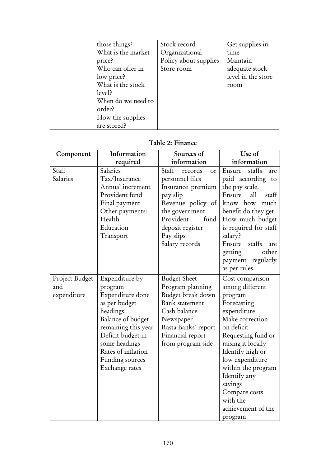| those things?      | Stock record          | Get supplies in    |
|--------------------|-----------------------|--------------------|
| What is the market | Organizational        | time               |
| price?             | Policy about supplies | Maintain           |
| Who can offer in   | Store room            | adequate stock     |
| low price?         |                       | level in the store |
| What is the stock  |                       | room               |
| level?             |                       |                    |
| When do we need to |                       |                    |
| order?             |                       |                    |
| How the supplies   |                       |                    |
| are stored?        |                       |                    |

### Table 2: Finance

| Component                            | Information                                                                                                                                                                                                             | Sources of                                                                                                                                                                                | Use of                                                                                                                                                                                                                                                                                                         |
|--------------------------------------|-------------------------------------------------------------------------------------------------------------------------------------------------------------------------------------------------------------------------|-------------------------------------------------------------------------------------------------------------------------------------------------------------------------------------------|----------------------------------------------------------------------------------------------------------------------------------------------------------------------------------------------------------------------------------------------------------------------------------------------------------------|
|                                      | required                                                                                                                                                                                                                | information                                                                                                                                                                               | information                                                                                                                                                                                                                                                                                                    |
| Staff<br>Salaries                    | Salaries<br>Tax/Insurance<br>Annual increment<br>Provident fund<br>Final payment<br>Other payments:<br>Health<br>Education<br>Transport                                                                                 | Staff<br>records<br>or<br>personnel files<br>Insurance premium<br>pay slip<br>Revenue policy of<br>the government<br>Provident<br>fund<br>deposit register<br>Pay slips<br>Salary records | staffs<br>Ensure<br>are<br>paid according to<br>the pay scale.<br>all<br>Ensure<br>staff<br>know how<br>much<br>benefit do they get<br>How much budget<br>is required for staff<br>salary?<br>staffs<br>Ensure<br>are<br>other<br>getting<br>payment regularly<br>as per rules.                                |
| Project Budget<br>and<br>expenditure | Expenditure by<br>program<br>Expenditure done<br>as per budget<br>headings<br>Balance of budget<br>remaining this year<br>Deficit budget in<br>some headings<br>Rates of inflation<br>Funding sources<br>Exchange rates | <b>Budget Sheet</b><br>Program planning<br>Budget break down<br><b>Bank</b> statement<br>Cash balance<br>Newspaper<br>Rasta Banks' report<br>Financial report<br>from program side        | Cost comparison<br>among different<br>program<br>Forecasting<br>expenditure<br>Make correction<br>on deficit<br>Requesting fund or<br>raising it locally<br>Identify high or<br>low expenditure<br>within the program<br>Identify any<br>savings<br>Compare costs<br>with the<br>achievement of the<br>program |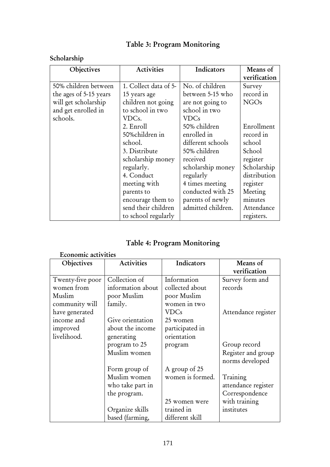# Table 3: Program Monitoring

# Scholarship

| Objectives             | <b>Activities</b>     | Indicators         | Means of         |
|------------------------|-----------------------|--------------------|------------------|
|                        |                       |                    | verification     |
| 50% children between   | 1. Collect data of 5- | No. of children    | Survey           |
| the ages of 5-15 years | 15 years age          | between 5-15 who   | record in        |
| will get scholarship   | children not going    | are not going to   | NGO <sub>s</sub> |
| and get enrolled in    | to school in two      | school in two      |                  |
| schools.               | VDCs.                 | <b>VDCs</b>        |                  |
|                        | 2. Enroll             | 50% children       | Enrollment       |
|                        | 50%children in        | enrolled in        | record in        |
|                        | school.               | different schools  | school           |
|                        | 3. Distribute         | 50% children       | School           |
|                        | scholarship money     | received           | register         |
|                        | regularly.            | scholarship money  | Scholarship      |
|                        | 4. Conduct            | regularly          | distribution     |
|                        | meeting with          | 4 times meeting    | register         |
|                        | parents to            | conducted with 25  | Meeting          |
|                        | encourage them to     | parents of newly   | minutes          |
|                        | send their children   | admitted children. | Attendance       |
|                        | to school regularly   |                    | registers.       |

|  |  |  | Table 4: Program Monitoring |
|--|--|--|-----------------------------|
|--|--|--|-----------------------------|

## Economic activities

| Objectives       | <b>Activities</b> | Indicators       | Means of                              |
|------------------|-------------------|------------------|---------------------------------------|
|                  |                   |                  | verification                          |
| Twenty-five poor | Collection of     | Information      | Survey form and                       |
| women from       | information about | collected about  | records                               |
| Muslim           | poor Muslim       | poor Muslim      |                                       |
| community will   | family.           | women in two     |                                       |
| have generated   |                   | VDCs             | Attendance register                   |
| income and       | Give orientation  | 25 women         |                                       |
| improved         | about the income  | participated in  |                                       |
| livelihood.      | generating        | orientation      |                                       |
|                  | program to 25     | program          | Group record                          |
|                  | Muslim women      |                  | Register and group<br>norms developed |
|                  | Form group of     | A group of 25    |                                       |
|                  | Muslim women      | women is formed. | Training                              |
|                  | who take part in  |                  | attendance register                   |
|                  | the program.      |                  | Correspondence                        |
|                  |                   | 25 women were    | with training                         |
|                  | Organize skills   | trained in       | institutes                            |
|                  | based (farming,   | different skill  |                                       |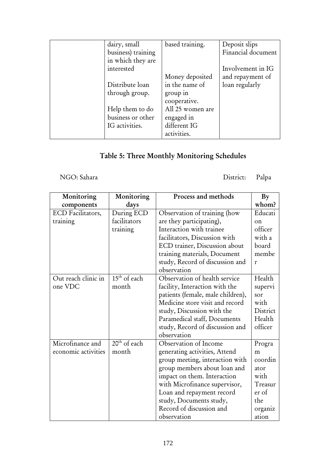| dairy, small       | based training.  | Deposit slips      |
|--------------------|------------------|--------------------|
| business) training |                  | Financial document |
| in which they are  |                  |                    |
| interested         |                  | Involvement in IG  |
|                    | Money deposited  | and repayment of   |
| Distribute loan    | in the name of   | loan regularly     |
| through group.     | group in         |                    |
|                    | cooperative.     |                    |
| Help them to do    | All 25 women are |                    |
| business or other  | engaged in       |                    |
| IG activities.     | different IG     |                    |
|                    | activities.      |                    |

# Table 5: Three Monthly Monitoring Schedules

NGO: Sahara District: Palpa

| Monitoring          | Monitoring               | Process and methods               | By       |
|---------------------|--------------------------|-----------------------------------|----------|
| components          | days                     |                                   | whom?    |
| ECD Facilitators,   | During ECD               | Observation of training (how      | Educati  |
| training            | facilitators             | are they participating),          | on       |
|                     | training                 | Interaction with trainee          | officer  |
|                     |                          | facilitators, Discussion with     | with a   |
|                     |                          | ECD trainer, Discussion about     | board    |
|                     |                          | training materials, Document      | membe    |
|                     |                          | study, Record of discussion and   | r        |
|                     |                          | observation                       |          |
| Out reach clinic in | $15th$ of each           | Observation of health service     | Health   |
| one VDC             | month                    | facility, Interaction with the    | supervi  |
|                     |                          | patients (female, male children), | sor      |
|                     |                          | Medicine store visit and record   | with     |
|                     |                          | study, Discussion with the        | District |
|                     |                          | Paramedical staff, Documents      | Health   |
|                     |                          | study, Record of discussion and   | officer  |
|                     |                          | observation                       |          |
| Microfinance and    | 20 <sup>th</sup> of each | Observation of Income             | Progra   |
| economic activities | month                    | generating activities, Attend     | m        |
|                     |                          | group meeting, interaction with   | coordin  |
|                     |                          | group members about loan and      | ator     |
|                     |                          | impact on them. Interaction       | with     |
|                     |                          | with Microfinance supervisor,     | Treasur  |
|                     |                          | Loan and repayment record         | er of    |
|                     |                          | study, Documents study,           | the      |
|                     |                          | Record of discussion and          | organiz  |
|                     |                          | observation                       | ation    |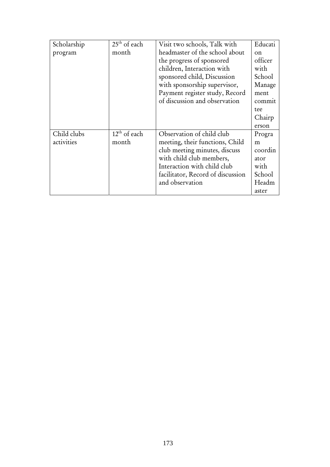| Scholarship | $25th$ of each | Visit two schools, Talk with      | Educati     |
|-------------|----------------|-----------------------------------|-------------|
| program     | month          | headmaster of the school about    | $_{\rm on}$ |
|             |                | the progress of sponsored         | officer     |
|             |                | children, Interaction with        | with        |
|             |                | sponsored child, Discussion       | School      |
|             |                | with sponsorship supervisor,      | Manage      |
|             |                | Payment register study, Record    | ment        |
|             |                | of discussion and observation     | commit      |
|             |                |                                   | tee         |
|             |                |                                   | Chairp      |
|             |                |                                   | erson       |
| Child clubs | $12th$ of each | Observation of child club         | Progra      |
| activities  | month          | meeting, their functions, Child   | m           |
|             |                | club meeting minutes, discuss     | coordin     |
|             |                | with child club members,          | ator        |
|             |                | Interaction with child club       | with        |
|             |                | facilitator, Record of discussion | School      |
|             |                | and observation                   | Headm       |
|             |                |                                   | aster       |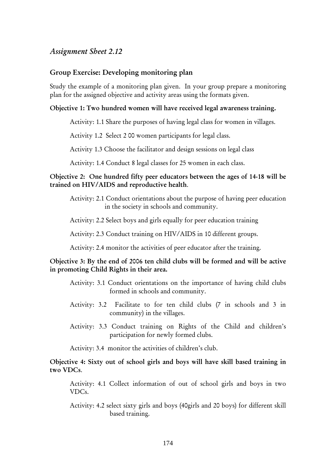#### Group Exercise: Developing monitoring plan

Study the example of a monitoring plan given. In your group prepare a monitoring plan for the assigned objective and activity areas using the formats given.

#### Objective 1: Two hundred women will have received legal awareness training.

Activity: 1.1 Share the purposes of having legal class for women in villages.

Activity 1.2 Select 2 00 women participants for legal class.

Activity 1.3 Choose the facilitator and design sessions on legal class

Activity: 1.4 Conduct 8 legal classes for 25 women in each class.

#### Objective 2: One hundred fifty peer educators between the ages of 14-18 will be trained on HIV/AIDS and reproductive health.

Activity: 2.1 Conduct orientations about the purpose of having peer education in the society in schools and community.

Activity: 2.2 Select boys and girls equally for peer education training

Activity: 2.3 Conduct training on HIV/AIDS in 10 different groups.

Activity: 2.4 monitor the activities of peer educator after the training.

#### Objective 3: By the end of 2006 ten child clubs will be formed and will be active in promoting Child Rights in their area.

- Activity: 3.1 Conduct orientations on the importance of having child clubs formed in schools and community.
- Activity: 3.2 Facilitate to for ten child clubs (7 in schools and 3 in community) in the villages.
- Activity: 3.3 Conduct training on Rights of the Child and children's participation for newly formed clubs.

Activity: 3.4 monitor the activities of children's club.

Objective 4: Sixty out of school girls and boys will have skill based training in two VDCs.

Activity: 4.1 Collect information of out of school girls and boys in two VDCs.

Activity: 4.2 select sixty girls and boys (40girls and 20 boys) for different skill based training.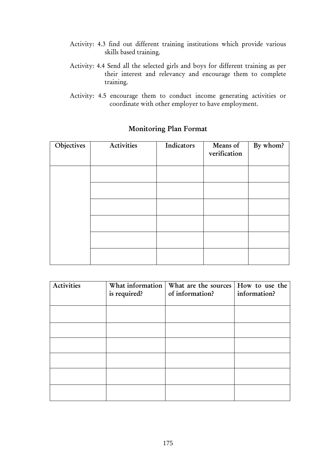- Activity: 4.3 find out different training institutions which provide various skills based training.
- Activity: 4.4 Send all the selected girls and boys for different training as per their interest and relevancy and encourage them to complete training.
- Activity: 4.5 encourage them to conduct income generating activities or coordinate with other employer to have employment.

| Objectives | Activities | Indicators | Means of<br>verification | By whom? |
|------------|------------|------------|--------------------------|----------|
|            |            |            |                          |          |
|            |            |            |                          |          |
|            |            |            |                          |          |
|            |            |            |                          |          |
|            |            |            |                          |          |
|            |            |            |                          |          |

## Monitoring Plan Format

| Activities | is required? | What information   What are the sources   How to use the<br>of information? | information? |
|------------|--------------|-----------------------------------------------------------------------------|--------------|
|            |              |                                                                             |              |
|            |              |                                                                             |              |
|            |              |                                                                             |              |
|            |              |                                                                             |              |
|            |              |                                                                             |              |
|            |              |                                                                             |              |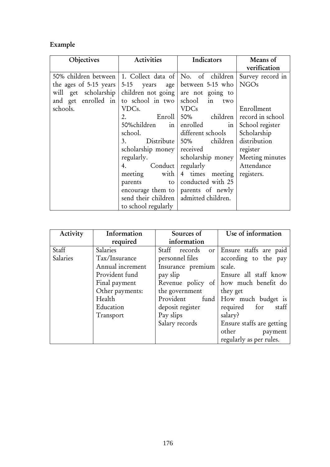# Example

| Objectives                                                | Activities                               | Indicators                           | Means of         |
|-----------------------------------------------------------|------------------------------------------|--------------------------------------|------------------|
|                                                           |                                          |                                      | verification     |
| 50% children between 1. Collect data of No. of children   |                                          |                                      | Survey record in |
| the ages of 5-15 years $ 5-15$ years age between 5-15 who |                                          |                                      | <b>NGOs</b>      |
| will get scholarship children not going are not going to  |                                          |                                      |                  |
| and get enrolled in to school in two school in            |                                          | two                                  |                  |
| schools.                                                  | VDCs.                                    | <b>VDCs</b>                          | Enrollment       |
|                                                           | 2.                                       | Enroll   50% children                | record in school |
|                                                           | 50% children in enrolled                 | $\frac{1}{2}$                        | School register  |
|                                                           | school.                                  | different schools                    | Scholarship      |
|                                                           | 3.                                       | Distribute 50% children distribution |                  |
|                                                           | scholarship money received               |                                      | register         |
|                                                           | regularly.                               | scholarship money                    | Meeting minutes  |
|                                                           | 4. Conduct                               | regularly                            | Attendance       |
|                                                           | meeting with                             | 4 times meeting                      | registers.       |
|                                                           | parents<br>to                            | conducted with 25                    |                  |
|                                                           |                                          | encourage them to   parents of newly |                  |
|                                                           | send their children   admitted children. |                                      |                  |
|                                                           | to school regularly                      |                                      |                  |

| Activity | Information      | Sources of        | Use of information        |
|----------|------------------|-------------------|---------------------------|
|          | required         | information       |                           |
| Staff    | Salaries         | Staff records     | or Ensure staffs are paid |
| Salaries | Tax/Insurance    | personnel files   | according to the pay      |
|          | Annual increment | Insurance premium | scale.                    |
|          | Provident fund   | pay slip          | Ensure all staff know     |
|          | Final payment    | Revenue policy of | how much benefit do       |
|          | Other payments:  | the government    | they get                  |
|          | Health           | Provident<br>fund | How much budget is        |
|          | Education        | deposit register  | required for<br>staff     |
|          | Transport        | Pay slips         | salary?                   |
|          |                  | Salary records    | Ensure staffs are getting |
|          |                  |                   | other<br>payment          |
|          |                  |                   | regularly as per rules.   |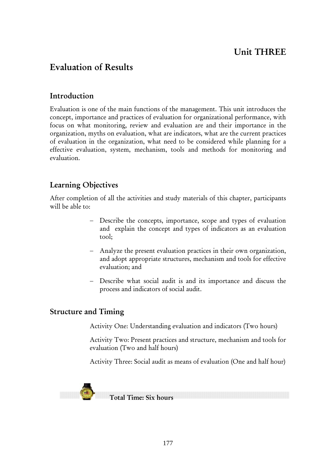# Unit THREE

# Evaluation of Results

## Introduction

Evaluation is one of the main functions of the management. This unit introduces the concept, importance and practices of evaluation for organizational performance, with focus on what monitoring, review and evaluation are and their importance in the organization, myths on evaluation, what are indicators, what are the current practices of evaluation in the organization, what need to be considered while planning for a effective evaluation, system, mechanism, tools and methods for monitoring and evaluation.

## Learning Objectives

After completion of all the activities and study materials of this chapter, participants will be able to:

- Describe the concepts, importance, scope and types of evaluation and explain the concept and types of indicators as an evaluation tool;
- − Analyze the present evaluation practices in their own organization, and adopt appropriate structures, mechanism and tools for effective evaluation; and
- − Describe what social audit is and its importance and discuss the process and indicators of social audit.

## Structure and Timing

Activity One: Understanding evaluation and indicators (Two hours)

Activity Two: Present practices and structure, mechanism and tools for evaluation (Two and half hours)

Activity Three: Social audit as means of evaluation (One and half hour)



Total Time: Six hours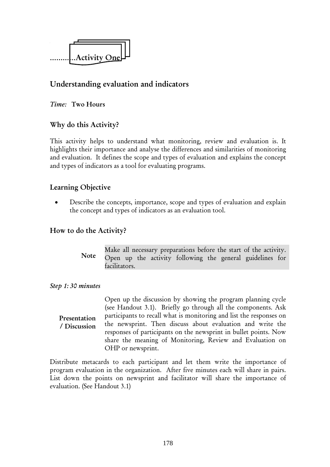

## Understanding evaluation and indicators

### *Time:* Two Hours

## Why do this Activity?

This activity helps to understand what monitoring, review and evaluation is. It highlights their importance and analyse the differences and similarities of monitoring and evaluation. It defines the scope and types of evaluation and explains the concept and types of indicators as a tool for evaluating programs.

## Learning Objective

Describe the concepts, importance, scope and types of evaluation and explain the concept and types of indicators as an evaluation tool.

## How to do the Activity?

Make all necessary preparations before the start of the activity. Open up the activity following the general guidelines for facilitators. Note

#### *Step 1: 30 minutes*

Open up the discussion by showing the program planning cycle (see Handout 3.1). Briefly go through all the components. Ask participants to recall what is monitoring and list the responses on the newsprint. Then discuss about evaluation and write the responses of participants on the newsprint in bullet points. Now share the meaning of Monitoring, Review and Evaluation on OHP or newsprint. Presentation / Discussion

Distribute metacards to each participant and let them write the importance of program evaluation in the organization. After five minutes each will share in pairs. List down the points on newsprint and facilitator will share the importance of evaluation. (See Handout 3.1)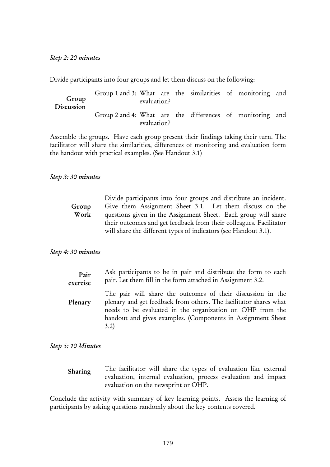Divide participants into four groups and let them discuss on the following:

| Group<br>Discussion | Group 1 and 3: What are the similarities of monitoring and | evaluation? |  |  |  |
|---------------------|------------------------------------------------------------|-------------|--|--|--|
|                     | Group 2 and 4: What are the differences of monitoring and  | evaluation? |  |  |  |

Assemble the groups. Have each group present their findings taking their turn. The facilitator will share the similarities, differences of monitoring and evaluation form the handout with practical examples. (See Handout 3.1)

#### *Step 3: 30 minutes*

|       | Divide participants into four groups and distribute an incident.   |
|-------|--------------------------------------------------------------------|
| Group | Give them Assignment Sheet 3.1. Let them discuss on the            |
| Work  | questions given in the Assignment Sheet. Each group will share     |
|       | their outcomes and get feedback from their colleagues. Facilitator |
|       | will share the different types of indicators (see Handout 3.1).    |

#### *Step 4: 30 minutes*

| Pair     | Ask participants to be in pair and distribute the form to each                                                                                                                                                                                                       |
|----------|----------------------------------------------------------------------------------------------------------------------------------------------------------------------------------------------------------------------------------------------------------------------|
| exercise | pair. Let them fill in the form attached in Assignment 3.2.                                                                                                                                                                                                          |
| Plenary  | The pair will share the outcomes of their discussion in the<br>plenary and get feedback from others. The facilitator shares what<br>needs to be evaluated in the organization on OHP from the<br>handout and gives examples. (Components in Assignment Sheet<br>3.2) |

*Step 5: 10 Minutes* 

The facilitator will share the types of evaluation like external evaluation, internal evaluation, process evaluation and impact evaluation on the newsprint or OHP. Sharing

Conclude the activity with summary of key learning points. Assess the learning of participants by asking questions randomly about the key contents covered.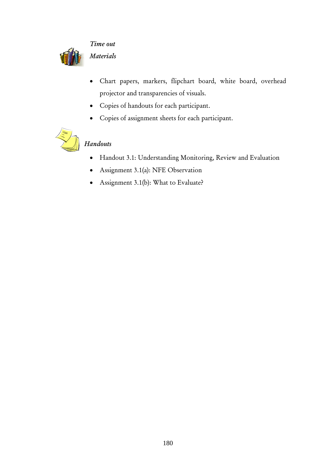

*Time out Materials* 

- Chart papers, markers, flipchart board, white board, overhead projector and transparencies of visuals.
- Copies of handouts for each participant.
- Copies of assignment sheets for each participant.



# *Handouts*

- Handout 3.1: Understanding Monitoring, Review and Evaluation
- Assignment 3.1(a): NFE Observation
- Assignment 3.1(b): What to Evaluate?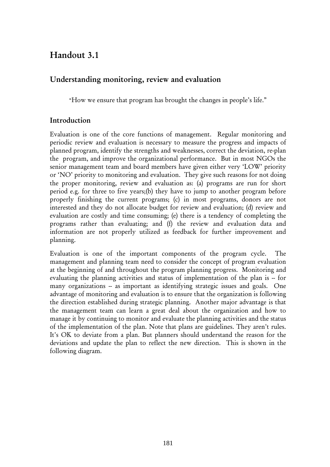# Handout 3.1

## Understanding monitoring, review and evaluation

"How we ensure that program has brought the changes in people's life."

## Introduction

Evaluation is one of the core functions of management. Regular monitoring and periodic review and evaluation is necessary to measure the progress and impacts of planned program, identify the strengths and weaknesses, correct the deviation, re-plan the program, and improve the organizational performance. But in most NGOs the senior management team and board members have given either very 'LOW' priority or 'NO' priority to monitoring and evaluation. They give such reasons for not doing the proper monitoring, review and evaluation as: (a) programs are run for short period e.g. for three to five years;(b) they have to jump to another program before properly finishing the current programs; (c) in most programs, donors are not interested and they do not allocate budget for review and evaluation; (d) review and evaluation are costly and time consuming; (e) there is a tendency of completing the programs rather than evaluating; and (f) the review and evaluation data and information are not properly utilized as feedback for further improvement and planning.

Evaluation is one of the important components of the program cycle. The management and planning team need to consider the concept of program evaluation at the beginning of and throughout the program planning progress. Monitoring and evaluating the planning activities and status of implementation of the plan is -- for many organizations -- as important as identifying strategic issues and goals. One advantage of monitoring and evaluation is to ensure that the organization is following the direction established during strategic planning. Another major advantage is that the management team can learn a great deal about the organization and how to manage it by continuing to monitor and evaluate the planning activities and the status of the implementation of the plan. Note that plans are guidelines. They aren't rules. It's OK to deviate from a plan. But planners should understand the reason for the deviations and update the plan to reflect the new direction. This is shown in the following diagram.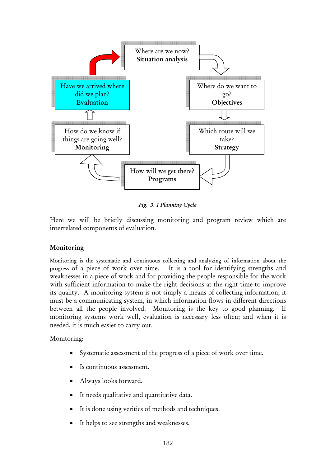

*Fig. 3. 1 Planning Cycle*

Here we will be briefly discussing monitoring and program review which are interrelated components of evaluation.

### Monitoring

Monitoring is the systematic and continuous collecting and analyzing of information about the progress of a piece of work over time. It is a tool for identifying strengths and weaknesses in a piece of work and for providing the people responsible for the work with sufficient information to make the right decisions at the right time to improve its quality. A monitoring system is not simply a means of collecting information, it must be a communicating system, in which information flows in different directions between all the people involved. Monitoring is the key to good planning. If monitoring systems work well, evaluation is necessary less often; and when it is needed, it is much easier to carry out.

Monitoring:

- Systematic assessment of the progress of a piece of work over time.
- Is continuous assessment.
- Always looks forward.
- It needs qualitative and quantitative data.
- It is done using verities of methods and techniques.
- It helps to see strengths and weaknesses.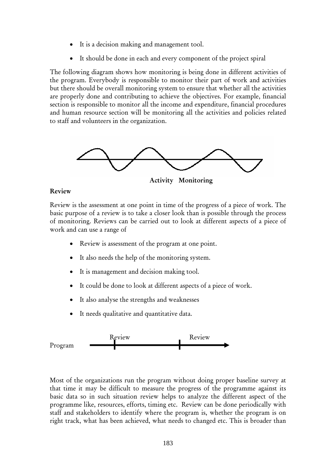- It is a decision making and management tool.
- It should be done in each and every component of the project spiral

The following diagram shows how monitoring is being done in different activities of the program. Everybody is responsible to monitor their part of work and activities but there should be overall monitoring system to ensure that whether all the activities are properly done and contributing to achieve the objectives. For example, financial section is responsible to monitor all the income and expenditure, financial procedures and human resource section will be monitoring all the activities and policies related to staff and volunteers in the organization.



Activity Monitoring

#### Review

Review is the assessment at one point in time of the progress of a piece of work. The basic purpose of a review is to take a closer look than is possible through the process of monitoring. Reviews can be carried out to look at different aspects of a piece of work and can use a range of

- Review is assessment of the program at one point.
- It also needs the help of the monitoring system.
- It is management and decision making tool.
- It could be done to look at different aspects of a piece of work.
- It also analyse the strengths and weaknesses
- It needs qualitative and quantitative data.



Most of the organizations run the program without doing proper baseline survey at that time it may be difficult to measure the progress of the programme against its basic data so in such situation review helps to analyze the different aspect of the programme like, resources, efforts, timing etc. Review can be done periodically with staff and stakeholders to identify where the program is, whether the program is on right track, what has been achieved, what needs to changed etc. This is broader than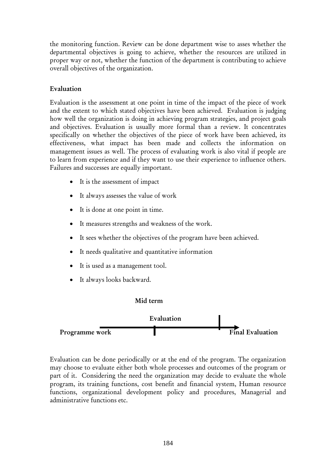the monitoring function. Review can be done department wise to asses whether the departmental objectives is going to achieve, whether the resources are utilized in proper way or not, whether the function of the department is contributing to achieve overall objectives of the organization.

### Evaluation

Evaluation is the assessment at one point in time of the impact of the piece of work and the extent to which stated objectives have been achieved. Evaluation is judging how well the organization is doing in achieving program strategies, and project goals and objectives. Evaluation is usually more formal than a review. It concentrates specifically on whether the objectives of the piece of work have been achieved, its effectiveness, what impact has been made and collects the information on management issues as well. The process of evaluating work is also vital if people are to learn from experience and if they want to use their experience to influence others. Failures and successes are equally important.

- It is the assessment of impact
- It always assesses the value of work
- It is done at one point in time.
- It measures strengths and weakness of the work.
- It sees whether the objectives of the program have been achieved.
- It needs qualitative and quantitative information
- It is used as a management tool.
- It always looks backward.



Evaluation can be done periodically or at the end of the program. The organization may choose to evaluate either both whole processes and outcomes of the program or part of it. Considering the need the organization may decide to evaluate the whole program, its training functions, cost benefit and financial system, Human resource functions, organizational development policy and procedures, Managerial and administrative functions etc.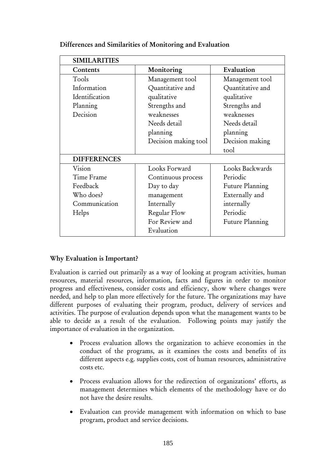| <b>SIMILARITIES</b> |                      |                        |
|---------------------|----------------------|------------------------|
| Contents            | Monitoring           | Evaluation             |
| Tools               | Management tool      | Management tool        |
| Information         | Quantitative and     | Quantitative and       |
| Identification      | qualitative          | qualitative            |
| Planning            | Strengths and        | Strengths and          |
| Decision            | weaknesses           | weaknesses             |
|                     | Needs detail         | Needs detail           |
|                     | planning             | planning               |
|                     | Decision making tool | Decision making        |
|                     |                      | tool                   |
| <b>DIFFERENCES</b>  |                      |                        |
| Vision              | Looks Forward        | Looks Backwards        |
| Time Frame          | Continuous process   | Periodic               |
| Feedback            | Day to day           | <b>Future Planning</b> |
| Who does?           | management           | Externally and         |
| Communication       | Internally           | internally             |
| Helps               | Regular Flow         | Periodic               |
|                     | For Review and       | <b>Future Planning</b> |
|                     | Evaluation           |                        |

### Differences and Similarities of Monitoring and Evaluation

### Why Evaluation is Important?

Evaluation is carried out primarily as a way of looking at program activities, human resources, material resources, information, facts and figures in order to monitor progress and effectiveness, consider costs and efficiency, show where changes were needed, and help to plan more effectively for the future. The organizations may have different purposes of evaluating their program, product, delivery of services and activities. The purpose of evaluation depends upon what the management wants to be able to decide as a result of the evaluation. Following points may justify the importance of evaluation in the organization.

- Process evaluation allows the organization to achieve economies in the conduct of the programs, as it examines the costs and benefits of its different aspects e.g. supplies costs, cost of human resources, administrative costs etc.
- Process evaluation allows for the redirection of organizations' efforts, as management determines which elements of the methodology have or do not have the desire results.
- Evaluation can provide management with information on which to base program, product and service decisions.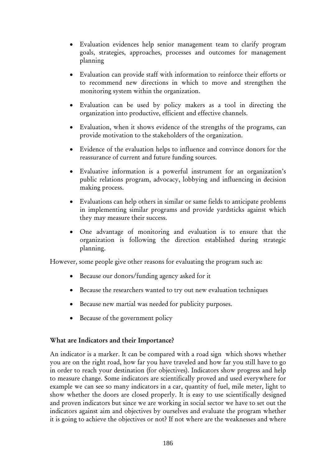- Evaluation evidences help senior management team to clarify program goals, strategies, approaches, processes and outcomes for management planning
- Evaluation can provide staff with information to reinforce their efforts or to recommend new directions in which to move and strengthen the monitoring system within the organization.
- Evaluation can be used by policy makers as a tool in directing the organization into productive, efficient and effective channels.
- Evaluation, when it shows evidence of the strengths of the programs, can provide motivation to the stakeholders of the organization.
- Evidence of the evaluation helps to influence and convince donors for the reassurance of current and future funding sources.
- Evaluative information is a powerful instrument for an organization's public relations program, advocacy, lobbying and influencing in decision making process.
- Evaluations can help others in similar or same fields to anticipate problems in implementing similar programs and provide yardsticks against which they may measure their success.
- One advantage of monitoring and evaluation is to ensure that the organization is following the direction established during strategic planning.

However, some people give other reasons for evaluating the program such as:

- Because our donors/funding agency asked for it
- Because the researchers wanted to try out new evaluation techniques
- Because new martial was needed for publicity purposes.
- Because of the government policy

### What are Indicators and their Importance?

An indicator is a marker. It can be compared with a road sign which shows whether you are on the right road, how far you have traveled and how far you still have to go in order to reach your destination (for objectives). Indicators show progress and help to measure change. Some indicators are scientifically proved and used everywhere for example we can see so many indicators in a car, quantity of fuel, mile meter, light to show whether the doors are closed properly. It is easy to use scientifically designed and proven indicators but since we are working in social sector we have to set out the indicators against aim and objectives by ourselves and evaluate the program whether it is going to achieve the objectives or not? If not where are the weaknesses and where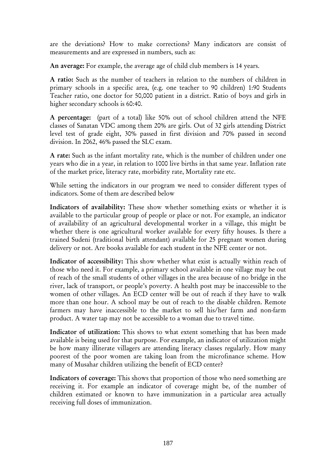are the deviations? How to make corrections? Many indicators are consist of measurements and are expressed in numbers, such as:

An average: For example, the average age of child club members is 14 years.

A ratio: Such as the number of teachers in relation to the numbers of children in primary schools in a specific area, (e.g. one teacher to 90 children) 1:90 Students Teacher ratio, one doctor for 50,000 patient in a district. Ratio of boys and girls in higher secondary schools is 60:40.

A percentage: (part of a total) like 50% out of school children attend the NFE classes of Sanatan VDC among them 20% are girls. Out of 32 girls attending District level test of grade eight, 30% passed in first division and 70% passed in second division. In 2062, 46% passed the SLC exam.

A rate: Such as the infant mortality rate, which is the number of children under one years who die in a year, in relation to 1000 live births in that same year. Inflation rate of the market price, literacy rate, morbidity rate, Mortality rate etc.

While setting the indicators in our program we need to consider different types of indicators. Some of them are described below

Indicators of availability: These show whether something exists or whether it is available to the particular group of people or place or not. For example, an indicator of availability of an agricultural developmental worker in a village, this might be whether there is one agricultural worker available for every fifty houses. Is there a trained Sudeni (traditional birth attendant) available for 25 pregnant women during delivery or not. Are books available for each student in the NFE center or not.

Indicator of accessibility: This show whether what exist is actually within reach of those who need it. For example, a primary school available in one village may be out of reach of the small students of other villages in the area because of no bridge in the river, lack of transport, or people's poverty. A health post may be inaccessible to the women of other villages. An ECD center will be out of reach if they have to walk more than one hour. A school may be out of reach to the disable children. Remote farmers may have inaccessible to the market to sell his/her farm and non-farm product. A water tap may not be accessible to a woman due to travel time.

Indicator of utilization: This shows to what extent something that has been made available is being used for that purpose. For example, an indicator of utilization might be how many illiterate villagers are attending literacy classes regularly. How many poorest of the poor women are taking loan from the microfinance scheme. How many of Musahar children utilizing the benefit of ECD center?

Indicators of coverage: This shows that proportion of those who need something are receiving it. For example an indicator of coverage might be, of the number of children estimated or known to have immunization in a particular area actually receiving full doses of immunization.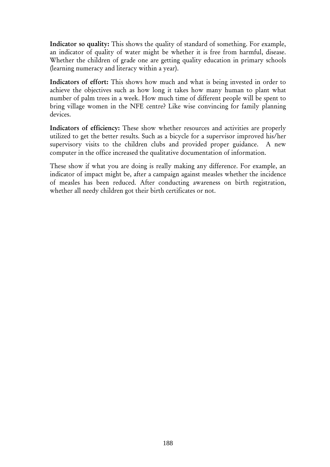Indicator so quality: This shows the quality of standard of something. For example, an indicator of quality of water might be whether it is free from harmful, disease. Whether the children of grade one are getting quality education in primary schools (learning numeracy and literacy within a year).

Indicators of effort: This shows how much and what is being invested in order to achieve the objectives such as how long it takes how many human to plant what number of palm trees in a week. How much time of different people will be spent to bring village women in the NFE centre? Like wise convincing for family planning devices.

Indicators of efficiency: These show whether resources and activities are properly utilized to get the better results. Such as a bicycle for a supervisor improved his/her supervisory visits to the children clubs and provided proper guidance. A new computer in the office increased the qualitative documentation of information.

These show if what you are doing is really making any difference. For example, an indicator of impact might be, after a campaign against measles whether the incidence of measles has been reduced. After conducting awareness on birth registration, whether all needy children got their birth certificates or not.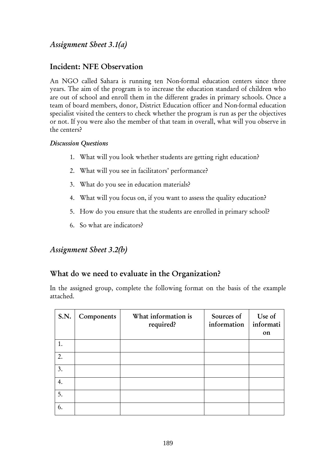## *Assignment Sheet 3.1(a)*

## Incident: NFE Observation

An NGO called Sahara is running ten Non-formal education centers since three years. The aim of the program is to increase the education standard of children who are out of school and enroll them in the different grades in primary schools. Once a team of board members, donor, District Education officer and Non-formal education specialist visited the centers to check whether the program is run as per the objectives or not. If you were also the member of that team in overall, what will you observe in the centers?

### *Discussion Questions*

- 1. What will you look whether students are getting right education?
- 2. What will you see in facilitators' performance?
- 3. What do you see in education materials?
- 4. What will you focus on, if you want to assess the quality education?
- 5. How do you ensure that the students are enrolled in primary school?
- 6. So what are indicators?

## *Assignment Sheet 3.2(b)*

## What do we need to evaluate in the Organization?

In the assigned group, complete the following format on the basis of the example attached.

| <b>S.N.</b> | Components | What information is<br>required? | Sources of<br>information | Use of<br>informati<br>on |
|-------------|------------|----------------------------------|---------------------------|---------------------------|
| 1.          |            |                                  |                           |                           |
| 2.          |            |                                  |                           |                           |
| 3.          |            |                                  |                           |                           |
| 4.          |            |                                  |                           |                           |
| 5.          |            |                                  |                           |                           |
| 6.          |            |                                  |                           |                           |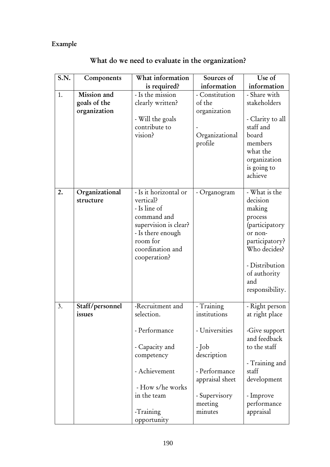# Example

| S.N. | Components                  | What information      | Sources of      | Use of           |
|------|-----------------------------|-----------------------|-----------------|------------------|
|      |                             | is required?          | information     | information      |
| 1.   | Mission and                 | - Is the mission      | - Constitution  | - Share with     |
|      | goals of the                | clearly written?      | of the          | stakeholders     |
|      | organization                |                       | organization    |                  |
|      |                             | - Will the goals      |                 | - Clarity to all |
|      |                             | contribute to         |                 | staff and        |
|      |                             | vision?               | Organizational  | board            |
|      |                             |                       | profile         | members          |
|      |                             |                       |                 | what the         |
|      |                             |                       |                 | organization     |
|      |                             |                       |                 | is going to      |
|      |                             |                       |                 | achieve          |
| 2.   |                             | - Is it horizontal or |                 | - What is the    |
|      | Organizational<br>structure | vertical?             | - Organogram    | decision         |
|      |                             | - Is line of          |                 | making           |
|      |                             | command and           |                 | process          |
|      |                             | supervision is clear? |                 | (participatory   |
|      |                             | - Is there enough     |                 | or non-          |
|      |                             | room for              |                 | participatory?   |
|      |                             | coordination and      |                 | Who decides?     |
|      |                             | cooperation?          |                 |                  |
|      |                             |                       |                 | - Distribution   |
|      |                             |                       |                 | of authority     |
|      |                             |                       |                 | and              |
|      |                             |                       |                 | responsibility.  |
|      |                             |                       |                 |                  |
| 3.   | Staff/personnel             | -Recruitment and      | - Training      | - Right person   |
|      | issues                      | selection.            | institutions    | at right place   |
|      |                             |                       |                 |                  |
|      |                             | - Performance         | - Universities  | -Give support    |
|      |                             |                       |                 | and feedback     |
|      |                             | - Capacity and        | - Job           | to the staff     |
|      |                             | competency            | description     |                  |
|      |                             |                       |                 | - Training and   |
|      |                             | - Achievement         | - Performance   | staff            |
|      |                             |                       | appraisal sheet | development      |
|      |                             | - How s/he works      |                 |                  |
|      |                             | in the team           | - Supervisory   | - Improve        |
|      |                             |                       | meeting         | performance      |
|      |                             | -Training             | minutes         | appraisal        |
|      |                             | opportunity           |                 |                  |

# What do we need to evaluate in the organization?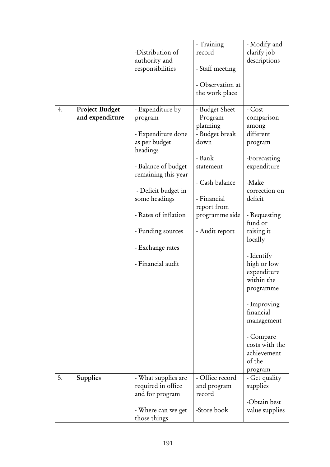|    |                 |                                       | - Training            | - Modify and   |
|----|-----------------|---------------------------------------|-----------------------|----------------|
|    |                 | -Distribution of                      | record                | clarify job    |
|    |                 | authority and                         |                       | descriptions   |
|    |                 | responsibilities                      | - Staff meeting       |                |
|    |                 |                                       | - Observation at      |                |
|    |                 |                                       | the work place        |                |
| 4. | Project Budget  | - Expenditure by                      | - Budget Sheet        | - Cost         |
|    | and expenditure | program                               | - Program             | comparison     |
|    |                 |                                       | planning              | among          |
|    |                 | - Expenditure done                    | - Budget break        | different      |
|    |                 | as per budget                         | down                  | program        |
|    |                 | headings                              |                       |                |
|    |                 |                                       | - Bank                | -Forecasting   |
|    |                 | - Balance of budget                   | statement             | expenditure    |
|    |                 | remaining this year                   | - Cash balance        | -Make          |
|    |                 | - Deficit budget in                   |                       | correction on  |
|    |                 | some headings                         | - Financial           | deficit        |
|    |                 |                                       | report from           |                |
|    |                 | - Rates of inflation                  | programme side        | - Requesting   |
|    |                 |                                       |                       | fund or        |
|    |                 | - Funding sources                     | - Audit report        | raising it     |
|    |                 |                                       |                       | locally        |
|    |                 | - Exchange rates                      |                       |                |
|    |                 |                                       |                       | - Identify     |
|    |                 | - Financial audit                     |                       | high or low    |
|    |                 |                                       |                       | expenditure    |
|    |                 |                                       |                       | within the     |
|    |                 |                                       |                       | programme      |
|    |                 |                                       |                       | - Improving    |
|    |                 |                                       |                       | financial      |
|    |                 |                                       |                       | management     |
|    |                 |                                       |                       |                |
|    |                 |                                       |                       | - Compare      |
|    |                 |                                       |                       | costs with the |
|    |                 |                                       |                       | achievement    |
|    |                 |                                       |                       | of the         |
| 5. |                 |                                       | - Office record       | program        |
|    | <b>Supplies</b> | - What supplies are                   |                       | - Get quality  |
|    |                 | required in office<br>and for program | and program<br>record | supplies       |
|    |                 |                                       |                       | -Obtain best   |
|    |                 | - Where can we get                    | -Store book           | value supplies |
|    |                 | those things                          |                       |                |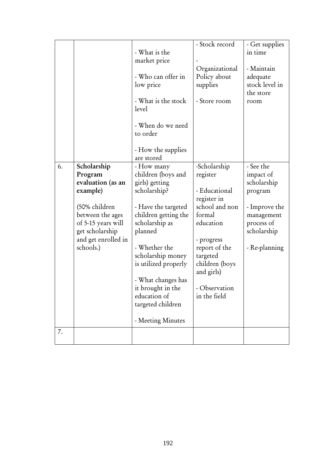|    |                                                                                                                                                                           | - What is the<br>market price<br>- Who can offer in<br>low price<br>- What is the stock<br>level<br>- When do we need<br>to order<br>- How the supplies<br>are stored                                                                                                                                             | - Stock record<br>Organizational<br>Policy about<br>supplies<br>- Store room                                                                                                                                | - Get supplies<br>in time<br>- Maintain<br>adequate<br>stock level in<br>the store<br>room                                    |
|----|---------------------------------------------------------------------------------------------------------------------------------------------------------------------------|-------------------------------------------------------------------------------------------------------------------------------------------------------------------------------------------------------------------------------------------------------------------------------------------------------------------|-------------------------------------------------------------------------------------------------------------------------------------------------------------------------------------------------------------|-------------------------------------------------------------------------------------------------------------------------------|
| 6. | Scholarship<br>Program<br>evaluation (as an<br>example)<br>(50% children<br>between the ages<br>of 5-15 years will<br>get scholarship<br>and get enrolled in<br>schools.) | - How many<br>children (boys and<br>girls) getting<br>scholarship?<br>- Have the targeted<br>children getting the<br>scholarship as<br>planned<br>- Whether the<br>scholarship money<br>is utilized properly<br>- What changes has<br>it brought in the<br>education of<br>targeted children<br>- Meeting Minutes | -Scholarship<br>register<br>- Educational<br>register in<br>school and non<br>formal<br>education<br>- progress<br>report of the<br>targeted<br>children (boys<br>and girls)<br>Observation<br>in the field | - See the<br>impact of<br>scholarship<br>program<br>- Improve the<br>management<br>process of<br>scholarship<br>- Re-planning |
| 7. |                                                                                                                                                                           |                                                                                                                                                                                                                                                                                                                   |                                                                                                                                                                                                             |                                                                                                                               |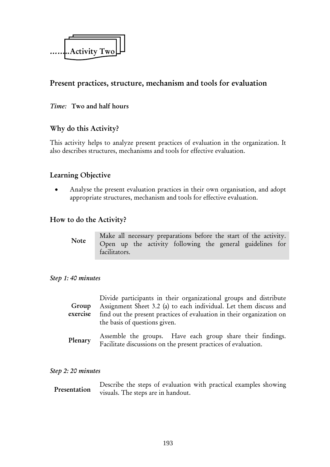

## Present practices, structure, mechanism and tools for evaluation

### *Time:* Two and half hours

## Why do this Activity?

This activity helps to analyze present practices of evaluation in the organization. It also describes structures, mechanisms and tools for effective evaluation.

## Learning Objective

• Analyse the present evaluation practices in their own organisation, and adopt appropriate structures, mechanism and tools for effective evaluation.

### How to do the Activity?

Note

Make all necessary preparations before the start of the activity. Open up the activity following the general guidelines for facilitators.

#### *Step 1: 40 minutes*

| Group<br>exercise | Divide participants in their organizational groups and distribute<br>Assignment Sheet 3.2 (a) to each individual. Let them discuss and<br>find out the present practices of evaluation in their organization on |
|-------------------|-----------------------------------------------------------------------------------------------------------------------------------------------------------------------------------------------------------------|
|                   | the basis of questions given.                                                                                                                                                                                   |

Assemble the groups. Have each group share their findings. Facilitate discussions on the present practices of evaluation. Plenary

#### *Step 2: 20 minutes*

Describe the steps of evaluation with practical examples showing visuals. The steps are in handout. Presentation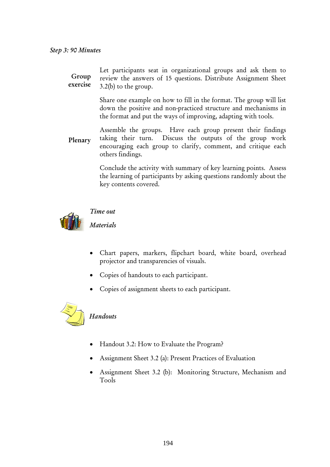#### *Step 3: 90 Minutes*

Let participants seat in organizational groups and ask them to review the answers of 15 questions. Distribute Assignment Sheet 3.2(b) to the group. Group exercise

> Share one example on how to fill in the format. The group will list down the positive and non-practiced structure and mechanisms in the format and put the ways of improving, adapting with tools.

Assemble the groups. Have each group present their findings taking their turn. Discuss the outputs of the group work encouraging each group to clarify, comment, and critique each others findings. Plenary

> Conclude the activity with summary of key learning points. Assess the learning of participants by asking questions randomly about the key contents covered.



#### *Time out*

*Materials* 

- Chart papers, markers, flipchart board, white board, overhead projector and transparencies of visuals.
- Copies of handouts to each participant.
- Copies of assignment sheets to each participant.



### *Handouts*

- Handout 3.2: How to Evaluate the Program?
- Assignment Sheet 3.2 (a): Present Practices of Evaluation
- Assignment Sheet 3.2 (b): Monitoring Structure, Mechanism and Tools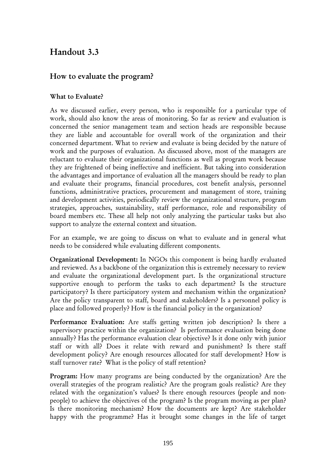# Handout 3.3

## How to evaluate the program?

## What to Evaluate?

As we discussed earlier, every person, who is responsible for a particular type of work, should also know the areas of monitoring. So far as review and evaluation is concerned the senior management team and section heads are responsible because they are liable and accountable for overall work of the organization and their concerned department. What to review and evaluate is being decided by the nature of work and the purposes of evaluation. As discussed above, most of the managers are reluctant to evaluate their organizational functions as well as program work because they are frightened of being ineffective and inefficient. But taking into consideration the advantages and importance of evaluation all the managers should be ready to plan and evaluate their programs, financial procedures, cost benefit analysis, personnel functions, administrative practices, procurement and management of store, training and development activities, periodically review the organizational structure, program strategies, approaches, sustainability, staff performance, role and responsibility of board members etc. These all help not only analyzing the particular tasks but also support to analyze the external context and situation.

For an example, we are going to discuss on what to evaluate and in general what needs to be considered while evaluating different components.

Organizational Development: In NGOs this component is being hardly evaluated and reviewed. As a backbone of the organization this is extremely necessary to review and evaluate the organizational development part. Is the organizational structure supportive enough to perform the tasks to each department? Is the structure participatory? Is there participatory system and mechanism within the organization? Are the policy transparent to staff, board and stakeholders? Is a personnel policy is place and followed properly? How is the financial policy in the organization?

Performance Evaluation: Are staffs getting written job description? Is there a supervisory practice within the organization? Is performance evaluation being done annually? Has the performance evaluation clear objective? Is it done only with junior staff or with all? Does it relate with reward and punishment? Is there staff development policy? Are enough resources allocated for staff development? How is staff turnover rate? What is the policy of staff retention?

Program: How many programs are being conducted by the organization? Are the overall strategies of the program realistic? Are the program goals realistic? Are they related with the organization's values? Is there enough resources (people and nonpeople) to achieve the objectives of the program? Is the program moving as per plan? Is there monitoring mechanism? How the documents are kept? Are stakeholder happy with the programme? Has it brought some changes in the life of target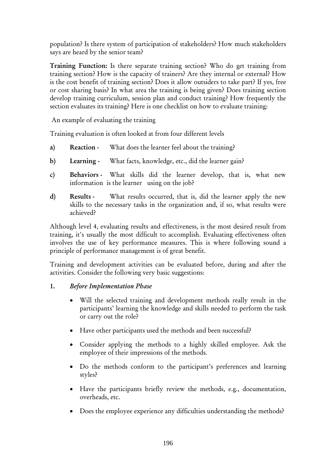population? Is there system of participation of stakeholders? How much stakeholders says are heard by the senior team?

Training Function: Is there separate training section? Who do get training from training section? How is the capacity of trainers? Are they internal or external? How is the cost benefit of training section? Does it allow outsiders to take part? If yes, free or cost sharing basis? In what area the training is being given? Does training section develop training curriculum, session plan and conduct training? How frequently the section evaluates its training? Here is one checklist on how to evaluate training:

An example of evaluating the training

Training evaluation is often looked at from four different levels

- a) Reaction What does the learner feel about the training?
- b) Learning What facts, knowledge, etc., did the learner gain?
- c) Behaviors What skills did the learner develop, that is, what new information is the learner using on the job?
- d) Results What results occurred, that is, did the learner apply the new skills to the necessary tasks in the organization and, if so, what results were achieved?

Although level 4, evaluating results and effectiveness, is the most desired result from training, it's usually the most difficult to accomplish. Evaluating effectiveness often involves the use of key performance measures. This is where following sound a principle of performance management is of great benefit.

Training and development activities can be evaluated before, during and after the activities. Consider the following very basic suggestions:

### 1. *Before Implementation Phase*

- Will the selected training and development methods really result in the participants' learning the knowledge and skills needed to perform the task or carry out the role?
- Have other participants used the methods and been successful?
- Consider applying the methods to a highly skilled employee. Ask the employee of their impressions of the methods.
- Do the methods conform to the participant's preferences and learning styles?
- Have the participants briefly review the methods, e.g., documentation, overheads, etc.
- Does the employee experience any difficulties understanding the methods?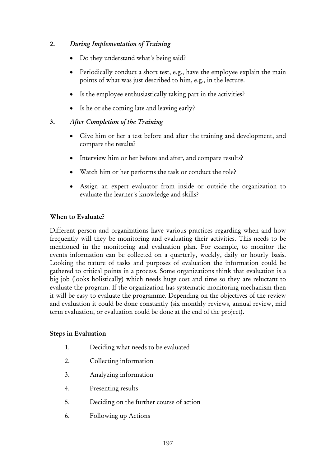### 2. *During Implementation of Training*

- Do they understand what's being said?
- Periodically conduct a short test, e.g., have the employee explain the main points of what was just described to him, e.g., in the lecture.
- Is the employee enthusiastically taking part in the activities?
- Is he or she coming late and leaving early?

## 3. *After Completion of the Training*

- Give him or her a test before and after the training and development, and compare the results?
- Interview him or her before and after, and compare results?
- Watch him or her performs the task or conduct the role?
- Assign an expert evaluator from inside or outside the organization to evaluate the learner's knowledge and skills?

### When to Evaluate?

Different person and organizations have various practices regarding when and how frequently will they be monitoring and evaluating their activities. This needs to be mentioned in the monitoring and evaluation plan. For example, to monitor the events information can be collected on a quarterly, weekly, daily or hourly basis. Looking the nature of tasks and purposes of evaluation the information could be gathered to critical points in a process. Some organizations think that evaluation is a big job (looks holistically) which needs huge cost and time so they are reluctant to evaluate the program. If the organization has systematic monitoring mechanism then it will be easy to evaluate the programme. Depending on the objectives of the review and evaluation it could be done constantly (six monthly reviews, annual review, mid term evaluation, or evaluation could be done at the end of the project).

### Steps in Evaluation

- 1. Deciding what needs to be evaluated
- 2. Collecting information
- 3. Analyzing information
- 4. Presenting results
- 5. Deciding on the further course of action
- 6. Following up Actions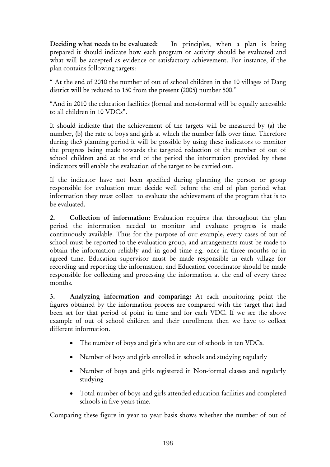Deciding what needs to be evaluated: In principles, when a plan is being prepared it should indicate how each program or activity should be evaluated and what will be accepted as evidence or satisfactory achievement. For instance, if the plan contains following targets:

" At the end of 2010 the number of out of school children in the 10 villages of Dang district will be reduced to 150 from the present (2005) number 500."

"And in 2010 the education facilities (formal and non-formal will be equally accessible to all children in 10 VDCs".

It should indicate that the achievement of the targets will be measured by (a) the number, (b) the rate of boys and girls at which the number falls over time. Therefore during the3 planning period it will be possible by using these indicators to monitor the progress being made towards the targeted reduction of the number of out of school children and at the end of the period the information provided by these indicators will enable the evaluation of the target to be carried out.

If the indicator have not been specified during planning the person or group responsible for evaluation must decide well before the end of plan period what information they must collect to evaluate the achievement of the program that is to be evaluated.

2. Collection of information: Evaluation requires that throughout the plan period the information needed to monitor and evaluate progress is made continuously available. Thus for the purpose of our example, every cases of out of school must be reported to the evaluation group, and arrangements must be made to obtain the information reliably and in good time e.g. once in three months or in agreed time. Education supervisor must be made responsible in each village for recording and reporting the information, and Education coordinator should be made responsible for collecting and processing the information at the end of every three months.

3. Analyzing information and comparing: At each monitoring point the figures obtained by the information process are compared with the target that had been set for that period of point in time and for each VDC. If we see the above example of out of school children and their enrollment then we have to collect different information.

- The number of boys and girls who are out of schools in ten VDCs.
- Number of boys and girls enrolled in schools and studying regularly
- Number of boys and girls registered in Non-formal classes and regularly studying
- Total number of boys and girls attended education facilities and completed schools in five years time.

Comparing these figure in year to year basis shows whether the number of out of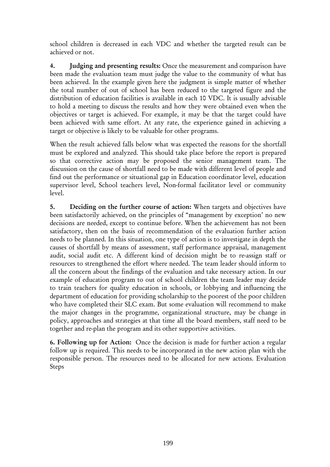school children is decreased in each VDC and whether the targeted result can be achieved or not.

4. Judging and presenting results: Once the measurement and comparison have been made the evaluation team must judge the value to the community of what has been achieved. In the example given here the judgment is simple matter of whether the total number of out of school has been reduced to the targeted figure and the distribution of education facilities is available in each 10 VDC. It is usually advisable to hold a meeting to discuss the results and how they were obtained even when the objectives or target is achieved. For example, it may be that the target could have been achieved with same effort. At any rate, the experience gained in achieving a target or objective is likely to be valuable for other programs.

When the result achieved falls below what was expected the reasons for the shortfall must be explored and analyzed. This should take place before the report is prepared so that corrective action may be proposed the senior management team. The discussion on the cause of shortfall need to be made with different level of people and find out the performance or situational gap in Education coordinator level, education supervisor level, School teachers level, Non-formal facilitator level or community level.

5. Deciding on the further course of action: When targets and objectives have been satisfactorily achieved, on the principles of "management by exception' no new decisions are needed, except to continue before. When the achievement has not been satisfactory, then on the basis of recommendation of the evaluation further action needs to be planned. In this situation, one type of action is to investigate in depth the causes of shortfall by means of assessment, staff performance appraisal, management audit, social audit etc. A different kind of decision might be to re-assign staff or resources to strengthened the effort where needed. The team leader should inform to all the concern about the findings of the evaluation and take necessary action. In our example of education program to out of school children the team leader may decide to train teachers for quality education in schools, or lobbying and influencing the department of education for providing scholarship to the poorest of the poor children who have completed their SLC exam. But some evaluation will recommend to make the major changes in the programme, organizational structure, may be change in policy, approaches and strategies at that time all the board members, staff need to be together and re-plan the program and its other supportive activities.

6. Following up for Action: Once the decision is made for further action a regular follow up is required. This needs to be incorporated in the new action plan with the responsible person. The resources need to be allocated for new actions. Evaluation Steps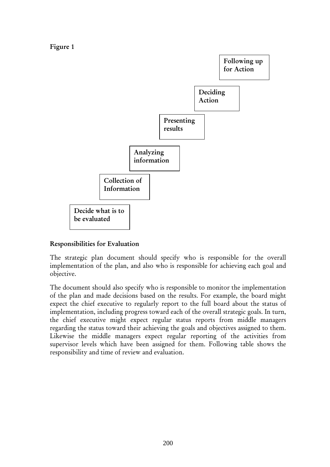Figure 1



### Responsibilities for Evaluation

The strategic plan document should specify who is responsible for the overall implementation of the plan, and also who is responsible for achieving each goal and objective.

The document should also specify who is responsible to monitor the implementation of the plan and made decisions based on the results. For example, the board might expect the chief executive to regularly report to the full board about the status of implementation, including progress toward each of the overall strategic goals. In turn, the chief executive might expect regular status reports from middle managers regarding the status toward their achieving the goals and objectives assigned to them. Likewise the middle managers expect regular reporting of the activities from supervisor levels which have been assigned for them. Following table shows the responsibility and time of review and evaluation.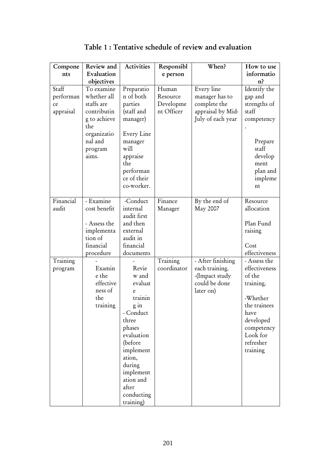| Compone                               | Review and                                                                                                                  | Activities                                                                                                                                                                                                  | Responsibl                                   | When?                                                                                  | How to use                                                                                                                               |
|---------------------------------------|-----------------------------------------------------------------------------------------------------------------------------|-------------------------------------------------------------------------------------------------------------------------------------------------------------------------------------------------------------|----------------------------------------------|----------------------------------------------------------------------------------------|------------------------------------------------------------------------------------------------------------------------------------------|
| nts                                   | Evaluation                                                                                                                  |                                                                                                                                                                                                             | e person                                     |                                                                                        | informatio                                                                                                                               |
|                                       | objectives                                                                                                                  |                                                                                                                                                                                                             |                                              |                                                                                        | n <sup>2</sup>                                                                                                                           |
| Staff<br>performan<br>ce<br>appraisal | To examine<br>whether all<br>staffs are<br>contributin<br>g to achieve<br>the<br>organizatio<br>nal and<br>program<br>aims. | Preparatio<br>n of both<br>parties<br>(staff and<br>manager)<br>Every Line<br>manager<br>will<br>appraise<br>the<br>performan<br>ce of their<br>co-worker.                                                  | Human<br>Resource<br>Developme<br>nt Officer | Every line<br>manager has to<br>complete the<br>appraisal by Mid-<br>July of each year | Identify the<br>gap and<br>strengths of<br>staff<br>competency<br>Prepare<br>staff<br>develop<br>ment<br>plan and<br>impleme<br>nt       |
| Financial<br>audit                    | - Examine<br>cost benefit<br>- Assess the<br>implementa<br>tion of<br>financial<br>procedure                                | -Conduct<br>internal<br>audit first<br>and then<br>external<br>audit in<br>financial<br>documents                                                                                                           | Finance<br>Manager                           | By the end of<br>May 2007                                                              | Resource<br>allocation<br>Plan Fund<br>raising<br>Cost<br>effectiveness                                                                  |
| Training                              |                                                                                                                             |                                                                                                                                                                                                             | Training                                     | - After finishing                                                                      | - Assess the                                                                                                                             |
| program                               | Examin<br>e the<br>effective<br>ness of<br>the<br>training                                                                  | Revie<br>w and<br>evaluat<br>e<br>trainin<br>$g$ in<br>- Conduct<br>three<br>phases<br>evaluation<br>(before<br>implement<br>ation,<br>during<br>implement<br>ation and<br>after<br>conducting<br>training) | coordinator                                  | each training.<br>-(Impact study<br>could be done<br>later on)                         | effectiveness<br>of the<br>training.<br>-Whether<br>the trainees<br>have<br>developed<br>competency<br>Look for<br>refresher<br>training |

Table 1 : Tentative schedule of review and evaluation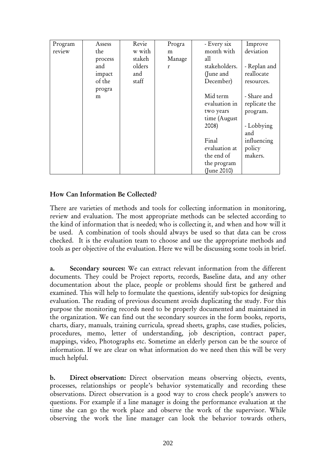| Program | Assess  | Revie  | Progra | - Every six   | Improve       |
|---------|---------|--------|--------|---------------|---------------|
| review  | the     | w with | m      | month with    | deviation     |
|         | process | stakeh | Manage | all           |               |
|         | and     | olders | r      | stakeholders. | - Replan and  |
|         | impact  | and    |        | (June and     | reallocate    |
|         | of the  | staff  |        | December)     | resources.    |
|         | progra  |        |        |               |               |
|         | m       |        |        | Mid term      | - Share and   |
|         |         |        |        | evaluation in | replicate the |
|         |         |        |        | two years     | program.      |
|         |         |        |        | time (August  |               |
|         |         |        |        | 2008)         | - Lobbying    |
|         |         |        |        |               | and           |
|         |         |        |        | Final         | influencing   |
|         |         |        |        | evaluation at | policy        |
|         |         |        |        | the end of    | makers.       |
|         |         |        |        | the program   |               |
|         |         |        |        | (June 2010)   |               |

## How Can Information Be Collected?

There are varieties of methods and tools for collecting information in monitoring, review and evaluation. The most appropriate methods can be selected according to the kind of information that is needed; who is collecting it, and when and how will it be used. A combination of tools should always be used so that data can be cross checked. It is the evaluation team to choose and use the appropriate methods and tools as per objective of the evaluation. Here we will be discussing some tools in brief.

a. Secondary sources: We can extract relevant information from the different documents. They could be Project reports, records, Baseline data, and any other documentation about the place, people or problems should first be gathered and examined. This will help to formulate the questions, identify sub-topics for designing evaluation. The reading of previous document avoids duplicating the study. For this purpose the monitoring records need to be properly documented and maintained in the organization. We can find out the secondary sources in the form books, reports, charts, diary, manuals, training curricula, spread sheets, graphs, case studies, policies, procedures, memo, letter of understanding, job description, contract paper, mappings, video, Photographs etc. Sometime an elderly person can be the source of information. If we are clear on what information do we need then this will be very much helpful.

b. Direct observation: Direct observation means observing objects, events, processes, relationships or people's behavior systematically and recording these observations. Direct observation is a good way to cross check people's answers to questions. For example if a line manager is doing the performance evaluation at the time she can go the work place and observe the work of the supervisor. While observing the work the line manager can look the behavior towards others,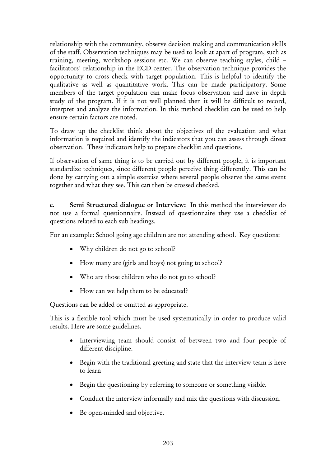relationship with the community, observe decision making and communication skills of the staff. Observation techniques may be used to look at apart of program, such as training, meeting, workshop sessions etc. We can observe teaching styles, child – facilitators' relationship in the ECD center. The observation technique provides the opportunity to cross check with target population. This is helpful to identify the qualitative as well as quantitative work. This can be made participatory. Some members of the target population can make focus observation and have in depth study of the program. If it is not well planned then it will be difficult to record, interpret and analyze the information. In this method checklist can be used to help ensure certain factors are noted.

To draw up the checklist think about the objectives of the evaluation and what information is required and identify the indicators that you can assess through direct observation. These indicators help to prepare checklist and questions.

If observation of same thing is to be carried out by different people, it is important standardize techniques, since different people perceive thing differently. This can be done by carrying out a simple exercise where several people observe the same event together and what they see. This can then be crossed checked.

c. Semi Structured dialogue or Interview: In this method the interviewer do not use a formal questionnaire. Instead of questionnaire they use a checklist of questions related to each sub headings.

For an example: School going age children are not attending school. Key questions:

- Why children do not go to school?
- How many are (girls and boys) not going to school?
- Who are those children who do not go to school?
- How can we help them to be educated?

Questions can be added or omitted as appropriate.

This is a flexible tool which must be used systematically in order to produce valid results. Here are some guidelines.

- Interviewing team should consist of between two and four people of different discipline.
- Begin with the traditional greeting and state that the interview team is here to learn
- Begin the questioning by referring to someone or something visible.
- Conduct the interview informally and mix the questions with discussion.
- Be open-minded and objective.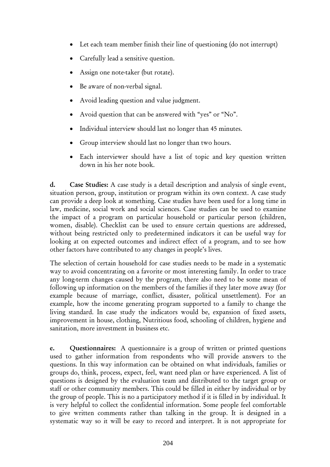- Let each team member finish their line of questioning (do not interrupt)
- Carefully lead a sensitive question.
- Assign one note-taker (but rotate).
- Be aware of non-verbal signal.
- Avoid leading question and value judgment.
- Avoid question that can be answered with "yes" or "No".
- Individual interview should last no longer than 45 minutes.
- Group interview should last no longer than two hours.
- Each interviewer should have a list of topic and key question written down in his her note book.

d. Case Studies: A case study is a detail description and analysis of single event, situation person, group, institution or program within its own context. A case study can provide a deep look at something. Case studies have been used for a long time in law, medicine, social work and social sciences. Case studies can be used to examine the impact of a program on particular household or particular person (children, women, disable). Checklist can be used to ensure certain questions are addressed, without being restricted only to predetermined indicators it can be useful way for looking at on expected outcomes and indirect effect of a program, and to see how other factors have contributed to any changes in people's lives.

The selection of certain household for case studies needs to be made in a systematic way to avoid concentrating on a favorite or most interesting family. In order to trace any long-term changes caused by the program, there also need to be some mean of following up information on the members of the families if they later move away (for example because of marriage, conflict, disaster, political unsettlement). For an example, how the income generating program supported to a family to change the living standard. In case study the indicators would be, expansion of fixed assets, improvement in house, clothing, Nutritious food, schooling of children, hygiene and sanitation, more investment in business etc.

e. Questionnaires: A questionnaire is a group of written or printed questions used to gather information from respondents who will provide answers to the questions. In this way information can be obtained on what individuals, families or groups do, think, process, expect, feel, want need plan or have experienced. A list of questions is designed by the evaluation team and distributed to the target group or staff or other community members. This could be filled in either by individual or by the group of people. This is no a participatory method if it is filled in by individual. It is very helpful to collect the confidential information. Some people feel comfortable to give written comments rather than talking in the group. It is designed in a systematic way so it will be easy to record and interpret. It is not appropriate for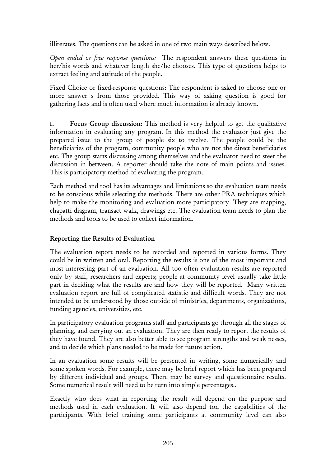illiterates. The questions can be asked in one of two main ways described below.

*Open ended or free response questions:* The respondent answers these questions in her/his words and whatever length she/he chooses. This type of questions helps to extract feeling and attitude of the people.

Fixed Choice or fixed-response questions: The respondent is asked to choose one or more answer s from those provided. This way of asking question is good for gathering facts and is often used where much information is already known.

f. Focus Group discussion: This method is very helpful to get the qualitative information in evaluating any program. In this method the evaluator just give the prepared issue to the group of people six to twelve. The people could be the beneficiaries of the program, community people who are not the direct beneficiaries etc. The group starts discussing among themselves and the evaluator need to steer the discussion in between. A reporter should take the note of main points and issues. This is participatory method of evaluating the program.

Each method and tool has its advantages and limitations so the evaluation team needs to be conscious while selecting the methods. There are other PRA techniques which help to make the monitoring and evaluation more participatory. They are mapping, chapatti diagram, transact walk, drawings etc. The evaluation team needs to plan the methods and tools to be used to collect information.

## Reporting the Results of Evaluation

The evaluation report needs to be recorded and reported in various forms. They could be in written and oral. Reporting the results is one of the most important and most interesting part of an evaluation. All too often evaluation results are reported only by staff, researchers and experts; people at community level usually take little part in deciding what the results are and how they will be reported. Many written evaluation report are full of complicated statistic and difficult words. They are not intended to be understood by those outside of ministries, departments, organizations, funding agencies, universities, etc.

In participatory evaluation programs staff and participants go through all the stages of planning, and carrying out an evaluation. They are then ready to report the results of they have found. They are also better able to see program strengths and weak nesses, and to decide which plans needed to be made for future action.

In an evaluation some results will be presented in writing, some numerically and some spoken words. For example, there may be brief report which has been prepared by different individual and groups. There may be survey and questionnaire results. Some numerical result will need to be turn into simple percentages..

Exactly who does what in reporting the result will depend on the purpose and methods used in each evaluation. It will also depend ton the capabilities of the participants. With brief training some participants at community level can also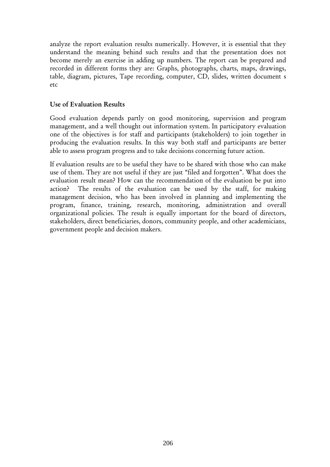analyze the report evaluation results numerically. However, it is essential that they understand the meaning behind such results and that the presentation does not become merely an exercise in adding up numbers. The report can be prepared and recorded in different forms they are: Graphs, photographs, charts, maps, drawings, table, diagram, pictures, Tape recording, computer, CD, slides, written document s etc

#### Use of Evaluation Results

Good evaluation depends partly on good monitoring, supervision and program management, and a well thought out information system. In participatory evaluation one of the objectives is for staff and participants (stakeholders) to join together in producing the evaluation results. In this way both staff and participants are better able to assess program progress and to take decisions concerning future action.

If evaluation results are to be useful they have to be shared with those who can make use of them. They are not useful if they are just "filed and forgotten". What does the evaluation result mean? How can the recommendation of the evaluation be put into action? The results of the evaluation can be used by the staff, for making management decision, who has been involved in planning and implementing the program, finance, training, research, monitoring, administration and overall organizational policies. The result is equally important for the board of directors, stakeholders, direct beneficiaries, donors, community people, and other academicians, government people and decision makers.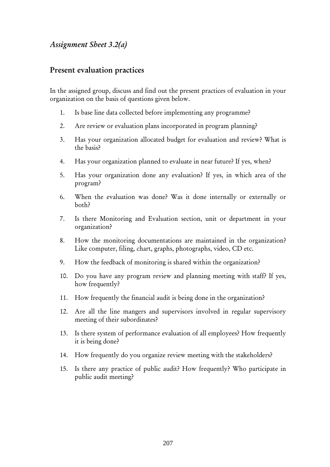## *Assignment Sheet 3.2(a)*

## Present evaluation practices

In the assigned group, discuss and find out the present practices of evaluation in your organization on the basis of questions given below.

- 1. Is base line data collected before implementing any programme?
- 2. Are review or evaluation plans incorporated in program planning?
- 3. Has your organization allocated budget for evaluation and review? What is the basis?
- 4. Has your organization planned to evaluate in near future? If yes, when?
- 5. Has your organization done any evaluation? If yes, in which area of the program?
- 6. When the evaluation was done? Was it done internally or externally or both?
- 7. Is there Monitoring and Evaluation section, unit or department in your organization?
- 8. How the monitoring documentations are maintained in the organization? Like computer, filing, chart, graphs, photographs, video, CD etc.
- 9. How the feedback of monitoring is shared within the organization?
- 10. Do you have any program review and planning meeting with staff? If yes, how frequently?
- 11. How frequently the financial audit is being done in the organization?
- 12. Are all the line mangers and supervisors involved in regular supervisory meeting of their subordinates?
- 13. Is there system of performance evaluation of all employees? How frequently it is being done?
- 14. How frequently do you organize review meeting with the stakeholders?
- 15. Is there any practice of public audit? How frequently? Who participate in public audit meeting?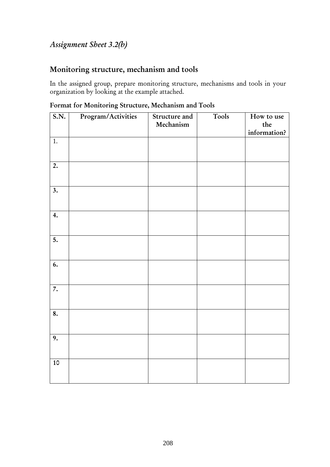# *Assignment Sheet 3.2(b)*

## Monitoring structure, mechanism and tools

In the assigned group, prepare monitoring structure, mechanisms and tools in your organization by looking at the example attached.

| S.N.                      | Program/Activities | Structure and<br>Mechanism | Tools | How to use<br>$\!$<br>information? |
|---------------------------|--------------------|----------------------------|-------|------------------------------------|
| 1.                        |                    |                            |       |                                    |
| $\overline{2.}$           |                    |                            |       |                                    |
| $\overline{\mathbf{3}}$ . |                    |                            |       |                                    |
| 4.                        |                    |                            |       |                                    |
| 5.                        |                    |                            |       |                                    |
| 6.                        |                    |                            |       |                                    |
| $\overline{7}$ .          |                    |                            |       |                                    |
| 8.                        |                    |                            |       |                                    |
| 9.                        |                    |                            |       |                                    |
| $10\,$                    |                    |                            |       |                                    |

Format for Monitoring Structure, Mechanism and Tools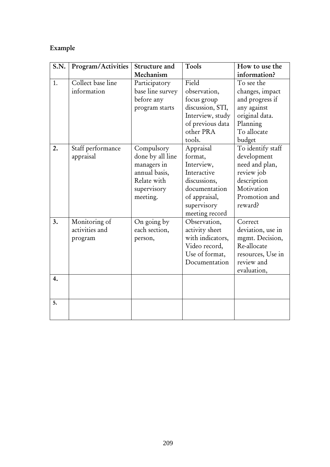# Example

| <b>S.N.</b> | Program/Activities | Structure and    | Tools            | How to use the    |
|-------------|--------------------|------------------|------------------|-------------------|
|             |                    | Mechanism        |                  | information?      |
| 1.          | Collect base line  | Participatory    | Field            | To see the        |
|             | information        | base line survey | observation,     | changes, impact   |
|             |                    | before any       | focus group      | and progress if   |
|             |                    | program starts   | discussion, STI, | any against       |
|             |                    |                  | Interview, study | original data.    |
|             |                    |                  | of previous data | Planning          |
|             |                    |                  | other PRA        | To allocate       |
|             |                    |                  | tools.           | budget            |
| 2.          | Staff performance  | Compulsory       | Appraisal        | To identify staff |
|             | appraisal          | done by all line | format,          | development       |
|             |                    | managers in      | Interview,       | need and plan,    |
|             |                    | annual basis,    | Interactive      | review job        |
|             |                    | Relate with      | discussions,     | description       |
|             |                    | supervisory      | documentation    | Motivation        |
|             |                    | meeting.         | of appraisal,    | Promotion and     |
|             |                    |                  | supervisory      | reward?           |
|             |                    |                  | meeting record   |                   |
| 3.          | Monitoring of      | On going by      | Observation,     | Correct           |
|             | activities and     | each section,    | activity sheet   | deviation, use in |
|             | program            | person,          | with indicators, | mgmt. Decision,   |
|             |                    |                  | Video record,    | Re-allocate       |
|             |                    |                  | Use of format,   | resources, Use in |
|             |                    |                  | Documentation    | review and        |
|             |                    |                  |                  | evaluation,       |
| 4.          |                    |                  |                  |                   |
|             |                    |                  |                  |                   |
|             |                    |                  |                  |                   |
| 5.          |                    |                  |                  |                   |
|             |                    |                  |                  |                   |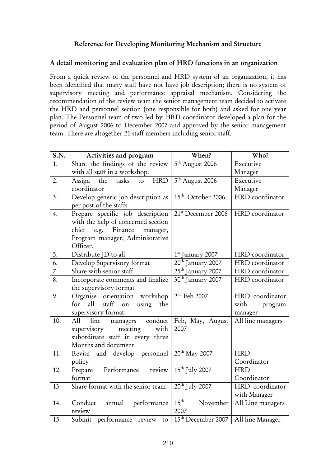### Reference for Developing Monitoring Mechanism and Structure

#### A detail monitoring and evaluation plan of HRD functions in an organization

From a quick review of the personnel and HRD system of an organization, it has been identified that many staff have not have job description; there is no system of supervisory meeting and performance appraisal mechanism. Considering the recommendation of the review team the senior management team decided to activate the HRD and personnel section (one responsible for both) and asked for one year plan. The Personnel team of two led by HRD coordinator developed a plan for the period of August 2006 to December 2007 and approved by the senior management team. There are altogether 21 staff members including senior staff.

| S.N.             | Activities and program               | When?                          | Who?              |
|------------------|--------------------------------------|--------------------------------|-------------------|
| 1.               | Share the findings of the review     | 5 <sup>th</sup> August 2006    | Executive         |
|                  | with all staff in a workshop.        |                                | Manager           |
| 2.               | <b>HRD</b><br>Assign the tasks<br>to | 5 <sup>th</sup> August 2006    | Executive         |
|                  | coordinator                          |                                | Manager           |
| 3.               | Develop generic job description as   | 15 <sup>th</sup> October 2006  | HRD coordinator   |
|                  | per post of the staffs               |                                |                   |
| 4.               | Prepare specific job description     | 21 <sup>st</sup> December 2006 | HRD coordinator   |
|                  | with the help of concerned section   |                                |                   |
|                  | chief<br>e.g. Finance<br>manager,    |                                |                   |
|                  | Program manager, Administrative      |                                |                   |
|                  | Officer.                             |                                |                   |
| 5.               | Distribute JD to all                 | $1st$ January 2007             | HRD coordinator   |
| 6.               | Develop Supervisory format           | 20 <sup>th</sup> January 2007  | HRD coordinator   |
| 7.               | Share with senior staff              | 25 <sup>th</sup> January 2007  | HRD coordinator   |
| $\overline{8}$ . | Incorporate comments and finalize    | 30 <sup>th</sup> January 2007  | HRD coordinator   |
|                  | the supervisory format               |                                |                   |
| 9.               | Organise orientation workshop        | $2nd$ Feb 2007                 | HRD coordinator   |
|                  | all staff on using the<br>for        |                                | with program      |
|                  | supervisory format.                  |                                | manager           |
| 10.              | All<br>line<br>managers conduct      | Feb, May, August               | All line managers |
|                  | meeting<br>supervisory<br>with       | 2007                           |                   |
|                  | subordinate staff in every three     |                                |                   |
|                  | Months and document                  |                                |                   |
| 11.              | Revise and develop personnel         | 20 <sup>th</sup> May 2007      | <b>HRD</b>        |
|                  | policy                               |                                | Coordinator       |
| 12.              | Prepare Performance review           | $15th$ July 2007               | <b>HRD</b>        |
|                  | format                               |                                | Coordinator       |
| 13               | Share format with the senior team    | 20 <sup>th</sup> July 2007     | HRD coordinator   |
|                  |                                      |                                | with Manager      |
| 14.              | Conduct<br>annual<br>performance     | $15^{\text{th}}$<br>November   | All Line managers |
|                  | review                               | 2007                           |                   |
| 15.              | Submit performance review<br>to      | 15 <sup>th</sup> December 2007 | All line Manager  |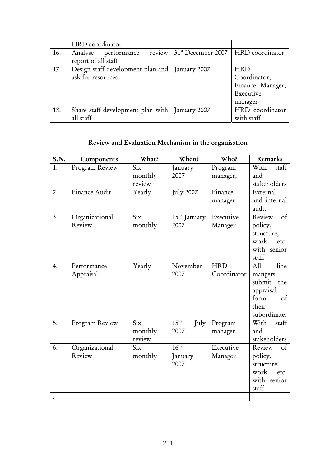|     | HRD coordinator                                  |                                                  |                  |  |
|-----|--------------------------------------------------|--------------------------------------------------|------------------|--|
| 16. | review  <br>Analyse performance                  | 31 <sup>st</sup> December 2007   HRD coordinator |                  |  |
|     | report of all staff                              |                                                  |                  |  |
| 17. | Design staff development plan and   January 2007 |                                                  | <b>HRD</b>       |  |
|     | ask for resources                                |                                                  | Coordinator,     |  |
|     |                                                  |                                                  | Finance Manager, |  |
|     |                                                  |                                                  | Executive        |  |
|     |                                                  |                                                  | manager          |  |
| 18. | Share staff development plan with   January 2007 |                                                  | HRD coordinator  |  |
|     | all staff                                        |                                                  | with staff       |  |

# Review and Evaluation Mechanism in the organisation

| S.N. | Components               | What?                                        | When?                               | Who?                      | Remarks                                                                                  |
|------|--------------------------|----------------------------------------------|-------------------------------------|---------------------------|------------------------------------------------------------------------------------------|
| 1.   | Program Review           | Six<br>monthly<br>review                     | January<br>2007                     | Program<br>manager,       | With<br>staff<br>and<br>stakeholders                                                     |
| 2.   | Finance Audit            | Yearly                                       | July 2007                           | Finance<br>manager        | External<br>and internal<br>audit                                                        |
| 3.   | Organizational<br>Review | Six<br>monthly                               | $15th$ January<br>2007              | Executive<br>Manager      | Review<br>$\circ$ f<br>policy,<br>structure,<br>work<br>etc.<br>with senior<br>staff     |
| 4.   | Performance<br>Appraisal | Yearly                                       | November<br>2007                    | <b>HRD</b><br>Coordinator | All<br>line<br>mangers<br>submit the<br>appraisal<br>form<br>of<br>their<br>subordinate. |
| 5.   | Program Review           | $\overline{\text{Six}}$<br>monthly<br>review | $15^{\text{th}}$<br>July<br>2007    | Program<br>manager,       | With<br>staff<br>and<br>stakeholders                                                     |
| 6.   | Organizational<br>Review | Six<br>monthly                               | $16^{\text{th}}$<br>January<br>2007 | Executive<br>Manager      | Review<br>$\circ$ f<br>policy,<br>structure,<br>work<br>etc.<br>with senior<br>staff.    |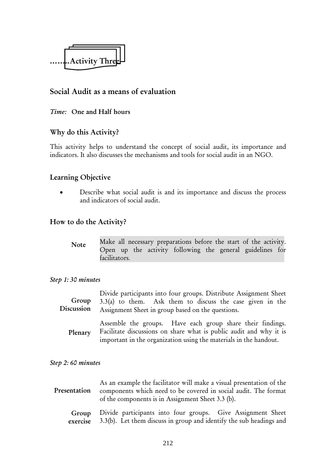

## Social Audit as a means of evaluation

#### *Time:* One and Half hours

## Why do this Activity?

This activity helps to understand the concept of social audit, its importance and indicators. It also discusses the mechanisms and tools for social audit in an NGO.

## Learning Objective

Describe what social audit is and its importance and discuss the process and indicators of social audit.

## How to do the Activity?

| <b>Note</b> | Make all necessary preparations before the start of the activity. |  |  |  |                                                           |  |  |  |
|-------------|-------------------------------------------------------------------|--|--|--|-----------------------------------------------------------|--|--|--|
|             |                                                                   |  |  |  | Open up the activity following the general guidelines for |  |  |  |
|             | facilitators.                                                     |  |  |  |                                                           |  |  |  |

#### *Step 1: 30 minutes*

Divide participants into four groups. Distribute Assignment Sheet  $3.3(a)$  to them. Ask them to discuss the case given in the Assignment Sheet in group based on the questions. Group Discussion

Assemble the groups. Have each group share their findings. Facilitate discussions on share what is public audit and why it is important in the organization using the materials in the handout. Plenary

#### *Step 2: 60 minutes*

As an example the facilitator will make a visual presentation of the components which need to be covered in social audit. The format of the components is in Assignment Sheet 3.3 (b). Presentation

Divide participants into four groups. Give Assignment Sheet 3.3(b). Let them discuss in group and identify the sub headings and Group exercise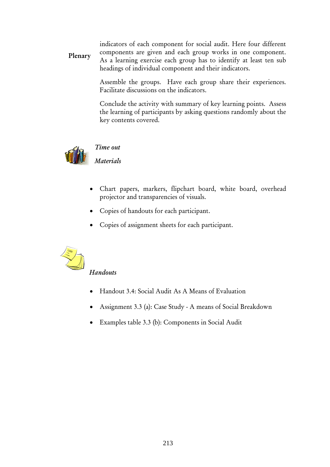indicators of each component for social audit. Here four different components are given and each group works in one component. As a learning exercise each group has to identify at least ten sub headings of individual component and their indicators. Plenary

> Assemble the groups. Have each group share their experiences. Facilitate discussions on the indicators.

> Conclude the activity with summary of key learning points. Assess the learning of participants by asking questions randomly about the key contents covered.



## *Time out*

*Materials* 

- Chart papers, markers, flipchart board, white board, overhead projector and transparencies of visuals.
- Copies of handouts for each participant.
- Copies of assignment sheets for each participant.



## *Handouts*

- Handout 3.4: Social Audit As A Means of Evaluation
- Assignment 3.3 (a): Case Study A means of Social Breakdown
- Examples table 3.3 (b): Components in Social Audit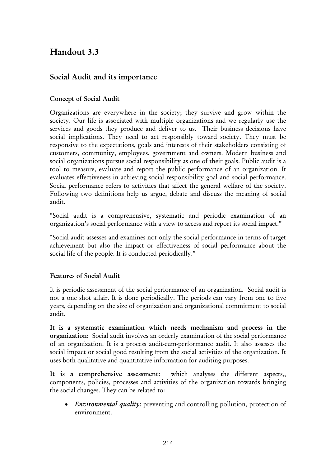# Handout 3.3

## Social Audit and its importance

#### Concept of Social Audit

Organizations are everywhere in the society; they survive and grow within the society. Our life is associated with multiple organizations and we regularly use the services and goods they produce and deliver to us. Their business decisions have social implications. They need to act responsibly toward society. They must be responsive to the expectations, goals and interests of their stakeholders consisting of customers, community, employees, government and owners. Modern business and social organizations pursue social responsibility as one of their goals. Public audit is a tool to measure, evaluate and report the public performance of an organization. It evaluates effectiveness in achieving social responsibility goal and social performance. Social performance refers to activities that affect the general welfare of the society. Following two definitions help us argue, debate and discuss the meaning of social audit.

"Social audit is a comprehensive, systematic and periodic examination of an organization's social performance with a view to access and report its social impact."

"Social audit assesses and examines not only the social performance in terms of target achievement but also the impact or effectiveness of social performance about the social life of the people. It is conducted periodically."

## Features of Social Audit

It is periodic assessment of the social performance of an organization. Social audit is not a one shot affair. It is done periodically. The periods can vary from one to five years, depending on the size of organization and organizational commitment to social audit.

It is a systematic examination which needs mechanism and process in the organization: Social audit involves an orderly examination of the social performance of an organization. It is a process audit-cum-performance audit. It also assesses the social impact or social good resulting from the social activities of the organization. It uses both qualitative and quantitative information for auditing purposes.

It is a comprehensive assessment: which analyses the different aspects,, components, policies, processes and activities of the organization towards bringing the social changes. They can be related to:

• *Environmental quality:* preventing and controlling pollution, protection of environment.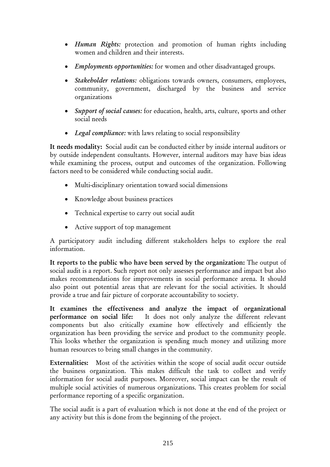- *Human Rights:* protection and promotion of human rights including women and children and their interests.
- *Employments opportunities:* for women and other disadvantaged groups.
- *Stakeholder relations:* obligations towards owners, consumers, employees, community, government, discharged by the business and service organizations
- *Support of social causes:* for education, health, arts, culture, sports and other social needs
- *Legal compliance:* with laws relating to social responsibility

It needs modality: Social audit can be conducted either by inside internal auditors or by outside independent consultants. However, internal auditors may have bias ideas while examining the process, output and outcomes of the organization. Following factors need to be considered while conducting social audit.

- Multi-disciplinary orientation toward social dimensions
- Knowledge about business practices
- Technical expertise to carry out social audit
- Active support of top management

A participatory audit including different stakeholders helps to explore the real information.

It reports to the public who have been served by the organization: The output of social audit is a report. Such report not only assesses performance and impact but also makes recommendations for improvements in social performance arena. It should also point out potential areas that are relevant for the social activities. It should provide a true and fair picture of corporate accountability to society.

It examines the effectiveness and analyze the impact of organizational performance on social life: It does not only analyze the different relevant components but also critically examine how effectively and efficiently the organization has been providing the service and product to the community people. This looks whether the organization is spending much money and utilizing more human resources to bring small changes in the community.

Externalities: Most of the activities within the scope of social audit occur outside the business organization. This makes difficult the task to collect and verify information for social audit purposes. Moreover, social impact can be the result of multiple social activities of numerous organizations. This creates problem for social performance reporting of a specific organization.

The social audit is a part of evaluation which is not done at the end of the project or any activity but this is done from the beginning of the project.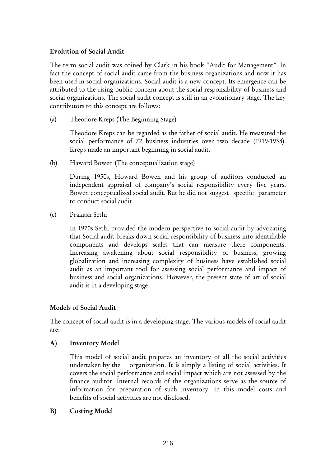#### Evolution of Social Audit

The term social audit was coined by Clark in his book "Audit for Management". In fact the concept of social audit came from the business organizations and now it has been used in social organizations. Social audit is a new concept. Its emergence can be attributed to the rising public concern about the social responsibility of business and social organizations. The social audit concept is still in an evolutionary stage. The key contributors to this concept are follows:

(a) Theodore Kreps (The Beginning Stage)

Theodore Kreps can be regarded as the father of social audit. He measured the social performance of 72 business industries over two decade (1919-1938). Kreps made an important beginning in social audit.

(b) Haward Bowen (The conceptualization stage)

During 1950s, Howard Bowen and his group of auditors conducted an independent appraisal of company's social responsibility every five years. Bowen conceptualized social audit. But he did not suggest specific parameter to conduct social audit

(c) Prakash Sethi

In 1970s Sethi provided the modern perspective to social audit by advocating that Social audit breaks down social responsibility of business into identifiable components and develops scales that can measure there components. Increasing awakening about social responsibility of business, growing globalization and increasing complexity of business have established social audit as an important tool for assessing social performance and impact of business and social organizations. However, the present state of art of social audit is in a developing stage.

#### Models of Social Audit

The concept of social audit is in a developing stage. The various models of social audit are:

A) Inventory Model

This model of social audit prepares an inventory of all the social activities undertaken by the organization. It is simply a listing of social activities. It covers the social performance and social impact which are not assessed by the finance auditor. Internal records of the organizations serve as the source of information for preparation of such inventory. In this model costs and benefits of social activities are not disclosed.

#### B) Costing Model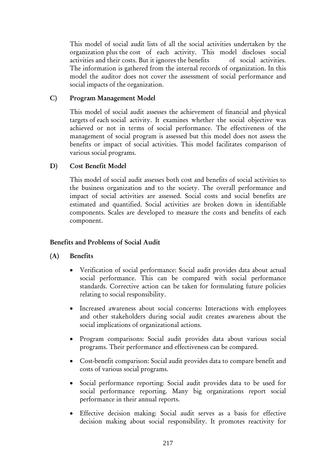This model of social audit lists of all the social activities undertaken by the organization plus the cost of each activity. This model discloses social activities and their costs. But it ignores the benefits of social activities. The information is gathered from the internal records of organization. In this model the auditor does not cover the assessment of social performance and social impacts of the organization.

#### C) Program Management Model

This model of social audit assesses the achievement of financial and physical targets of each social activity. It examines whether the social objective was achieved or not in terms of social performance. The effectiveness of the management of social program is assessed but this model does not assess the benefits or impact of social activities. This model facilitates comparison of various social programs.

#### D) Cost Benefit Model

This model of social audit assesses both cost and benefits of social activities to the business organization and to the society. The overall performance and impact of social activities are assessed. Social costs and social benefits are estimated and quantified. Social activities are broken down in identifiable components. Scales are developed to measure the costs and benefits of each component.

## Benefits and Problems of Social Audit

## (A) Benefits

- Verification of social performance: Social audit provides data about actual social performance. This can be compared with social performance standards. Corrective action can be taken for formulating future policies relating to social responsibility.
- Increased awareness about social concerns: Interactions with employees and other stakeholders during social audit creates awareness about the social implications of organizational actions.
- Program comparisons: Social audit provides data about various social programs. Their performance and effectiveness can be compared.
- Cost-benefit comparison: Social audit provides data to compare benefit and costs of various social programs.
- Social performance reporting: Social audit provides data to be used for social performance reporting. Many big organizations report social performance in their annual reports.
- Effective decision making: Social audit serves as a basis for effective decision making about social responsibility. It promotes reactivity for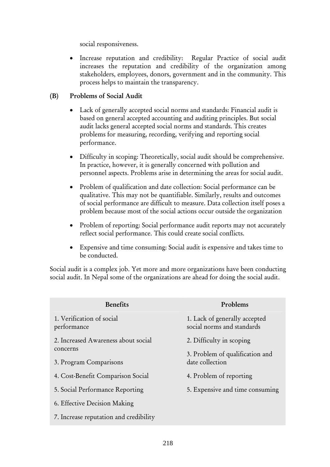social responsiveness.

• Increase reputation and credibility: Regular Practice of social audit increases the reputation and credibility of the organization among stakeholders, employees, donors, government and in the community. This process helps to maintain the transparency.

#### (B) Problems of Social Audit

- Lack of generally accepted social norms and standards: Financial audit is based on general accepted accounting and auditing principles. But social audit lacks general accepted social norms and standards. This creates problems for measuring, recording, verifying and reporting social performance.
- Difficulty in scoping: Theoretically, social audit should be comprehensive. In practice, however, it is generally concerned with pollution and personnel aspects. Problems arise in determining the areas for social audit.
- Problem of qualification and date collection: Social performance can be qualitative. This may not be quantifiable. Similarly, results and outcomes of social performance are difficult to measure. Data collection itself poses a problem because most of the social actions occur outside the organization
- Problem of reporting: Social performance audit reports may not accurately reflect social performance. This could create social conflicts.
- Expensive and time consuming: Social audit is expensive and takes time to be conducted.

Social audit is a complex job. Yet more and more organizations have been conducting social audit. In Nepal some of the organizations are ahead for doing the social audit.

| <b>Benefits</b>                          | Problems                                                    |
|------------------------------------------|-------------------------------------------------------------|
| 1. Verification of social<br>performance | 1. Lack of generally accepted<br>social norms and standards |
| 2. Increased Awareness about social      | 2. Difficulty in scoping                                    |
| concerns<br>3. Program Comparisons       | 3. Problem of qualification and<br>date collection          |
| 4. Cost-Benefit Comparison Social        | 4. Problem of reporting                                     |
| 5. Social Performance Reporting          | 5. Expensive and time consuming                             |
| 6. Effective Decision Making             |                                                             |
| 7. Increase reputation and credibility   |                                                             |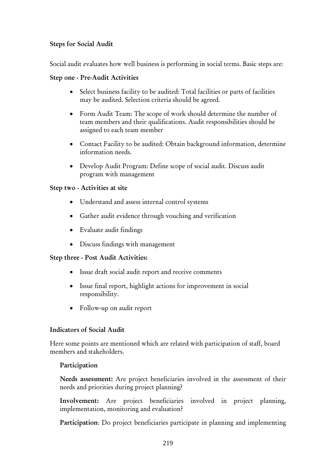## Steps for Social Audit

Social audit evaluates how well business is performing in social terms. Basic steps are:

## Step one - Pre-Audit Activities

- Select business facility to be audited: Total facilities or parts of facilities may be audited. Selection criteria should be agreed.
- Form Audit Team: The scope of work should determine the number of team members and their qualifications. Audit responsibilities should be assigned to each team member
- Contact Facility to be audited: Obtain background information, determine information needs.
- Develop Audit Program: Define scope of social audit. Discuss audit program with management

## Step two - Activities at site

- Understand and assess internal control systems
- Gather audit evidence through vouching and verification
- Evaluate audit findings
- Discuss findings with management

## Step three - Post Audit Activities:

- Issue draft social audit report and receive comments
- Issue final report, highlight actions for improvement in social responsibility.
- Follow-up on audit report

## Indicators of Social Audit

Here some points are mentioned which are related with participation of staff, board members and stakeholders.

## Participation

Needs assessment: Are project beneficiaries involved in the assessment of their needs and priorities during project planning?

Involvement: Are project beneficiaries involved in project planning, implementation, monitoring and evaluation?

Participation: Do project beneficiaries participate in planning and implementing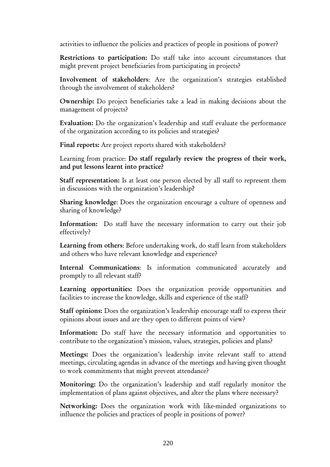activities to influence the policies and practices of people in positions of power?

Restrictions to participation: Do staff take into account circumstances that might prevent project beneficiaries from participating in projects?

Involvement of stakeholders: Are the organization's strategies established through the involvement of stakeholders?

Ownership: Do project beneficiaries take a lead in making decisions about the management of projects?

Evaluation: Do the organization's leadership and staff evaluate the performance of the organization according to its policies and strategies?

Final reports: Are project reports shared with stakeholders?

Learning from practice: Do staff regularly review the progress of their work, and put lessons learnt into practice?

Staff representation: Is at least one person elected by all staff to represent them in discussions with the organization's leadership?

Sharing knowledge: Does the organization encourage a culture of openness and sharing of knowledge?

Information: Do staff have the necessary information to carry out their job effectively?

Learning from others: Before undertaking work, do staff learn from stakeholders and others who have relevant knowledge and experience?

Internal Communications: Is information communicated accurately and promptly to all relevant staff?

Learning opportunities: Does the organization provide opportunities and facilities to increase the knowledge, skills and experience of the staff?

Staff opinions: Does the organization's leadership encourage staff to express their opinions about issues and are they open to different points of view?

Information: Do staff have the necessary information and opportunities to contribute to the organization's mission, values, strategies, policies and plans?

Meetings: Does the organization's leadership invite relevant staff to attend meetings, circulating agendas in advance of the meetings and having given thought to work commitments that might prevent attendance?

Monitoring: Do the organization's leadership and staff regularly monitor the implementation of plans against objectives, and alter the plans where necessary?

Networking: Does the organization work with like-minded organizations to influence the policies and practices of people in positions of power?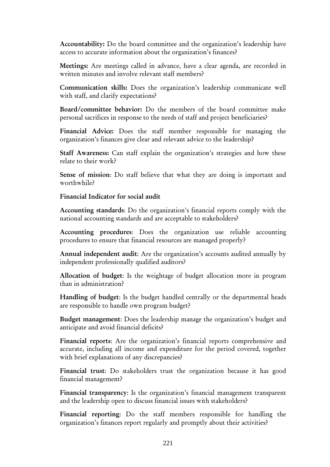Accountability: Do the board committee and the organization's leadership have access to accurate information about the organization's finances?

Meetings: Are meetings called in advance, have a clear agenda, are recorded in written minutes and involve relevant staff members?

Communication skills: Does the organization's leadership communicate well with staff, and clarify expectations?

Board/committee behavior: Do the members of the board committee make personal sacrifices in response to the needs of staff and project beneficiaries?

Financial Advice: Does the staff member responsible for managing the organization's finances give clear and relevant advice to the leadership?

Staff Awareness: Can staff explain the organization's strategies and how these relate to their work?

Sense of mission: Do staff believe that what they are doing is important and worthwhile?

Financial Indicator for social audit

Accounting standards: Do the organization's financial reports comply with the national accounting standards and are acceptable to stakeholders?

Accounting procedures: Does the organization use reliable accounting procedures to ensure that financial resources are managed properly?

Annual independent audit: Are the organization's accounts audited annually by independent professionally qualified auditors?

Allocation of budget: Is the weightage of budget allocation more in program than in administration?

Handling of budget: Is the budget handled centrally or the departmental heads are responsible to handle own program budget?

Budget management: Does the leadership manage the organization's budget and anticipate and avoid financial deficits?

Financial reports: Are the organization's financial reports comprehensive and accurate, including all income and expenditure for the period covered, together with brief explanations of any discrepancies?

Financial trust: Do stakeholders trust the organization because it has good financial management?

Financial transparency: Is the organization's financial management transparent and the leadership open to discuss financial issues with stakeholders?

Financial reporting: Do the staff members responsible for handling the organization's finances report regularly and promptly about their activities?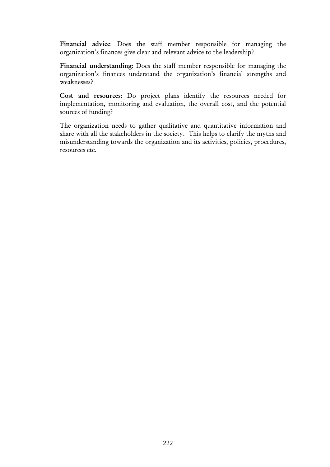Financial advice: Does the staff member responsible for managing the organization's finances give clear and relevant advice to the leadership?

Financial understanding: Does the staff member responsible for managing the organization's finances understand the organization's financial strengths and weaknesses?

Cost and resources: Do project plans identify the resources needed for implementation, monitoring and evaluation, the overall cost, and the potential sources of funding?

The organization needs to gather qualitative and quantitative information and share with all the stakeholders in the society. This helps to clarify the myths and misunderstanding towards the organization and its activities, policies, procedures, resources etc.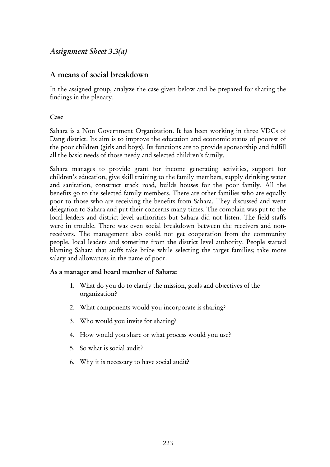## *Assignment Sheet 3.3(a)*

## A means of social breakdown

In the assigned group, analyze the case given below and be prepared for sharing the findings in the plenary.

#### Case

Sahara is a Non Government Organization. It has been working in three VDCs of Dang district. Its aim is to improve the education and economic status of poorest of the poor children (girls and boys). Its functions are to provide sponsorship and fulfill all the basic needs of those needy and selected children's family.

Sahara manages to provide grant for income generating activities, support for children's education, give skill training to the family members, supply drinking water and sanitation, construct track road, builds houses for the poor family. All the benefits go to the selected family members. There are other families who are equally poor to those who are receiving the benefits from Sahara. They discussed and went delegation to Sahara and put their concerns many times. The complain was put to the local leaders and district level authorities but Sahara did not listen. The field staffs were in trouble. There was even social breakdown between the receivers and nonreceivers. The management also could not get cooperation from the community people, local leaders and sometime from the district level authority. People started blaming Sahara that staffs take bribe while selecting the target families; take more salary and allowances in the name of poor.

## As a manager and board member of Sahara:

- 1. What do you do to clarify the mission, goals and objectives of the organization?
- 2. What components would you incorporate is sharing?
- 3. Who would you invite for sharing?
- 4. How would you share or what process would you use?
- 5. So what is social audit?
- 6. Why it is necessary to have social audit?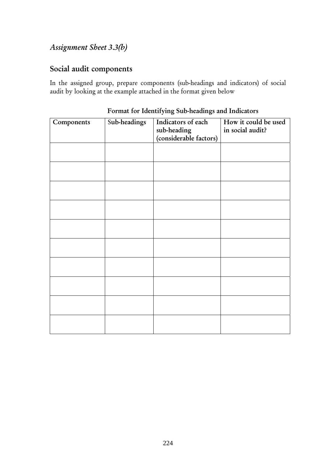# *Assignment Sheet 3.3(b)*

## Social audit components

In the assigned group, prepare components (sub-headings and indicators) of social audit by looking at the example attached in the format given below

| Components | Sub-headings | Indicators of each<br>sub-heading<br>(considerable factors) | How it could be used<br>in social audit? |
|------------|--------------|-------------------------------------------------------------|------------------------------------------|
|            |              |                                                             |                                          |
|            |              |                                                             |                                          |
|            |              |                                                             |                                          |
|            |              |                                                             |                                          |
|            |              |                                                             |                                          |
|            |              |                                                             |                                          |
|            |              |                                                             |                                          |
|            |              |                                                             |                                          |
|            |              |                                                             |                                          |
|            |              |                                                             |                                          |

Format for Identifying Sub-headings and Indicators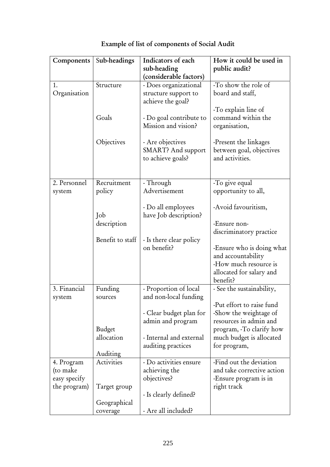| Components                               | Sub-headings                           | Indicators of each                                                                                                     | How it could be used in                                                                                                                               |
|------------------------------------------|----------------------------------------|------------------------------------------------------------------------------------------------------------------------|-------------------------------------------------------------------------------------------------------------------------------------------------------|
|                                          |                                        | sub-heading<br>(considerable factors)                                                                                  | public audit?                                                                                                                                         |
| 1.<br>Organisation                       | Structure                              | - Does organizational<br>structure support to<br>achieve the goal?                                                     | -To show the role of<br>board and staff,                                                                                                              |
|                                          | Goals                                  | - Do goal contribute to<br>Mission and vision?                                                                         | -To explain line of<br>command within the<br>organisation,                                                                                            |
|                                          | Objectives                             | - Are objectives<br>SMART? And support<br>to achieve goals?                                                            | -Present the linkages<br>between goal, objectives<br>and activities.                                                                                  |
| 2. Personnel                             | Recruitment                            | - Through                                                                                                              | -To give equal                                                                                                                                        |
| system                                   | policy                                 | Advertisement                                                                                                          | opportunity to all,                                                                                                                                   |
|                                          | Job                                    | - Do all employees<br>have Job description?                                                                            | -Avoid favouritism,                                                                                                                                   |
|                                          | description                            |                                                                                                                        | -Ensure non-                                                                                                                                          |
|                                          | Benefit to staff                       | - Is there clear policy<br>on benefit?                                                                                 | discriminatory practice<br>Ensure who is doing what<br>and accountability<br>-How much resource is<br>allocated for salary and<br>benefit?            |
| 3. Financial                             | Funding                                | - Proportion of local                                                                                                  | - See the sustainability,                                                                                                                             |
| system                                   | sources<br><b>Budget</b><br>allocation | and non-local funding<br>- Clear budget plan for<br>admin and program<br>- Internal and external<br>auditing practices | -Put effort to raise fund<br>-Show the weightage of<br>resources in admin and<br>program, -To clarify how<br>much budget is allocated<br>for program, |
| 4. Program                               | Auditing<br>Activities                 | - Do activities ensure                                                                                                 | -Find out the deviation                                                                                                                               |
| (to make<br>easy specify<br>the program) | Target group                           | achieving the<br>objectives?                                                                                           | and take corrective action<br>-Ensure program is in<br>right track                                                                                    |
|                                          |                                        | - Is clearly defined?                                                                                                  |                                                                                                                                                       |
|                                          | Geographical<br>coverage               | - Are all included?                                                                                                    |                                                                                                                                                       |

# Example of list of components of Social Audit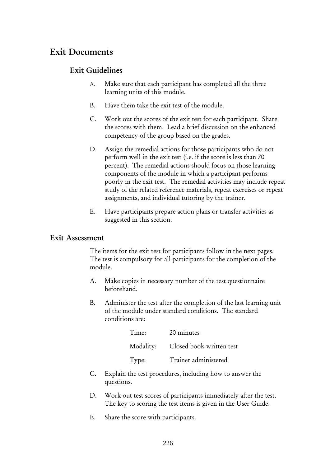# Exit Documents

## Exit Guidelines

- A. Make sure that each participant has completed all the three learning units of this module.
- B. Have them take the exit test of the module.
- C. Work out the scores of the exit test for each participant. Share the scores with them. Lead a brief discussion on the enhanced competency of the group based on the grades.
- D. Assign the remedial actions for those participants who do not perform well in the exit test (i.e. if the score is less than 70 percent). The remedial actions should focus on those learning components of the module in which a participant performs poorly in the exit test. The remedial activities may include repeat study of the related reference materials, repeat exercises or repeat assignments, and individual tutoring by the trainer.
- E. Have participants prepare action plans or transfer activities as suggested in this section.

## Exit Assessment

The items for the exit test for participants follow in the next pages. The test is compulsory for all participants for the completion of the module.

- A. Make copies in necessary number of the test questionnaire beforehand.
- B. Administer the test after the completion of the last learning unit of the module under standard conditions. The standard conditions are:

| Time: | 20 minutes                         |
|-------|------------------------------------|
|       | Modality: Closed book written test |
| Type: | Trainer administered               |

- C. Explain the test procedures, including how to answer the questions.
- D. Work out test scores of participants immediately after the test. The key to scoring the test items is given in the User Guide.
- E. Share the score with participants.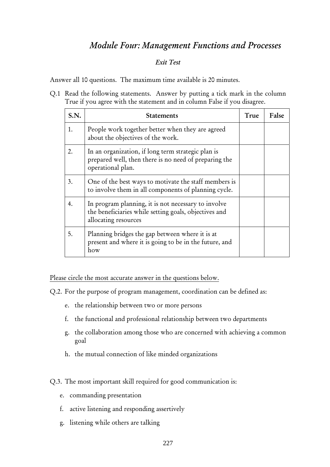# *Module Four: Management Functions and Processes*

#### *Exit Test*

Answer all 10 questions. The maximum time available is 20 minutes.

Q.1 Read the following statements. Answer by putting a tick mark in the column True if you agree with the statement and in column False if you disagree.

| S.N. | <b>Statements</b>                                                                                                                    | True | False |
|------|--------------------------------------------------------------------------------------------------------------------------------------|------|-------|
| 1.   | People work together better when they are agreed<br>about the objectives of the work.                                                |      |       |
| 2.   | In an organization, if long term strategic plan is<br>prepared well, then there is no need of preparing the<br>operational plan.     |      |       |
| 3.   | One of the best ways to motivate the staff members is<br>to involve them in all components of planning cycle.                        |      |       |
| 4.   | In program planning, it is not necessary to involve<br>the beneficiaries while setting goals, objectives and<br>allocating resources |      |       |
| 5.   | Planning bridges the gap between where it is at<br>present and where it is going to be in the future, and<br>how                     |      |       |

Please circle the most accurate answer in the questions below.

Q.2. For the purpose of program management, coordination can be defined as:

- e. the relationship between two or more persons
- f. the functional and professional relationship between two departments
- g. the collaboration among those who are concerned with achieving a common goal
- h. the mutual connection of like minded organizations

Q.3. The most important skill required for good communication is:

- e. commanding presentation
- f. active listening and responding assertively
- g. listening while others are talking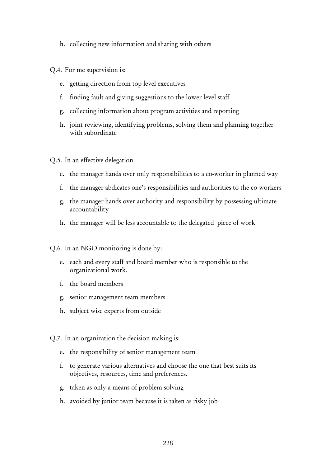- h. collecting new information and sharing with others
- Q.4. For me supervision is:
	- e. getting direction from top level executives
	- f. finding fault and giving suggestions to the lower level staff
	- g. collecting information about program activities and reporting
	- h. joint reviewing, identifying problems, solving them and planning together with subordinate
- Q.5. In an effective delegation:
	- e. the manager hands over only responsibilities to a co-worker in planned way
	- f. the manager abdicates one's responsibilities and authorities to the co-workers
	- g. the manager hands over authority and responsibility by possessing ultimate accountability
	- h. the manager will be less accountable to the delegated piece of work
- Q.6. In an NGO monitoring is done by:
	- e. each and every staff and board member who is responsible to the organizational work.
	- f. the board members
	- g. senior management team members
	- h. subject wise experts from outside
- Q.7. In an organization the decision making is:
	- e. the responsibility of senior management team
	- f. to generate various alternatives and choose the one that best suits its objectives, resources, time and preferences.
	- g. taken as only a means of problem solving
	- h. avoided by junior team because it is taken as risky job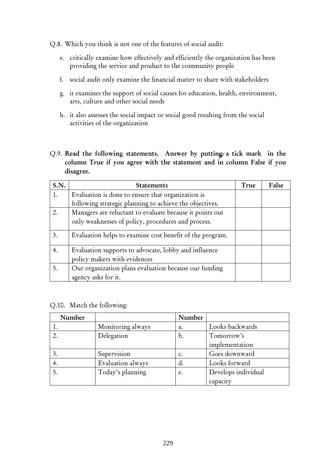Q.8. Which you think is not one of the features of social audit:

- e. critically examine how effectively and efficiently the organization has been providing the service and product to the community people
- f. social audit only examine the financial matter to share with stakeholders
- g. it examines the support of social causes for education, health, environment, arts, culture and other social needs
- h. it also assesses the social impact or social good resulting from the social activities of the organization
- Q.9. Read the following statements. Answer by putting a tick mark in the column True if you agree with the statement and in column False if you disagree.

| S.N. | <b>Statements</b>                                                                    | True | False |
|------|--------------------------------------------------------------------------------------|------|-------|
| 1.   | Evaluation is done to ensure that organization is                                    |      |       |
|      | following strategic planning to achieve the objectives.                              |      |       |
| 2.   | Managers are reluctant to evaluate because it points out                             |      |       |
|      | only weaknesses of policy, procedures and process.                                   |      |       |
| 3.   | Evaluation helps to examine cost benefit of the program.                             |      |       |
| 4.   | Evaluation supports to advocate, lobby and influence<br>policy makers with evidences |      |       |
| 5.   | Our organization plans evaluation because our funding<br>agency asks for it.         |      |       |

Q.10. Match the following:

| Number |                   | Number |                     |
|--------|-------------------|--------|---------------------|
|        | Monitoring always | a.     | Looks backwards     |
|        | Delegation        | b.     | Tomorrow's          |
|        |                   |        | implementation      |
|        | Supervision       | c.     | Goes downward       |
| 4.     | Evaluation always | d.     | Looks forward       |
|        | Today's planning  | e.     | Develops individual |
|        |                   |        | capacity            |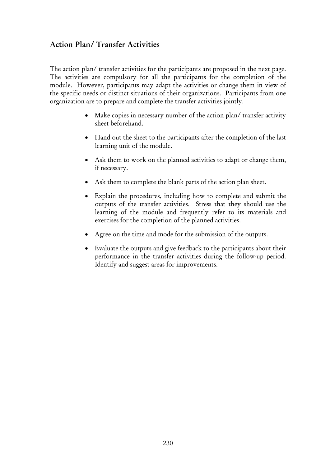## Action Plan/ Transfer Activities

The action plan/ transfer activities for the participants are proposed in the next page. The activities are compulsory for all the participants for the completion of the module. However, participants may adapt the activities or change them in view of the specific needs or distinct situations of their organizations. Participants from one organization are to prepare and complete the transfer activities jointly.

- Make copies in necessary number of the action plan/ transfer activity sheet beforehand.
- Hand out the sheet to the participants after the completion of the last learning unit of the module.
- Ask them to work on the planned activities to adapt or change them, if necessary.
- Ask them to complete the blank parts of the action plan sheet.
- Explain the procedures, including how to complete and submit the outputs of the transfer activities. Stress that they should use the learning of the module and frequently refer to its materials and exercises for the completion of the planned activities.
- Agree on the time and mode for the submission of the outputs.
- Evaluate the outputs and give feedback to the participants about their performance in the transfer activities during the follow-up period. Identify and suggest areas for improvements.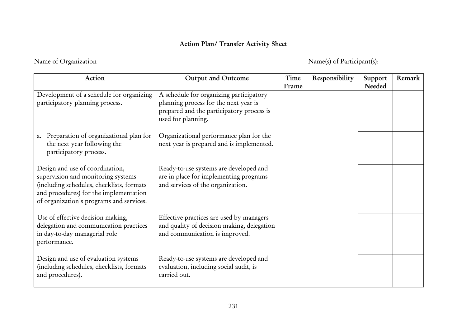## Action Plan/ Transfer Activity Sheet

# Name of Organization Name(s) of Participant(s):

| Action                                                                                                                                                                                                   | <b>Output and Outcome</b>                                                                                                                           | Time  | Responsibility | Support | Remark |
|----------------------------------------------------------------------------------------------------------------------------------------------------------------------------------------------------------|-----------------------------------------------------------------------------------------------------------------------------------------------------|-------|----------------|---------|--------|
| Development of a schedule for organizing<br>participatory planning process.                                                                                                                              | A schedule for organizing participatory<br>planning process for the next year is<br>prepared and the participatory process is<br>used for planning. | Frame |                | Needed  |        |
| a. Preparation of organizational plan for<br>the next year following the<br>participatory process.                                                                                                       | Organizational performance plan for the<br>next year is prepared and is implemented.                                                                |       |                |         |        |
| Design and use of coordination,<br>supervision and monitoring systems<br>(including schedules, checklists, formats<br>and procedures) for the implementation<br>of organization's programs and services. | Ready-to-use systems are developed and<br>are in place for implementing programs<br>and services of the organization.                               |       |                |         |        |
| Use of effective decision making,<br>delegation and communication practices<br>in day-to-day managerial role<br>performance.                                                                             | Effective practices are used by managers<br>and quality of decision making, delegation<br>and communication is improved.                            |       |                |         |        |
| Design and use of evaluation systems<br>(including schedules, checklists, formats<br>and procedures).                                                                                                    | Ready-to-use systems are developed and<br>evaluation, including social audit, is<br>carried out.                                                    |       |                |         |        |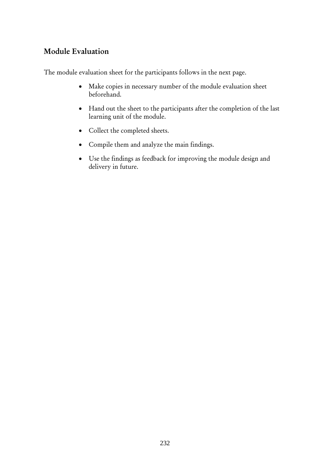## Module Evaluation

The module evaluation sheet for the participants follows in the next page.

- Make copies in necessary number of the module evaluation sheet beforehand.
- Hand out the sheet to the participants after the completion of the last learning unit of the module.
- Collect the completed sheets.
- Compile them and analyze the main findings.
- Use the findings as feedback for improving the module design and delivery in future.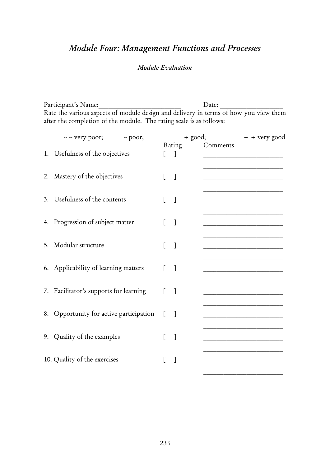# *Module Four: Management Functions and Processes*

## *Module Evaluation*

Participant's Name:\_\_\_\_\_\_\_\_\_\_\_\_\_\_\_\_\_\_\_\_\_\_\_\_\_ Date: \_\_\_\_\_\_\_\_\_\_\_\_\_\_\_\_\_\_\_ Rate the various aspects of module design and delivery in terms of how you view them after the completion of the module. The rating scale is as follows:

|    | 1. Usefulness of the objectives         |          | Rating       | Comments |
|----|-----------------------------------------|----------|--------------|----------|
|    |                                         |          | $\mathbb{I}$ |          |
|    | 2. Mastery of the objectives            | L        | $\Box$       |          |
|    | 3. Usefulness of the contents           | L        | $\Box$       |          |
|    | 4. Progression of subject matter        | L        | $\Box$       |          |
| 5. | Modular structure                       | L        | $\lceil$     |          |
|    | 6. Applicability of learning matters    | L        | $\Box$       |          |
|    | 7. Facilitator's supports for learning  | ſ        | $\Box$       |          |
|    | 8. Opportunity for active participation | $\Gamma$ | $\Box$       |          |
|    | 9. Quality of the examples              | L        | $\Box$       |          |
|    | 10. Quality of the exercises            | E        | $\mathbf{1}$ |          |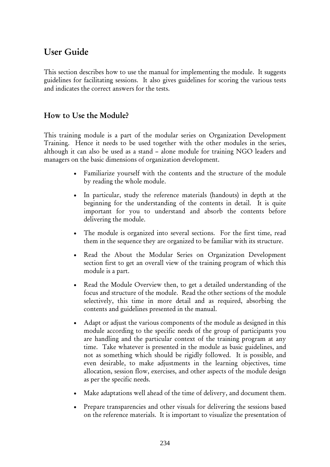# User Guide

This section describes how to use the manual for implementing the module. It suggests guidelines for facilitating sessions. It also gives guidelines for scoring the various tests and indicates the correct answers for the tests.

## How to Use the Module?

This training module is a part of the modular series on Organization Development Training. Hence it needs to be used together with the other modules in the series, although it can also be used as a stand – alone module for training NGO leaders and managers on the basic dimensions of organization development.

- Familiarize yourself with the contents and the structure of the module by reading the whole module.
- In particular, study the reference materials (handouts) in depth at the beginning for the understanding of the contents in detail. It is quite important for you to understand and absorb the contents before delivering the module.
- The module is organized into several sections. For the first time, read them in the sequence they are organized to be familiar with its structure.
- Read the About the Modular Series on Organization Development section first to get an overall view of the training program of which this module is a part.
- Read the Module Overview then, to get a detailed understanding of the focus and structure of the module. Read the other sections of the module selectively, this time in more detail and as required, absorbing the contents and guidelines presented in the manual.
- Adapt or adjust the various components of the module as designed in this module according to the specific needs of the group of participants you are handling and the particular context of the training program at any time. Take whatever is presented in the module as basic guidelines, and not as something which should be rigidly followed. It is possible, and even desirable, to make adjustments in the learning objectives, time allocation, session flow, exercises, and other aspects of the module design as per the specific needs.
- Make adaptations well ahead of the time of delivery, and document them.
- Prepare transparencies and other visuals for delivering the sessions based on the reference materials. It is important to visualize the presentation of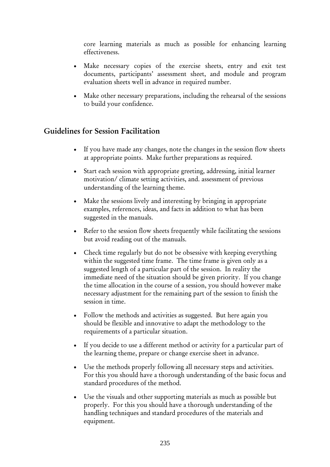core learning materials as much as possible for enhancing learning effectiveness.

- Make necessary copies of the exercise sheets, entry and exit test documents, participants' assessment sheet, and module and program evaluation sheets well in advance in required number.
- Make other necessary preparations, including the rehearsal of the sessions to build your confidence.

## Guidelines for Session Facilitation

- If you have made any changes, note the changes in the session flow sheets at appropriate points. Make further preparations as required.
- Start each session with appropriate greeting, addressing, initial learner motivation/ climate setting activities, and. assessment of previous understanding of the learning theme.
- Make the sessions lively and interesting by bringing in appropriate examples, references, ideas, and facts in addition to what has been suggested in the manuals.
- Refer to the session flow sheets frequently while facilitating the sessions but avoid reading out of the manuals.
- Check time regularly but do not be obsessive with keeping everything within the suggested time frame. The time frame is given only as a suggested length of a particular part of the session. In reality the immediate need of the situation should be given priority. If you change the time allocation in the course of a session, you should however make necessary adjustment for the remaining part of the session to finish the session in time.
- Follow the methods and activities as suggested. But here again you should be flexible and innovative to adapt the methodology to the requirements of a particular situation.
- If you decide to use a different method or activity for a particular part of the learning theme, prepare or change exercise sheet in advance.
- Use the methods properly following all necessary steps and activities. For this you should have a thorough understanding of the basic focus and standard procedures of the method.
- Use the visuals and other supporting materials as much as possible but properly. For this you should have a thorough understanding of the handling techniques and standard procedures of the materials and equipment.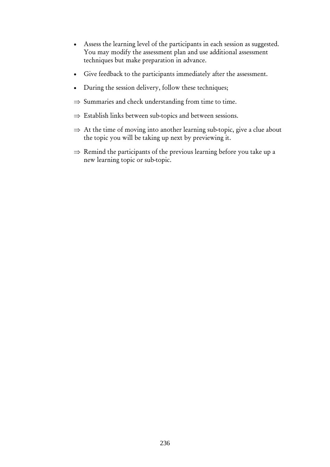- Assess the learning level of the participants in each session as suggested. You may modify the assessment plan and use additional assessment techniques but make preparation in advance.
- Give feedback to the participants immediately after the assessment.
- During the session delivery, follow these techniques;
- $\Rightarrow$  Summaries and check understanding from time to time.
- ⇒ Establish links between sub-topics and between sessions.
- $\Rightarrow$  At the time of moving into another learning sub-topic, give a clue about the topic you will be taking up next by previewing it.
- $\Rightarrow$  Remind the participants of the previous learning before you take up a new learning topic or sub-topic.